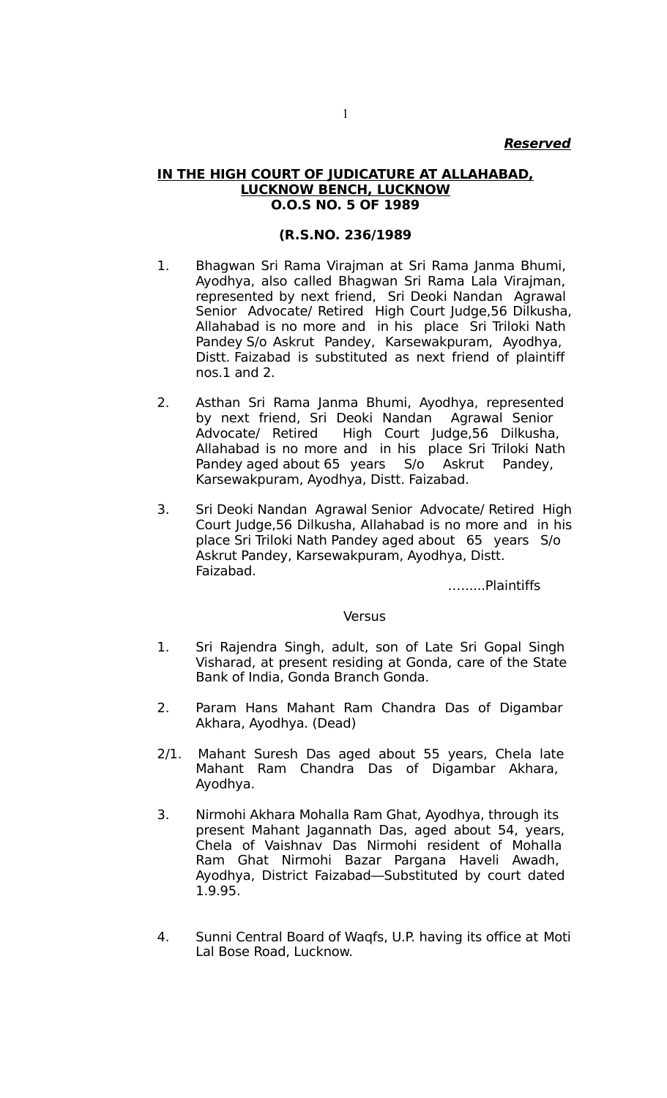#### **Reserved**

#### **IN THE HIGH COURT OF JUDICATURE AT ALLAHABAD, LUCKNOW BENCH, LUCKNOW O.O.S NO. 5 OF 1989**

#### **(R.S.NO. 236/1989**

- 1. Bhagwan Sri Rama Virajman at Sri Rama Janma Bhumi, Ayodhya, also called Bhagwan Sri Rama Lala Virajman, represented by next friend, Sri Deoki Nandan Agrawal Senior Advocate/ Retired High Court Judge,56 Dilkusha, Allahabad is no more and in his place Sri Triloki Nath Pandey S/o Askrut Pandey, Karsewakpuram, Ayodhya, Distt. Faizabad is substituted as next friend of plaintiff nos.1 and 2.
- 2. Asthan Sri Rama Janma Bhumi, Ayodhya, represented by next friend, Sri Deoki Nandan Agrawal Senior Advocate/ Retired High Court Judge,56 Dilkusha, Allahabad is no more and in his place Sri Triloki Nath Pandey aged about 65 years S/o Askrut Pandey, Karsewakpuram, Ayodhya, Distt. Faizabad.
- 3. Sri Deoki Nandan Agrawal Senior Advocate/ Retired High Court Judge,56 Dilkusha, Allahabad is no more and in his place Sri Triloki Nath Pandey aged about 65 years S/o Askrut Pandey, Karsewakpuram, Ayodhya, Distt. Faizabad.

…......Plaintiffs

#### **Versus**

- 1. Sri Rajendra Singh, adult, son of Late Sri Gopal Singh Visharad, at present residing at Gonda, care of the State Bank of India, Gonda Branch Gonda.
- 2. Param Hans Mahant Ram Chandra Das of Digambar Akhara, Ayodhya. (Dead)
- 2/1. Mahant Suresh Das aged about 55 years, Chela late Mahant Ram Chandra Das of Digambar Akhara, Ayodhya.
- 3. Nirmohi Akhara Mohalla Ram Ghat, Ayodhya, through its present Mahant Jagannath Das, aged about 54, years, Chela of Vaishnav Das Nirmohi resident of Mohalla Ram Ghat Nirmohi Bazar Pargana Haveli Awadh, Ayodhya, District Faizabad—Substituted by court dated 1.9.95.
- 4. Sunni Central Board of Waqfs, U.P. having its office at Moti Lal Bose Road, Lucknow.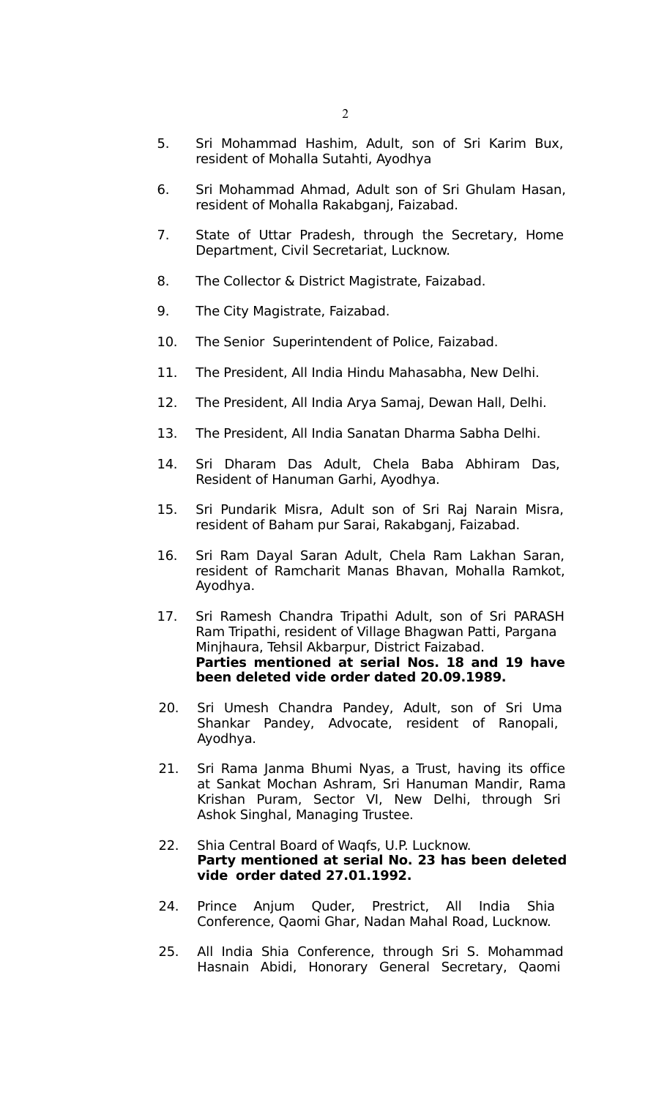- 5. Sri Mohammad Hashim, Adult, son of Sri Karim Bux, resident of Mohalla Sutahti, Ayodhya
- 6. Sri Mohammad Ahmad, Adult son of Sri Ghulam Hasan, resident of Mohalla Rakabganj, Faizabad.
- 7. State of Uttar Pradesh, through the Secretary, Home Department, Civil Secretariat, Lucknow.
- 8. The Collector & District Magistrate, Faizabad.
- 9. The City Magistrate, Faizabad.
- 10. The Senior Superintendent of Police, Faizabad.
- 11. The President, All India Hindu Mahasabha, New Delhi.
- 12. The President, All India Arya Samaj, Dewan Hall, Delhi.
- 13. The President, All India Sanatan Dharma Sabha Delhi.
- 14. Sri Dharam Das Adult, Chela Baba Abhiram Das, Resident of Hanuman Garhi, Ayodhya.
- 15. Sri Pundarik Misra, Adult son of Sri Raj Narain Misra, resident of Baham pur Sarai, Rakabganj, Faizabad.
- 16. Sri Ram Dayal Saran Adult, Chela Ram Lakhan Saran, resident of Ramcharit Manas Bhavan, Mohalla Ramkot, Ayodhya.
- 17. Sri Ramesh Chandra Tripathi Adult, son of Sri PARASH Ram Tripathi, resident of Village Bhagwan Patti, Pargana Minjhaura, Tehsil Akbarpur, District Faizabad. **Parties mentioned at serial Nos. 18 and 19 have been deleted vide order dated 20.09.1989.**
- 20. Sri Umesh Chandra Pandey, Adult, son of Sri Uma Shankar Pandey, Advocate, resident of Ranopali, Ayodhya.
- 21. Sri Rama Janma Bhumi Nyas, a Trust, having its office at Sankat Mochan Ashram, Sri Hanuman Mandir, Rama Krishan Puram, Sector VI, New Delhi, through Sri Ashok Singhal, Managing Trustee.
- 22. Shia Central Board of Waqfs, U.P. Lucknow. **Party mentioned at serial No. 23 has been deleted vide order dated 27.01.1992.**
- 24. Prince Anjum Quder, Prestrict, All India Shia Conference, Qaomi Ghar, Nadan Mahal Road, Lucknow.
- 25. All India Shia Conference, through Sri S. Mohammad Hasnain Abidi, Honorary General Secretary, Qaomi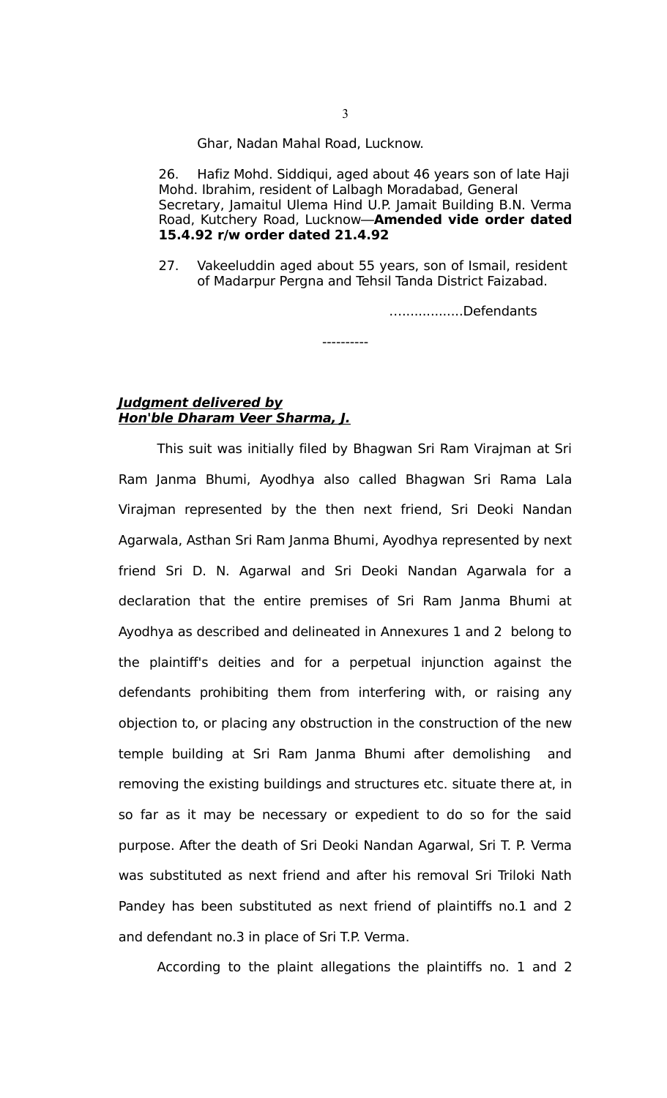Ghar, Nadan Mahal Road, Lucknow.

26. Hafiz Mohd. Siddiqui, aged about 46 years son of late Haji Mohd. Ibrahim, resident of Lalbagh Moradabad, General Secretary, Jamaitul Ulema Hind U.P. Jamait Building B.N. Verma Road, Kutchery Road, Lucknow—**Amended vide order dated 15.4.92 r/w order dated 21.4.92**

27. Vakeeluddin aged about 55 years, son of Ismail, resident of Madarpur Pergna and Tehsil Tanda District Faizabad.

----------

…...............Defendants

# **Judgment delivered by Hon'ble Dharam Veer Sharma, J.**

This suit was initially filed by Bhagwan Sri Ram Virajman at Sri Ram Janma Bhumi, Ayodhya also called Bhagwan Sri Rama Lala Virajman represented by the then next friend, Sri Deoki Nandan Agarwala, Asthan Sri Ram Janma Bhumi, Ayodhya represented by next friend Sri D. N. Agarwal and Sri Deoki Nandan Agarwala for a declaration that the entire premises of Sri Ram Janma Bhumi at Ayodhya as described and delineated in Annexures 1 and 2 belong to the plaintiff's deities and for a perpetual injunction against the defendants prohibiting them from interfering with, or raising any objection to, or placing any obstruction in the construction of the new temple building at Sri Ram Janma Bhumi after demolishing and removing the existing buildings and structures etc. situate there at, in so far as it may be necessary or expedient to do so for the said purpose. After the death of Sri Deoki Nandan Agarwal, Sri T. P. Verma was substituted as next friend and after his removal Sri Triloki Nath Pandey has been substituted as next friend of plaintiffs no.1 and 2 and defendant no.3 in place of Sri T.P. Verma.

According to the plaint allegations the plaintiffs no. 1 and 2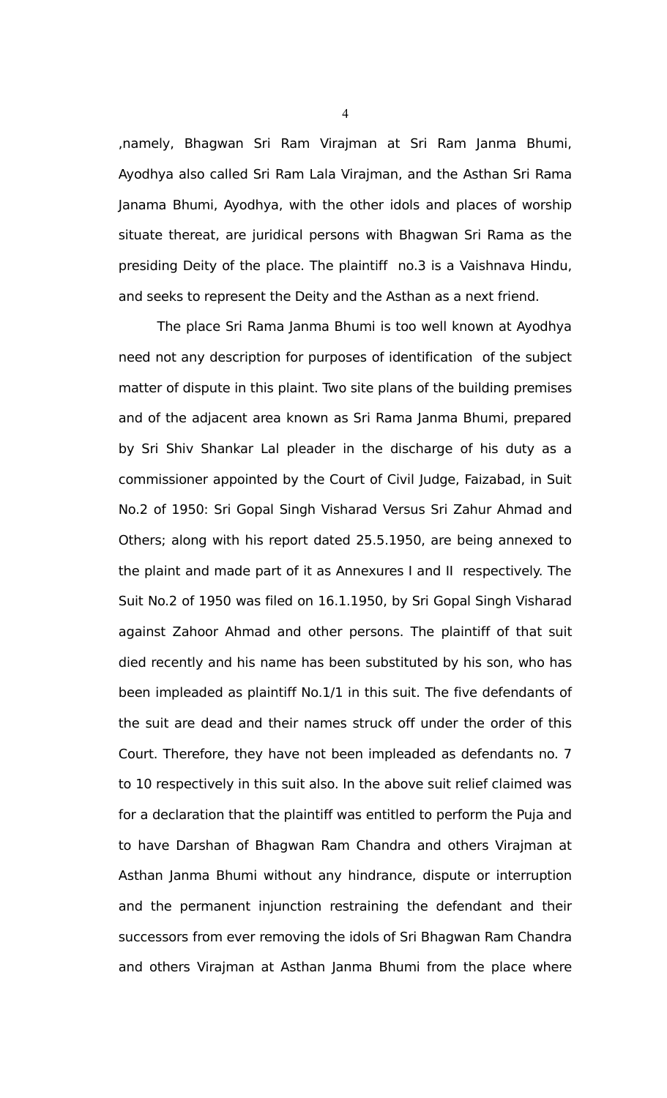,namely, Bhagwan Sri Ram Virajman at Sri Ram Janma Bhumi, Ayodhya also called Sri Ram Lala Virajman, and the Asthan Sri Rama Janama Bhumi, Ayodhya, with the other idols and places of worship situate thereat, are juridical persons with Bhagwan Sri Rama as the presiding Deity of the place. The plaintiff no.3 is a Vaishnava Hindu, and seeks to represent the Deity and the Asthan as a next friend.

The place Sri Rama Janma Bhumi is too well known at Ayodhya need not any description for purposes of identification of the subject matter of dispute in this plaint. Two site plans of the building premises and of the adjacent area known as Sri Rama Janma Bhumi, prepared by Sri Shiv Shankar Lal pleader in the discharge of his duty as a commissioner appointed by the Court of Civil Judge, Faizabad, in Suit No.2 of 1950: Sri Gopal Singh Visharad Versus Sri Zahur Ahmad and Others; along with his report dated 25.5.1950, are being annexed to the plaint and made part of it as Annexures I and II respectively. The Suit No.2 of 1950 was filed on 16.1.1950, by Sri Gopal Singh Visharad against Zahoor Ahmad and other persons. The plaintiff of that suit died recently and his name has been substituted by his son, who has been impleaded as plaintiff No.1/1 in this suit. The five defendants of the suit are dead and their names struck off under the order of this Court. Therefore, they have not been impleaded as defendants no. 7 to 10 respectively in this suit also. In the above suit relief claimed was for a declaration that the plaintiff was entitled to perform the Puja and to have Darshan of Bhagwan Ram Chandra and others Virajman at Asthan Janma Bhumi without any hindrance, dispute or interruption and the permanent injunction restraining the defendant and their successors from ever removing the idols of Sri Bhagwan Ram Chandra and others Virajman at Asthan Janma Bhumi from the place where

4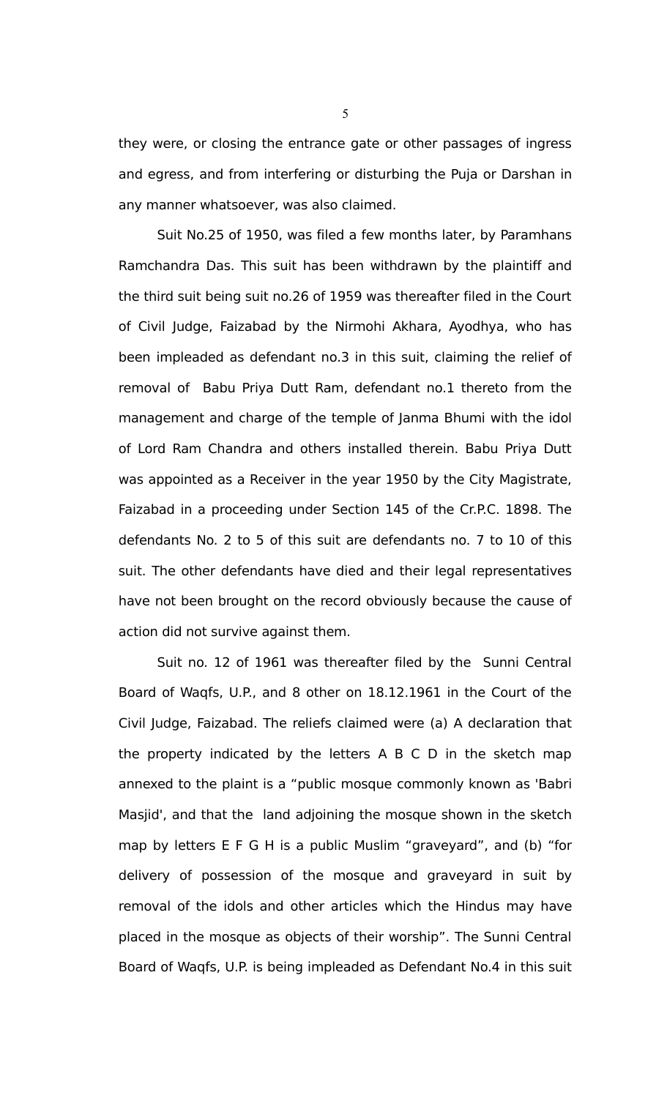they were, or closing the entrance gate or other passages of ingress and egress, and from interfering or disturbing the Puja or Darshan in any manner whatsoever, was also claimed.

Suit No.25 of 1950, was filed a few months later, by Paramhans Ramchandra Das. This suit has been withdrawn by the plaintiff and the third suit being suit no.26 of 1959 was thereafter filed in the Court of Civil Judge, Faizabad by the Nirmohi Akhara, Ayodhya, who has been impleaded as defendant no.3 in this suit, claiming the relief of removal of Babu Priya Dutt Ram, defendant no.1 thereto from the management and charge of the temple of Janma Bhumi with the idol of Lord Ram Chandra and others installed therein. Babu Priya Dutt was appointed as a Receiver in the year 1950 by the City Magistrate, Faizabad in a proceeding under Section 145 of the Cr.P.C. 1898. The defendants No. 2 to 5 of this suit are defendants no. 7 to 10 of this suit. The other defendants have died and their legal representatives have not been brought on the record obviously because the cause of action did not survive against them.

Suit no. 12 of 1961 was thereafter filed by the Sunni Central Board of Waqfs, U.P., and 8 other on 18.12.1961 in the Court of the Civil Judge, Faizabad. The reliefs claimed were (a) A declaration that the property indicated by the letters A B C D in the sketch map annexed to the plaint is a "public mosque commonly known as 'Babri Masjid', and that the land adjoining the mosque shown in the sketch map by letters E F G H is a public Muslim "graveyard", and (b) "for delivery of possession of the mosque and graveyard in suit by removal of the idols and other articles which the Hindus may have placed in the mosque as objects of their worship". The Sunni Central Board of Waqfs, U.P. is being impleaded as Defendant No.4 in this suit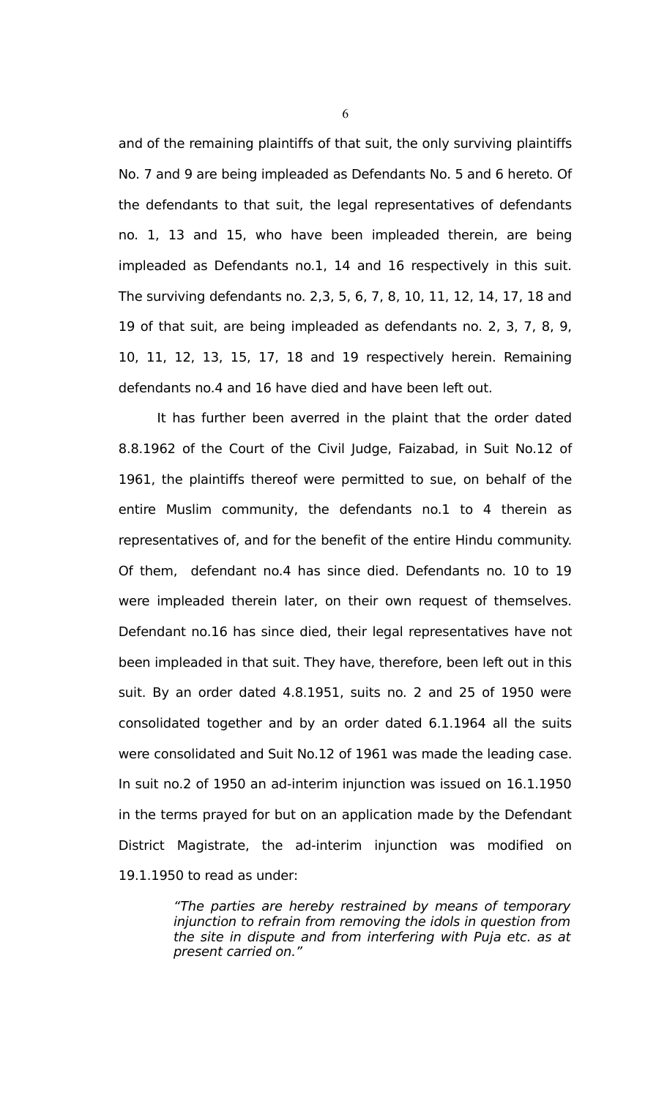and of the remaining plaintiffs of that suit, the only surviving plaintiffs No. 7 and 9 are being impleaded as Defendants No. 5 and 6 hereto. Of the defendants to that suit, the legal representatives of defendants no. 1, 13 and 15, who have been impleaded therein, are being impleaded as Defendants no.1, 14 and 16 respectively in this suit. The surviving defendants no. 2,3, 5, 6, 7, 8, 10, 11, 12, 14, 17, 18 and 19 of that suit, are being impleaded as defendants no. 2, 3, 7, 8, 9, 10, 11, 12, 13, 15, 17, 18 and 19 respectively herein. Remaining defendants no.4 and 16 have died and have been left out.

It has further been averred in the plaint that the order dated 8.8.1962 of the Court of the Civil Judge, Faizabad, in Suit No.12 of 1961, the plaintiffs thereof were permitted to sue, on behalf of the entire Muslim community, the defendants no.1 to 4 therein as representatives of, and for the benefit of the entire Hindu community. Of them, defendant no.4 has since died. Defendants no. 10 to 19 were impleaded therein later, on their own request of themselves. Defendant no.16 has since died, their legal representatives have not been impleaded in that suit. They have, therefore, been left out in this suit. By an order dated 4.8.1951, suits no. 2 and 25 of 1950 were consolidated together and by an order dated 6.1.1964 all the suits were consolidated and Suit No.12 of 1961 was made the leading case. In suit no.2 of 1950 an ad-interim injunction was issued on 16.1.1950 in the terms prayed for but on an application made by the Defendant District Magistrate, the ad-interim injunction was modified on 19.1.1950 to read as under:

> "The parties are hereby restrained by means of temporary injunction to refrain from removing the idols in question from the site in dispute and from interfering with Puja etc. as at present carried on."

6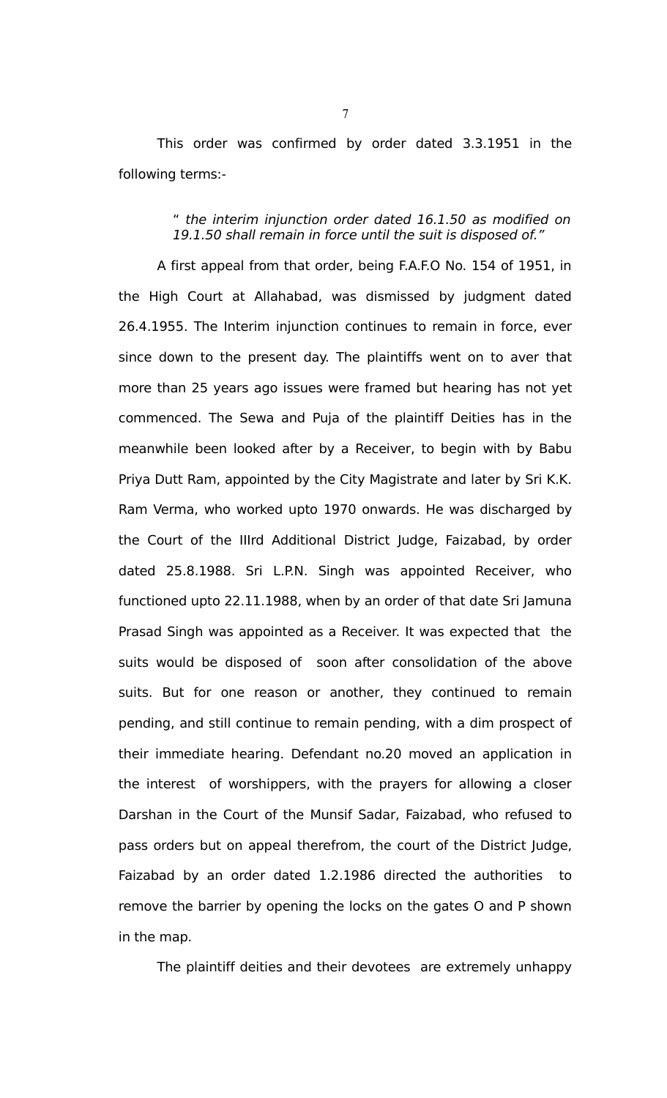This order was confirmed by order dated 3.3.1951 in the following terms:-

### " the interim injunction order dated 16.1.50 as modified on 19.1.50 shall remain in force until the suit is disposed of."

A first appeal from that order, being F.A.F.O No. 154 of 1951, in the High Court at Allahabad, was dismissed by judgment dated 26.4.1955. The Interim injunction continues to remain in force, ever since down to the present day. The plaintiffs went on to aver that more than 25 years ago issues were framed but hearing has not yet commenced. The Sewa and Puja of the plaintiff Deities has in the meanwhile been looked after by a Receiver, to begin with by Babu Priya Dutt Ram, appointed by the City Magistrate and later by Sri K.K. Ram Verma, who worked upto 1970 onwards. He was discharged by the Court of the IIIrd Additional District Judge, Faizabad, by order dated 25.8.1988. Sri L.P.N. Singh was appointed Receiver, who functioned upto 22.11.1988, when by an order of that date Sri Jamuna Prasad Singh was appointed as a Receiver. It was expected that the suits would be disposed of soon after consolidation of the above suits. But for one reason or another, they continued to remain pending, and still continue to remain pending, with a dim prospect of their immediate hearing. Defendant no.20 moved an application in the interest of worshippers, with the prayers for allowing a closer Darshan in the Court of the Munsif Sadar, Faizabad, who refused to pass orders but on appeal therefrom, the court of the District Judge, Faizabad by an order dated 1.2.1986 directed the authorities to remove the barrier by opening the locks on the gates O and P shown in the map.

The plaintiff deities and their devotees are extremely unhappy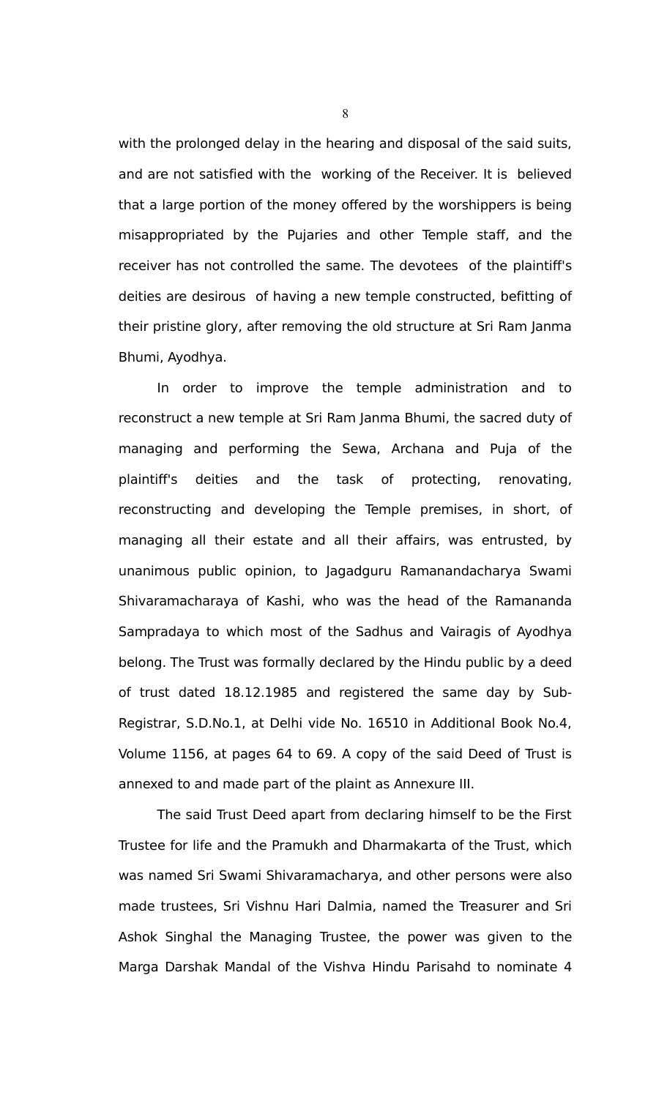with the prolonged delay in the hearing and disposal of the said suits, and are not satisfied with the working of the Receiver. It is believed that a large portion of the money offered by the worshippers is being misappropriated by the Pujaries and other Temple staff, and the receiver has not controlled the same. The devotees of the plaintiff's deities are desirous of having a new temple constructed, befitting of their pristine glory, after removing the old structure at Sri Ram Janma Bhumi, Ayodhya.

In order to improve the temple administration and to reconstruct a new temple at Sri Ram Janma Bhumi, the sacred duty of managing and performing the Sewa, Archana and Puja of the plaintiff's deities and the task of protecting, renovating, reconstructing and developing the Temple premises, in short, of managing all their estate and all their affairs, was entrusted, by unanimous public opinion, to Jagadguru Ramanandacharya Swami Shivaramacharaya of Kashi, who was the head of the Ramananda Sampradaya to which most of the Sadhus and Vairagis of Ayodhya belong. The Trust was formally declared by the Hindu public by a deed of trust dated 18.12.1985 and registered the same day by Sub-Registrar, S.D.No.1, at Delhi vide No. 16510 in Additional Book No.4, Volume 1156, at pages 64 to 69. A copy of the said Deed of Trust is annexed to and made part of the plaint as Annexure III.

The said Trust Deed apart from declaring himself to be the First Trustee for life and the Pramukh and Dharmakarta of the Trust, which was named Sri Swami Shivaramacharya, and other persons were also made trustees, Sri Vishnu Hari Dalmia, named the Treasurer and Sri Ashok Singhal the Managing Trustee, the power was given to the Marga Darshak Mandal of the Vishva Hindu Parisahd to nominate 4

8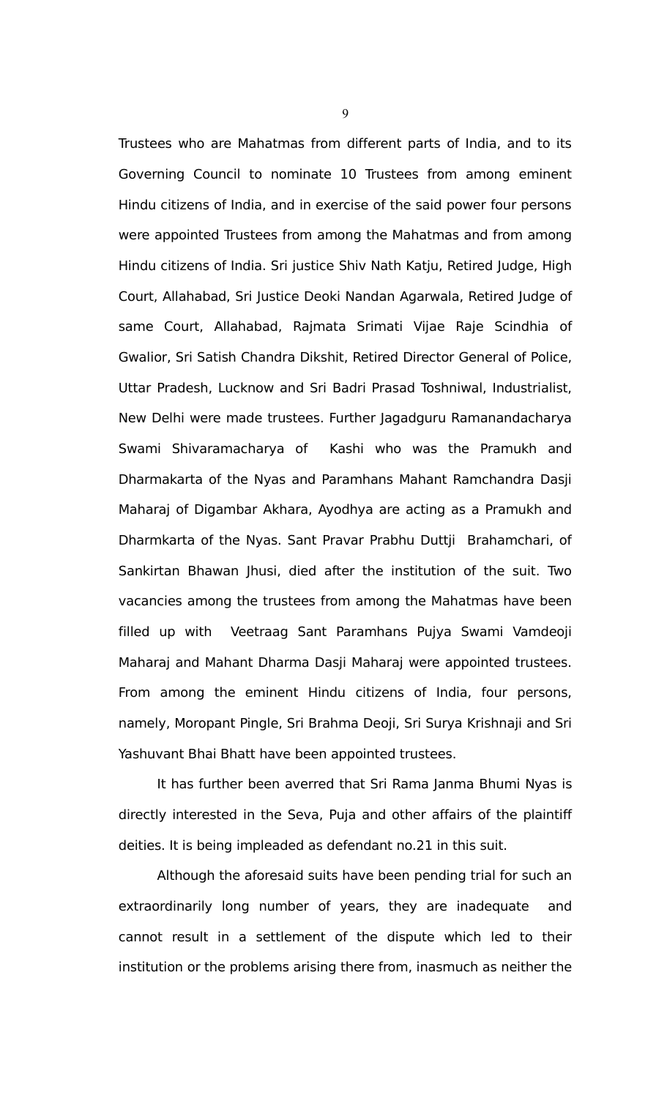Trustees who are Mahatmas from different parts of India, and to its Governing Council to nominate 10 Trustees from among eminent Hindu citizens of India, and in exercise of the said power four persons were appointed Trustees from among the Mahatmas and from among Hindu citizens of India. Sri justice Shiv Nath Katju, Retired Judge, High Court, Allahabad, Sri Justice Deoki Nandan Agarwala, Retired Judge of same Court, Allahabad, Rajmata Srimati Vijae Raje Scindhia of Gwalior, Sri Satish Chandra Dikshit, Retired Director General of Police, Uttar Pradesh, Lucknow and Sri Badri Prasad Toshniwal, Industrialist, New Delhi were made trustees. Further Jagadguru Ramanandacharya Swami Shivaramacharya of Kashi who was the Pramukh and Dharmakarta of the Nyas and Paramhans Mahant Ramchandra Dasji Maharaj of Digambar Akhara, Ayodhya are acting as a Pramukh and Dharmkarta of the Nyas. Sant Pravar Prabhu Duttji Brahamchari, of Sankirtan Bhawan Jhusi, died after the institution of the suit. Two vacancies among the trustees from among the Mahatmas have been filled up with Veetraag Sant Paramhans Pujya Swami Vamdeoji Maharaj and Mahant Dharma Dasji Maharaj were appointed trustees. From among the eminent Hindu citizens of India, four persons, namely, Moropant Pingle, Sri Brahma Deoji, Sri Surya Krishnaji and Sri Yashuvant Bhai Bhatt have been appointed trustees.

It has further been averred that Sri Rama Janma Bhumi Nyas is directly interested in the Seva, Puja and other affairs of the plaintiff deities. It is being impleaded as defendant no.21 in this suit.

Although the aforesaid suits have been pending trial for such an extraordinarily long number of years, they are inadequate and cannot result in a settlement of the dispute which led to their institution or the problems arising there from, inasmuch as neither the

9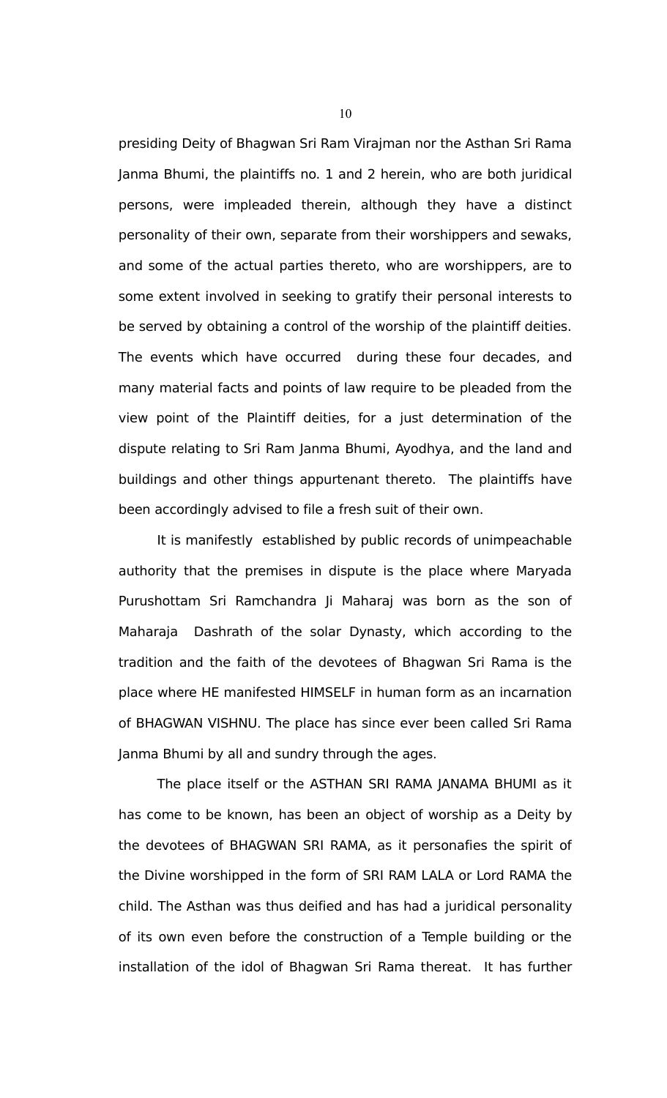presiding Deity of Bhagwan Sri Ram Virajman nor the Asthan Sri Rama Janma Bhumi, the plaintiffs no. 1 and 2 herein, who are both juridical persons, were impleaded therein, although they have a distinct personality of their own, separate from their worshippers and sewaks, and some of the actual parties thereto, who are worshippers, are to some extent involved in seeking to gratify their personal interests to be served by obtaining a control of the worship of the plaintiff deities. The events which have occurred during these four decades, and many material facts and points of law require to be pleaded from the view point of the Plaintiff deities, for a just determination of the dispute relating to Sri Ram Janma Bhumi, Ayodhya, and the land and buildings and other things appurtenant thereto. The plaintiffs have been accordingly advised to file a fresh suit of their own.

It is manifestly established by public records of unimpeachable authority that the premises in dispute is the place where Maryada Purushottam Sri Ramchandra Ji Maharaj was born as the son of Maharaja Dashrath of the solar Dynasty, which according to the tradition and the faith of the devotees of Bhagwan Sri Rama is the place where HE manifested HIMSELF in human form as an incarnation of BHAGWAN VISHNU. The place has since ever been called Sri Rama Janma Bhumi by all and sundry through the ages.

The place itself or the ASTHAN SRI RAMA JANAMA BHUMI as it has come to be known, has been an object of worship as a Deity by the devotees of BHAGWAN SRI RAMA, as it personafies the spirit of the Divine worshipped in the form of SRI RAM LALA or Lord RAMA the child. The Asthan was thus deified and has had a juridical personality of its own even before the construction of a Temple building or the installation of the idol of Bhagwan Sri Rama thereat. It has further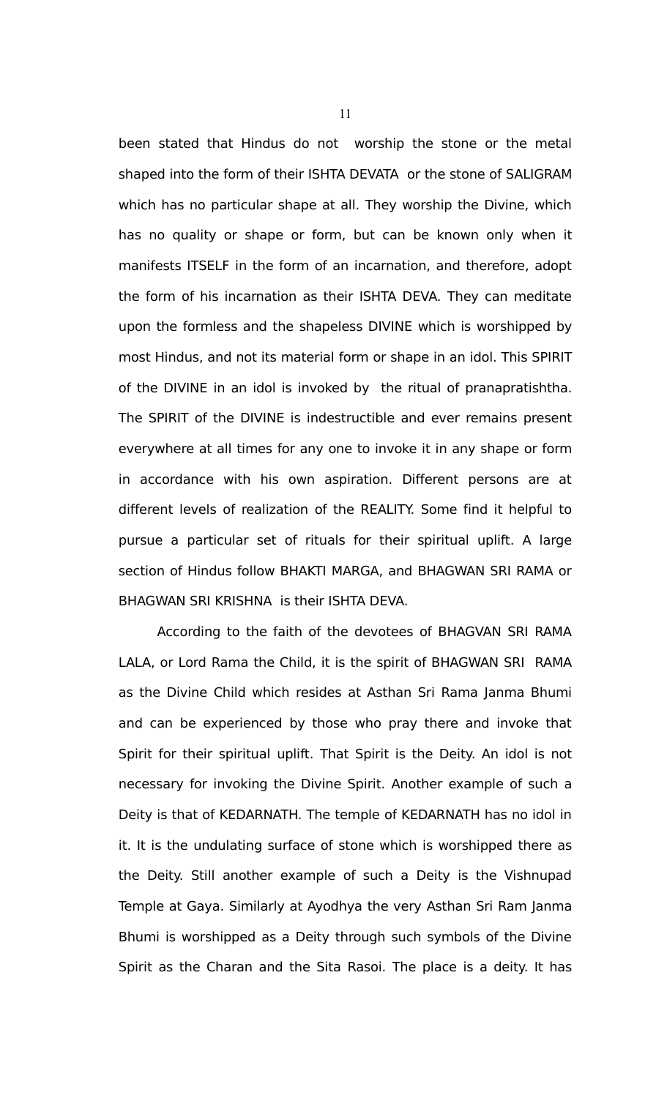been stated that Hindus do not worship the stone or the metal shaped into the form of their ISHTA DEVATA or the stone of SALIGRAM which has no particular shape at all. They worship the Divine, which has no quality or shape or form, but can be known only when it manifests ITSELF in the form of an incarnation, and therefore, adopt the form of his incarnation as their ISHTA DEVA. They can meditate upon the formless and the shapeless DIVINE which is worshipped by most Hindus, and not its material form or shape in an idol. This SPIRIT of the DIVINE in an idol is invoked by the ritual of pranapratishtha. The SPIRIT of the DIVINE is indestructible and ever remains present everywhere at all times for any one to invoke it in any shape or form in accordance with his own aspiration. Different persons are at different levels of realization of the REALITY. Some find it helpful to pursue a particular set of rituals for their spiritual uplift. A large section of Hindus follow BHAKTI MARGA, and BHAGWAN SRI RAMA or BHAGWAN SRI KRISHNA is their ISHTA DEVA.

According to the faith of the devotees of BHAGVAN SRI RAMA LALA, or Lord Rama the Child, it is the spirit of BHAGWAN SRI RAMA as the Divine Child which resides at Asthan Sri Rama Janma Bhumi and can be experienced by those who pray there and invoke that Spirit for their spiritual uplift. That Spirit is the Deity. An idol is not necessary for invoking the Divine Spirit. Another example of such a Deity is that of KEDARNATH. The temple of KEDARNATH has no idol in it. It is the undulating surface of stone which is worshipped there as the Deity. Still another example of such a Deity is the Vishnupad Temple at Gaya. Similarly at Ayodhya the very Asthan Sri Ram Janma Bhumi is worshipped as a Deity through such symbols of the Divine Spirit as the Charan and the Sita Rasoi. The place is a deity. It has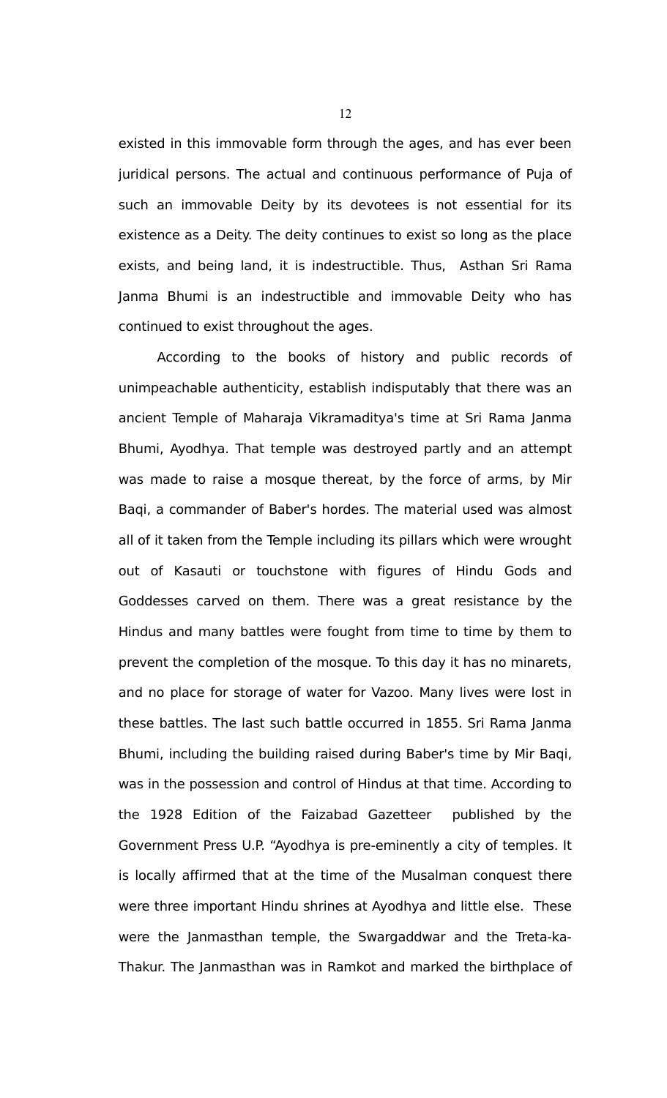existed in this immovable form through the ages, and has ever been juridical persons. The actual and continuous performance of Puja of such an immovable Deity by its devotees is not essential for its existence as a Deity. The deity continues to exist so long as the place exists, and being land, it is indestructible. Thus, Asthan Sri Rama Janma Bhumi is an indestructible and immovable Deity who has continued to exist throughout the ages.

According to the books of history and public records of unimpeachable authenticity, establish indisputably that there was an ancient Temple of Maharaja Vikramaditya's time at Sri Rama Janma Bhumi, Ayodhya. That temple was destroyed partly and an attempt was made to raise a mosque thereat, by the force of arms, by Mir Baqi, a commander of Baber's hordes. The material used was almost all of it taken from the Temple including its pillars which were wrought out of Kasauti or touchstone with figures of Hindu Gods and Goddesses carved on them. There was a great resistance by the Hindus and many battles were fought from time to time by them to prevent the completion of the mosque. To this day it has no minarets, and no place for storage of water for Vazoo. Many lives were lost in these battles. The last such battle occurred in 1855. Sri Rama Janma Bhumi, including the building raised during Baber's time by Mir Baqi, was in the possession and control of Hindus at that time. According to the 1928 Edition of the Faizabad Gazetteer published by the Government Press U.P. "Ayodhya is pre-eminently a city of temples. It is locally affirmed that at the time of the Musalman conquest there were three important Hindu shrines at Ayodhya and little else. These were the Janmasthan temple, the Swargaddwar and the Treta-ka-Thakur. The Janmasthan was in Ramkot and marked the birthplace of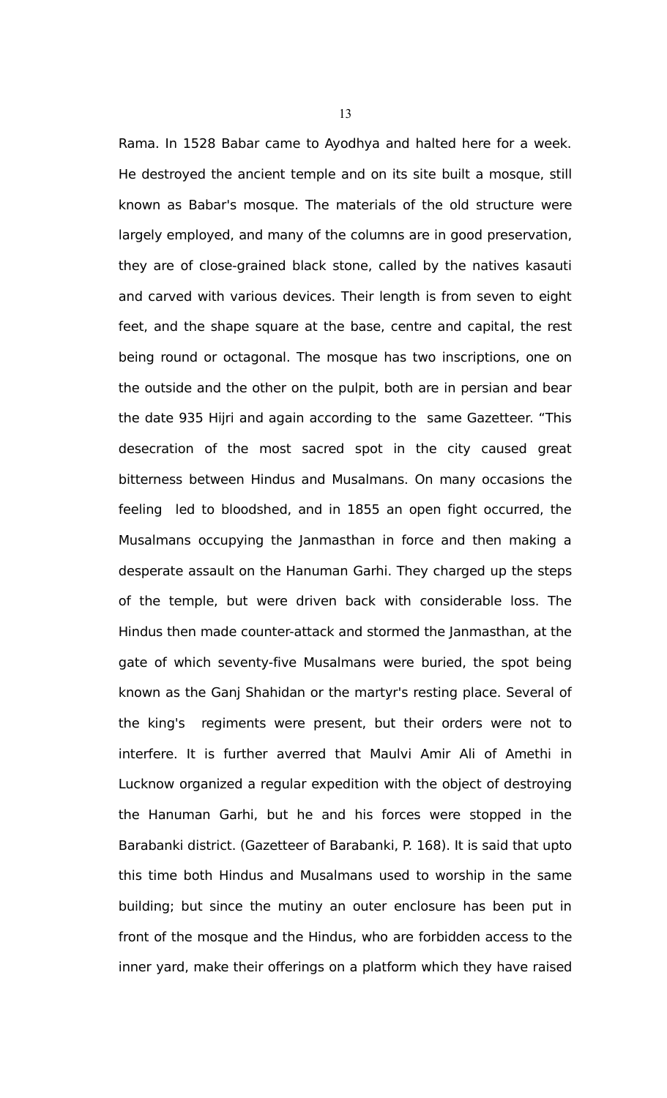Rama. In 1528 Babar came to Ayodhya and halted here for a week. He destroyed the ancient temple and on its site built a mosque, still known as Babar's mosque. The materials of the old structure were largely employed, and many of the columns are in good preservation, they are of close-grained black stone, called by the natives kasauti and carved with various devices. Their length is from seven to eight feet, and the shape square at the base, centre and capital, the rest being round or octagonal. The mosque has two inscriptions, one on the outside and the other on the pulpit, both are in persian and bear the date 935 Hijri and again according to the same Gazetteer. "This desecration of the most sacred spot in the city caused great bitterness between Hindus and Musalmans. On many occasions the feeling led to bloodshed, and in 1855 an open fight occurred, the Musalmans occupying the Janmasthan in force and then making a desperate assault on the Hanuman Garhi. They charged up the steps of the temple, but were driven back with considerable loss. The Hindus then made counter-attack and stormed the Janmasthan, at the gate of which seventy-five Musalmans were buried, the spot being known as the Ganj Shahidan or the martyr's resting place. Several of the king's regiments were present, but their orders were not to interfere. It is further averred that Maulvi Amir Ali of Amethi in Lucknow organized a regular expedition with the object of destroying the Hanuman Garhi, but he and his forces were stopped in the Barabanki district. (Gazetteer of Barabanki, P. 168). It is said that upto this time both Hindus and Musalmans used to worship in the same building; but since the mutiny an outer enclosure has been put in front of the mosque and the Hindus, who are forbidden access to the inner yard, make their offerings on a platform which they have raised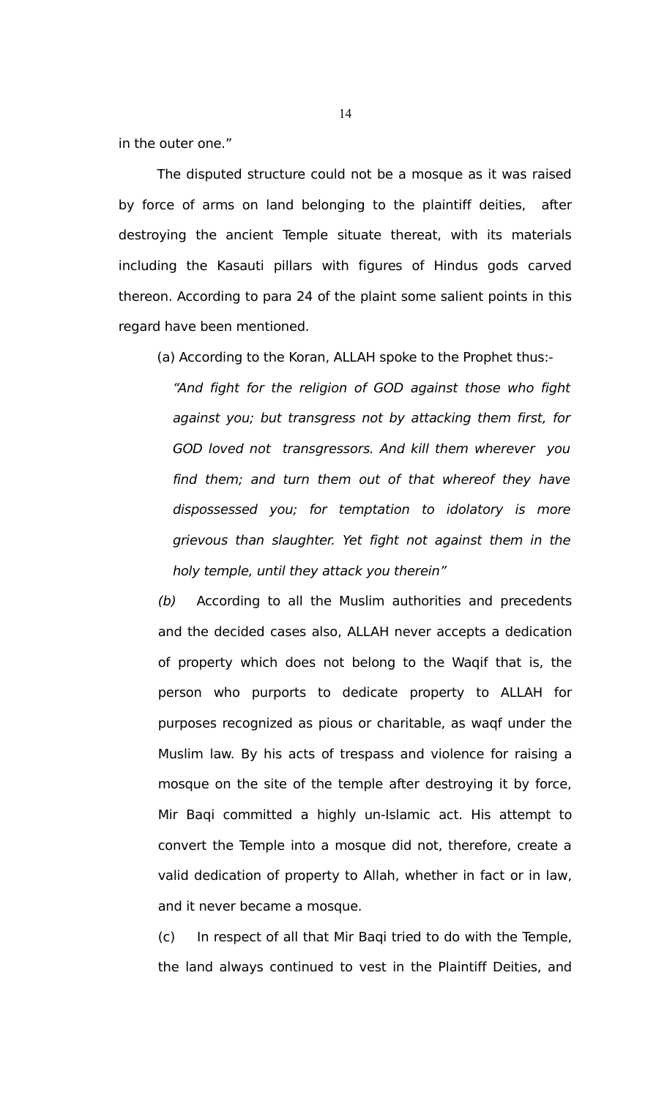in the outer one."

The disputed structure could not be a mosque as it was raised by force of arms on land belonging to the plaintiff deities, after destroying the ancient Temple situate thereat, with its materials including the Kasauti pillars with figures of Hindus gods carved thereon. According to para 24 of the plaint some salient points in this regard have been mentioned.

(a) According to the Koran, ALLAH spoke to the Prophet thus:-

"And fight for the religion of GOD against those who fight against you; but transgress not by attacking them first, for GOD loved not transgressors. And kill them wherever you find them; and turn them out of that whereof they have dispossessed you; for temptation to idolatory is more grievous than slaughter. Yet fight not against them in the holy temple, until they attack you therein"

(b) According to all the Muslim authorities and precedents and the decided cases also, ALLAH never accepts a dedication of property which does not belong to the Waqif that is, the person who purports to dedicate property to ALLAH for purposes recognized as pious or charitable, as waqf under the Muslim law. By his acts of trespass and violence for raising a mosque on the site of the temple after destroying it by force, Mir Baqi committed a highly un-Islamic act. His attempt to convert the Temple into a mosque did not, therefore, create a valid dedication of property to Allah, whether in fact or in law, and it never became a mosque.

(c) In respect of all that Mir Baqi tried to do with the Temple, the land always continued to vest in the Plaintiff Deities, and

14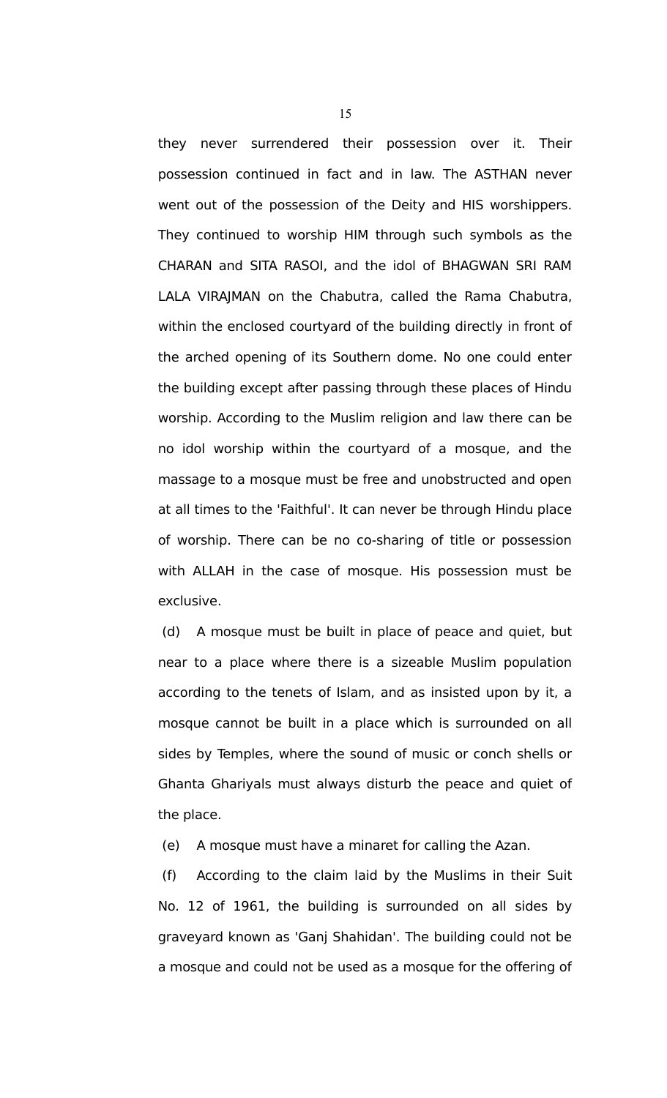they never surrendered their possession over it. Their possession continued in fact and in law. The ASTHAN never went out of the possession of the Deity and HIS worshippers. They continued to worship HIM through such symbols as the CHARAN and SITA RASOI, and the idol of BHAGWAN SRI RAM LALA VIRAJMAN on the Chabutra, called the Rama Chabutra, within the enclosed courtyard of the building directly in front of the arched opening of its Southern dome. No one could enter the building except after passing through these places of Hindu worship. According to the Muslim religion and law there can be no idol worship within the courtyard of a mosque, and the massage to a mosque must be free and unobstructed and open at all times to the 'Faithful'. It can never be through Hindu place of worship. There can be no co-sharing of title or possession with ALLAH in the case of mosque. His possession must be exclusive.

 (d) A mosque must be built in place of peace and quiet, but near to a place where there is a sizeable Muslim population according to the tenets of Islam, and as insisted upon by it, a mosque cannot be built in a place which is surrounded on all sides by Temples, where the sound of music or conch shells or Ghanta Ghariyals must always disturb the peace and quiet of the place.

(e) A mosque must have a minaret for calling the Azan.

 (f) According to the claim laid by the Muslims in their Suit No. 12 of 1961, the building is surrounded on all sides by graveyard known as 'Ganj Shahidan'. The building could not be a mosque and could not be used as a mosque for the offering of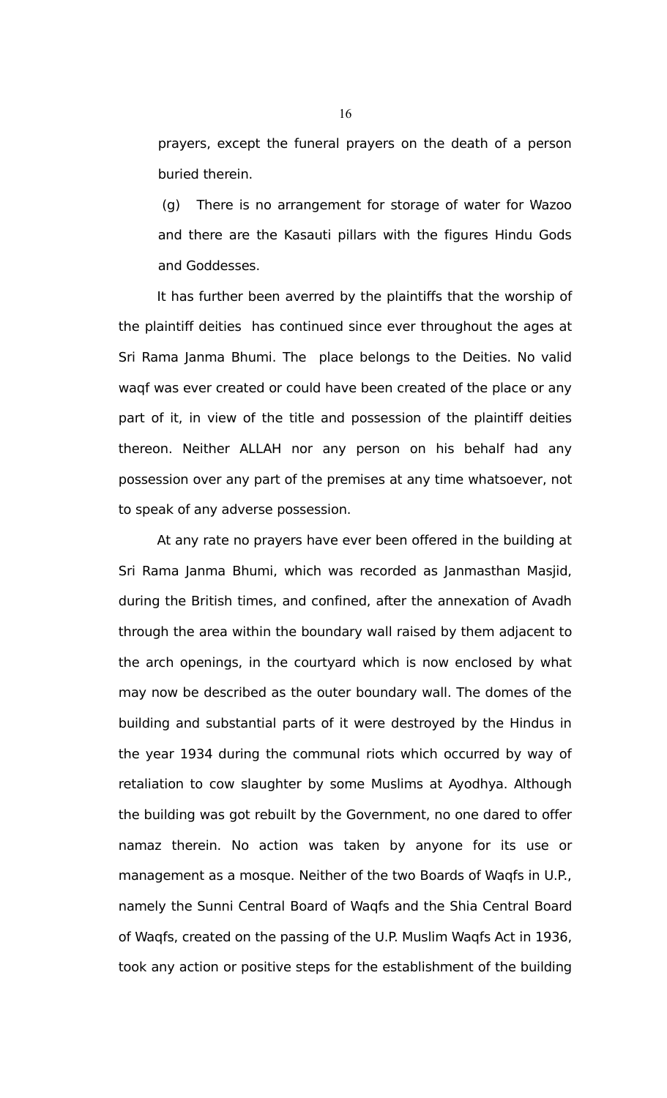prayers, except the funeral prayers on the death of a person buried therein.

 (g) There is no arrangement for storage of water for Wazoo and there are the Kasauti pillars with the figures Hindu Gods and Goddesses.

It has further been averred by the plaintiffs that the worship of the plaintiff deities has continued since ever throughout the ages at Sri Rama Janma Bhumi. The place belongs to the Deities. No valid waqf was ever created or could have been created of the place or any part of it, in view of the title and possession of the plaintiff deities thereon. Neither ALLAH nor any person on his behalf had any possession over any part of the premises at any time whatsoever, not to speak of any adverse possession.

At any rate no prayers have ever been offered in the building at Sri Rama Janma Bhumi, which was recorded as Janmasthan Masjid, during the British times, and confined, after the annexation of Avadh through the area within the boundary wall raised by them adjacent to the arch openings, in the courtyard which is now enclosed by what may now be described as the outer boundary wall. The domes of the building and substantial parts of it were destroyed by the Hindus in the year 1934 during the communal riots which occurred by way of retaliation to cow slaughter by some Muslims at Ayodhya. Although the building was got rebuilt by the Government, no one dared to offer namaz therein. No action was taken by anyone for its use or management as a mosque. Neither of the two Boards of Waqfs in U.P., namely the Sunni Central Board of Waqfs and the Shia Central Board of Waqfs, created on the passing of the U.P. Muslim Waqfs Act in 1936, took any action or positive steps for the establishment of the building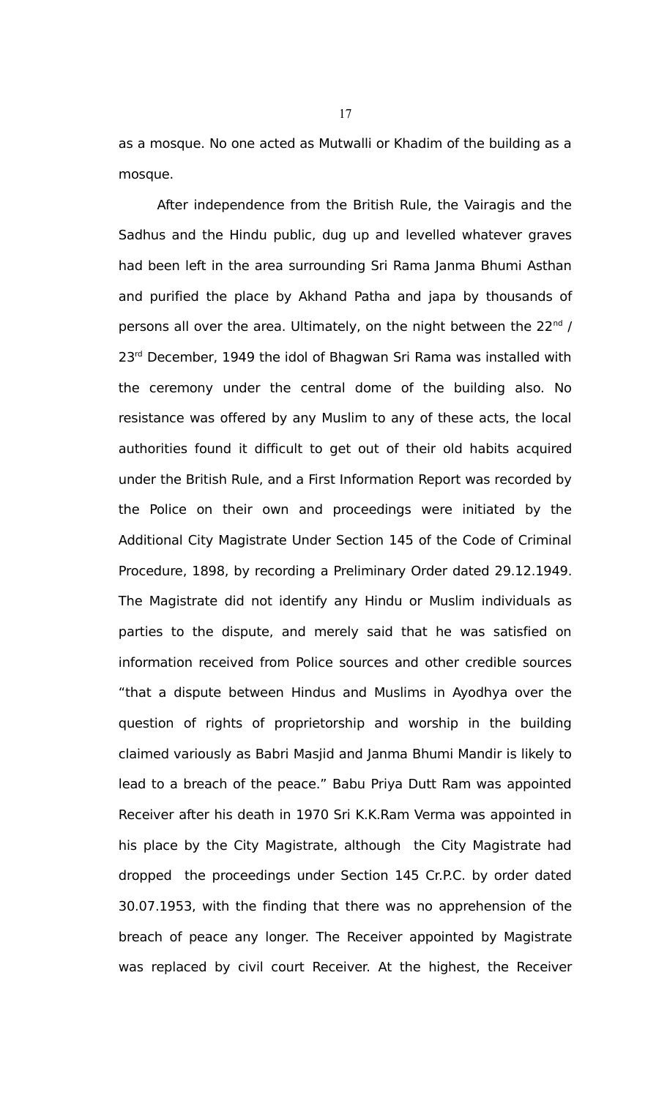as a mosque. No one acted as Mutwalli or Khadim of the building as a mosque.

After independence from the British Rule, the Vairagis and the Sadhus and the Hindu public, dug up and levelled whatever graves had been left in the area surrounding Sri Rama Janma Bhumi Asthan and purified the place by Akhand Patha and japa by thousands of persons all over the area. Ultimately, on the night between the  $22^{nd}$  / 23<sup>rd</sup> December, 1949 the idol of Bhagwan Sri Rama was installed with the ceremony under the central dome of the building also. No resistance was offered by any Muslim to any of these acts, the local authorities found it difficult to get out of their old habits acquired under the British Rule, and a First Information Report was recorded by the Police on their own and proceedings were initiated by the Additional City Magistrate Under Section 145 of the Code of Criminal Procedure, 1898, by recording a Preliminary Order dated 29.12.1949. The Magistrate did not identify any Hindu or Muslim individuals as parties to the dispute, and merely said that he was satisfied on information received from Police sources and other credible sources "that a dispute between Hindus and Muslims in Ayodhya over the question of rights of proprietorship and worship in the building claimed variously as Babri Masjid and Janma Bhumi Mandir is likely to lead to a breach of the peace." Babu Priya Dutt Ram was appointed Receiver after his death in 1970 Sri K.K.Ram Verma was appointed in his place by the City Magistrate, although the City Magistrate had dropped the proceedings under Section 145 Cr.P.C. by order dated 30.07.1953, with the finding that there was no apprehension of the breach of peace any longer. The Receiver appointed by Magistrate was replaced by civil court Receiver. At the highest, the Receiver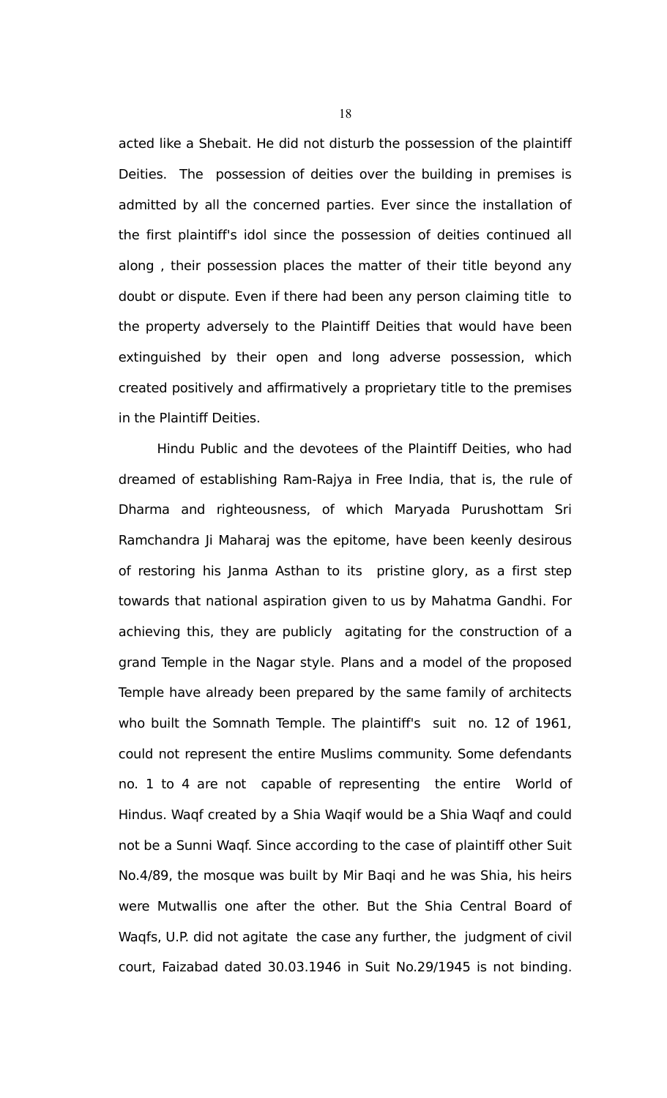acted like a Shebait. He did not disturb the possession of the plaintiff Deities. The possession of deities over the building in premises is admitted by all the concerned parties. Ever since the installation of the first plaintiff's idol since the possession of deities continued all along , their possession places the matter of their title beyond any doubt or dispute. Even if there had been any person claiming title to the property adversely to the Plaintiff Deities that would have been extinguished by their open and long adverse possession, which created positively and affirmatively a proprietary title to the premises in the Plaintiff Deities.

Hindu Public and the devotees of the Plaintiff Deities, who had dreamed of establishing Ram-Rajya in Free India, that is, the rule of Dharma and righteousness, of which Maryada Purushottam Sri Ramchandra Ji Maharaj was the epitome, have been keenly desirous of restoring his Janma Asthan to its pristine glory, as a first step towards that national aspiration given to us by Mahatma Gandhi. For achieving this, they are publicly agitating for the construction of a grand Temple in the Nagar style. Plans and a model of the proposed Temple have already been prepared by the same family of architects who built the Somnath Temple. The plaintiff's suit no. 12 of 1961, could not represent the entire Muslims community. Some defendants no. 1 to 4 are not capable of representing the entire World of Hindus. Waqf created by a Shia Waqif would be a Shia Waqf and could not be a Sunni Waqf. Since according to the case of plaintiff other Suit No.4/89, the mosque was built by Mir Baqi and he was Shia, his heirs were Mutwallis one after the other. But the Shia Central Board of Waqfs, U.P. did not agitate the case any further, the judgment of civil court, Faizabad dated 30.03.1946 in Suit No.29/1945 is not binding.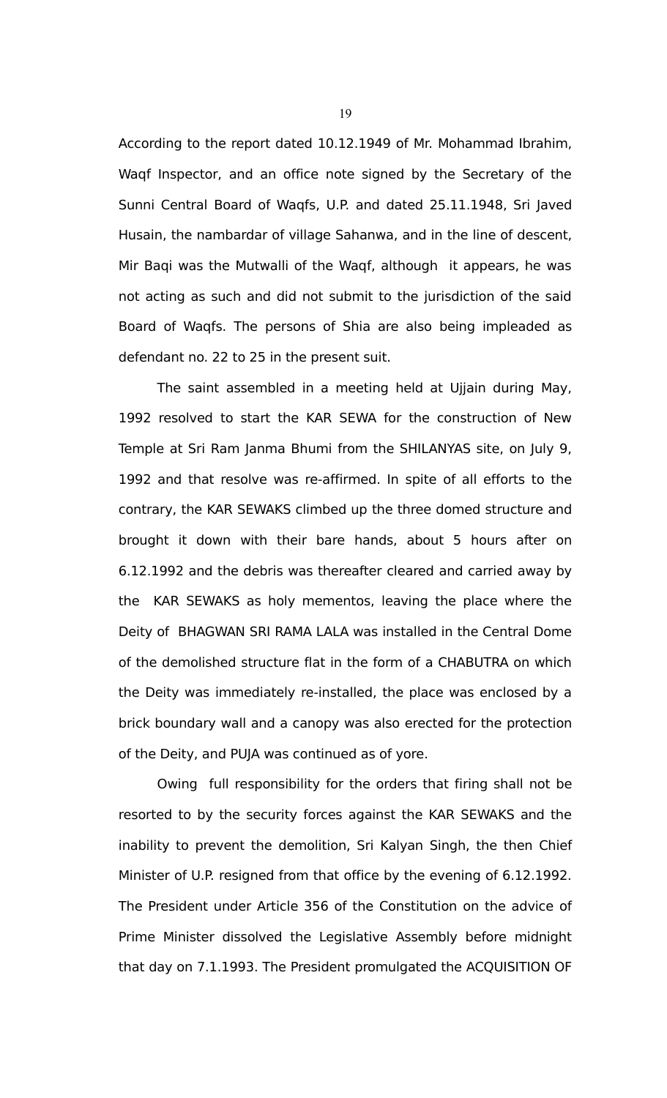According to the report dated 10.12.1949 of Mr. Mohammad Ibrahim, Waqf Inspector, and an office note signed by the Secretary of the Sunni Central Board of Waqfs, U.P. and dated 25.11.1948, Sri Javed Husain, the nambardar of village Sahanwa, and in the line of descent, Mir Baqi was the Mutwalli of the Waqf, although it appears, he was not acting as such and did not submit to the jurisdiction of the said Board of Waqfs. The persons of Shia are also being impleaded as defendant no. 22 to 25 in the present suit.

The saint assembled in a meeting held at Ujjain during May, 1992 resolved to start the KAR SEWA for the construction of New Temple at Sri Ram Janma Bhumi from the SHILANYAS site, on July 9, 1992 and that resolve was re-affirmed. In spite of all efforts to the contrary, the KAR SEWAKS climbed up the three domed structure and brought it down with their bare hands, about 5 hours after on 6.12.1992 and the debris was thereafter cleared and carried away by the KAR SEWAKS as holy mementos, leaving the place where the Deity of BHAGWAN SRI RAMA LALA was installed in the Central Dome of the demolished structure flat in the form of a CHABUTRA on which the Deity was immediately re-installed, the place was enclosed by a brick boundary wall and a canopy was also erected for the protection of the Deity, and PUJA was continued as of yore.

Owing full responsibility for the orders that firing shall not be resorted to by the security forces against the KAR SEWAKS and the inability to prevent the demolition, Sri Kalyan Singh, the then Chief Minister of U.P. resigned from that office by the evening of 6.12.1992. The President under Article 356 of the Constitution on the advice of Prime Minister dissolved the Legislative Assembly before midnight that day on 7.1.1993. The President promulgated the ACQUISITION OF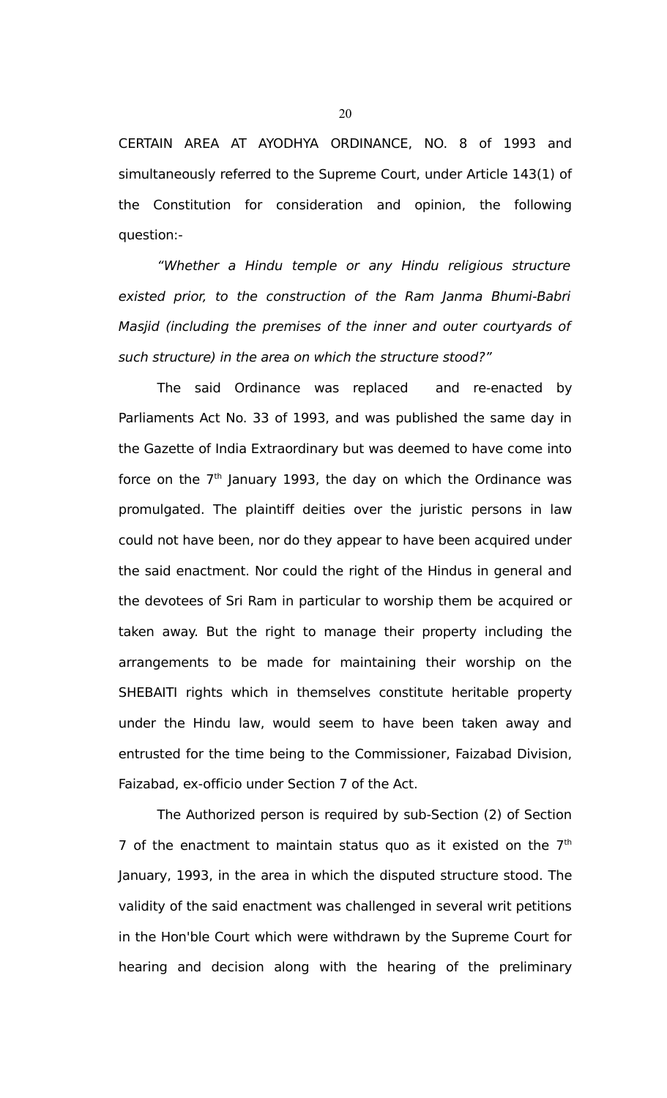CERTAIN AREA AT AYODHYA ORDINANCE, NO. 8 of 1993 and simultaneously referred to the Supreme Court, under Article 143(1) of the Constitution for consideration and opinion, the following question:-

"Whether a Hindu temple or any Hindu religious structure existed prior, to the construction of the Ram Janma Bhumi-Babri Masjid (including the premises of the inner and outer courtyards of such structure) in the area on which the structure stood?"

The said Ordinance was replaced and re-enacted by Parliaments Act No. 33 of 1993, and was published the same day in the Gazette of India Extraordinary but was deemed to have come into force on the  $7<sup>th</sup>$  January 1993, the day on which the Ordinance was promulgated. The plaintiff deities over the juristic persons in law could not have been, nor do they appear to have been acquired under the said enactment. Nor could the right of the Hindus in general and the devotees of Sri Ram in particular to worship them be acquired or taken away. But the right to manage their property including the arrangements to be made for maintaining their worship on the SHEBAITI rights which in themselves constitute heritable property under the Hindu law, would seem to have been taken away and entrusted for the time being to the Commissioner, Faizabad Division, Faizabad, ex-officio under Section 7 of the Act.

The Authorized person is required by sub-Section (2) of Section 7 of the enactment to maintain status quo as it existed on the  $7<sup>th</sup>$ January, 1993, in the area in which the disputed structure stood. The validity of the said enactment was challenged in several writ petitions in the Hon'ble Court which were withdrawn by the Supreme Court for hearing and decision along with the hearing of the preliminary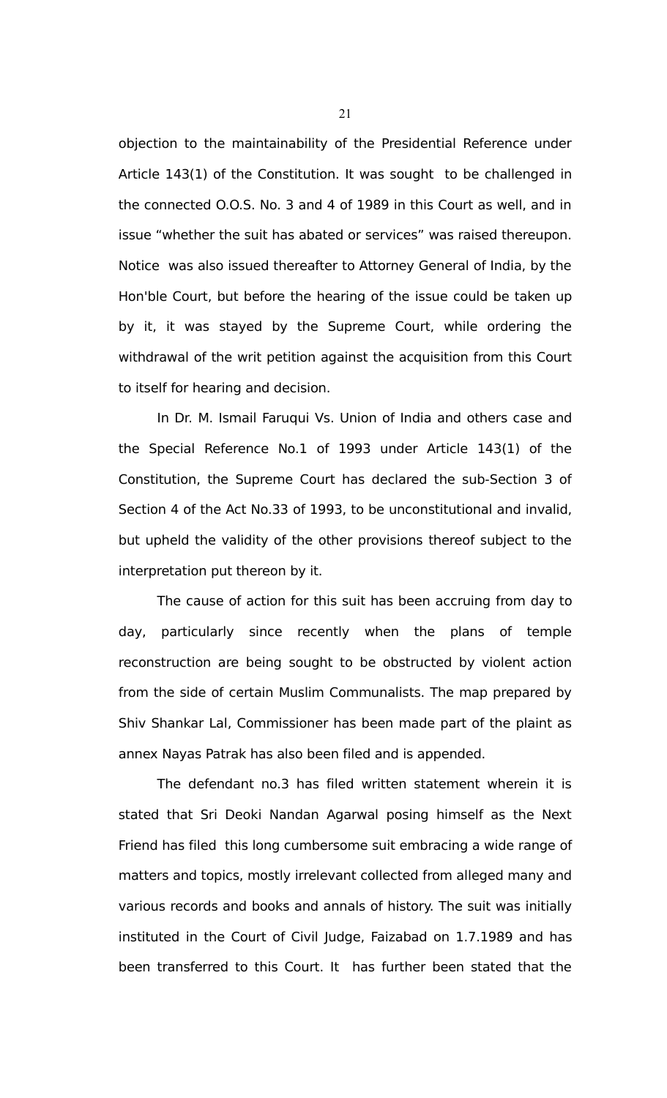objection to the maintainability of the Presidential Reference under Article 143(1) of the Constitution. It was sought to be challenged in the connected O.O.S. No. 3 and 4 of 1989 in this Court as well, and in issue "whether the suit has abated or services" was raised thereupon. Notice was also issued thereafter to Attorney General of India, by the Hon'ble Court, but before the hearing of the issue could be taken up by it, it was stayed by the Supreme Court, while ordering the withdrawal of the writ petition against the acquisition from this Court to itself for hearing and decision.

In Dr. M. Ismail Faruqui Vs. Union of India and others case and the Special Reference No.1 of 1993 under Article 143(1) of the Constitution, the Supreme Court has declared the sub-Section 3 of Section 4 of the Act No.33 of 1993, to be unconstitutional and invalid, but upheld the validity of the other provisions thereof subject to the interpretation put thereon by it.

The cause of action for this suit has been accruing from day to day, particularly since recently when the plans of temple reconstruction are being sought to be obstructed by violent action from the side of certain Muslim Communalists. The map prepared by Shiv Shankar Lal, Commissioner has been made part of the plaint as annex Nayas Patrak has also been filed and is appended.

The defendant no.3 has filed written statement wherein it is stated that Sri Deoki Nandan Agarwal posing himself as the Next Friend has filed this long cumbersome suit embracing a wide range of matters and topics, mostly irrelevant collected from alleged many and various records and books and annals of history. The suit was initially instituted in the Court of Civil Judge, Faizabad on 1.7.1989 and has been transferred to this Court. It has further been stated that the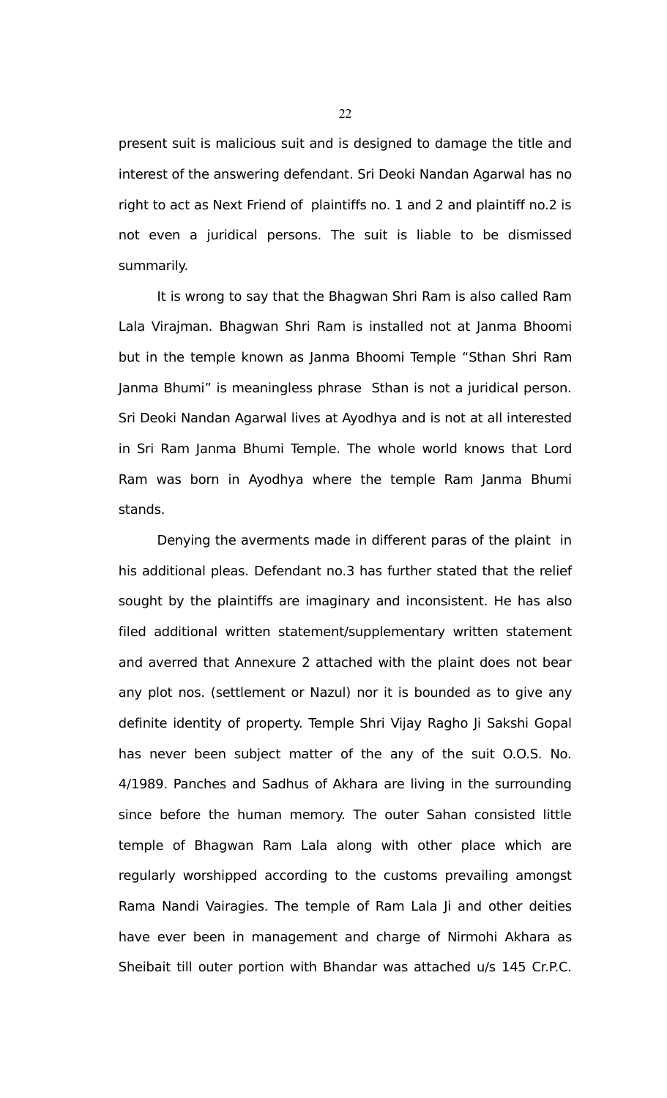present suit is malicious suit and is designed to damage the title and interest of the answering defendant. Sri Deoki Nandan Agarwal has no right to act as Next Friend of plaintiffs no. 1 and 2 and plaintiff no.2 is not even a juridical persons. The suit is liable to be dismissed summarily.

It is wrong to say that the Bhagwan Shri Ram is also called Ram Lala Virajman. Bhagwan Shri Ram is installed not at Janma Bhoomi but in the temple known as Janma Bhoomi Temple "Sthan Shri Ram Janma Bhumi" is meaningless phrase Sthan is not a juridical person. Sri Deoki Nandan Agarwal lives at Ayodhya and is not at all interested in Sri Ram Janma Bhumi Temple. The whole world knows that Lord Ram was born in Ayodhya where the temple Ram Janma Bhumi stands.

Denying the averments made in different paras of the plaint in his additional pleas. Defendant no.3 has further stated that the relief sought by the plaintiffs are imaginary and inconsistent. He has also filed additional written statement/supplementary written statement and averred that Annexure 2 attached with the plaint does not bear any plot nos. (settlement or Nazul) nor it is bounded as to give any definite identity of property. Temple Shri Vijay Ragho Ji Sakshi Gopal has never been subject matter of the any of the suit O.O.S. No. 4/1989. Panches and Sadhus of Akhara are living in the surrounding since before the human memory. The outer Sahan consisted little temple of Bhagwan Ram Lala along with other place which are regularly worshipped according to the customs prevailing amongst Rama Nandi Vairagies. The temple of Ram Lala Ji and other deities have ever been in management and charge of Nirmohi Akhara as Sheibait till outer portion with Bhandar was attached u/s 145 Cr.P.C.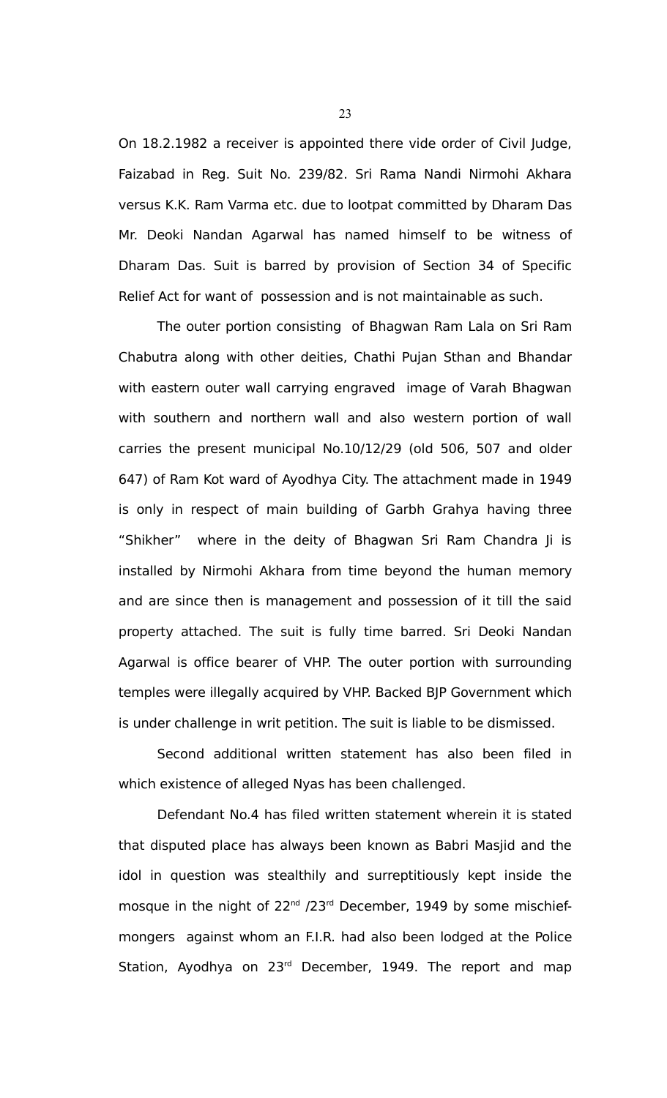On 18.2.1982 a receiver is appointed there vide order of Civil Judge, Faizabad in Reg. Suit No. 239/82. Sri Rama Nandi Nirmohi Akhara versus K.K. Ram Varma etc. due to lootpat committed by Dharam Das Mr. Deoki Nandan Agarwal has named himself to be witness of Dharam Das. Suit is barred by provision of Section 34 of Specific Relief Act for want of possession and is not maintainable as such.

The outer portion consisting of Bhagwan Ram Lala on Sri Ram Chabutra along with other deities, Chathi Pujan Sthan and Bhandar with eastern outer wall carrying engraved image of Varah Bhagwan with southern and northern wall and also western portion of wall carries the present municipal No.10/12/29 (old 506, 507 and older 647) of Ram Kot ward of Ayodhya City. The attachment made in 1949 is only in respect of main building of Garbh Grahya having three "Shikher" where in the deity of Bhagwan Sri Ram Chandra Ji is installed by Nirmohi Akhara from time beyond the human memory and are since then is management and possession of it till the said property attached. The suit is fully time barred. Sri Deoki Nandan Agarwal is office bearer of VHP. The outer portion with surrounding temples were illegally acquired by VHP. Backed BJP Government which is under challenge in writ petition. The suit is liable to be dismissed.

Second additional written statement has also been filed in which existence of alleged Nyas has been challenged.

Defendant No.4 has filed written statement wherein it is stated that disputed place has always been known as Babri Masjid and the idol in question was stealthily and surreptitiously kept inside the mosque in the night of 22<sup>nd</sup> /23<sup>rd</sup> December, 1949 by some mischiefmongers against whom an F.I.R. had also been lodged at the Police Station, Ayodhya on 23<sup>rd</sup> December, 1949. The report and map

23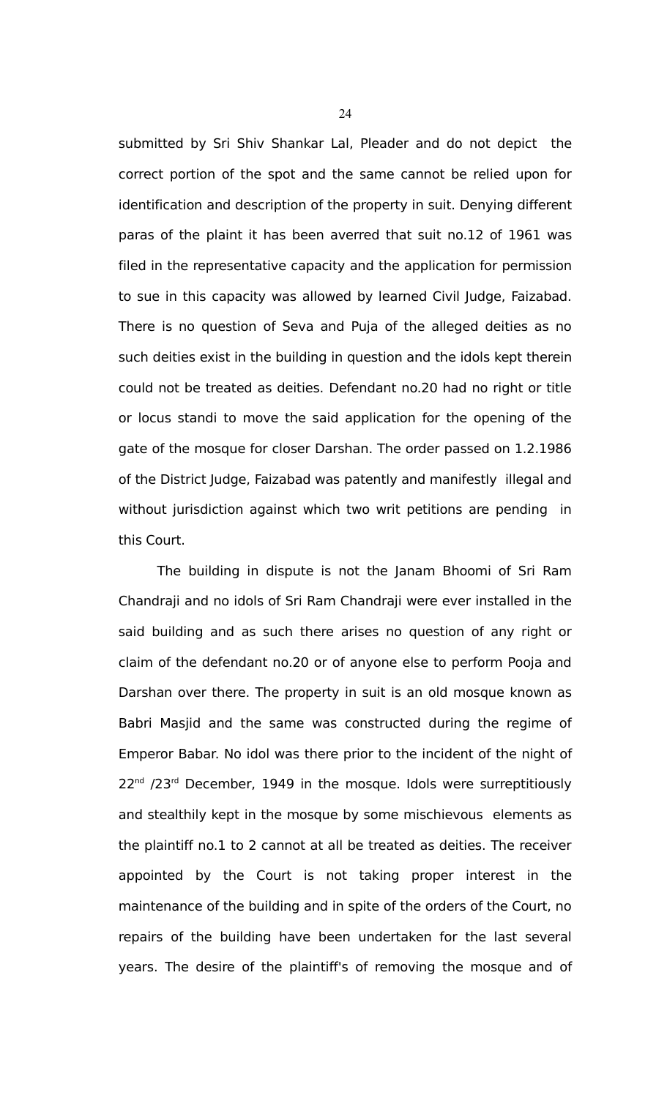submitted by Sri Shiv Shankar Lal, Pleader and do not depict the correct portion of the spot and the same cannot be relied upon for identification and description of the property in suit. Denying different paras of the plaint it has been averred that suit no.12 of 1961 was filed in the representative capacity and the application for permission to sue in this capacity was allowed by learned Civil Judge, Faizabad. There is no question of Seva and Puja of the alleged deities as no such deities exist in the building in question and the idols kept therein could not be treated as deities. Defendant no.20 had no right or title or locus standi to move the said application for the opening of the gate of the mosque for closer Darshan. The order passed on 1.2.1986 of the District Judge, Faizabad was patently and manifestly illegal and without jurisdiction against which two writ petitions are pending in this Court.

The building in dispute is not the Janam Bhoomi of Sri Ram Chandraji and no idols of Sri Ram Chandraji were ever installed in the said building and as such there arises no question of any right or claim of the defendant no.20 or of anyone else to perform Pooja and Darshan over there. The property in suit is an old mosque known as Babri Masjid and the same was constructed during the regime of Emperor Babar. No idol was there prior to the incident of the night of  $22<sup>nd</sup>$  /23<sup>rd</sup> December, 1949 in the mosque. Idols were surreptitiously and stealthily kept in the mosque by some mischievous elements as the plaintiff no.1 to 2 cannot at all be treated as deities. The receiver appointed by the Court is not taking proper interest in the maintenance of the building and in spite of the orders of the Court, no repairs of the building have been undertaken for the last several years. The desire of the plaintiff's of removing the mosque and of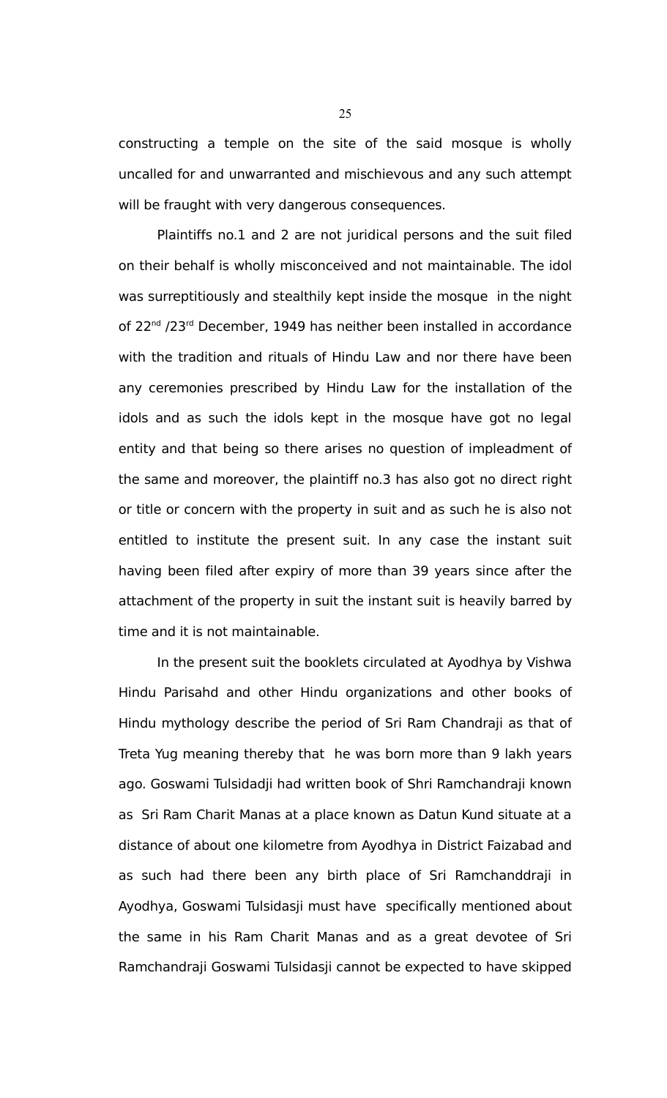constructing a temple on the site of the said mosque is wholly uncalled for and unwarranted and mischievous and any such attempt will be fraught with very dangerous consequences.

Plaintiffs no.1 and 2 are not juridical persons and the suit filed on their behalf is wholly misconceived and not maintainable. The idol was surreptitiously and stealthily kept inside the mosque in the night of 22<sup>nd</sup> /23<sup>rd</sup> December, 1949 has neither been installed in accordance with the tradition and rituals of Hindu Law and nor there have been any ceremonies prescribed by Hindu Law for the installation of the idols and as such the idols kept in the mosque have got no legal entity and that being so there arises no question of impleadment of the same and moreover, the plaintiff no.3 has also got no direct right or title or concern with the property in suit and as such he is also not entitled to institute the present suit. In any case the instant suit having been filed after expiry of more than 39 years since after the attachment of the property in suit the instant suit is heavily barred by time and it is not maintainable.

In the present suit the booklets circulated at Ayodhya by Vishwa Hindu Parisahd and other Hindu organizations and other books of Hindu mythology describe the period of Sri Ram Chandraji as that of Treta Yug meaning thereby that he was born more than 9 lakh years ago. Goswami Tulsidadji had written book of Shri Ramchandraji known as Sri Ram Charit Manas at a place known as Datun Kund situate at a distance of about one kilometre from Ayodhya in District Faizabad and as such had there been any birth place of Sri Ramchanddraji in Ayodhya, Goswami Tulsidasji must have specifically mentioned about the same in his Ram Charit Manas and as a great devotee of Sri Ramchandraji Goswami Tulsidasji cannot be expected to have skipped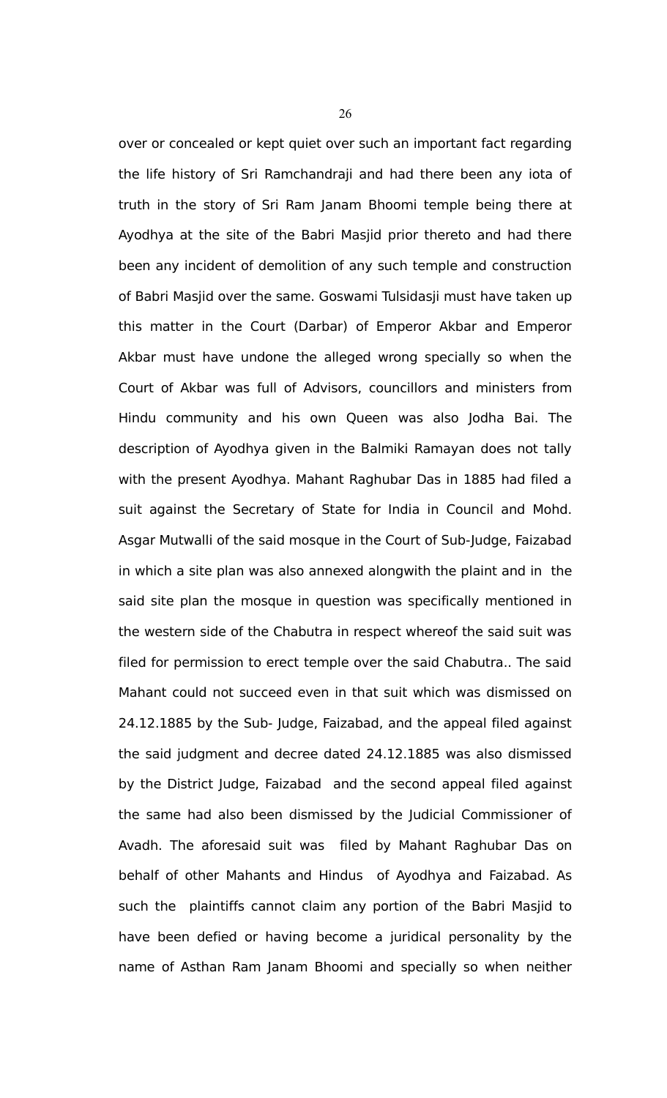over or concealed or kept quiet over such an important fact regarding the life history of Sri Ramchandraji and had there been any iota of truth in the story of Sri Ram Janam Bhoomi temple being there at Ayodhya at the site of the Babri Masjid prior thereto and had there been any incident of demolition of any such temple and construction of Babri Masjid over the same. Goswami Tulsidasji must have taken up this matter in the Court (Darbar) of Emperor Akbar and Emperor Akbar must have undone the alleged wrong specially so when the Court of Akbar was full of Advisors, councillors and ministers from Hindu community and his own Queen was also Jodha Bai. The description of Ayodhya given in the Balmiki Ramayan does not tally with the present Ayodhya. Mahant Raghubar Das in 1885 had filed a suit against the Secretary of State for India in Council and Mohd. Asgar Mutwalli of the said mosque in the Court of Sub-Judge, Faizabad in which a site plan was also annexed alongwith the plaint and in the said site plan the mosque in question was specifically mentioned in the western side of the Chabutra in respect whereof the said suit was filed for permission to erect temple over the said Chabutra.. The said Mahant could not succeed even in that suit which was dismissed on 24.12.1885 by the Sub- Judge, Faizabad, and the appeal filed against the said judgment and decree dated 24.12.1885 was also dismissed by the District Judge, Faizabad and the second appeal filed against the same had also been dismissed by the Judicial Commissioner of Avadh. The aforesaid suit was filed by Mahant Raghubar Das on behalf of other Mahants and Hindus of Ayodhya and Faizabad. As such the plaintiffs cannot claim any portion of the Babri Masjid to have been defied or having become a juridical personality by the name of Asthan Ram Janam Bhoomi and specially so when neither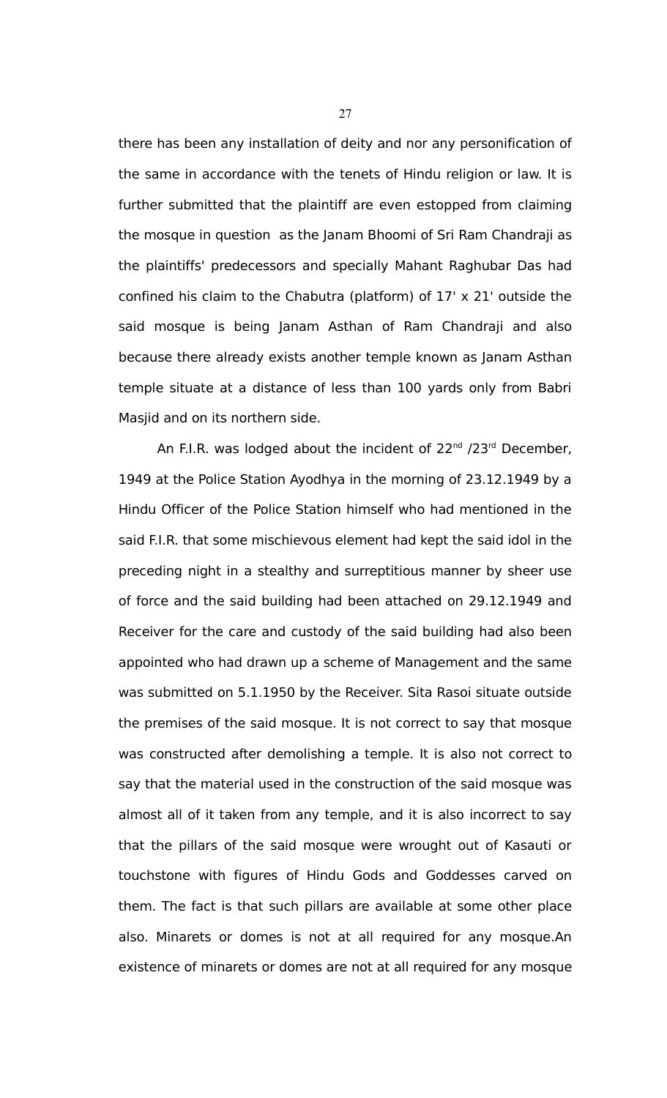there has been any installation of deity and nor any personification of the same in accordance with the tenets of Hindu religion or law. It is further submitted that the plaintiff are even estopped from claiming the mosque in question as the Janam Bhoomi of Sri Ram Chandraji as the plaintiffs' predecessors and specially Mahant Raghubar Das had confined his claim to the Chabutra (platform) of 17' x 21' outside the said mosque is being Janam Asthan of Ram Chandraji and also because there already exists another temple known as Janam Asthan temple situate at a distance of less than 100 yards only from Babri Masjid and on its northern side.

An F.I.R. was lodged about the incident of  $22^{nd}$  /23 $^{rd}$  December, 1949 at the Police Station Ayodhya in the morning of 23.12.1949 by a Hindu Officer of the Police Station himself who had mentioned in the said F.I.R. that some mischievous element had kept the said idol in the preceding night in a stealthy and surreptitious manner by sheer use of force and the said building had been attached on 29.12.1949 and Receiver for the care and custody of the said building had also been appointed who had drawn up a scheme of Management and the same was submitted on 5.1.1950 by the Receiver. Sita Rasoi situate outside the premises of the said mosque. It is not correct to say that mosque was constructed after demolishing a temple. It is also not correct to say that the material used in the construction of the said mosque was almost all of it taken from any temple, and it is also incorrect to say that the pillars of the said mosque were wrought out of Kasauti or touchstone with figures of Hindu Gods and Goddesses carved on them. The fact is that such pillars are available at some other place also. Minarets or domes is not at all required for any mosque.An existence of minarets or domes are not at all required for any mosque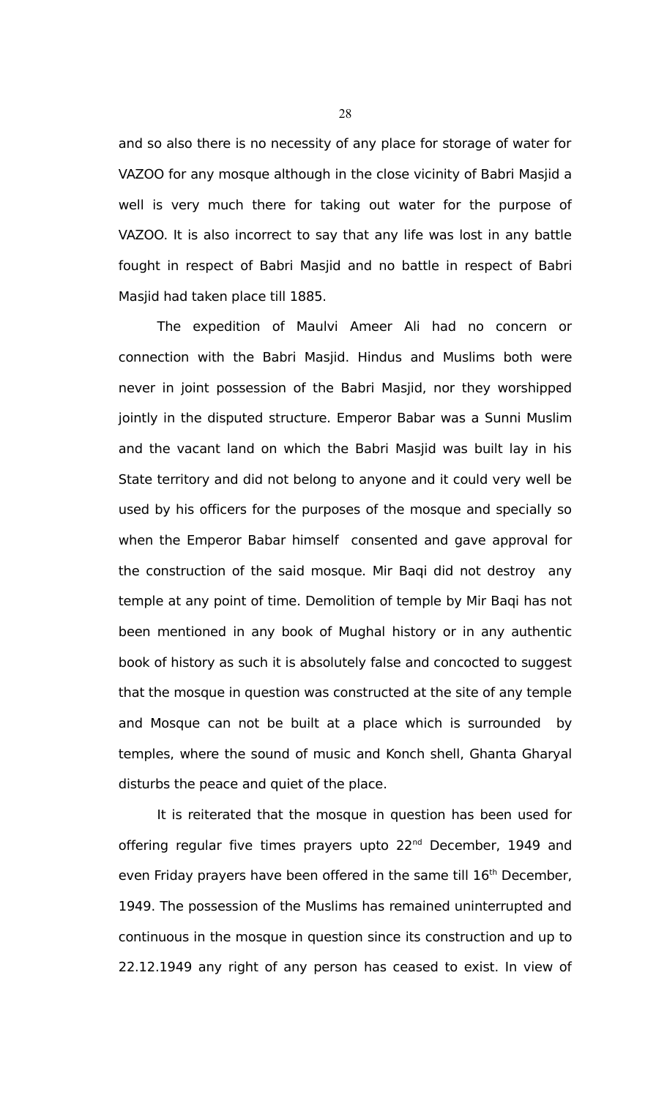and so also there is no necessity of any place for storage of water for VAZOO for any mosque although in the close vicinity of Babri Masjid a well is very much there for taking out water for the purpose of VAZOO. It is also incorrect to say that any life was lost in any battle fought in respect of Babri Masjid and no battle in respect of Babri Masjid had taken place till 1885.

The expedition of Maulvi Ameer Ali had no concern or connection with the Babri Masjid. Hindus and Muslims both were never in joint possession of the Babri Masjid, nor they worshipped jointly in the disputed structure. Emperor Babar was a Sunni Muslim and the vacant land on which the Babri Masjid was built lay in his State territory and did not belong to anyone and it could very well be used by his officers for the purposes of the mosque and specially so when the Emperor Babar himself consented and gave approval for the construction of the said mosque. Mir Baqi did not destroy any temple at any point of time. Demolition of temple by Mir Baqi has not been mentioned in any book of Mughal history or in any authentic book of history as such it is absolutely false and concocted to suggest that the mosque in question was constructed at the site of any temple and Mosque can not be built at a place which is surrounded by temples, where the sound of music and Konch shell, Ghanta Gharyal disturbs the peace and quiet of the place.

It is reiterated that the mosque in question has been used for offering regular five times prayers upto 22<sup>nd</sup> December, 1949 and even Friday prayers have been offered in the same till 16<sup>th</sup> December, 1949. The possession of the Muslims has remained uninterrupted and continuous in the mosque in question since its construction and up to 22.12.1949 any right of any person has ceased to exist. In view of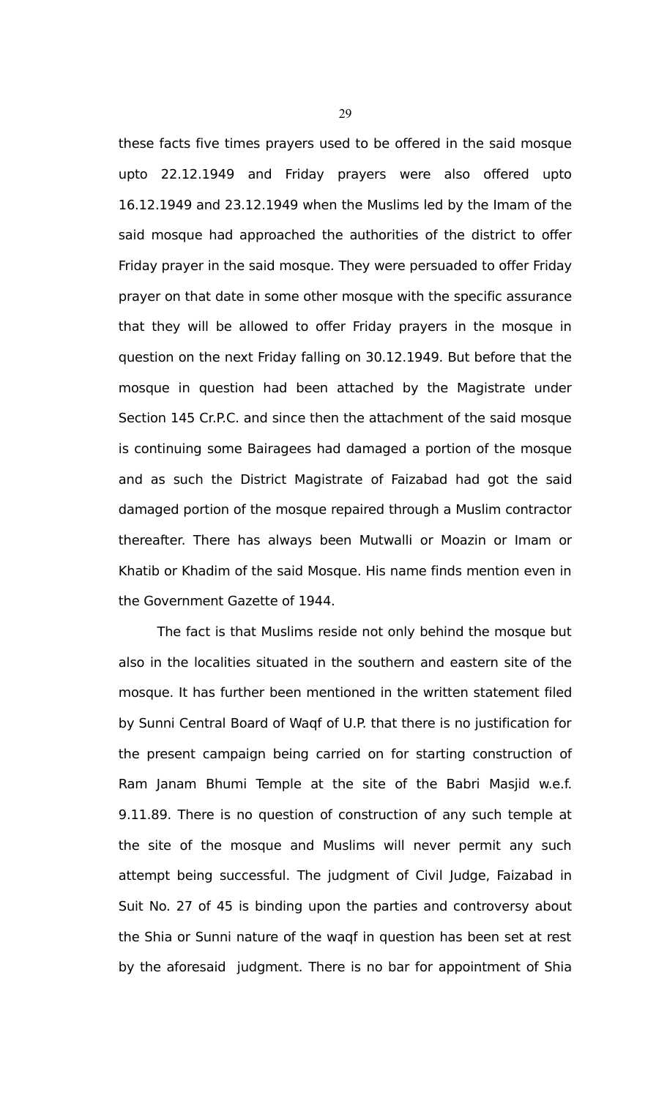these facts five times prayers used to be offered in the said mosque upto 22.12.1949 and Friday prayers were also offered upto 16.12.1949 and 23.12.1949 when the Muslims led by the Imam of the said mosque had approached the authorities of the district to offer Friday prayer in the said mosque. They were persuaded to offer Friday prayer on that date in some other mosque with the specific assurance that they will be allowed to offer Friday prayers in the mosque in question on the next Friday falling on 30.12.1949. But before that the mosque in question had been attached by the Magistrate under Section 145 Cr.P.C. and since then the attachment of the said mosque is continuing some Bairagees had damaged a portion of the mosque and as such the District Magistrate of Faizabad had got the said damaged portion of the mosque repaired through a Muslim contractor thereafter. There has always been Mutwalli or Moazin or Imam or Khatib or Khadim of the said Mosque. His name finds mention even in the Government Gazette of 1944.

The fact is that Muslims reside not only behind the mosque but also in the localities situated in the southern and eastern site of the mosque. It has further been mentioned in the written statement filed by Sunni Central Board of Waqf of U.P. that there is no justification for the present campaign being carried on for starting construction of Ram Janam Bhumi Temple at the site of the Babri Masjid w.e.f. 9.11.89. There is no question of construction of any such temple at the site of the mosque and Muslims will never permit any such attempt being successful. The judgment of Civil Judge, Faizabad in Suit No. 27 of 45 is binding upon the parties and controversy about the Shia or Sunni nature of the waqf in question has been set at rest by the aforesaid judgment. There is no bar for appointment of Shia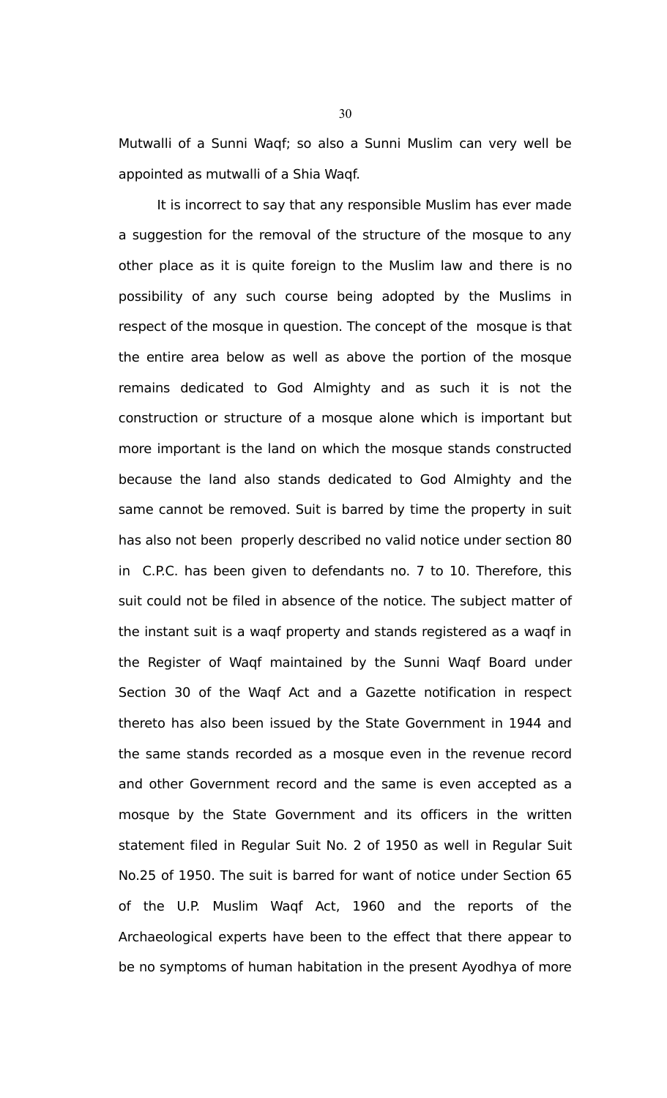Mutwalli of a Sunni Waqf; so also a Sunni Muslim can very well be appointed as mutwalli of a Shia Waqf.

It is incorrect to say that any responsible Muslim has ever made a suggestion for the removal of the structure of the mosque to any other place as it is quite foreign to the Muslim law and there is no possibility of any such course being adopted by the Muslims in respect of the mosque in question. The concept of the mosque is that the entire area below as well as above the portion of the mosque remains dedicated to God Almighty and as such it is not the construction or structure of a mosque alone which is important but more important is the land on which the mosque stands constructed because the land also stands dedicated to God Almighty and the same cannot be removed. Suit is barred by time the property in suit has also not been properly described no valid notice under section 80 in C.P.C. has been given to defendants no. 7 to 10. Therefore, this suit could not be filed in absence of the notice. The subject matter of the instant suit is a waqf property and stands registered as a waqf in the Register of Waqf maintained by the Sunni Waqf Board under Section 30 of the Waqf Act and a Gazette notification in respect thereto has also been issued by the State Government in 1944 and the same stands recorded as a mosque even in the revenue record and other Government record and the same is even accepted as a mosque by the State Government and its officers in the written statement filed in Regular Suit No. 2 of 1950 as well in Regular Suit No.25 of 1950. The suit is barred for want of notice under Section 65 of the U.P. Muslim Waqf Act, 1960 and the reports of the Archaeological experts have been to the effect that there appear to be no symptoms of human habitation in the present Ayodhya of more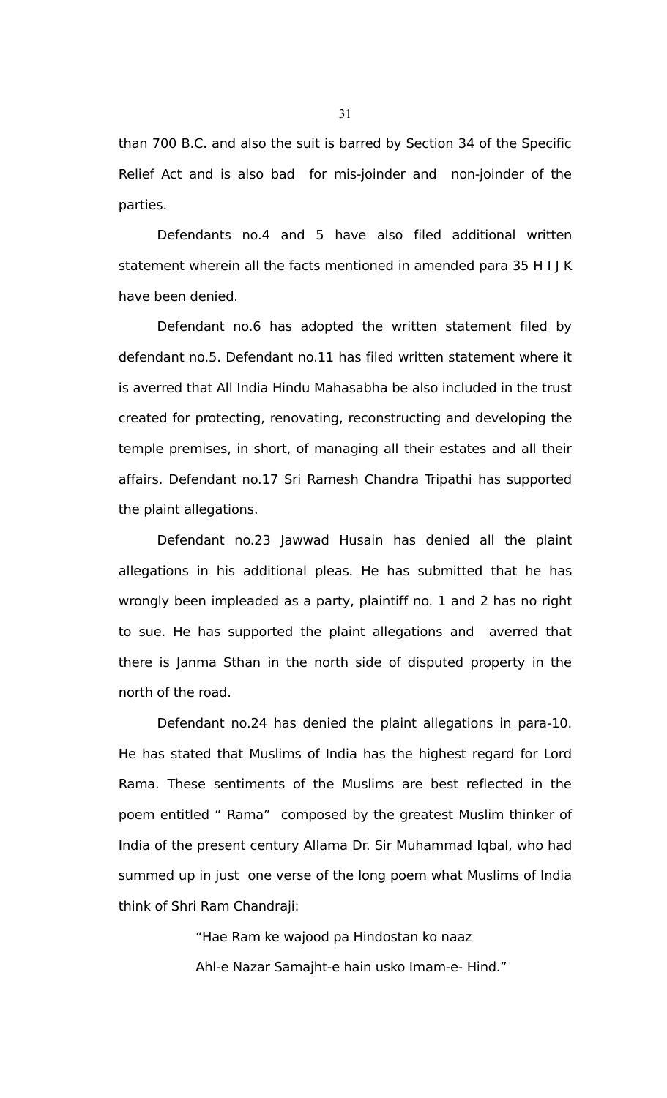than 700 B.C. and also the suit is barred by Section 34 of the Specific Relief Act and is also bad for mis-joinder and non-joinder of the parties.

Defendants no.4 and 5 have also filed additional written statement wherein all the facts mentioned in amended para 35 H I J K have been denied.

Defendant no.6 has adopted the written statement filed by defendant no.5. Defendant no.11 has filed written statement where it is averred that All India Hindu Mahasabha be also included in the trust created for protecting, renovating, reconstructing and developing the temple premises, in short, of managing all their estates and all their affairs. Defendant no.17 Sri Ramesh Chandra Tripathi has supported the plaint allegations.

Defendant no.23 Jawwad Husain has denied all the plaint allegations in his additional pleas. He has submitted that he has wrongly been impleaded as a party, plaintiff no. 1 and 2 has no right to sue. He has supported the plaint allegations and averred that there is Janma Sthan in the north side of disputed property in the north of the road.

Defendant no.24 has denied the plaint allegations in para-10. He has stated that Muslims of India has the highest regard for Lord Rama. These sentiments of the Muslims are best reflected in the poem entitled " Rama" composed by the greatest Muslim thinker of India of the present century Allama Dr. Sir Muhammad Iqbal, who had summed up in just one verse of the long poem what Muslims of India think of Shri Ram Chandraji:

"Hae Ram ke wajood pa Hindostan ko naaz

Ahl-e Nazar Samajht-e hain usko Imam-e- Hind."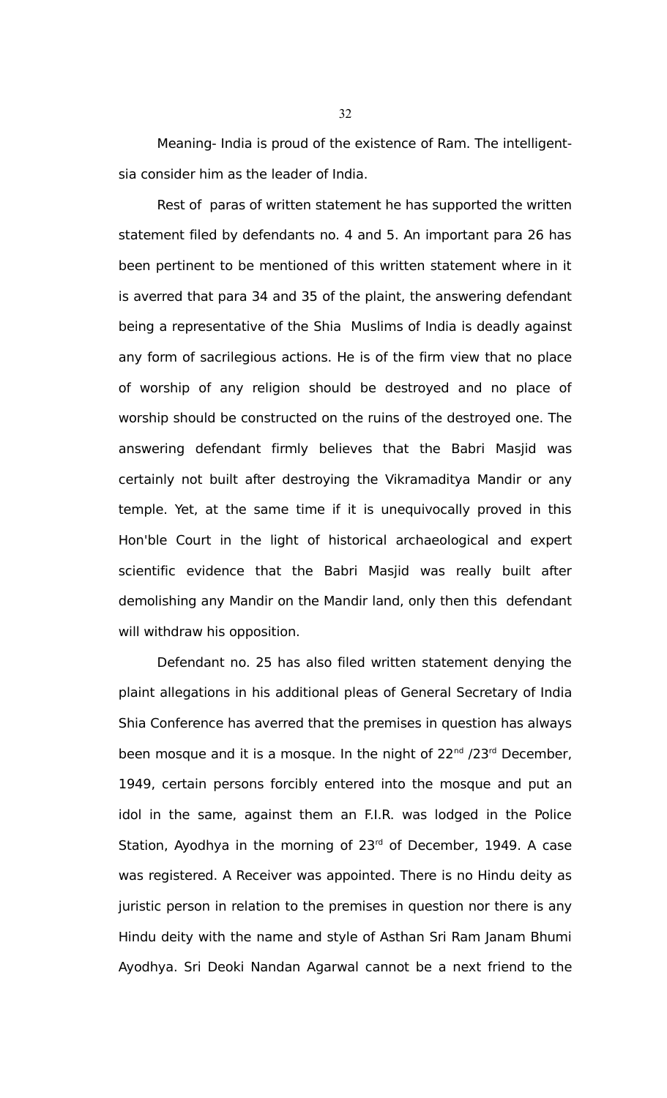Meaning- India is proud of the existence of Ram. The intelligentsia consider him as the leader of India.

Rest of paras of written statement he has supported the written statement filed by defendants no. 4 and 5. An important para 26 has been pertinent to be mentioned of this written statement where in it is averred that para 34 and 35 of the plaint, the answering defendant being a representative of the Shia Muslims of India is deadly against any form of sacrilegious actions. He is of the firm view that no place of worship of any religion should be destroyed and no place of worship should be constructed on the ruins of the destroyed one. The answering defendant firmly believes that the Babri Masjid was certainly not built after destroying the Vikramaditya Mandir or any temple. Yet, at the same time if it is unequivocally proved in this Hon'ble Court in the light of historical archaeological and expert scientific evidence that the Babri Masjid was really built after demolishing any Mandir on the Mandir land, only then this defendant will withdraw his opposition.

Defendant no. 25 has also filed written statement denying the plaint allegations in his additional pleas of General Secretary of India Shia Conference has averred that the premises in question has always been mosque and it is a mosque. In the night of  $22^{nd}$  /23<sup>rd</sup> December, 1949, certain persons forcibly entered into the mosque and put an idol in the same, against them an F.I.R. was lodged in the Police Station, Ayodhya in the morning of  $23<sup>rd</sup>$  of December, 1949. A case was registered. A Receiver was appointed. There is no Hindu deity as juristic person in relation to the premises in question nor there is any Hindu deity with the name and style of Asthan Sri Ram Janam Bhumi Ayodhya. Sri Deoki Nandan Agarwal cannot be a next friend to the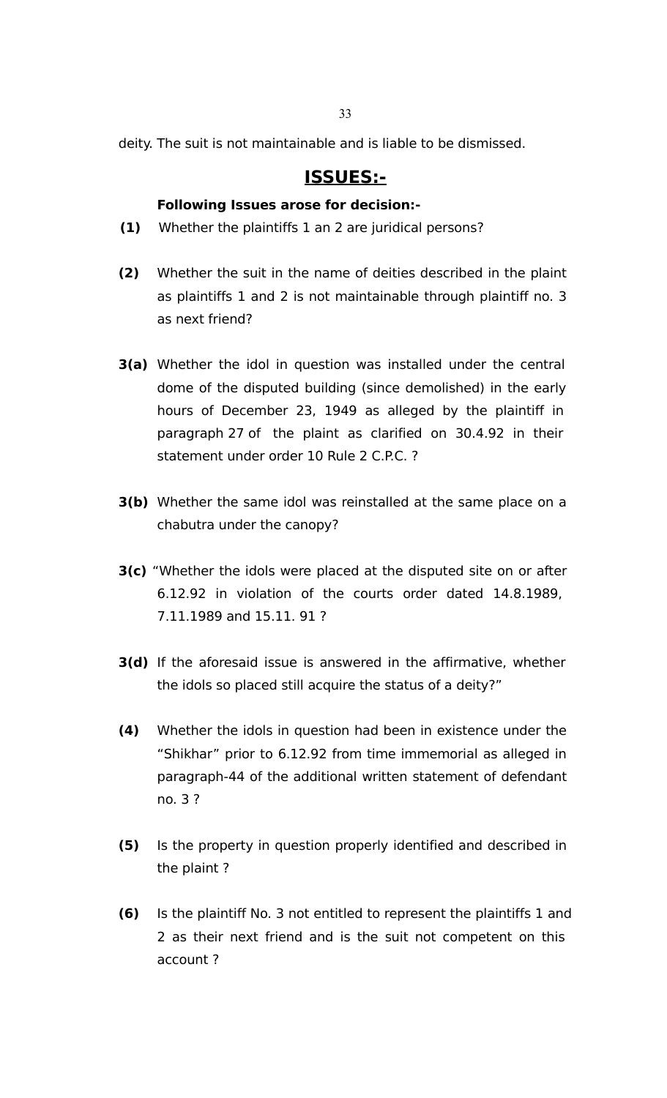deity. The suit is not maintainable and is liable to be dismissed.

# **ISSUES:-**

# **Following Issues arose for decision:-**

- **(1)** Whether the plaintiffs 1 an 2 are juridical persons?
- **(2)** Whether the suit in the name of deities described in the plaint as plaintiffs 1 and 2 is not maintainable through plaintiff no. 3 as next friend?
- **3(a)** Whether the idol in question was installed under the central dome of the disputed building (since demolished) in the early hours of December 23, 1949 as alleged by the plaintiff in paragraph 27 of the plaint as clarified on 30.4.92 in their statement under order 10 Rule 2 C.P.C. ?
- **3(b)** Whether the same idol was reinstalled at the same place on a chabutra under the canopy?
- **3(c)** "Whether the idols were placed at the disputed site on or after 6.12.92 in violation of the courts order dated 14.8.1989, 7.11.1989 and 15.11. 91 ?
- **3(d)** If the aforesaid issue is answered in the affirmative, whether the idols so placed still acquire the status of a deity?"
- **(4)** Whether the idols in question had been in existence under the "Shikhar" prior to 6.12.92 from time immemorial as alleged in paragraph-44 of the additional written statement of defendant no. 3 ?
- **(5)** Is the property in question properly identified and described in the plaint ?
- **(6)** Is the plaintiff No. 3 not entitled to represent the plaintiffs 1 and 2 as their next friend and is the suit not competent on this account ?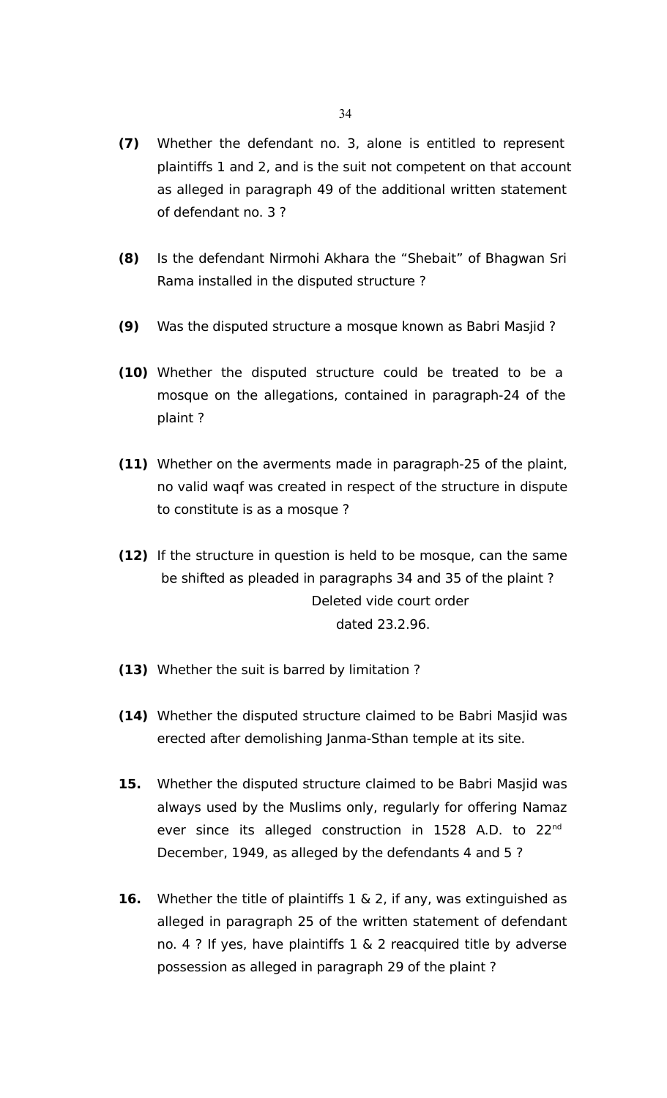- **(7)** Whether the defendant no. 3, alone is entitled to represent plaintiffs 1 and 2, and is the suit not competent on that account as alleged in paragraph 49 of the additional written statement of defendant no. 3 ?
- **(8)** Is the defendant Nirmohi Akhara the "Shebait" of Bhagwan Sri Rama installed in the disputed structure ?
- **(9)** Was the disputed structure a mosque known as Babri Masjid ?
- **(10)** Whether the disputed structure could be treated to be a mosque on the allegations, contained in paragraph-24 of the plaint ?
- **(11)** Whether on the averments made in paragraph-25 of the plaint, no valid waqf was created in respect of the structure in dispute to constitute is as a mosque ?
- **(12)** If the structure in question is held to be mosque, can the same be shifted as pleaded in paragraphs 34 and 35 of the plaint ? Deleted vide court order dated 23.2.96.
- **(13)** Whether the suit is barred by limitation ?
- **(14)** Whether the disputed structure claimed to be Babri Masjid was erected after demolishing Janma-Sthan temple at its site.
- **15.** Whether the disputed structure claimed to be Babri Masjid was always used by the Muslims only, regularly for offering Namaz ever since its alleged construction in 1528 A.D. to 22<sup>nd</sup> December, 1949, as alleged by the defendants 4 and 5 ?
- **16.** Whether the title of plaintiffs 1 & 2, if any, was extinguished as alleged in paragraph 25 of the written statement of defendant no. 4 ? If yes, have plaintiffs 1 & 2 reacquired title by adverse possession as alleged in paragraph 29 of the plaint ?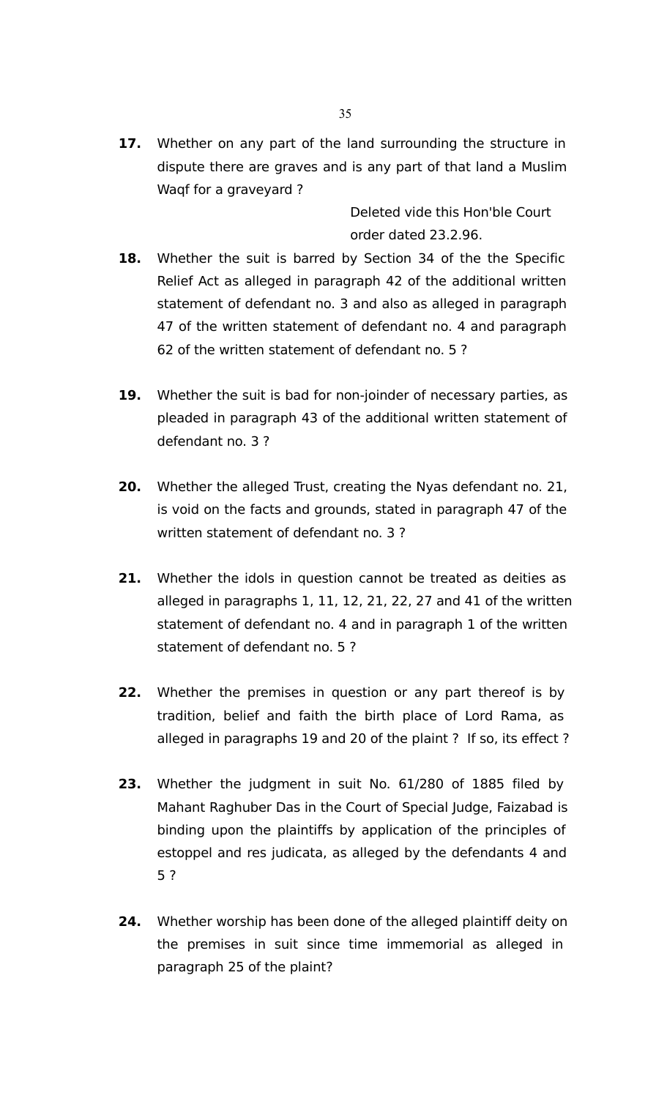**17.** Whether on any part of the land surrounding the structure in dispute there are graves and is any part of that land a Muslim Waqf for a graveyard ?

> Deleted vide this Hon'ble Court order dated 23.2.96.

- **18.** Whether the suit is barred by Section 34 of the the Specific Relief Act as alleged in paragraph 42 of the additional written statement of defendant no. 3 and also as alleged in paragraph 47 of the written statement of defendant no. 4 and paragraph 62 of the written statement of defendant no. 5 ?
- **19.** Whether the suit is bad for non-joinder of necessary parties, as pleaded in paragraph 43 of the additional written statement of defendant no. 3 ?
- **20.** Whether the alleged Trust, creating the Nyas defendant no. 21, is void on the facts and grounds, stated in paragraph 47 of the written statement of defendant no. 3 ?
- **21.** Whether the idols in question cannot be treated as deities as alleged in paragraphs 1, 11, 12, 21, 22, 27 and 41 of the written statement of defendant no. 4 and in paragraph 1 of the written statement of defendant no. 5 ?
- **22.** Whether the premises in question or any part thereof is by tradition, belief and faith the birth place of Lord Rama, as alleged in paragraphs 19 and 20 of the plaint ? If so, its effect ?
- **23.** Whether the judgment in suit No. 61/280 of 1885 filed by Mahant Raghuber Das in the Court of Special Judge, Faizabad is binding upon the plaintiffs by application of the principles of estoppel and res judicata, as alleged by the defendants 4 and 5 ?
- **24.** Whether worship has been done of the alleged plaintiff deity on the premises in suit since time immemorial as alleged in paragraph 25 of the plaint?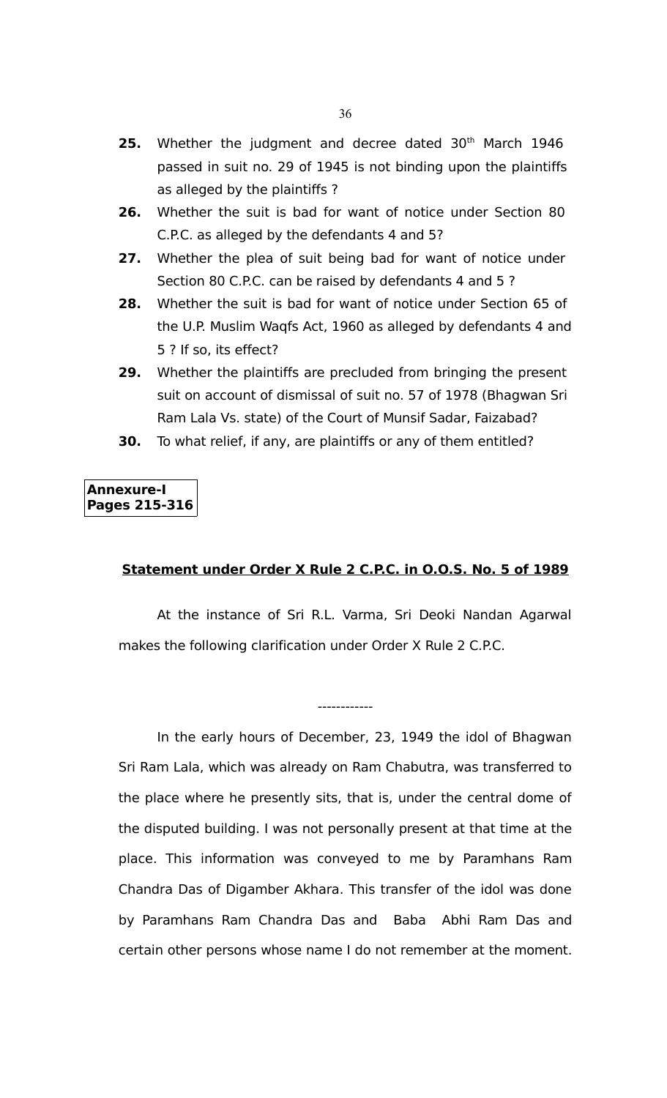- 25. Whether the judgment and decree dated 30<sup>th</sup> March 1946 passed in suit no. 29 of 1945 is not binding upon the plaintiffs as alleged by the plaintiffs ?
- **26.** Whether the suit is bad for want of notice under Section 80 C.P.C. as alleged by the defendants 4 and 5?
- **27.** Whether the plea of suit being bad for want of notice under Section 80 C.P.C. can be raised by defendants 4 and 5 ?
- **28.** Whether the suit is bad for want of notice under Section 65 of the U.P. Muslim Waqfs Act, 1960 as alleged by defendants 4 and 5 ? If so, its effect?
- **29.** Whether the plaintiffs are precluded from bringing the present suit on account of dismissal of suit no. 57 of 1978 (Bhagwan Sri Ram Lala Vs. state) of the Court of Munsif Sadar, Faizabad?
- **30.** To what relief, if any, are plaintiffs or any of them entitled?

# **Annexure-I Pages 215-316**

### **Statement under Order X Rule 2 C.P.C. in O.O.S. No. 5 of 1989**

At the instance of Sri R.L. Varma, Sri Deoki Nandan Agarwal makes the following clarification under Order X Rule 2 C.P.C.

------------

In the early hours of December, 23, 1949 the idol of Bhagwan Sri Ram Lala, which was already on Ram Chabutra, was transferred to the place where he presently sits, that is, under the central dome of the disputed building. I was not personally present at that time at the place. This information was conveyed to me by Paramhans Ram Chandra Das of Digamber Akhara. This transfer of the idol was done by Paramhans Ram Chandra Das and Baba Abhi Ram Das and certain other persons whose name I do not remember at the moment.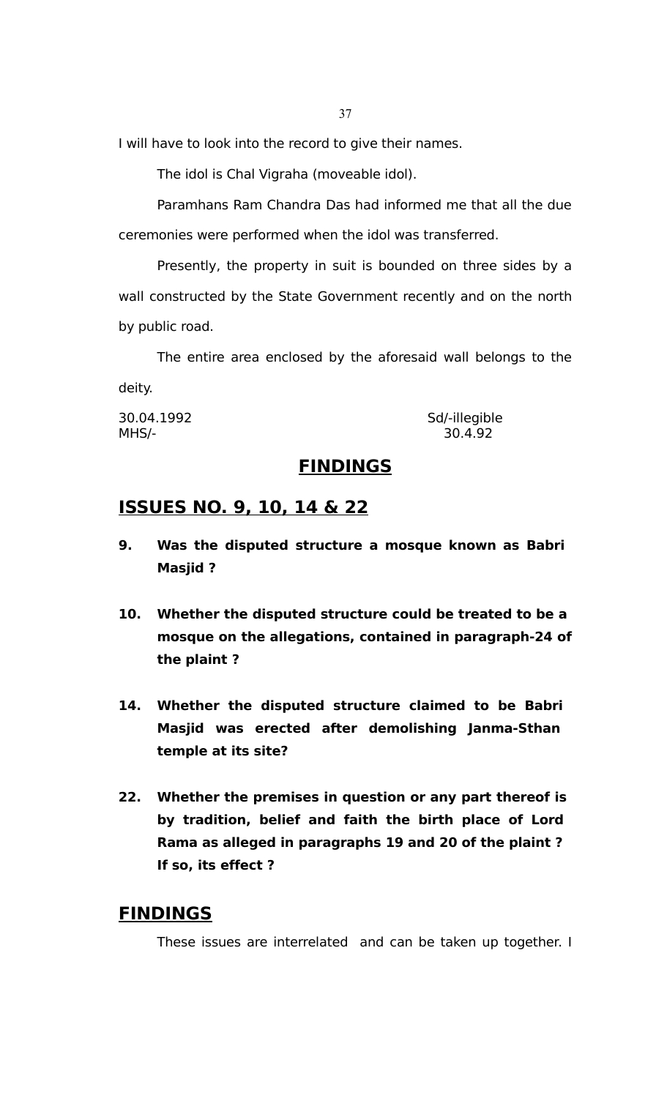I will have to look into the record to give their names.

The idol is Chal Vigraha (moveable idol).

Paramhans Ram Chandra Das had informed me that all the due ceremonies were performed when the idol was transferred.

Presently, the property in suit is bounded on three sides by a wall constructed by the State Government recently and on the north by public road.

The entire area enclosed by the aforesaid wall belongs to the deity.

30.04.1992 Sd/-illegible MHS/- 30.4.92

#### **FINDINGS**

### **ISSUES NO. 9, 10, 14 & 22**

- **9. Was the disputed structure a mosque known as Babri Masjid ?**
- **10. Whether the disputed structure could be treated to be a mosque on the allegations, contained in paragraph-24 of the plaint ?**
- **14. Whether the disputed structure claimed to be Babri Masjid was erected after demolishing Janma-Sthan temple at its site?**
- **22. Whether the premises in question or any part thereof is by tradition, belief and faith the birth place of Lord Rama as alleged in paragraphs 19 and 20 of the plaint ? If so, its effect ?**

### **FINDINGS**

These issues are interrelated and can be taken up together. I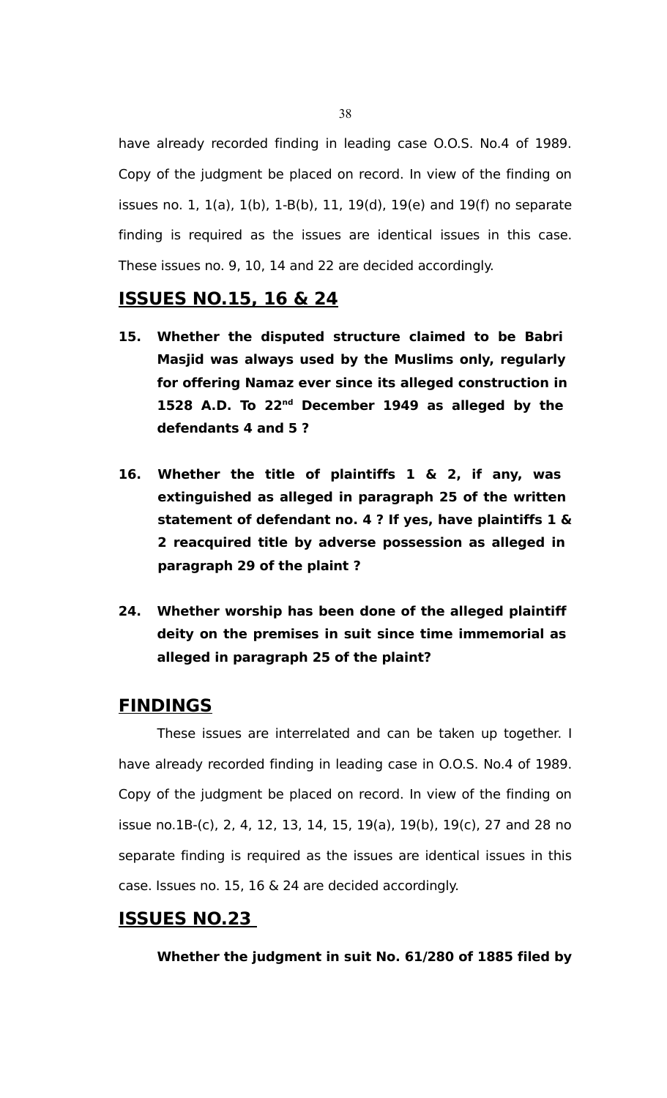have already recorded finding in leading case O.O.S. No.4 of 1989. Copy of the judgment be placed on record. In view of the finding on issues no. 1, 1(a), 1(b), 1-B(b), 11, 19(d), 19(e) and 19(f) no separate finding is required as the issues are identical issues in this case. These issues no. 9, 10, 14 and 22 are decided accordingly.

#### **ISSUES NO.15, 16 & 24**

- **15. Whether the disputed structure claimed to be Babri Masjid was always used by the Muslims only, regularly for offering Namaz ever since its alleged construction in 1528 A.D. To 22nd December 1949 as alleged by the defendants 4 and 5 ?**
- **16. Whether the title of plaintiffs 1 & 2, if any, was extinguished as alleged in paragraph 25 of the written statement of defendant no. 4 ? If yes, have plaintiffs 1 & 2 reacquired title by adverse possession as alleged in paragraph 29 of the plaint ?**
- **24. Whether worship has been done of the alleged plaintiff deity on the premises in suit since time immemorial as alleged in paragraph 25 of the plaint?**

#### **FINDINGS**

These issues are interrelated and can be taken up together. I have already recorded finding in leading case in O.O.S. No.4 of 1989. Copy of the judgment be placed on record. In view of the finding on issue no.1B-(c), 2, 4, 12, 13, 14, 15, 19(a), 19(b), 19(c), 27 and 28 no separate finding is required as the issues are identical issues in this case. Issues no. 15, 16 & 24 are decided accordingly.

#### **ISSUES NO.23**

**Whether the judgment in suit No. 61/280 of 1885 filed by**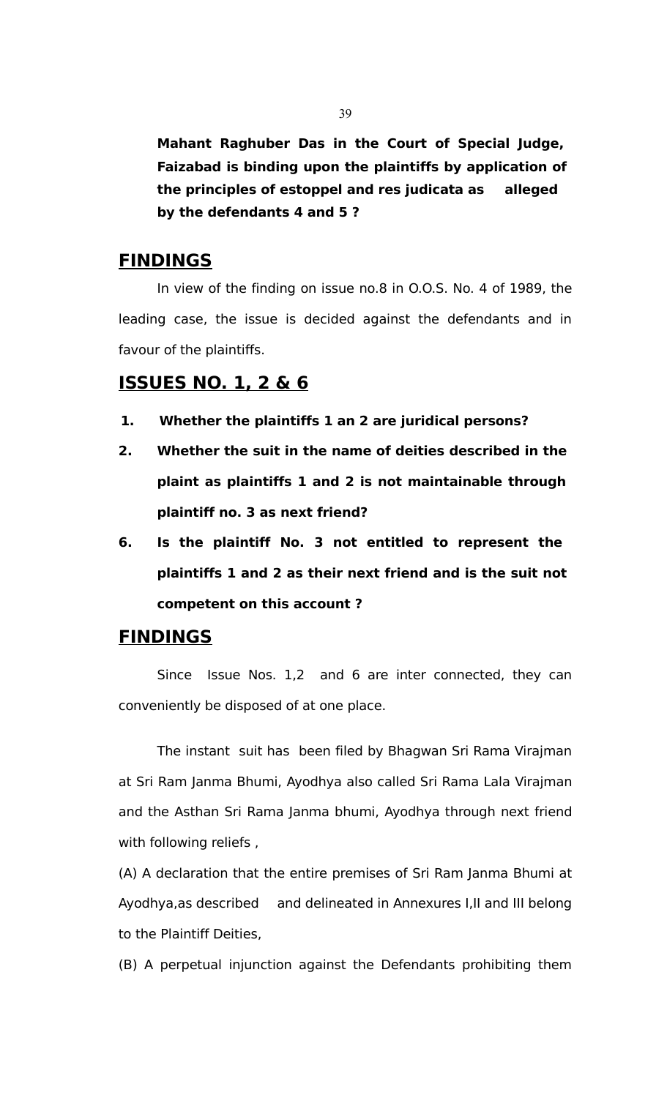**Mahant Raghuber Das in the Court of Special Judge, Faizabad is binding upon the plaintiffs by application of the principles of estoppel and res judicata as alleged by the defendants 4 and 5 ?**

#### **FINDINGS**

In view of the finding on issue no.8 in O.O.S. No. 4 of 1989, the leading case, the issue is decided against the defendants and in favour of the plaintiffs.

#### **ISSUES NO. 1, 2 & 6**

- **1. Whether the plaintiffs 1 an 2 are juridical persons?**
- **2. Whether the suit in the name of deities described in the plaint as plaintiffs 1 and 2 is not maintainable through plaintiff no. 3 as next friend?**
- **6. Is the plaintiff No. 3 not entitled to represent the plaintiffs 1 and 2 as their next friend and is the suit not competent on this account ?**

### **FINDINGS**

Since Issue Nos. 1,2 and 6 are inter connected, they can conveniently be disposed of at one place.

The instant suit has been filed by Bhagwan Sri Rama Virajman at Sri Ram Janma Bhumi, Ayodhya also called Sri Rama Lala Virajman and the Asthan Sri Rama Janma bhumi, Ayodhya through next friend with following reliefs ,

(A) A declaration that the entire premises of Sri Ram Janma Bhumi at Ayodhya,as described and delineated in Annexures I,II and III belong to the Plaintiff Deities,

(B) A perpetual injunction against the Defendants prohibiting them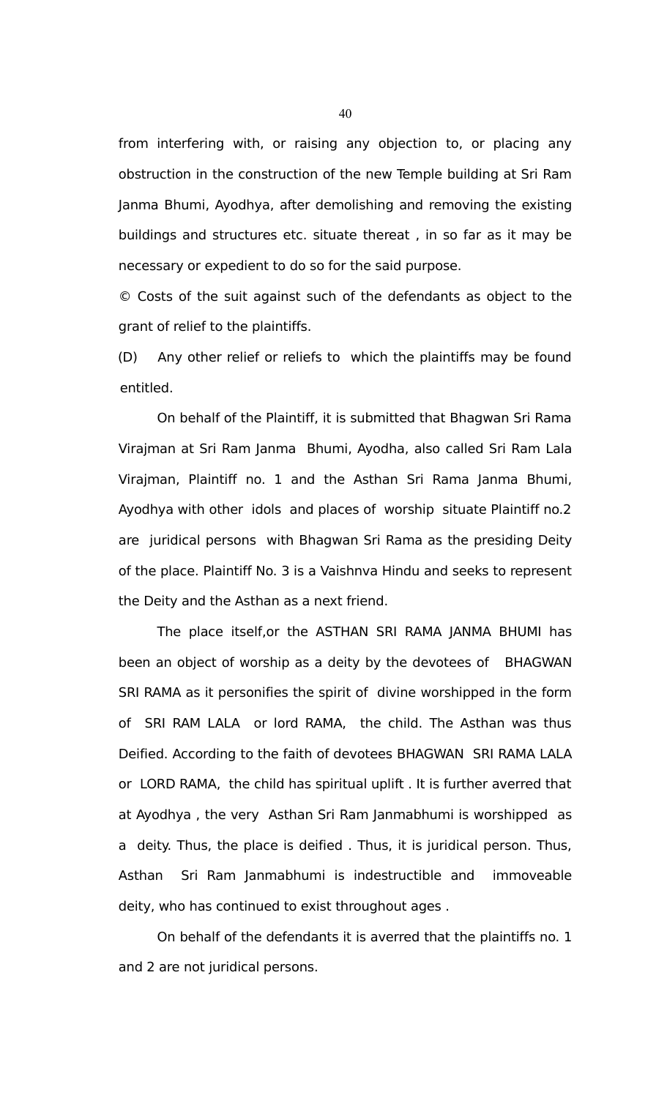from interfering with, or raising any objection to, or placing any obstruction in the construction of the new Temple building at Sri Ram Janma Bhumi, Ayodhya, after demolishing and removing the existing buildings and structures etc. situate thereat , in so far as it may be necessary or expedient to do so for the said purpose.

© Costs of the suit against such of the defendants as object to the grant of relief to the plaintiffs.

(D) Any other relief or reliefs to which the plaintiffs may be found entitled.

On behalf of the Plaintiff, it is submitted that Bhagwan Sri Rama Virajman at Sri Ram Janma Bhumi, Ayodha, also called Sri Ram Lala Virajman, Plaintiff no. 1 and the Asthan Sri Rama Janma Bhumi, Ayodhya with other idols and places of worship situate Plaintiff no.2 are juridical persons with Bhagwan Sri Rama as the presiding Deity of the place. Plaintiff No. 3 is a Vaishnva Hindu and seeks to represent the Deity and the Asthan as a next friend.

The place itself,or the ASTHAN SRI RAMA JANMA BHUMI has been an object of worship as a deity by the devotees of BHAGWAN SRI RAMA as it personifies the spirit of divine worshipped in the form of SRI RAM LALA or lord RAMA, the child. The Asthan was thus Deified. According to the faith of devotees BHAGWAN SRI RAMA LALA or LORD RAMA, the child has spiritual uplift . It is further averred that at Ayodhya , the very Asthan Sri Ram Janmabhumi is worshipped as a deity. Thus, the place is deified . Thus, it is juridical person. Thus, Asthan Sri Ram Janmabhumi is indestructible and immoveable deity, who has continued to exist throughout ages .

On behalf of the defendants it is averred that the plaintiffs no. 1 and 2 are not juridical persons.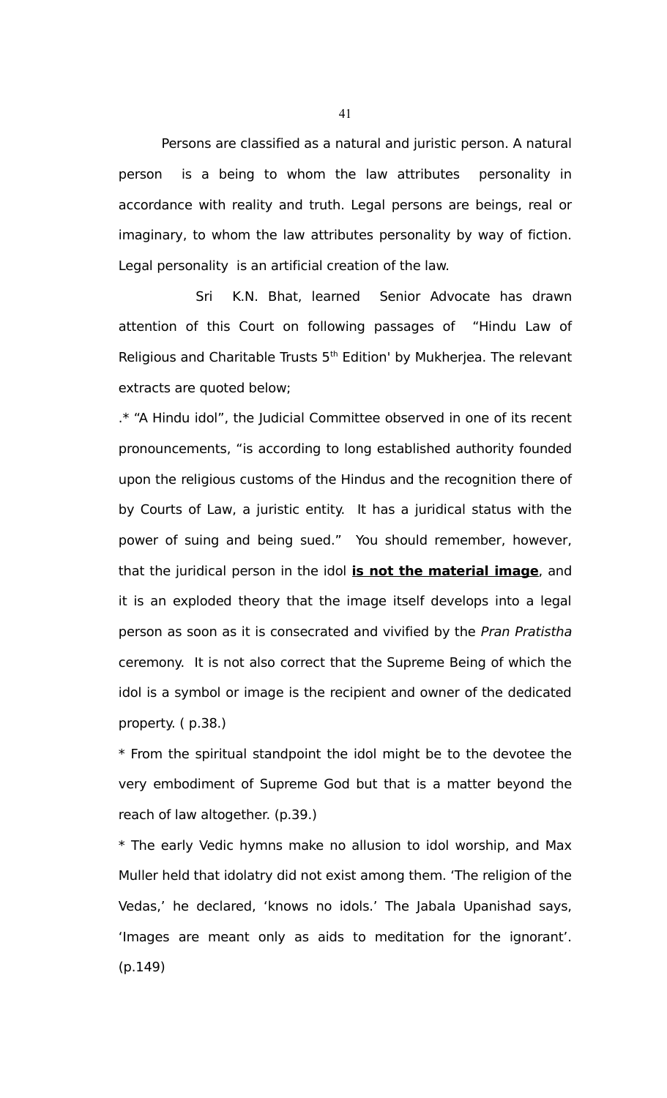Persons are classified as a natural and juristic person. A natural person is a being to whom the law attributes personality in accordance with reality and truth. Legal persons are beings, real or imaginary, to whom the law attributes personality by way of fiction. Legal personality is an artificial creation of the law.

Sri K.N. Bhat, learned Senior Advocate has drawn attention of this Court on following passages of "Hindu Law of Religious and Charitable Trusts 5<sup>th</sup> Edition' by Mukherjea. The relevant extracts are quoted below;

.\* "A Hindu idol", the Judicial Committee observed in one of its recent pronouncements, "is according to long established authority founded upon the religious customs of the Hindus and the recognition there of by Courts of Law, a juristic entity. It has a juridical status with the power of suing and being sued." You should remember, however, that the juridical person in the idol **is not the material image**, and it is an exploded theory that the image itself develops into a legal person as soon as it is consecrated and vivified by the Pran Pratistha ceremony. It is not also correct that the Supreme Being of which the idol is a symbol or image is the recipient and owner of the dedicated property. ( p.38.)

\* From the spiritual standpoint the idol might be to the devotee the very embodiment of Supreme God but that is a matter beyond the reach of law altogether. (p.39.)

\* The early Vedic hymns make no allusion to idol worship, and Max Muller held that idolatry did not exist among them. 'The religion of the Vedas,' he declared, 'knows no idols.' The Jabala Upanishad says, 'Images are meant only as aids to meditation for the ignorant'. (p.149)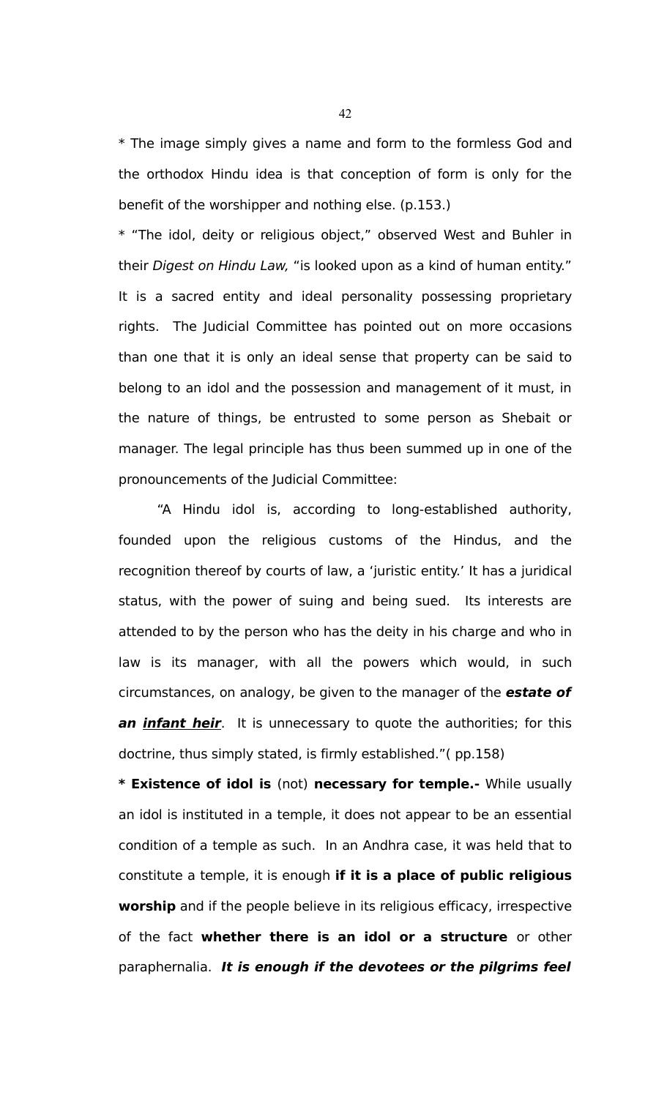\* The image simply gives a name and form to the formless God and the orthodox Hindu idea is that conception of form is only for the benefit of the worshipper and nothing else. (p.153.)

\* "The idol, deity or religious object," observed West and Buhler in their Digest on Hindu Law, "is looked upon as a kind of human entity." It is a sacred entity and ideal personality possessing proprietary rights. The Judicial Committee has pointed out on more occasions than one that it is only an ideal sense that property can be said to belong to an idol and the possession and management of it must, in the nature of things, be entrusted to some person as Shebait or manager. The legal principle has thus been summed up in one of the pronouncements of the Judicial Committee:

"A Hindu idol is, according to long-established authority, founded upon the religious customs of the Hindus, and the recognition thereof by courts of law, a 'juristic entity.' It has a juridical status, with the power of suing and being sued. Its interests are attended to by the person who has the deity in his charge and who in law is its manager, with all the powers which would, in such circumstances, on analogy, be given to the manager of the **estate of an infant heir**. It is unnecessary to quote the authorities; for this doctrine, thus simply stated, is firmly established."( pp.158)

**\* Existence of idol is** (not) **necessary for temple.-** While usually an idol is instituted in a temple, it does not appear to be an essential condition of a temple as such. In an Andhra case, it was held that to constitute a temple, it is enough **if it is a place of public religious worship** and if the people believe in its religious efficacy, irrespective of the fact **whether there is an idol or a structure** or other paraphernalia. **It is enough if the devotees or the pilgrims feel**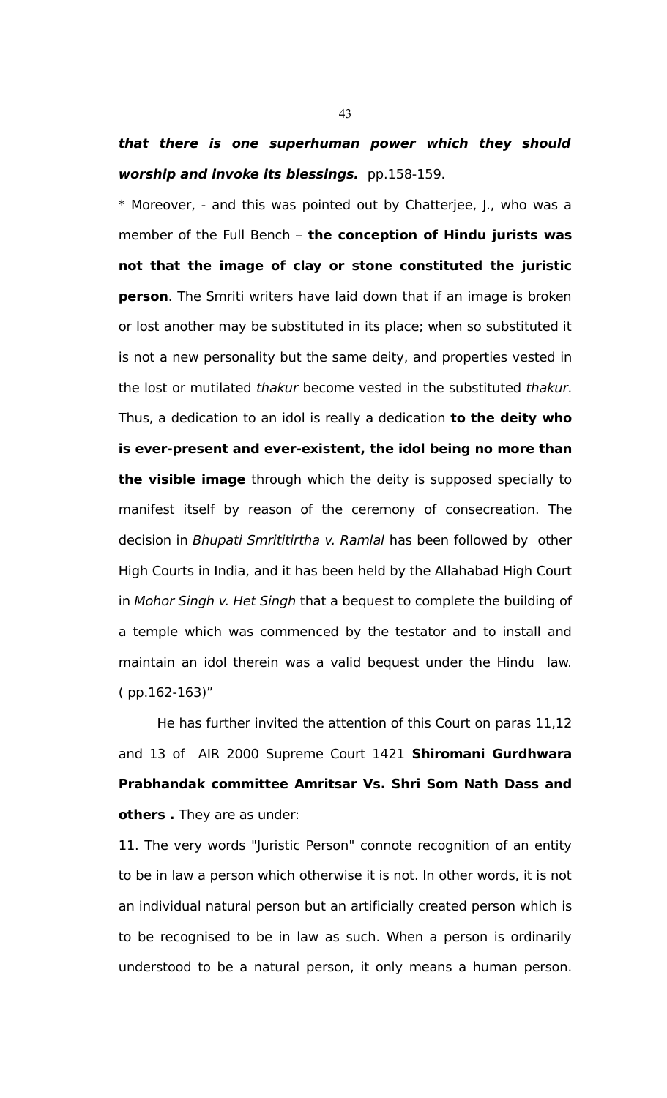## **that there is one superhuman power which they should worship and invoke its blessings.** pp.158-159.

\* Moreover, - and this was pointed out by Chatterjee, J., who was a member of the Full Bench – **the conception of Hindu jurists was not that the image of clay or stone constituted the juristic person**. The Smriti writers have laid down that if an image is broken or lost another may be substituted in its place; when so substituted it is not a new personality but the same deity, and properties vested in the lost or mutilated thakur become vested in the substituted thakur. Thus, a dedication to an idol is really a dedication **to the deity who is ever-present and ever-existent, the idol being no more than the visible image** through which the deity is supposed specially to manifest itself by reason of the ceremony of consecreation. The decision in Bhupati Smrititirtha v. Ramlal has been followed by other High Courts in India, and it has been held by the Allahabad High Court in Mohor Singh v. Het Singh that a bequest to complete the building of a temple which was commenced by the testator and to install and maintain an idol therein was a valid bequest under the Hindu law. ( pp.162-163)"

He has further invited the attention of this Court on paras 11,12 and 13 of AIR 2000 Supreme Court 1421 **Shiromani Gurdhwara Prabhandak committee Amritsar Vs. Shri Som Nath Dass and others .** They are as under:

11. The very words "Juristic Person" connote recognition of an entity to be in law a person which otherwise it is not. In other words, it is not an individual natural person but an artificially created person which is to be recognised to be in law as such. When a person is ordinarily understood to be a natural person, it only means a human person.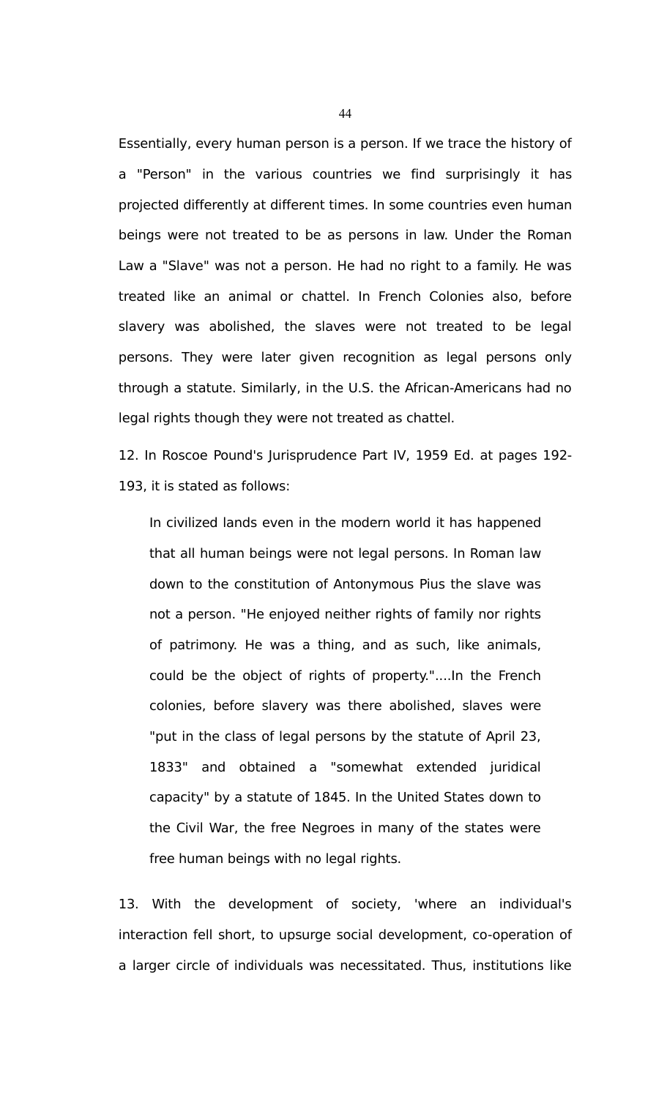Essentially, every human person is a person. If we trace the history of a "Person" in the various countries we find surprisingly it has projected differently at different times. In some countries even human beings were not treated to be as persons in law. Under the Roman Law a "Slave" was not a person. He had no right to a family. He was treated like an animal or chattel. In French Colonies also, before slavery was abolished, the slaves were not treated to be legal persons. They were later given recognition as legal persons only through a statute. Similarly, in the U.S. the African-Americans had no legal rights though they were not treated as chattel.

12. In Roscoe Pound's Jurisprudence Part IV, 1959 Ed. at pages 192- 193, it is stated as follows:

In civilized lands even in the modern world it has happened that all human beings were not legal persons. In Roman law down to the constitution of Antonymous Pius the slave was not a person. "He enjoyed neither rights of family nor rights of patrimony. He was a thing, and as such, like animals, could be the object of rights of property."....In the French colonies, before slavery was there abolished, slaves were "put in the class of legal persons by the statute of April 23, 1833" and obtained a "somewhat extended juridical capacity" by a statute of 1845. In the United States down to the Civil War, the free Negroes in many of the states were free human beings with no legal rights.

13. With the development of society, 'where an individual's interaction fell short, to upsurge social development, co-operation of a larger circle of individuals was necessitated. Thus, institutions like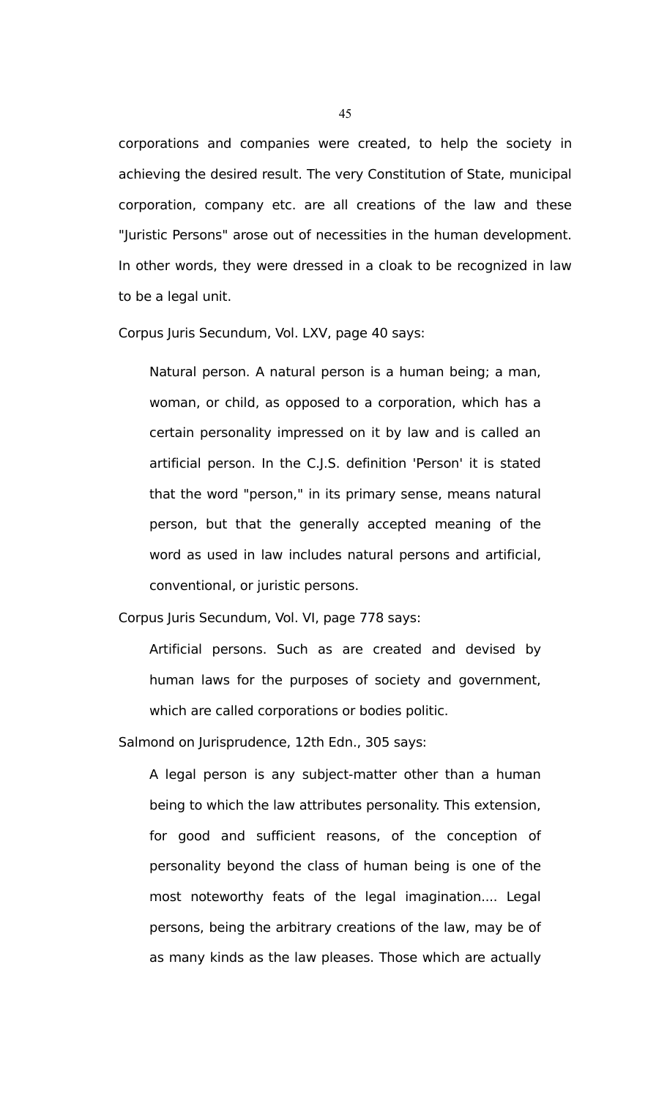corporations and companies were created, to help the society in achieving the desired result. The very Constitution of State, municipal corporation, company etc. are all creations of the law and these "Juristic Persons" arose out of necessities in the human development. In other words, they were dressed in a cloak to be recognized in law to be a legal unit.

Corpus Juris Secundum, Vol. LXV, page 40 says:

Natural person. A natural person is a human being; a man, woman, or child, as opposed to a corporation, which has a certain personality impressed on it by law and is called an artificial person. In the C.J.S. definition 'Person' it is stated that the word "person," in its primary sense, means natural person, but that the generally accepted meaning of the word as used in law includes natural persons and artificial, conventional, or juristic persons.

Corpus Juris Secundum, Vol. VI, page 778 says:

Artificial persons. Such as are created and devised by human laws for the purposes of society and government, which are called corporations or bodies politic.

Salmond on Jurisprudence, 12th Edn., 305 says:

A legal person is any subject-matter other than a human being to which the law attributes personality. This extension, for good and sufficient reasons, of the conception of personality beyond the class of human being is one of the most noteworthy feats of the legal imagination.... Legal persons, being the arbitrary creations of the law, may be of as many kinds as the law pleases. Those which are actually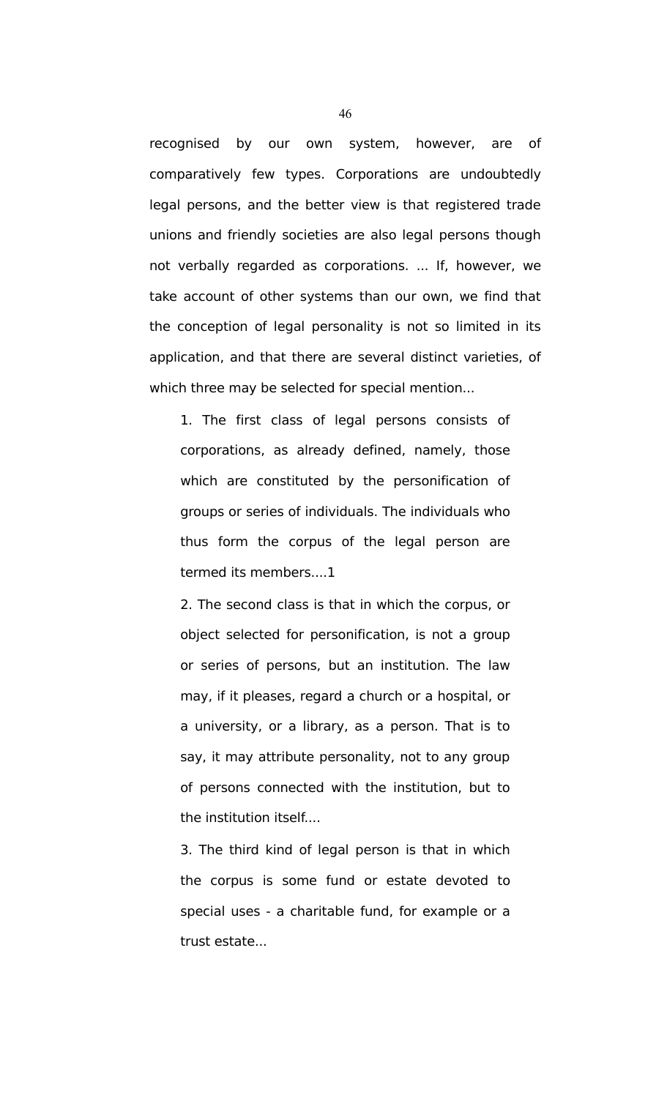recognised by our own system, however, are of comparatively few types. Corporations are undoubtedly legal persons, and the better view is that registered trade unions and friendly societies are also legal persons though not verbally regarded as corporations. ... If, however, we take account of other systems than our own, we find that the conception of legal personality is not so limited in its application, and that there are several distinct varieties, of which three may be selected for special mention...

1. The first class of legal persons consists of corporations, as already defined, namely, those which are constituted by the personification of groups or series of individuals. The individuals who thus form the corpus of the legal person are termed its members....1

2. The second class is that in which the corpus, or object selected for personification, is not a group or series of persons, but an institution. The law may, if it pleases, regard a church or a hospital, or a university, or a library, as a person. That is to say, it may attribute personality, not to any group of persons connected with the institution, but to the institution itself....

3. The third kind of legal person is that in which the corpus is some fund or estate devoted to special uses - a charitable fund, for example or a trust estate...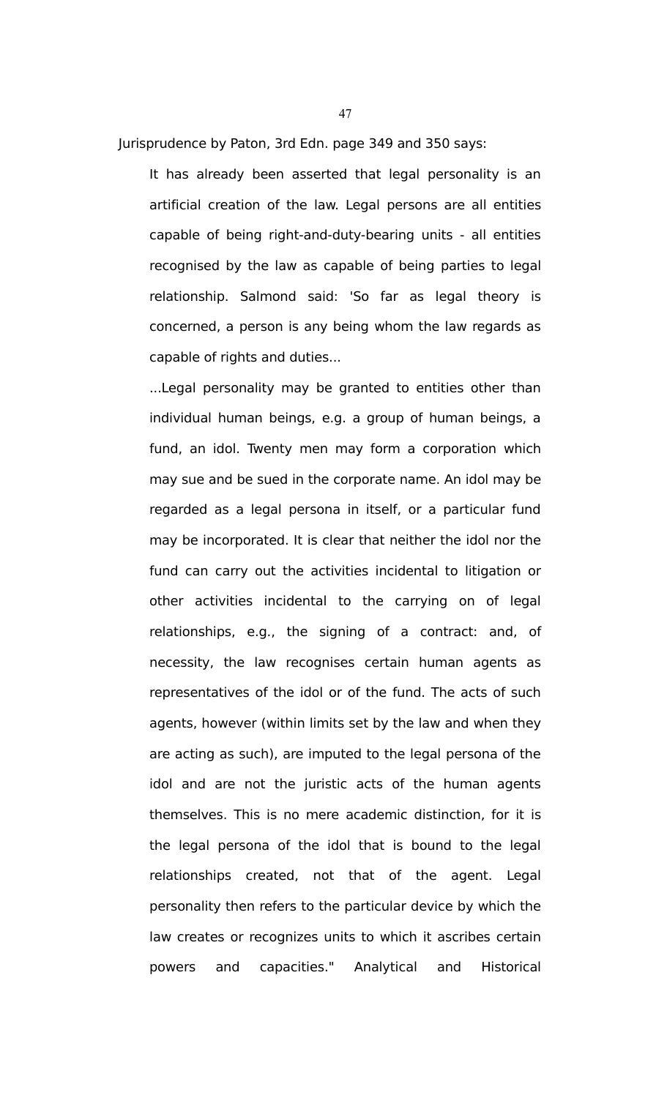Jurisprudence by Paton, 3rd Edn. page 349 and 350 says:

It has already been asserted that legal personality is an artificial creation of the law. Legal persons are all entities capable of being right-and-duty-bearing units - all entities recognised by the law as capable of being parties to legal relationship. Salmond said: 'So far as legal theory is concerned, a person is any being whom the law regards as capable of rights and duties...

...Legal personality may be granted to entities other than individual human beings, e.g. a group of human beings, a fund, an idol. Twenty men may form a corporation which may sue and be sued in the corporate name. An idol may be regarded as a legal persona in itself, or a particular fund may be incorporated. It is clear that neither the idol nor the fund can carry out the activities incidental to litigation or other activities incidental to the carrying on of legal relationships, e.g., the signing of a contract: and, of necessity, the law recognises certain human agents as representatives of the idol or of the fund. The acts of such agents, however (within limits set by the law and when they are acting as such), are imputed to the legal persona of the idol and are not the juristic acts of the human agents themselves. This is no mere academic distinction, for it is the legal persona of the idol that is bound to the legal relationships created, not that of the agent. Legal personality then refers to the particular device by which the law creates or recognizes units to which it ascribes certain powers and capacities." Analytical and Historical

47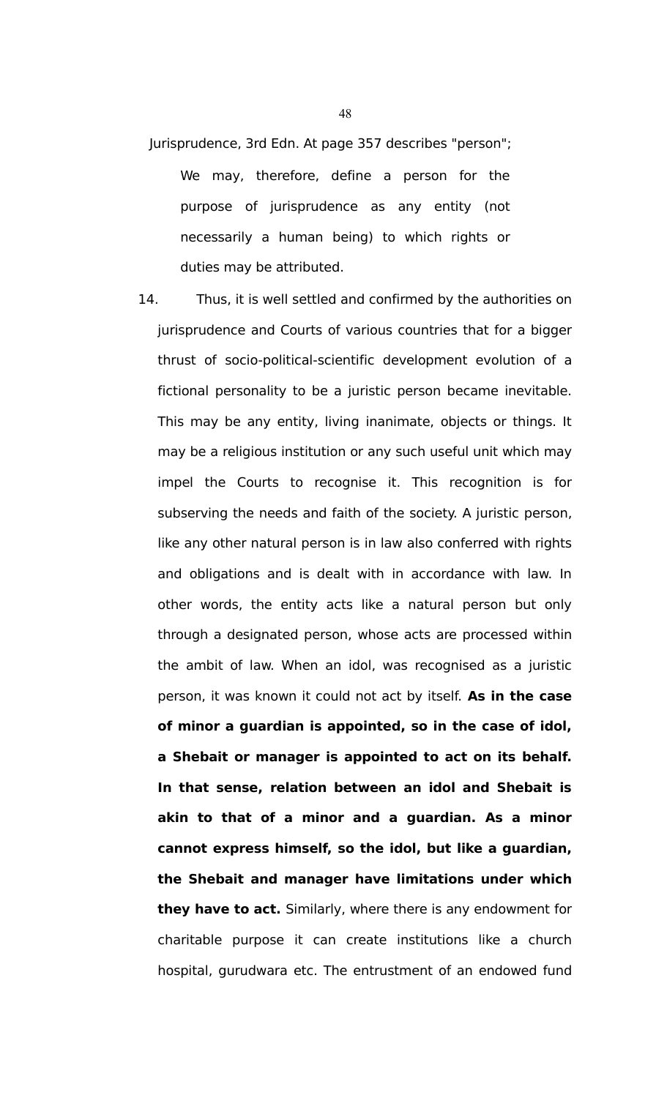- Jurisprudence, 3rd Edn. At page 357 describes "person"; We may, therefore, define a person for the purpose of jurisprudence as any entity (not necessarily a human being) to which rights or duties may be attributed.
- 14. Thus, it is well settled and confirmed by the authorities on jurisprudence and Courts of various countries that for a bigger thrust of socio-political-scientific development evolution of a fictional personality to be a juristic person became inevitable. This may be any entity, living inanimate, objects or things. It may be a religious institution or any such useful unit which may impel the Courts to recognise it. This recognition is for subserving the needs and faith of the society. A juristic person, like any other natural person is in law also conferred with rights and obligations and is dealt with in accordance with law. In other words, the entity acts like a natural person but only through a designated person, whose acts are processed within the ambit of law. When an idol, was recognised as a juristic person, it was known it could not act by itself. **As in the case of minor a guardian is appointed, so in the case of idol, a Shebait or manager is appointed to act on its behalf. In that sense, relation between an idol and Shebait is akin to that of a minor and a guardian. As a minor cannot express himself, so the idol, but like a guardian, the Shebait and manager have limitations under which they have to act.** Similarly, where there is any endowment for charitable purpose it can create institutions like a church hospital, gurudwara etc. The entrustment of an endowed fund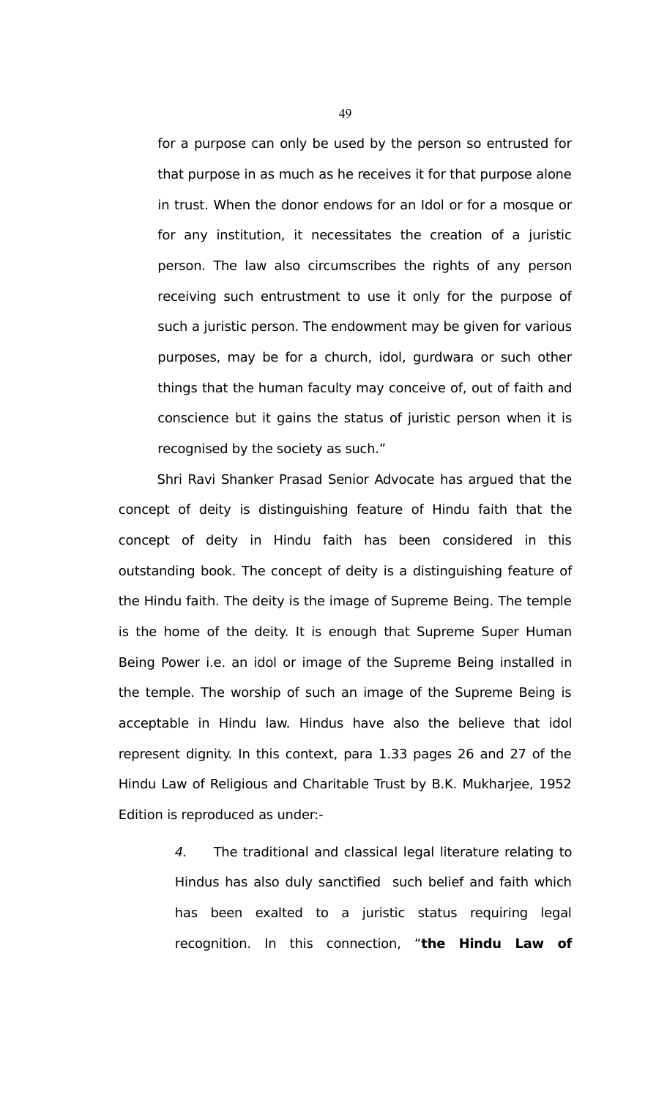for a purpose can only be used by the person so entrusted for that purpose in as much as he receives it for that purpose alone in trust. When the donor endows for an Idol or for a mosque or for any institution, it necessitates the creation of a juristic person. The law also circumscribes the rights of any person receiving such entrustment to use it only for the purpose of such a juristic person. The endowment may be given for various purposes, may be for a church, idol, gurdwara or such other things that the human faculty may conceive of, out of faith and conscience but it gains the status of juristic person when it is recognised by the society as such."

Shri Ravi Shanker Prasad Senior Advocate has argued that the concept of deity is distinguishing feature of Hindu faith that the concept of deity in Hindu faith has been considered in this outstanding book. The concept of deity is a distinguishing feature of the Hindu faith. The deity is the image of Supreme Being. The temple is the home of the deity. It is enough that Supreme Super Human Being Power i.e. an idol or image of the Supreme Being installed in the temple. The worship of such an image of the Supreme Being is acceptable in Hindu law. Hindus have also the believe that idol represent dignity. In this context, para 1.33 pages 26 and 27 of the Hindu Law of Religious and Charitable Trust by B.K. Mukharjee, 1952 Edition is reproduced as under:-

> 4. The traditional and classical legal literature relating to Hindus has also duly sanctified such belief and faith which has been exalted to a juristic status requiring legal recognition. In this connection, "**the Hindu Law of**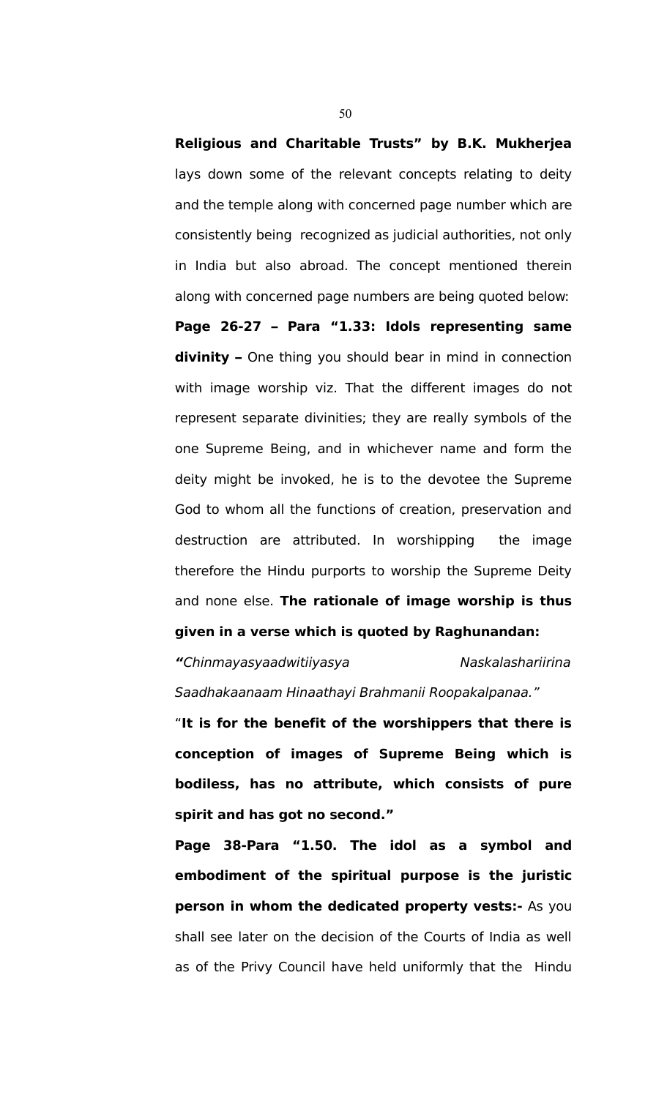**Religious and Charitable Trusts" by B.K. Mukherjea** lays down some of the relevant concepts relating to deity and the temple along with concerned page number which are consistently being recognized as judicial authorities, not only in India but also abroad. The concept mentioned therein along with concerned page numbers are being quoted below:

**Page 26-27 – Para "1.33: Idols representing same divinity –** One thing you should bear in mind in connection with image worship viz. That the different images do not represent separate divinities; they are really symbols of the one Supreme Being, and in whichever name and form the deity might be invoked, he is to the devotee the Supreme God to whom all the functions of creation, preservation and destruction are attributed. In worshipping the image therefore the Hindu purports to worship the Supreme Deity and none else. **The rationale of image worship is thus given in a verse which is quoted by Raghunandan:**

**"**Chinmayasyaadwitiiyasya Naskalashariirina Saadhakaanaam Hinaathayi Brahmanii Roopakalpanaa."

"**It is for the benefit of the worshippers that there is conception of images of Supreme Being which is bodiless, has no attribute, which consists of pure spirit and has got no second."**

**Page 38-Para "1.50. The idol as a symbol and embodiment of the spiritual purpose is the juristic person in whom the dedicated property vests:-** As you shall see later on the decision of the Courts of India as well as of the Privy Council have held uniformly that the Hindu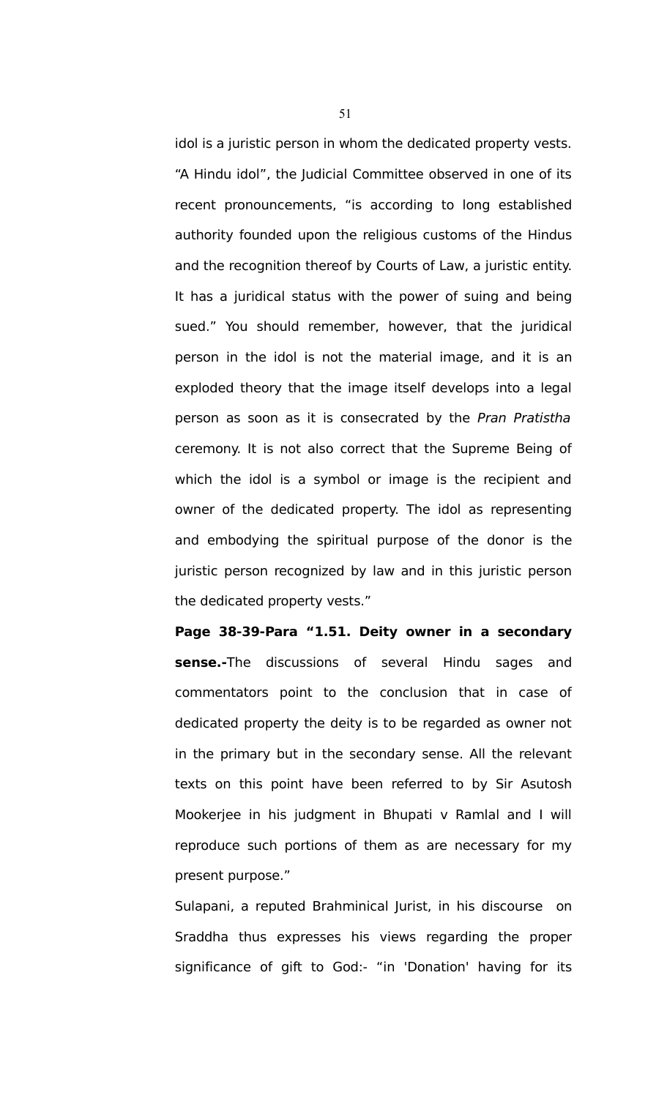idol is a juristic person in whom the dedicated property vests. "A Hindu idol", the Judicial Committee observed in one of its recent pronouncements, "is according to long established authority founded upon the religious customs of the Hindus and the recognition thereof by Courts of Law, a juristic entity. It has a juridical status with the power of suing and being sued." You should remember, however, that the juridical person in the idol is not the material image, and it is an exploded theory that the image itself develops into a legal person as soon as it is consecrated by the Pran Pratistha ceremony. It is not also correct that the Supreme Being of which the idol is a symbol or image is the recipient and owner of the dedicated property. The idol as representing and embodying the spiritual purpose of the donor is the juristic person recognized by law and in this juristic person the dedicated property vests."

**Page 38-39-Para "1.51. Deity owner in a secondary sense.-**The discussions of several Hindu sages and commentators point to the conclusion that in case of dedicated property the deity is to be regarded as owner not in the primary but in the secondary sense. All the relevant texts on this point have been referred to by Sir Asutosh Mookerjee in his judgment in Bhupati v Ramlal and I will reproduce such portions of them as are necessary for my present purpose."

Sulapani, a reputed Brahminical Jurist, in his discourse on Sraddha thus expresses his views regarding the proper significance of gift to God:- "in 'Donation' having for its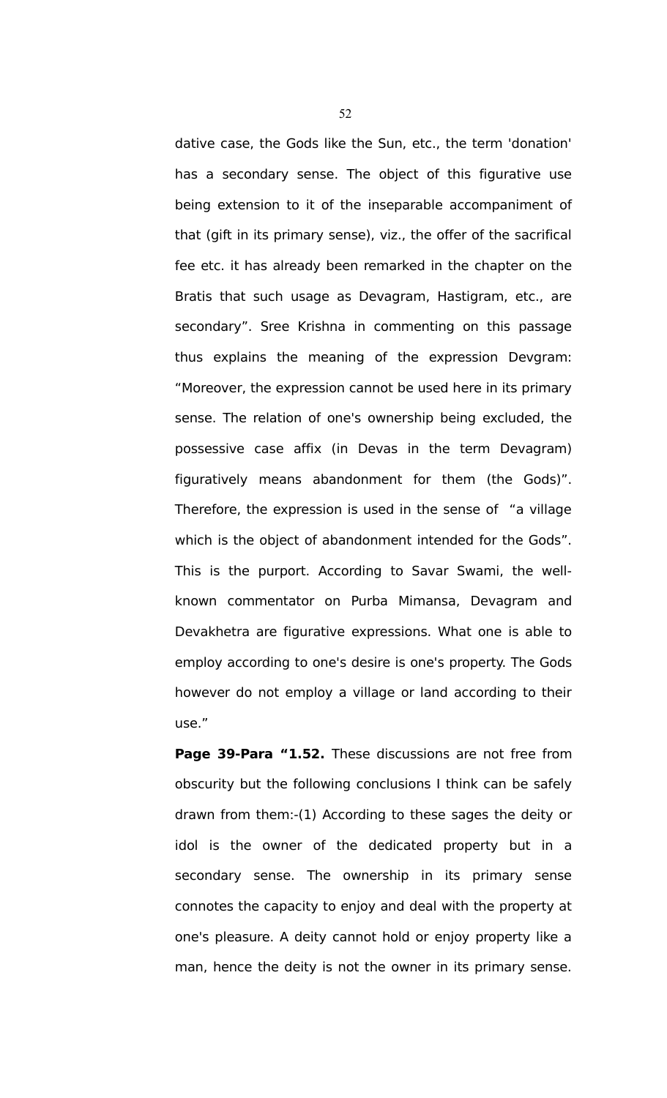dative case, the Gods like the Sun, etc., the term 'donation' has a secondary sense. The object of this figurative use being extension to it of the inseparable accompaniment of that (gift in its primary sense), viz., the offer of the sacrifical fee etc. it has already been remarked in the chapter on the Bratis that such usage as Devagram, Hastigram, etc., are secondary". Sree Krishna in commenting on this passage thus explains the meaning of the expression Devgram: "Moreover, the expression cannot be used here in its primary sense. The relation of one's ownership being excluded, the possessive case affix (in Devas in the term Devagram) figuratively means abandonment for them (the Gods)". Therefore, the expression is used in the sense of "a village which is the object of abandonment intended for the Gods". This is the purport. According to Savar Swami, the wellknown commentator on Purba Mimansa, Devagram and Devakhetra are figurative expressions. What one is able to employ according to one's desire is one's property. The Gods however do not employ a village or land according to their use."

**Page 39-Para "1.52.** These discussions are not free from obscurity but the following conclusions I think can be safely drawn from them:-(1) According to these sages the deity or idol is the owner of the dedicated property but in a secondary sense. The ownership in its primary sense connotes the capacity to enjoy and deal with the property at one's pleasure. A deity cannot hold or enjoy property like a man, hence the deity is not the owner in its primary sense.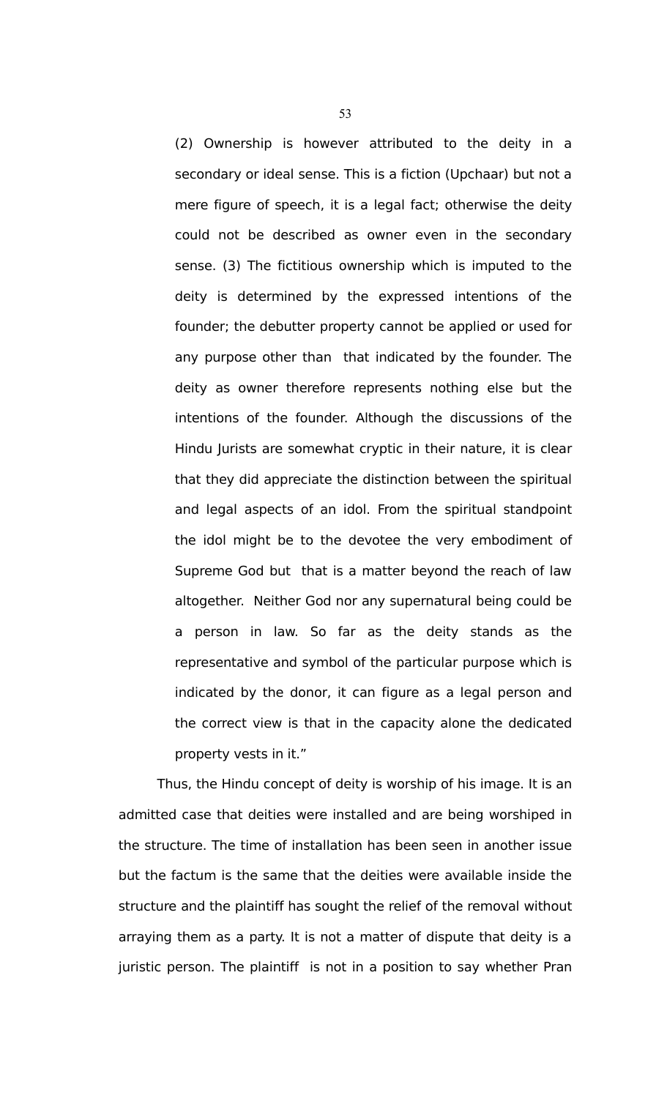(2) Ownership is however attributed to the deity in a secondary or ideal sense. This is a fiction (Upchaar) but not a mere figure of speech, it is a legal fact; otherwise the deity could not be described as owner even in the secondary sense. (3) The fictitious ownership which is imputed to the deity is determined by the expressed intentions of the founder; the debutter property cannot be applied or used for any purpose other than that indicated by the founder. The deity as owner therefore represents nothing else but the intentions of the founder. Although the discussions of the Hindu Jurists are somewhat cryptic in their nature, it is clear that they did appreciate the distinction between the spiritual and legal aspects of an idol. From the spiritual standpoint the idol might be to the devotee the very embodiment of Supreme God but that is a matter beyond the reach of law altogether. Neither God nor any supernatural being could be a person in law. So far as the deity stands as the representative and symbol of the particular purpose which is indicated by the donor, it can figure as a legal person and the correct view is that in the capacity alone the dedicated property vests in it."

Thus, the Hindu concept of deity is worship of his image. It is an admitted case that deities were installed and are being worshiped in the structure. The time of installation has been seen in another issue but the factum is the same that the deities were available inside the structure and the plaintiff has sought the relief of the removal without arraying them as a party. It is not a matter of dispute that deity is a juristic person. The plaintiff is not in a position to say whether Pran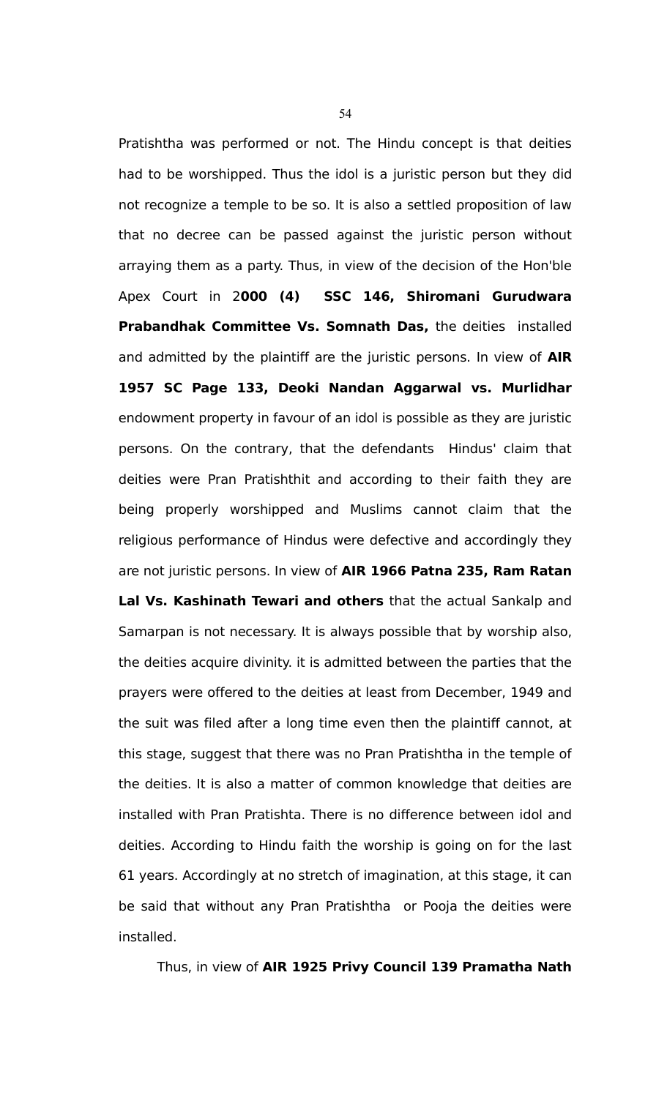Pratishtha was performed or not. The Hindu concept is that deities had to be worshipped. Thus the idol is a juristic person but they did not recognize a temple to be so. It is also a settled proposition of law that no decree can be passed against the juristic person without arraying them as a party. Thus, in view of the decision of the Hon'ble Apex Court in 2**000 (4) SSC 146, Shiromani Gurudwara Prabandhak Committee Vs. Somnath Das,** the deities installed and admitted by the plaintiff are the juristic persons. In view of **AIR 1957 SC Page 133, Deoki Nandan Aggarwal vs. Murlidhar** endowment property in favour of an idol is possible as they are juristic persons. On the contrary, that the defendants Hindus' claim that deities were Pran Pratishthit and according to their faith they are being properly worshipped and Muslims cannot claim that the religious performance of Hindus were defective and accordingly they are not juristic persons. In view of **AIR 1966 Patna 235, Ram Ratan Lal Vs. Kashinath Tewari and others** that the actual Sankalp and Samarpan is not necessary. It is always possible that by worship also, the deities acquire divinity. it is admitted between the parties that the prayers were offered to the deities at least from December, 1949 and the suit was filed after a long time even then the plaintiff cannot, at this stage, suggest that there was no Pran Pratishtha in the temple of the deities. It is also a matter of common knowledge that deities are installed with Pran Pratishta. There is no difference between idol and deities. According to Hindu faith the worship is going on for the last 61 years. Accordingly at no stretch of imagination, at this stage, it can be said that without any Pran Pratishtha or Pooja the deities were installed.

Thus, in view of **AIR 1925 Privy Council 139 Pramatha Nath**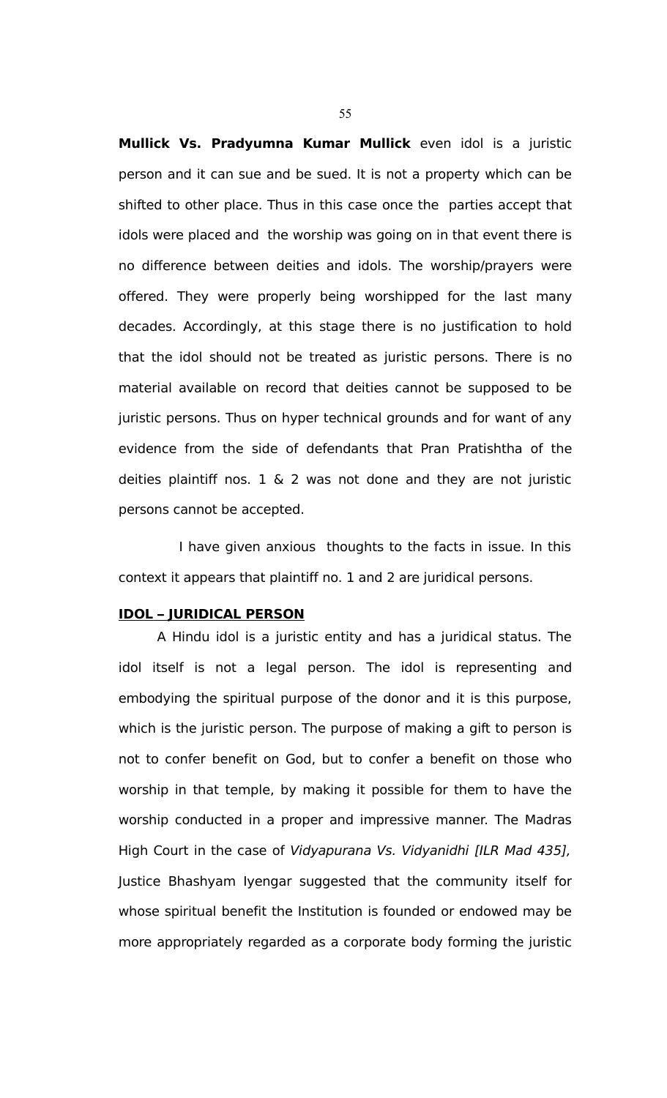**Mullick Vs. Pradyumna Kumar Mullick** even idol is a juristic person and it can sue and be sued. It is not a property which can be shifted to other place. Thus in this case once the parties accept that idols were placed and the worship was going on in that event there is no difference between deities and idols. The worship/prayers were offered. They were properly being worshipped for the last many decades. Accordingly, at this stage there is no justification to hold that the idol should not be treated as juristic persons. There is no material available on record that deities cannot be supposed to be juristic persons. Thus on hyper technical grounds and for want of any evidence from the side of defendants that Pran Pratishtha of the deities plaintiff nos.  $1 \& 2$  was not done and they are not juristic persons cannot be accepted.

 I have given anxious thoughts to the facts in issue. In this context it appears that plaintiff no. 1 and 2 are juridical persons.

#### **IDOL – JURIDICAL PERSON**

A Hindu idol is a juristic entity and has a juridical status. The idol itself is not a legal person. The idol is representing and embodying the spiritual purpose of the donor and it is this purpose, which is the juristic person. The purpose of making a gift to person is not to confer benefit on God, but to confer a benefit on those who worship in that temple, by making it possible for them to have the worship conducted in a proper and impressive manner. The Madras High Court in the case of Vidyapurana Vs. Vidyanidhi [ILR Mad 435], Justice Bhashyam Iyengar suggested that the community itself for whose spiritual benefit the Institution is founded or endowed may be more appropriately regarded as a corporate body forming the juristic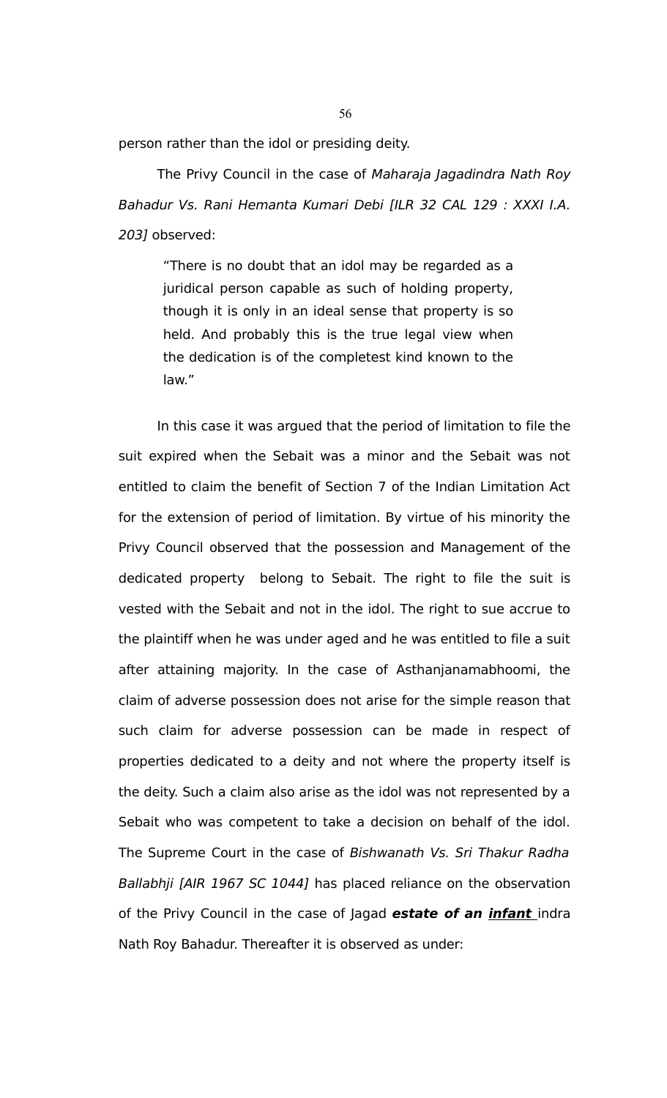person rather than the idol or presiding deity.

The Privy Council in the case of Maharaja Jagadindra Nath Roy Bahadur Vs. Rani Hemanta Kumari Debi [ILR 32 CAL 129 : XXXI I.A. 203] observed:

"There is no doubt that an idol may be regarded as a juridical person capable as such of holding property, though it is only in an ideal sense that property is so held. And probably this is the true legal view when the dedication is of the completest kind known to the law."

In this case it was argued that the period of limitation to file the suit expired when the Sebait was a minor and the Sebait was not entitled to claim the benefit of Section 7 of the Indian Limitation Act for the extension of period of limitation. By virtue of his minority the Privy Council observed that the possession and Management of the dedicated property belong to Sebait. The right to file the suit is vested with the Sebait and not in the idol. The right to sue accrue to the plaintiff when he was under aged and he was entitled to file a suit after attaining majority. In the case of Asthanjanamabhoomi, the claim of adverse possession does not arise for the simple reason that such claim for adverse possession can be made in respect of properties dedicated to a deity and not where the property itself is the deity. Such a claim also arise as the idol was not represented by a Sebait who was competent to take a decision on behalf of the idol. The Supreme Court in the case of Bishwanath Vs. Sri Thakur Radha Ballabhji [AIR 1967 SC 1044] has placed reliance on the observation of the Privy Council in the case of Jagad **estate of an infant** indra Nath Roy Bahadur. Thereafter it is observed as under: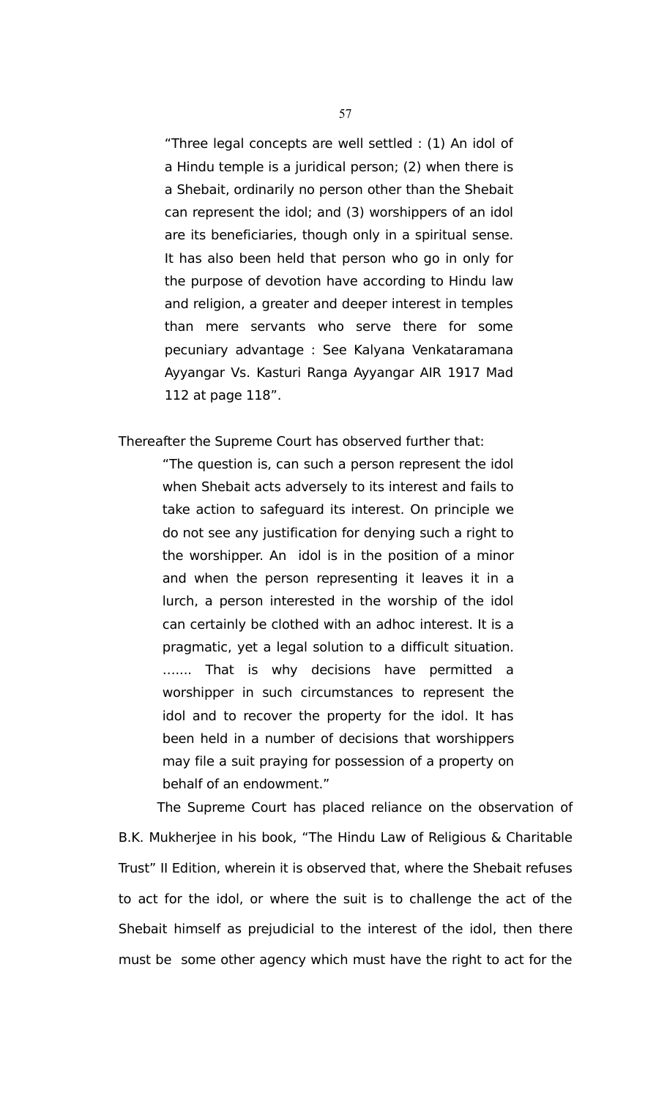"Three legal concepts are well settled : (1) An idol of a Hindu temple is a juridical person; (2) when there is a Shebait, ordinarily no person other than the Shebait can represent the idol; and (3) worshippers of an idol are its beneficiaries, though only in a spiritual sense. It has also been held that person who go in only for the purpose of devotion have according to Hindu law and religion, a greater and deeper interest in temples than mere servants who serve there for some pecuniary advantage : See Kalyana Venkataramana Ayyangar Vs. Kasturi Ranga Ayyangar AIR 1917 Mad 112 at page 118".

Thereafter the Supreme Court has observed further that:

"The question is, can such a person represent the idol when Shebait acts adversely to its interest and fails to take action to safeguard its interest. On principle we do not see any justification for denying such a right to the worshipper. An idol is in the position of a minor and when the person representing it leaves it in a lurch, a person interested in the worship of the idol can certainly be clothed with an adhoc interest. It is a pragmatic, yet a legal solution to a difficult situation. ….... That is why decisions have permitted a worshipper in such circumstances to represent the idol and to recover the property for the idol. It has been held in a number of decisions that worshippers may file a suit praying for possession of a property on behalf of an endowment."

The Supreme Court has placed reliance on the observation of B.K. Mukherjee in his book, "The Hindu Law of Religious & Charitable Trust" II Edition, wherein it is observed that, where the Shebait refuses to act for the idol, or where the suit is to challenge the act of the Shebait himself as prejudicial to the interest of the idol, then there must be some other agency which must have the right to act for the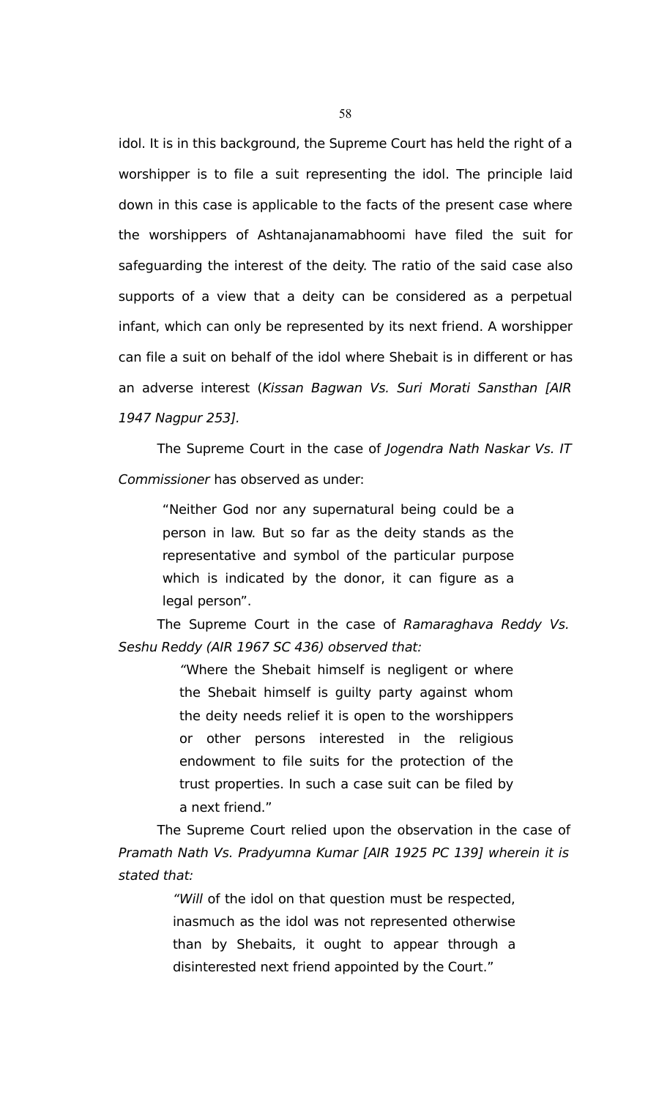idol. It is in this background, the Supreme Court has held the right of a worshipper is to file a suit representing the idol. The principle laid down in this case is applicable to the facts of the present case where the worshippers of Ashtanajanamabhoomi have filed the suit for safeguarding the interest of the deity. The ratio of the said case also supports of a view that a deity can be considered as a perpetual infant, which can only be represented by its next friend. A worshipper can file a suit on behalf of the idol where Shebait is in different or has an adverse interest (Kissan Bagwan Vs. Suri Morati Sansthan [AIR 1947 Nagpur 253].

The Supreme Court in the case of Jogendra Nath Naskar Vs. IT Commissioner has observed as under:

"Neither God nor any supernatural being could be a person in law. But so far as the deity stands as the representative and symbol of the particular purpose which is indicated by the donor, it can figure as a legal person".

The Supreme Court in the case of Ramaraghava Reddy Vs. Seshu Reddy (AIR 1967 SC 436) observed that:

> "Where the Shebait himself is negligent or where the Shebait himself is guilty party against whom the deity needs relief it is open to the worshippers or other persons interested in the religious endowment to file suits for the protection of the trust properties. In such a case suit can be filed by a next friend."

The Supreme Court relied upon the observation in the case of Pramath Nath Vs. Pradyumna Kumar [AIR 1925 PC 139] wherein it is stated that:

> "Will of the idol on that question must be respected, inasmuch as the idol was not represented otherwise than by Shebaits, it ought to appear through a disinterested next friend appointed by the Court."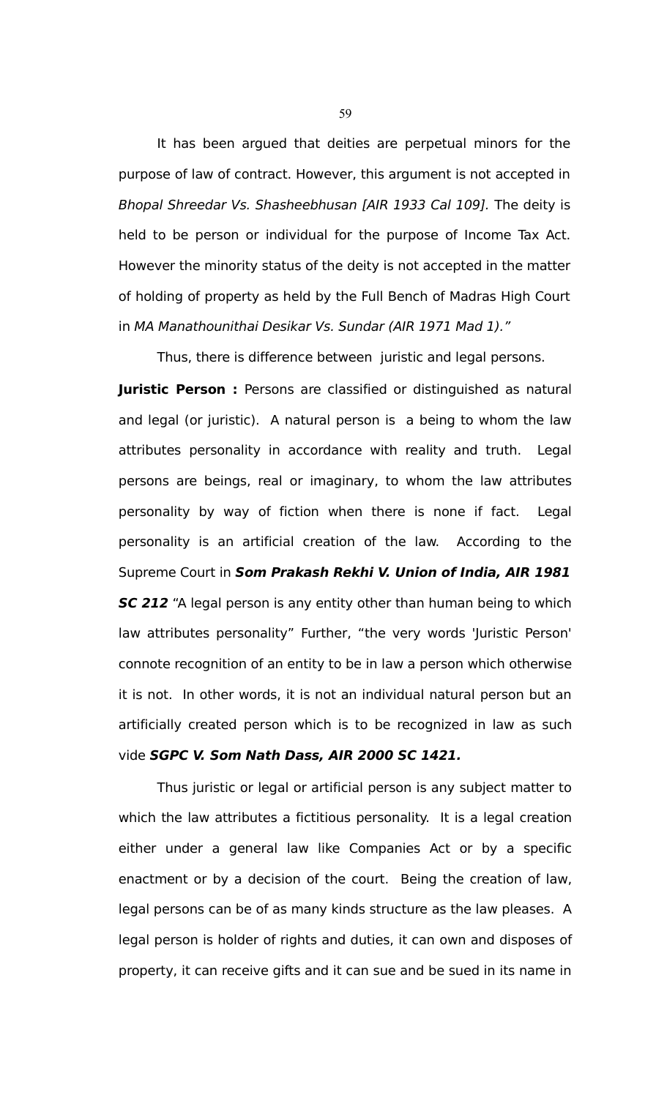It has been argued that deities are perpetual minors for the purpose of law of contract. However, this argument is not accepted in Bhopal Shreedar Vs. Shasheebhusan [AIR 1933 Cal 109]. The deity is held to be person or individual for the purpose of Income Tax Act. However the minority status of the deity is not accepted in the matter of holding of property as held by the Full Bench of Madras High Court in MA Manathounithai Desikar Vs. Sundar (AIR 1971 Mad 1)."

Thus, there is difference between juristic and legal persons. **Juristic Person:** Persons are classified or distinguished as natural and legal (or juristic). A natural person is a being to whom the law attributes personality in accordance with reality and truth. Legal persons are beings, real or imaginary, to whom the law attributes personality by way of fiction when there is none if fact. Legal personality is an artificial creation of the law. According to the Supreme Court in **Som Prakash Rekhi V. Union of India, AIR 1981 SC 212** "A legal person is any entity other than human being to which law attributes personality" Further, "the very words 'Juristic Person' connote recognition of an entity to be in law a person which otherwise it is not. In other words, it is not an individual natural person but an artificially created person which is to be recognized in law as such vide **SGPC V. Som Nath Dass, AIR 2000 SC 1421.**

Thus juristic or legal or artificial person is any subject matter to which the law attributes a fictitious personality. It is a legal creation either under a general law like Companies Act or by a specific enactment or by a decision of the court. Being the creation of law, legal persons can be of as many kinds structure as the law pleases. A legal person is holder of rights and duties, it can own and disposes of property, it can receive gifts and it can sue and be sued in its name in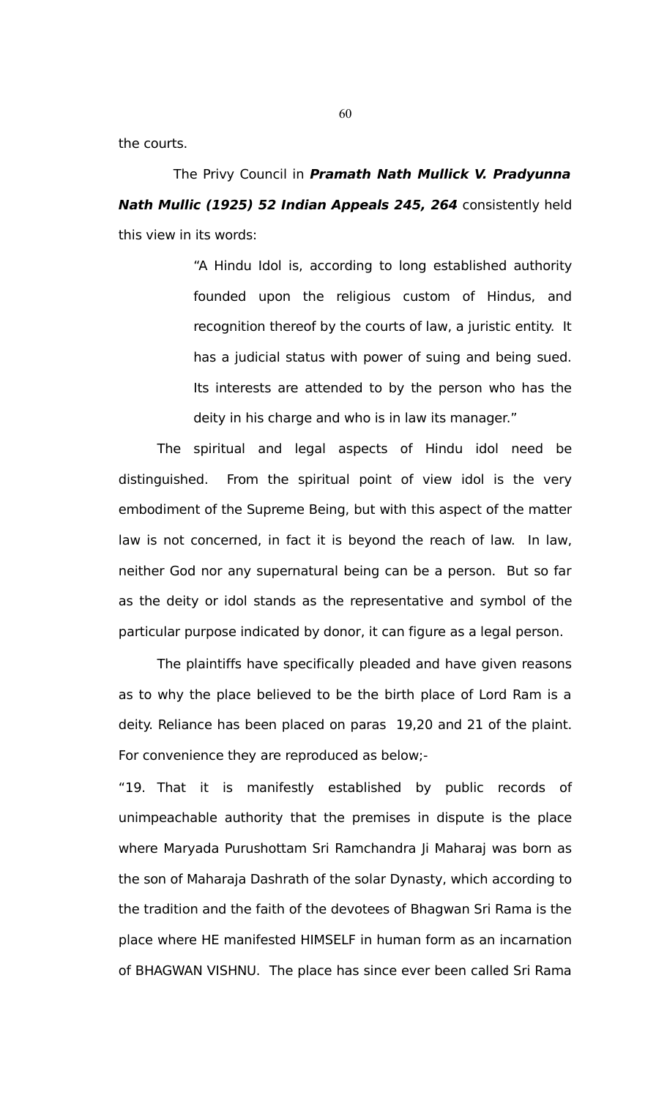the courts.

 The Privy Council in **Pramath Nath Mullick V. Pradyunna Nath Mullic (1925) 52 Indian Appeals 245, 264** consistently held this view in its words:

> "A Hindu Idol is, according to long established authority founded upon the religious custom of Hindus, and recognition thereof by the courts of law, a juristic entity. It has a judicial status with power of suing and being sued. Its interests are attended to by the person who has the deity in his charge and who is in law its manager."

The spiritual and legal aspects of Hindu idol need be distinguished. From the spiritual point of view idol is the very embodiment of the Supreme Being, but with this aspect of the matter law is not concerned, in fact it is beyond the reach of law. In law, neither God nor any supernatural being can be a person. But so far as the deity or idol stands as the representative and symbol of the particular purpose indicated by donor, it can figure as a legal person.

The plaintiffs have specifically pleaded and have given reasons as to why the place believed to be the birth place of Lord Ram is a deity. Reliance has been placed on paras 19,20 and 21 of the plaint. For convenience they are reproduced as below;-

"19. That it is manifestly established by public records of unimpeachable authority that the premises in dispute is the place where Maryada Purushottam Sri Ramchandra Ji Maharaj was born as the son of Maharaja Dashrath of the solar Dynasty, which according to the tradition and the faith of the devotees of Bhagwan Sri Rama is the place where HE manifested HIMSELF in human form as an incarnation of BHAGWAN VISHNU. The place has since ever been called Sri Rama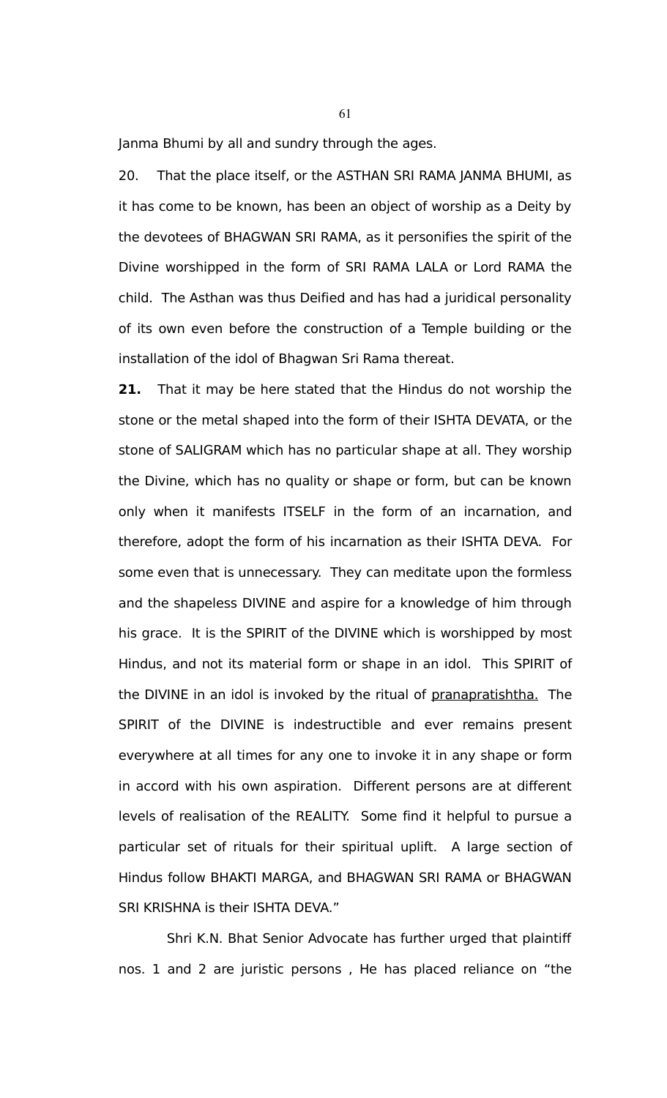Janma Bhumi by all and sundry through the ages.

20. That the place itself, or the ASTHAN SRI RAMA JANMA BHUMI, as it has come to be known, has been an object of worship as a Deity by the devotees of BHAGWAN SRI RAMA, as it personifies the spirit of the Divine worshipped in the form of SRI RAMA LALA or Lord RAMA the child. The Asthan was thus Deified and has had a juridical personality of its own even before the construction of a Temple building or the installation of the idol of Bhagwan Sri Rama thereat.

**21.** That it may be here stated that the Hindus do not worship the stone or the metal shaped into the form of their ISHTA DEVATA, or the stone of SALIGRAM which has no particular shape at all. They worship the Divine, which has no quality or shape or form, but can be known only when it manifests ITSELF in the form of an incarnation, and therefore, adopt the form of his incarnation as their ISHTA DEVA. For some even that is unnecessary. They can meditate upon the formless and the shapeless DIVINE and aspire for a knowledge of him through his grace. It is the SPIRIT of the DIVINE which is worshipped by most Hindus, and not its material form or shape in an idol. This SPIRIT of the DIVINE in an idol is invoked by the ritual of pranapratishtha. The SPIRIT of the DIVINE is indestructible and ever remains present everywhere at all times for any one to invoke it in any shape or form in accord with his own aspiration. Different persons are at different levels of realisation of the REALITY. Some find it helpful to pursue a particular set of rituals for their spiritual uplift. A large section of Hindus follow BHAKTI MARGA, and BHAGWAN SRI RAMA or BHAGWAN SRI KRISHNA is their ISHTA DEVA."

 Shri K.N. Bhat Senior Advocate has further urged that plaintiff nos. 1 and 2 are juristic persons , He has placed reliance on "the

61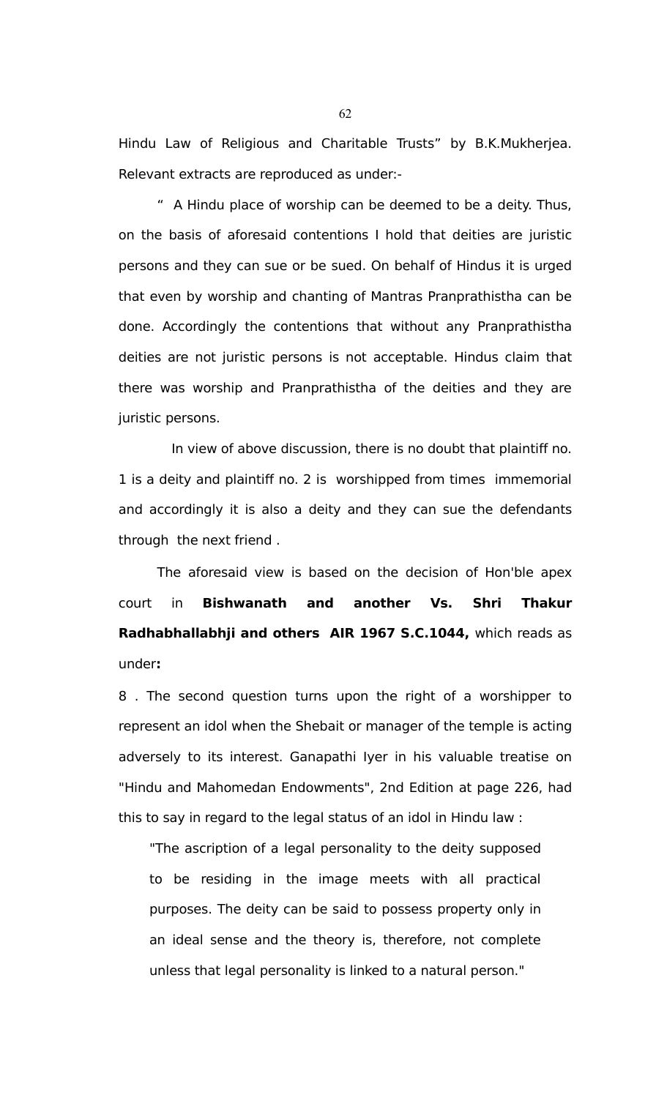Hindu Law of Religious and Charitable Trusts" by B.K.Mukherjea. Relevant extracts are reproduced as under:-

" A Hindu place of worship can be deemed to be a deity. Thus, on the basis of aforesaid contentions I hold that deities are juristic persons and they can sue or be sued. On behalf of Hindus it is urged that even by worship and chanting of Mantras Pranprathistha can be done. Accordingly the contentions that without any Pranprathistha deities are not juristic persons is not acceptable. Hindus claim that there was worship and Pranprathistha of the deities and they are juristic persons.

 In view of above discussion, there is no doubt that plaintiff no. 1 is a deity and plaintiff no. 2 is worshipped from times immemorial and accordingly it is also a deity and they can sue the defendants through the next friend .

The aforesaid view is based on the decision of Hon'ble apex court in **Bishwanath and another Vs. Shri Thakur Radhabhallabhji and others AIR 1967 S.C.1044,** which reads as under**:** 

8 . The second question turns upon the right of a worshipper to represent an idol when the Shebait or manager of the temple is acting adversely to its interest. Ganapathi Iyer in his valuable treatise on "Hindu and Mahomedan Endowments", 2nd Edition at page 226, had this to say in regard to the legal status of an idol in Hindu law :

"The ascription of a legal personality to the deity supposed to be residing in the image meets with all practical purposes. The deity can be said to possess property only in an ideal sense and the theory is, therefore, not complete unless that legal personality is linked to a natural person."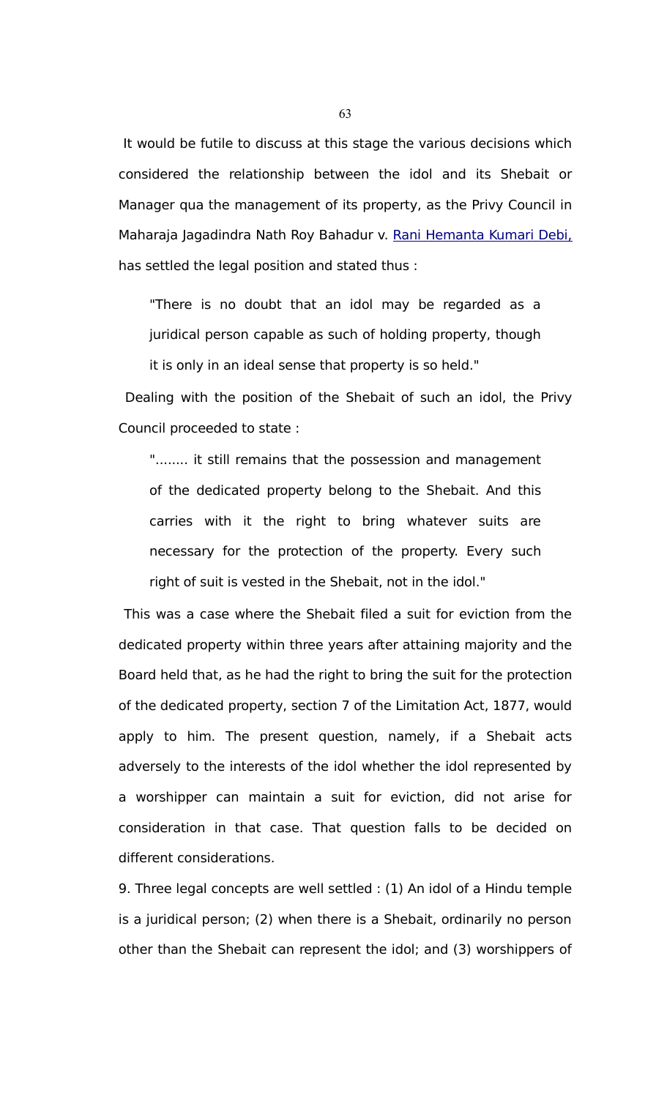It would be futile to discuss at this stage the various decisions which considered the relationship between the idol and its Shebait or Manager qua the management of its property, as the Privy Council in Maharaja Jagadindra Nath Roy Bahadur v. [Rani Hemanta Kumari Debi,](javascript:fnOpenGlobalPopUp() has settled the legal position and stated thus :

"There is no doubt that an idol may be regarded as a juridical person capable as such of holding property, though it is only in an ideal sense that property is so held."

 Dealing with the position of the Shebait of such an idol, the Privy Council proceeded to state :

"........ it still remains that the possession and management of the dedicated property belong to the Shebait. And this carries with it the right to bring whatever suits are necessary for the protection of the property. Every such right of suit is vested in the Shebait, not in the idol."

 This was a case where the Shebait filed a suit for eviction from the dedicated property within three years after attaining majority and the Board held that, as he had the right to bring the suit for the protection of the dedicated property, section 7 of the Limitation Act, 1877, would apply to him. The present question, namely, if a Shebait acts adversely to the interests of the idol whether the idol represented by a worshipper can maintain a suit for eviction, did not arise for consideration in that case. That question falls to be decided on different considerations.

9. Three legal concepts are well settled : (1) An idol of a Hindu temple is a juridical person; (2) when there is a Shebait, ordinarily no person other than the Shebait can represent the idol; and (3) worshippers of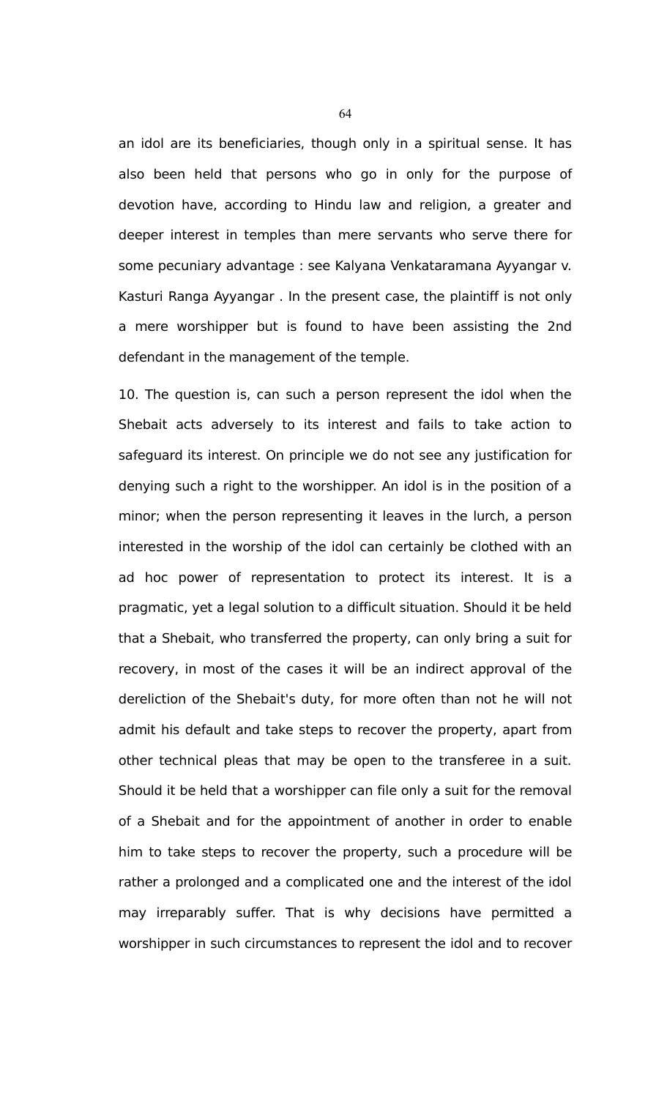an idol are its beneficiaries, though only in a spiritual sense. It has also been held that persons who go in only for the purpose of devotion have, according to Hindu law and religion, a greater and deeper interest in temples than mere servants who serve there for some pecuniary advantage : see Kalyana Venkataramana Ayyangar v. Kasturi Ranga Ayyangar . In the present case, the plaintiff is not only a mere worshipper but is found to have been assisting the 2nd defendant in the management of the temple.

10. The question is, can such a person represent the idol when the Shebait acts adversely to its interest and fails to take action to safeguard its interest. On principle we do not see any justification for denying such a right to the worshipper. An idol is in the position of a minor; when the person representing it leaves in the lurch, a person interested in the worship of the idol can certainly be clothed with an ad hoc power of representation to protect its interest. It is a pragmatic, yet a legal solution to a difficult situation. Should it be held that a Shebait, who transferred the property, can only bring a suit for recovery, in most of the cases it will be an indirect approval of the dereliction of the Shebait's duty, for more often than not he will not admit his default and take steps to recover the property, apart from other technical pleas that may be open to the transferee in a suit. Should it be held that a worshipper can file only a suit for the removal of a Shebait and for the appointment of another in order to enable him to take steps to recover the property, such a procedure will be rather a prolonged and a complicated one and the interest of the idol may irreparably suffer. That is why decisions have permitted a worshipper in such circumstances to represent the idol and to recover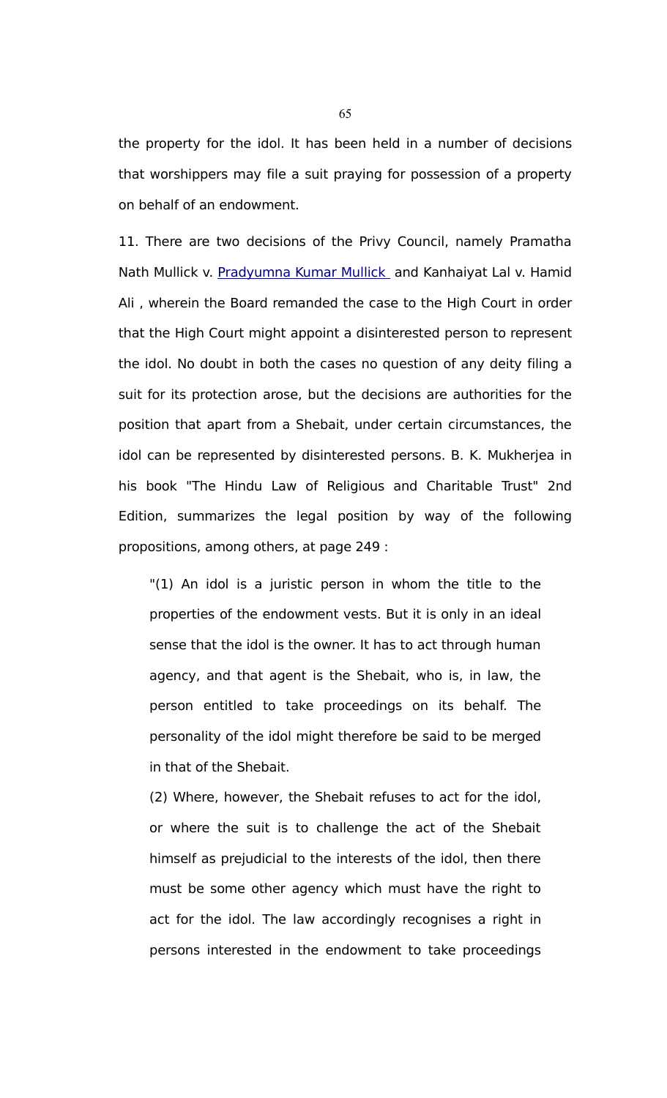the property for the idol. It has been held in a number of decisions that worshippers may file a suit praying for possession of a property on behalf of an endowment.

11. There are two decisions of the Privy Council, namely Pramatha Nath Mullick v. [Pradyumna Kumar Mullick](javascript:fnOpenGlobalPopUp() and Kanhaiyat Lal v. Hamid Ali , wherein the Board remanded the case to the High Court in order that the High Court might appoint a disinterested person to represent the idol. No doubt in both the cases no question of any deity filing a suit for its protection arose, but the decisions are authorities for the position that apart from a Shebait, under certain circumstances, the idol can be represented by disinterested persons. B. K. Mukherjea in his book "The Hindu Law of Religious and Charitable Trust" 2nd Edition, summarizes the legal position by way of the following propositions, among others, at page 249 :

"(1) An idol is a juristic person in whom the title to the properties of the endowment vests. But it is only in an ideal sense that the idol is the owner. It has to act through human agency, and that agent is the Shebait, who is, in law, the person entitled to take proceedings on its behalf. The personality of the idol might therefore be said to be merged in that of the Shebait.

(2) Where, however, the Shebait refuses to act for the idol, or where the suit is to challenge the act of the Shebait himself as prejudicial to the interests of the idol, then there must be some other agency which must have the right to act for the idol. The law accordingly recognises a right in persons interested in the endowment to take proceedings

65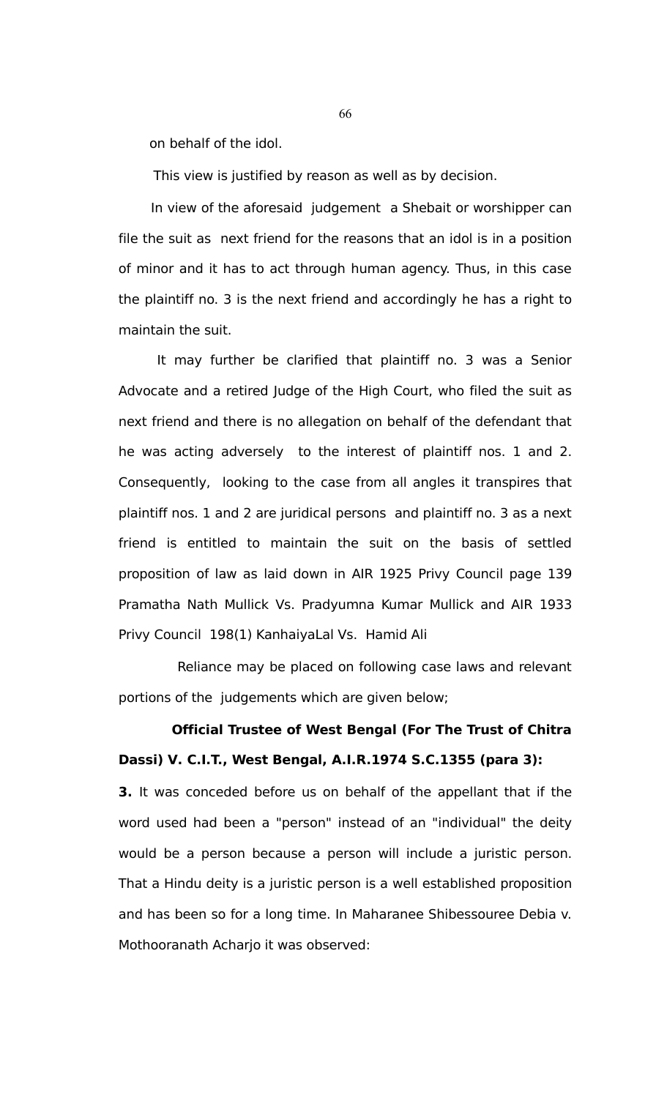on behalf of the idol.

This view is justified by reason as well as by decision.

In view of the aforesaid judgement a Shebait or worshipper can file the suit as next friend for the reasons that an idol is in a position of minor and it has to act through human agency. Thus, in this case the plaintiff no. 3 is the next friend and accordingly he has a right to maintain the suit.

It may further be clarified that plaintiff no. 3 was a Senior Advocate and a retired Judge of the High Court, who filed the suit as next friend and there is no allegation on behalf of the defendant that he was acting adversely to the interest of plaintiff nos. 1 and 2. Consequently, looking to the case from all angles it transpires that plaintiff nos. 1 and 2 are juridical persons and plaintiff no. 3 as a next friend is entitled to maintain the suit on the basis of settled proposition of law as laid down in AIR 1925 Privy Council page 139 Pramatha Nath Mullick Vs. Pradyumna Kumar Mullick and AIR 1933 Privy Council 198(1) KanhaiyaLal Vs. Hamid Ali

Reliance may be placed on following case laws and relevant portions of the judgements which are given below;

# **Official Trustee of West Bengal (For The Trust of Chitra Dassi) V. C.I.T., West Bengal, A.I.R.1974 S.C.1355 (para 3):**

**3.** It was conceded before us on behalf of the appellant that if the word used had been a "person" instead of an "individual" the deity would be a person because a person will include a juristic person. That a Hindu deity is a juristic person is a well established proposition and has been so for a long time. In Maharanee Shibessouree Debia v. Mothooranath Acharjo it was observed: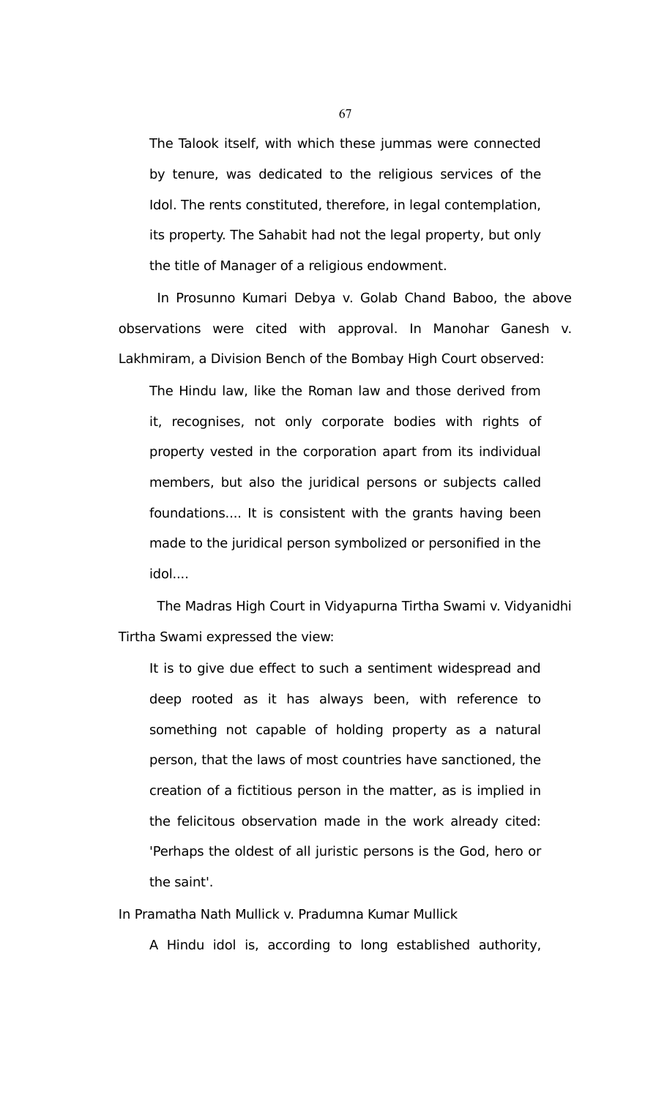The Talook itself, with which these jummas were connected by tenure, was dedicated to the religious services of the Idol. The rents constituted, therefore, in legal contemplation, its property. The Sahabit had not the legal property, but only the title of Manager of a religious endowment.

In Prosunno Kumari Debya v. Golab Chand Baboo, the above observations were cited with approval. In Manohar Ganesh v. Lakhmiram, a Division Bench of the Bombay High Court observed:

The Hindu law, like the Roman law and those derived from it, recognises, not only corporate bodies with rights of property vested in the corporation apart from its individual members, but also the juridical persons or subjects called foundations.... It is consistent with the grants having been made to the juridical person symbolized or personified in the idol....

The Madras High Court in Vidyapurna Tirtha Swami v. Vidyanidhi Tirtha Swami expressed the view:

It is to give due effect to such a sentiment widespread and deep rooted as it has always been, with reference to something not capable of holding property as a natural person, that the laws of most countries have sanctioned, the creation of a fictitious person in the matter, as is implied in the felicitous observation made in the work already cited: 'Perhaps the oldest of all juristic persons is the God, hero or the saint'.

In Pramatha Nath Mullick v. Pradumna Kumar Mullick

A Hindu idol is, according to long established authority,

67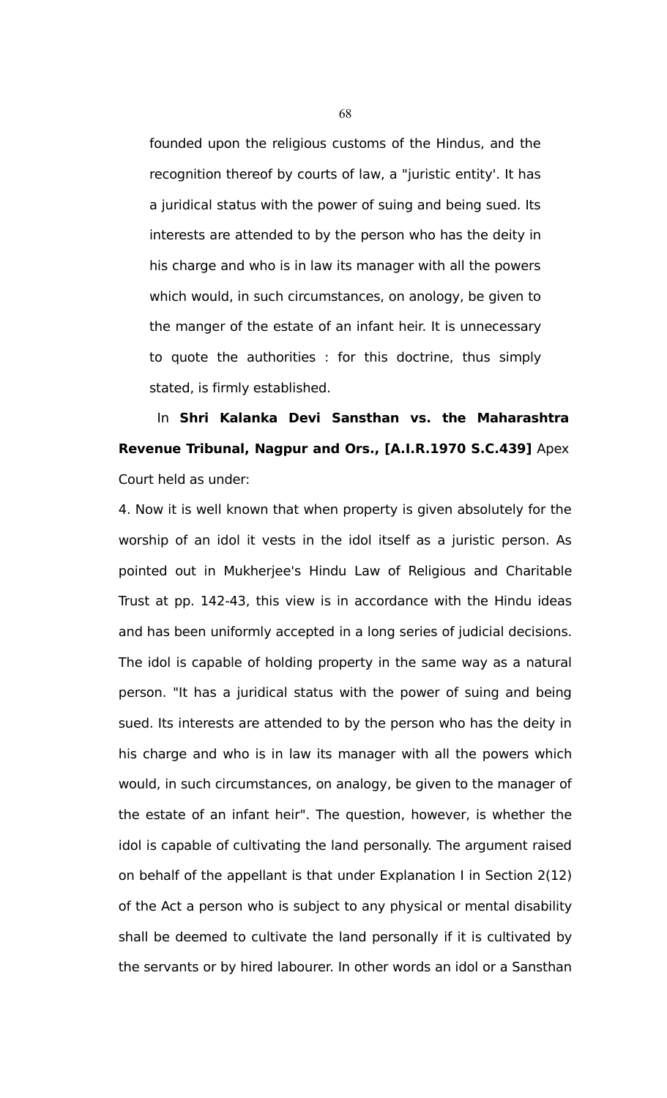founded upon the religious customs of the Hindus, and the recognition thereof by courts of law, a "juristic entity'. It has a juridical status with the power of suing and being sued. Its interests are attended to by the person who has the deity in his charge and who is in law its manager with all the powers which would, in such circumstances, on anology, be given to the manger of the estate of an infant heir. It is unnecessary to quote the authorities : for this doctrine, thus simply stated, is firmly established.

In **Shri Kalanka Devi Sansthan vs. the Maharashtra Revenue Tribunal, Nagpur and Ors., [A.I.R.1970 S.C.439]** Apex Court held as under:

4. Now it is well known that when property is given absolutely for the worship of an idol it vests in the idol itself as a juristic person. As pointed out in Mukherjee's Hindu Law of Religious and Charitable Trust at pp. 142-43, this view is in accordance with the Hindu ideas and has been uniformly accepted in a long series of judicial decisions. The idol is capable of holding property in the same way as a natural person. "It has a juridical status with the power of suing and being sued. Its interests are attended to by the person who has the deity in his charge and who is in law its manager with all the powers which would, in such circumstances, on analogy, be given to the manager of the estate of an infant heir". The question, however, is whether the idol is capable of cultivating the land personally. The argument raised on behalf of the appellant is that under Explanation I in Section 2(12) of the Act a person who is subject to any physical or mental disability shall be deemed to cultivate the land personally if it is cultivated by the servants or by hired labourer. In other words an idol or a Sansthan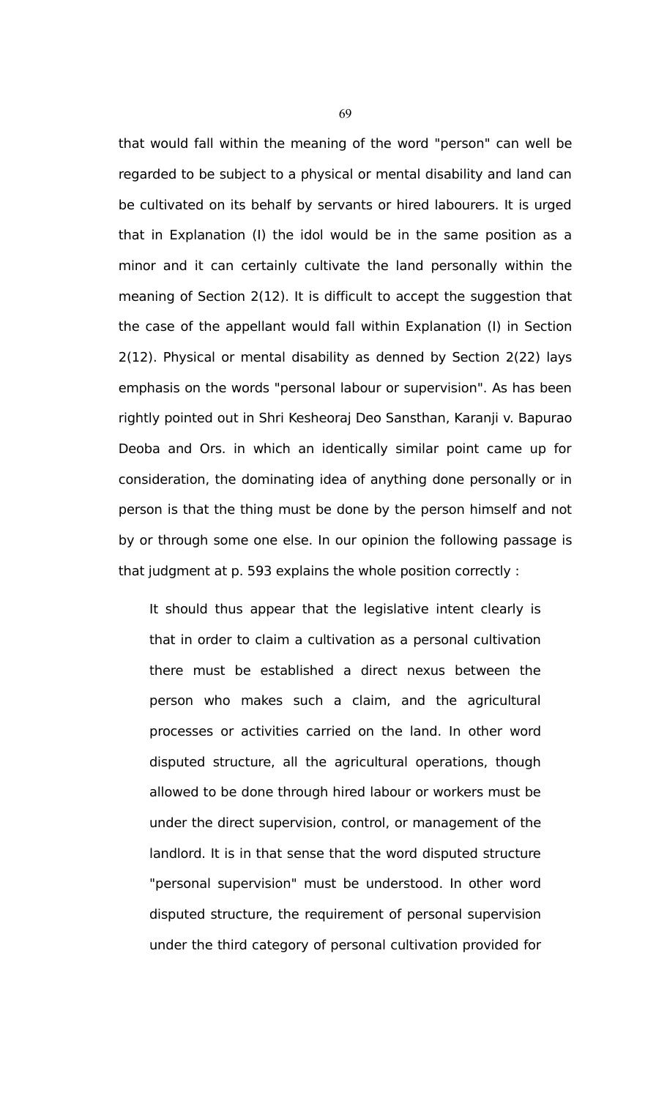that would fall within the meaning of the word "person" can well be regarded to be subject to a physical or mental disability and land can be cultivated on its behalf by servants or hired labourers. It is urged that in Explanation (I) the idol would be in the same position as a minor and it can certainly cultivate the land personally within the meaning of Section 2(12). It is difficult to accept the suggestion that the case of the appellant would fall within Explanation (I) in Section 2(12). Physical or mental disability as denned by Section 2(22) lays emphasis on the words "personal labour or supervision". As has been rightly pointed out in Shri Kesheoraj Deo Sansthan, Karanji v. Bapurao Deoba and Ors. in which an identically similar point came up for consideration, the dominating idea of anything done personally or in person is that the thing must be done by the person himself and not by or through some one else. In our opinion the following passage is that judgment at p. 593 explains the whole position correctly :

It should thus appear that the legislative intent clearly is that in order to claim a cultivation as a personal cultivation there must be established a direct nexus between the person who makes such a claim, and the agricultural processes or activities carried on the land. In other word disputed structure, all the agricultural operations, though allowed to be done through hired labour or workers must be under the direct supervision, control, or management of the landlord. It is in that sense that the word disputed structure "personal supervision" must be understood. In other word disputed structure, the requirement of personal supervision under the third category of personal cultivation provided for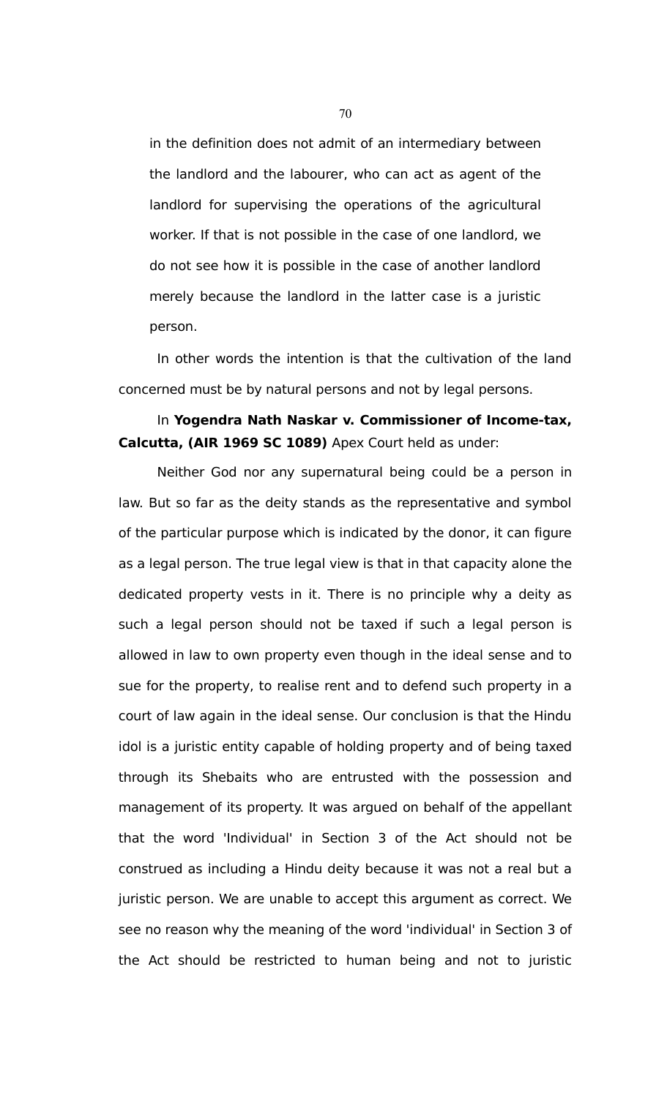in the definition does not admit of an intermediary between the landlord and the labourer, who can act as agent of the landlord for supervising the operations of the agricultural worker. If that is not possible in the case of one landlord, we do not see how it is possible in the case of another landlord merely because the landlord in the latter case is a juristic person.

In other words the intention is that the cultivation of the land concerned must be by natural persons and not by legal persons.

### In **Yogendra Nath Naskar v. Commissioner of Income-tax, Calcutta, (AIR 1969 SC 1089)** Apex Court held as under:

Neither God nor any supernatural being could be a person in law. But so far as the deity stands as the representative and symbol of the particular purpose which is indicated by the donor, it can figure as a legal person. The true legal view is that in that capacity alone the dedicated property vests in it. There is no principle why a deity as such a legal person should not be taxed if such a legal person is allowed in law to own property even though in the ideal sense and to sue for the property, to realise rent and to defend such property in a court of law again in the ideal sense. Our conclusion is that the Hindu idol is a juristic entity capable of holding property and of being taxed through its Shebaits who are entrusted with the possession and management of its property. It was argued on behalf of the appellant that the word 'Individual' in Section 3 of the Act should not be construed as including a Hindu deity because it was not a real but a juristic person. We are unable to accept this argument as correct. We see no reason why the meaning of the word 'individual' in Section 3 of the Act should be restricted to human being and not to juristic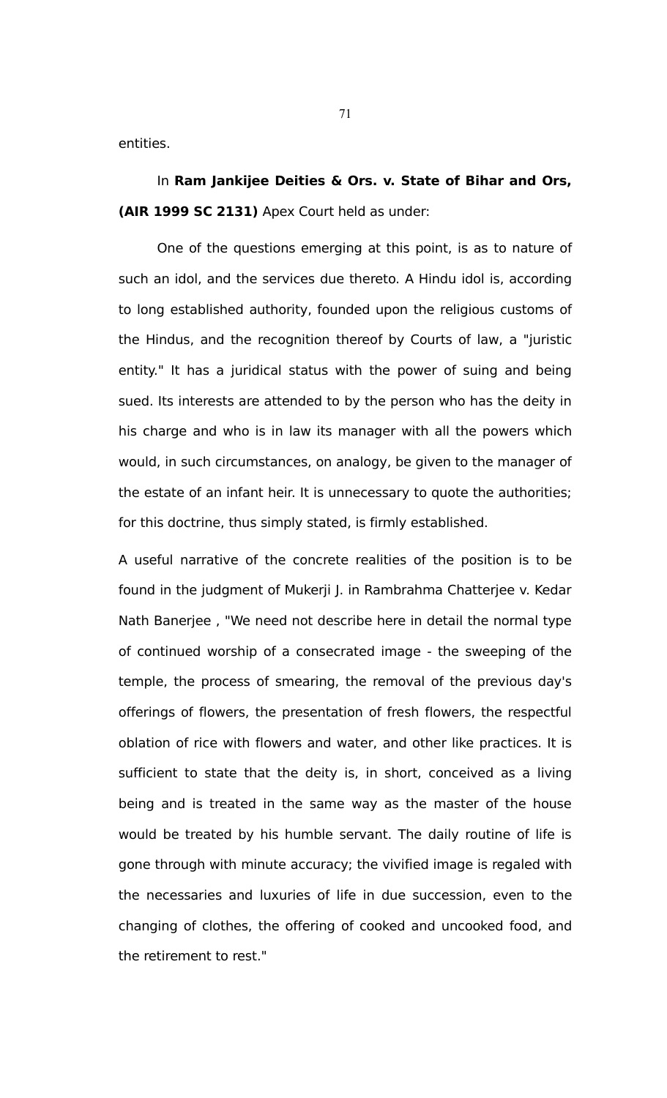entities.

In **Ram Jankijee Deities & Ors. v. State of Bihar and Ors, (AIR 1999 SC 2131)** Apex Court held as under:

One of the questions emerging at this point, is as to nature of such an idol, and the services due thereto. A Hindu idol is, according to long established authority, founded upon the religious customs of the Hindus, and the recognition thereof by Courts of law, a "juristic entity." It has a juridical status with the power of suing and being sued. Its interests are attended to by the person who has the deity in his charge and who is in law its manager with all the powers which would, in such circumstances, on analogy, be given to the manager of the estate of an infant heir. It is unnecessary to quote the authorities; for this doctrine, thus simply stated, is firmly established.

A useful narrative of the concrete realities of the position is to be found in the judgment of Mukerji J. in Rambrahma Chatterjee v. Kedar Nath Banerjee , "We need not describe here in detail the normal type of continued worship of a consecrated image - the sweeping of the temple, the process of smearing, the removal of the previous day's offerings of flowers, the presentation of fresh flowers, the respectful oblation of rice with flowers and water, and other like practices. It is sufficient to state that the deity is, in short, conceived as a living being and is treated in the same way as the master of the house would be treated by his humble servant. The daily routine of life is gone through with minute accuracy; the vivified image is regaled with the necessaries and luxuries of life in due succession, even to the changing of clothes, the offering of cooked and uncooked food, and the retirement to rest."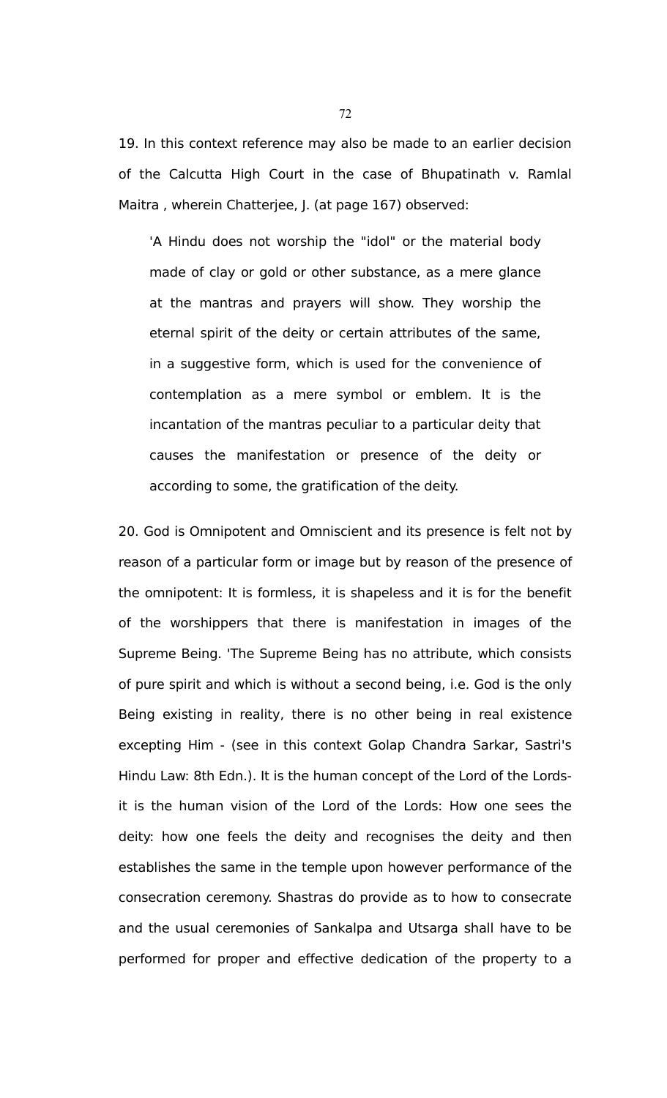19. In this context reference may also be made to an earlier decision of the Calcutta High Court in the case of Bhupatinath v. Ramlal Maitra , wherein Chatterjee, J. (at page 167) observed:

'A Hindu does not worship the "idol" or the material body made of clay or gold or other substance, as a mere glance at the mantras and prayers will show. They worship the eternal spirit of the deity or certain attributes of the same, in a suggestive form, which is used for the convenience of contemplation as a mere symbol or emblem. It is the incantation of the mantras peculiar to a particular deity that causes the manifestation or presence of the deity or according to some, the gratification of the deity.

20. God is Omnipotent and Omniscient and its presence is felt not by reason of a particular form or image but by reason of the presence of the omnipotent: It is formless, it is shapeless and it is for the benefit of the worshippers that there is manifestation in images of the Supreme Being. 'The Supreme Being has no attribute, which consists of pure spirit and which is without a second being, i.e. God is the only Being existing in reality, there is no other being in real existence excepting Him - (see in this context Golap Chandra Sarkar, Sastri's Hindu Law: 8th Edn.). It is the human concept of the Lord of the Lordsit is the human vision of the Lord of the Lords: How one sees the deity: how one feels the deity and recognises the deity and then establishes the same in the temple upon however performance of the consecration ceremony. Shastras do provide as to how to consecrate and the usual ceremonies of Sankalpa and Utsarga shall have to be performed for proper and effective dedication of the property to a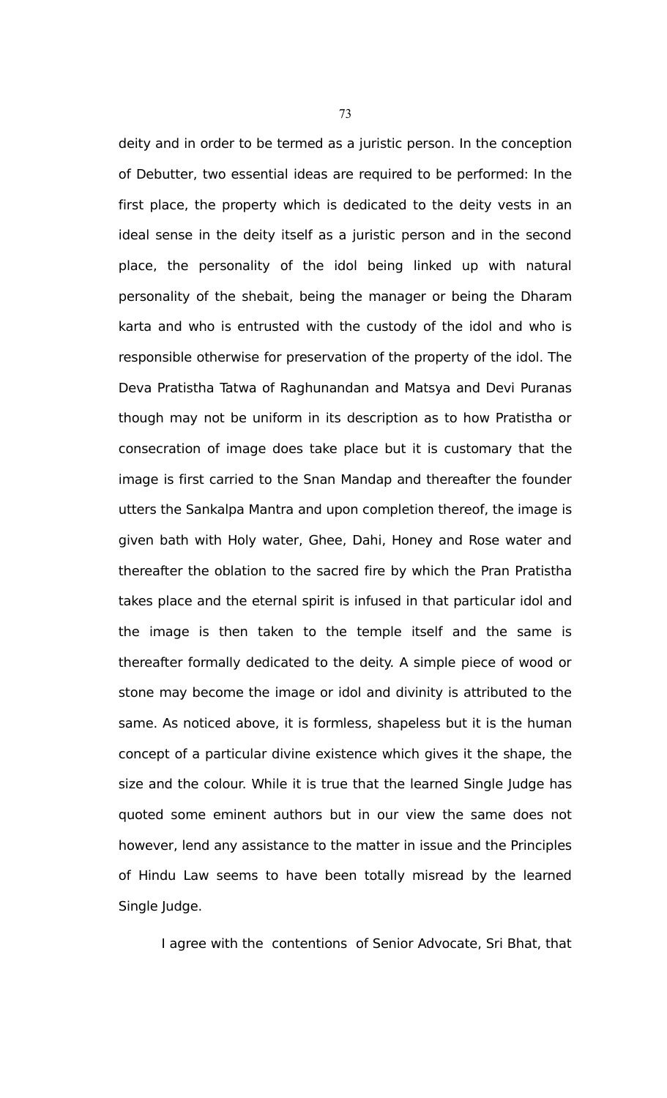deity and in order to be termed as a juristic person. In the conception of Debutter, two essential ideas are required to be performed: In the first place, the property which is dedicated to the deity vests in an ideal sense in the deity itself as a juristic person and in the second place, the personality of the idol being linked up with natural personality of the shebait, being the manager or being the Dharam karta and who is entrusted with the custody of the idol and who is responsible otherwise for preservation of the property of the idol. The Deva Pratistha Tatwa of Raghunandan and Matsya and Devi Puranas though may not be uniform in its description as to how Pratistha or consecration of image does take place but it is customary that the image is first carried to the Snan Mandap and thereafter the founder utters the Sankalpa Mantra and upon completion thereof, the image is given bath with Holy water, Ghee, Dahi, Honey and Rose water and thereafter the oblation to the sacred fire by which the Pran Pratistha takes place and the eternal spirit is infused in that particular idol and the image is then taken to the temple itself and the same is thereafter formally dedicated to the deity. A simple piece of wood or stone may become the image or idol and divinity is attributed to the same. As noticed above, it is formless, shapeless but it is the human concept of a particular divine existence which gives it the shape, the size and the colour. While it is true that the learned Single Judge has quoted some eminent authors but in our view the same does not however, lend any assistance to the matter in issue and the Principles of Hindu Law seems to have been totally misread by the learned Single Judge.

I agree with the contentions of Senior Advocate, Sri Bhat, that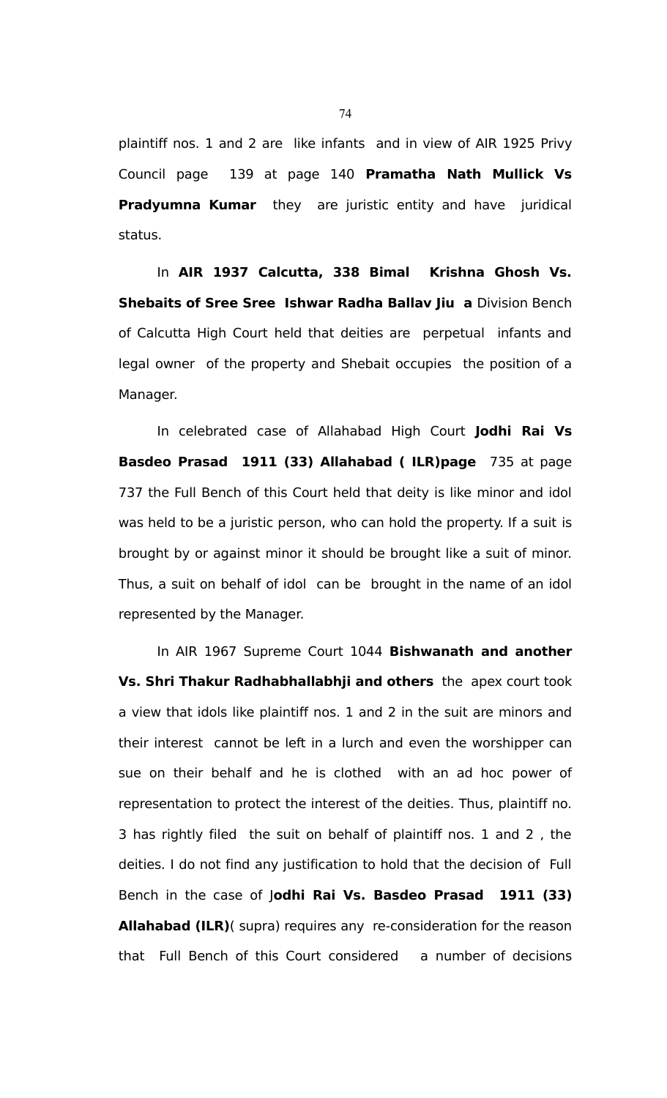plaintiff nos. 1 and 2 are like infants and in view of AIR 1925 Privy Council page 139 at page 140 **Pramatha Nath Mullick Vs Pradyumna Kumar** they are juristic entity and have juridical status.

In **AIR 1937 Calcutta, 338 Bimal Krishna Ghosh Vs. Shebaits of Sree Sree Ishwar Radha Ballav Jiu a Division Bench** of Calcutta High Court held that deities are perpetual infants and legal owner of the property and Shebait occupies the position of a Manager.

In celebrated case of Allahabad High Court **Jodhi Rai Vs Basdeo Prasad 1911 (33) Allahabad ( ILR)page** 735 at page 737 the Full Bench of this Court held that deity is like minor and idol was held to be a juristic person, who can hold the property. If a suit is brought by or against minor it should be brought like a suit of minor. Thus, a suit on behalf of idol can be brought in the name of an idol represented by the Manager.

In AIR 1967 Supreme Court 1044 **Bishwanath and another Vs. Shri Thakur Radhabhallabhji and others** the apex court took a view that idols like plaintiff nos. 1 and 2 in the suit are minors and their interest cannot be left in a lurch and even the worshipper can sue on their behalf and he is clothed with an ad hoc power of representation to protect the interest of the deities. Thus, plaintiff no. 3 has rightly filed the suit on behalf of plaintiff nos. 1 and 2 , the deities. I do not find any justification to hold that the decision of Full Bench in the case of J**odhi Rai Vs. Basdeo Prasad 1911 (33) Allahabad (ILR)**( supra) requires any re-consideration for the reason that Full Bench of this Court considered a number of decisions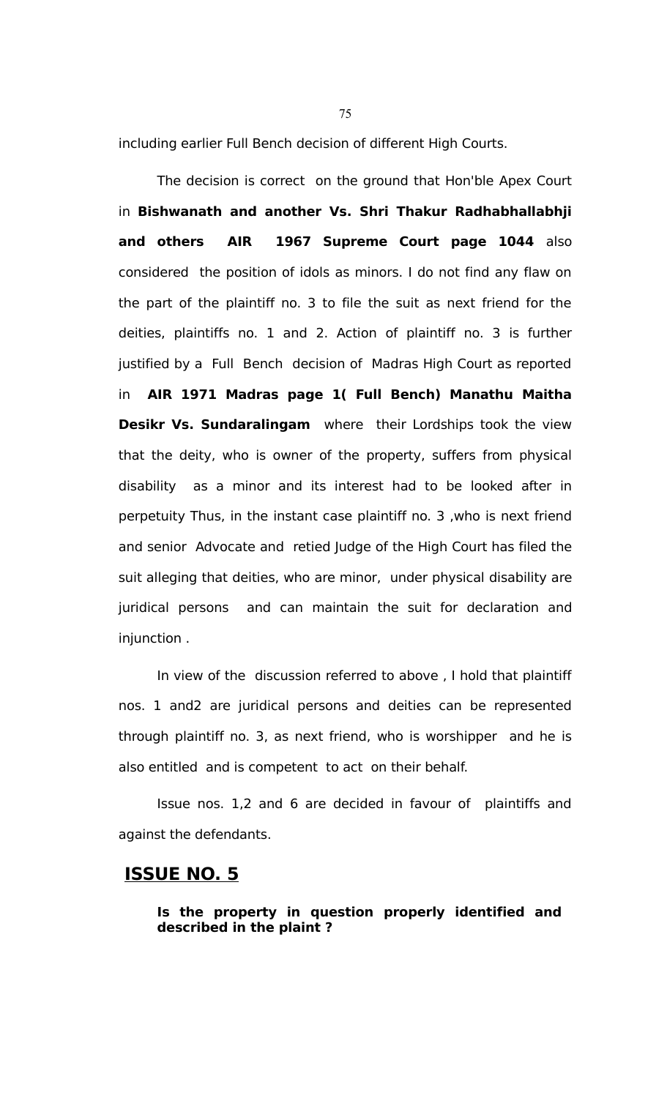including earlier Full Bench decision of different High Courts.

The decision is correct on the ground that Hon'ble Apex Court in **Bishwanath and another Vs. Shri Thakur Radhabhallabhji and others AIR 1967 Supreme Court page 1044** also considered the position of idols as minors. I do not find any flaw on the part of the plaintiff no. 3 to file the suit as next friend for the deities, plaintiffs no. 1 and 2. Action of plaintiff no. 3 is further justified by a Full Bench decision of Madras High Court as reported in **AIR 1971 Madras page 1( Full Bench) Manathu Maitha Desikr Vs. Sundaralingam** where their Lordships took the view that the deity, who is owner of the property, suffers from physical disability as a minor and its interest had to be looked after in perpetuity Thus, in the instant case plaintiff no. 3 ,who is next friend and senior Advocate and retied Judge of the High Court has filed the suit alleging that deities, who are minor, under physical disability are juridical persons and can maintain the suit for declaration and injunction .

In view of the discussion referred to above , I hold that plaintiff nos. 1 and2 are juridical persons and deities can be represented through plaintiff no. 3, as next friend, who is worshipper and he is also entitled and is competent to act on their behalf.

Issue nos. 1,2 and 6 are decided in favour of plaintiffs and against the defendants.

# **ISSUE NO. 5**

### **Is the property in question properly identified and described in the plaint ?**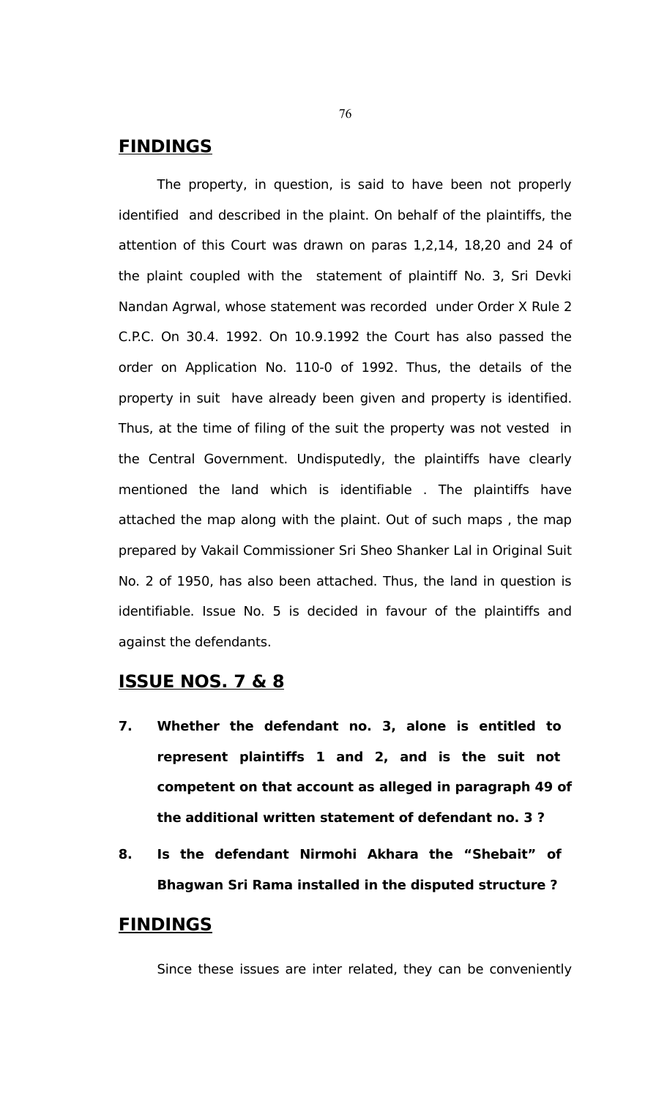# **FINDINGS**

The property, in question, is said to have been not properly identified and described in the plaint. On behalf of the plaintiffs, the attention of this Court was drawn on paras 1,2,14, 18,20 and 24 of the plaint coupled with the statement of plaintiff No. 3, Sri Devki Nandan Agrwal, whose statement was recorded under Order X Rule 2 C.P.C. On 30.4. 1992. On 10.9.1992 the Court has also passed the order on Application No. 110-0 of 1992. Thus, the details of the property in suit have already been given and property is identified. Thus, at the time of filing of the suit the property was not vested in the Central Government. Undisputedly, the plaintiffs have clearly mentioned the land which is identifiable . The plaintiffs have attached the map along with the plaint. Out of such maps , the map prepared by Vakail Commissioner Sri Sheo Shanker Lal in Original Suit No. 2 of 1950, has also been attached. Thus, the land in question is identifiable. Issue No. 5 is decided in favour of the plaintiffs and against the defendants.

# **ISSUE NOS. 7 & 8**

- **7. Whether the defendant no. 3, alone is entitled to represent plaintiffs 1 and 2, and is the suit not competent on that account as alleged in paragraph 49 of the additional written statement of defendant no. 3 ?**
- **8. Is the defendant Nirmohi Akhara the "Shebait" of Bhagwan Sri Rama installed in the disputed structure ?**

# **FINDINGS**

Since these issues are inter related, they can be conveniently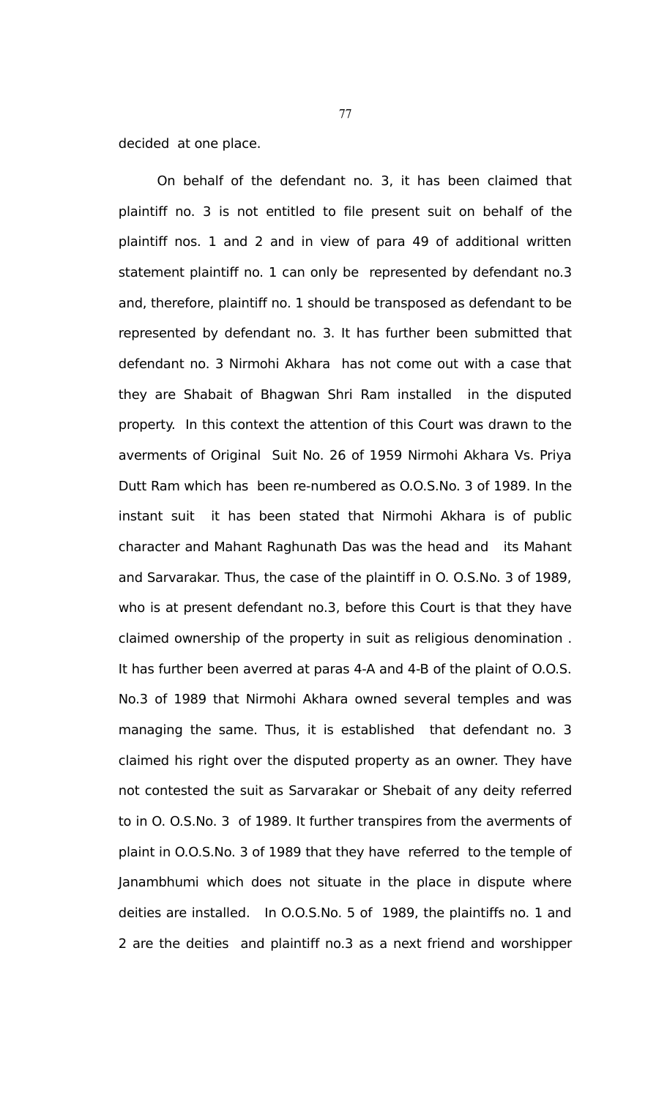decided at one place.

On behalf of the defendant no. 3, it has been claimed that plaintiff no. 3 is not entitled to file present suit on behalf of the plaintiff nos. 1 and 2 and in view of para 49 of additional written statement plaintiff no. 1 can only be represented by defendant no.3 and, therefore, plaintiff no. 1 should be transposed as defendant to be represented by defendant no. 3. It has further been submitted that defendant no. 3 Nirmohi Akhara has not come out with a case that they are Shabait of Bhagwan Shri Ram installed in the disputed property. In this context the attention of this Court was drawn to the averments of Original Suit No. 26 of 1959 Nirmohi Akhara Vs. Priya Dutt Ram which has been re-numbered as O.O.S.No. 3 of 1989. In the instant suit it has been stated that Nirmohi Akhara is of public character and Mahant Raghunath Das was the head and its Mahant and Sarvarakar. Thus, the case of the plaintiff in O. O.S.No. 3 of 1989, who is at present defendant no.3, before this Court is that they have claimed ownership of the property in suit as religious denomination . It has further been averred at paras 4-A and 4-B of the plaint of O.O.S. No.3 of 1989 that Nirmohi Akhara owned several temples and was managing the same. Thus, it is established that defendant no. 3 claimed his right over the disputed property as an owner. They have not contested the suit as Sarvarakar or Shebait of any deity referred to in O. O.S.No. 3 of 1989. It further transpires from the averments of plaint in O.O.S.No. 3 of 1989 that they have referred to the temple of Janambhumi which does not situate in the place in dispute where deities are installed. In O.O.S.No. 5 of 1989, the plaintiffs no. 1 and 2 are the deities and plaintiff no.3 as a next friend and worshipper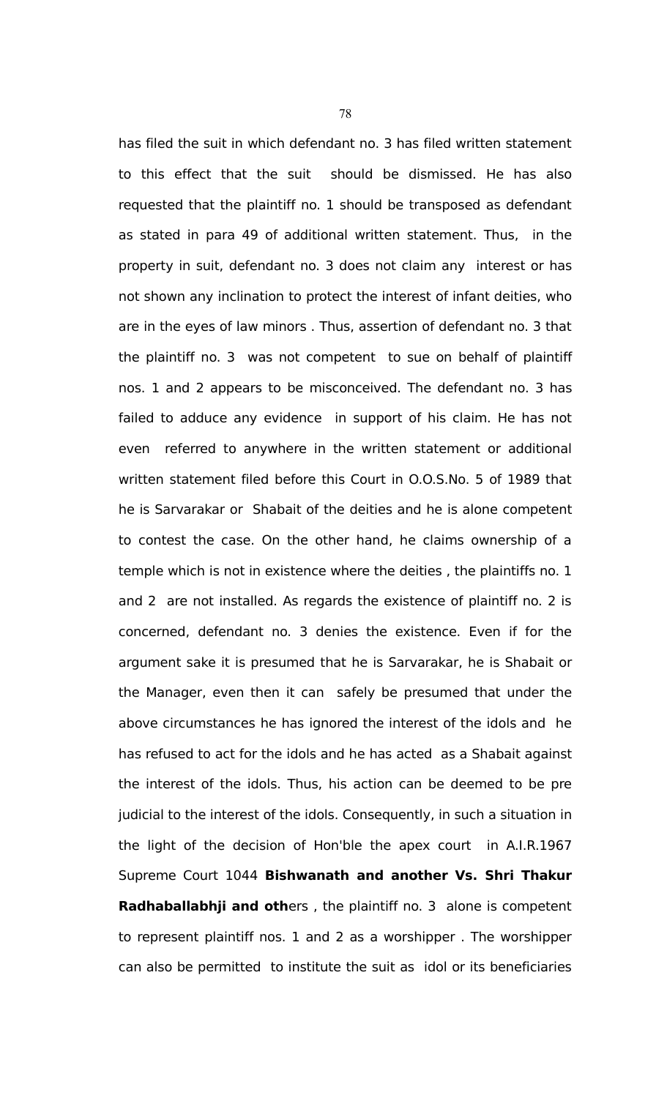has filed the suit in which defendant no. 3 has filed written statement to this effect that the suit should be dismissed. He has also requested that the plaintiff no. 1 should be transposed as defendant as stated in para 49 of additional written statement. Thus, in the property in suit, defendant no. 3 does not claim any interest or has not shown any inclination to protect the interest of infant deities, who are in the eyes of law minors . Thus, assertion of defendant no. 3 that the plaintiff no. 3 was not competent to sue on behalf of plaintiff nos. 1 and 2 appears to be misconceived. The defendant no. 3 has failed to adduce any evidence in support of his claim. He has not even referred to anywhere in the written statement or additional written statement filed before this Court in O.O.S.No. 5 of 1989 that he is Sarvarakar or Shabait of the deities and he is alone competent to contest the case. On the other hand, he claims ownership of a temple which is not in existence where the deities , the plaintiffs no. 1 and 2 are not installed. As regards the existence of plaintiff no. 2 is concerned, defendant no. 3 denies the existence. Even if for the argument sake it is presumed that he is Sarvarakar, he is Shabait or the Manager, even then it can safely be presumed that under the above circumstances he has ignored the interest of the idols and he has refused to act for the idols and he has acted as a Shabait against the interest of the idols. Thus, his action can be deemed to be pre judicial to the interest of the idols. Consequently, in such a situation in the light of the decision of Hon'ble the apex court in A.I.R.1967 Supreme Court 1044 **Bishwanath and another Vs. Shri Thakur Radhaballabhji and oth**ers , the plaintiff no. 3 alone is competent to represent plaintiff nos. 1 and 2 as a worshipper . The worshipper can also be permitted to institute the suit as idol or its beneficiaries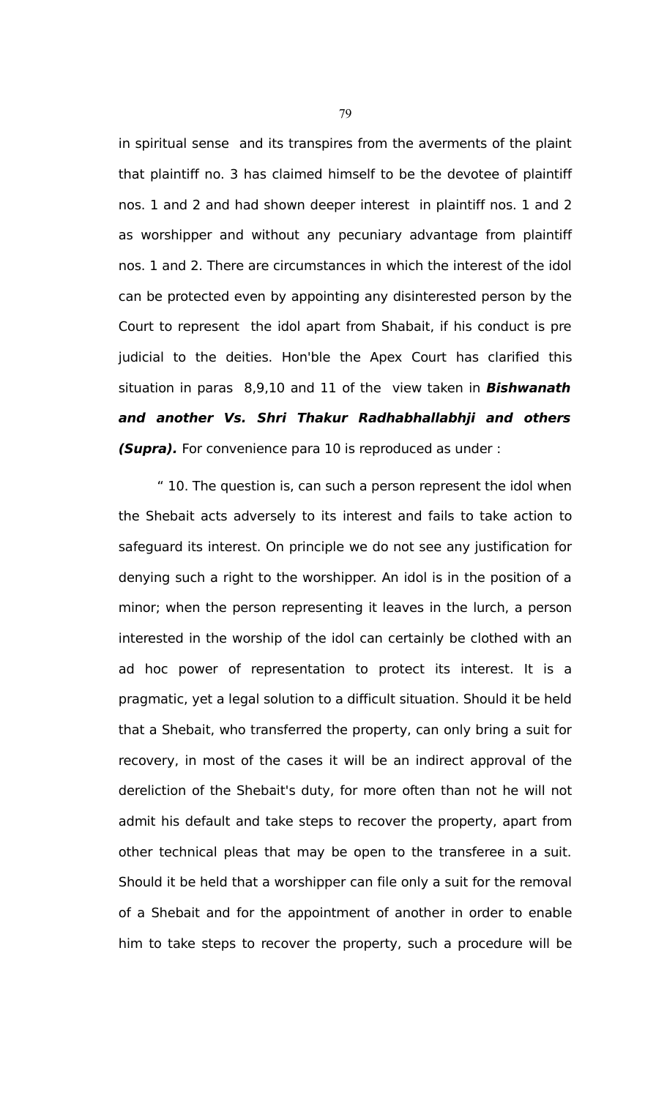in spiritual sense and its transpires from the averments of the plaint that plaintiff no. 3 has claimed himself to be the devotee of plaintiff nos. 1 and 2 and had shown deeper interest in plaintiff nos. 1 and 2 as worshipper and without any pecuniary advantage from plaintiff nos. 1 and 2. There are circumstances in which the interest of the idol can be protected even by appointing any disinterested person by the Court to represent the idol apart from Shabait, if his conduct is pre judicial to the deities. Hon'ble the Apex Court has clarified this situation in paras 8,9,10 and 11 of the view taken in **Bishwanath and another Vs. Shri Thakur Radhabhallabhji and others (Supra).** For convenience para 10 is reproduced as under :

" 10. The question is, can such a person represent the idol when the Shebait acts adversely to its interest and fails to take action to safeguard its interest. On principle we do not see any justification for denying such a right to the worshipper. An idol is in the position of a minor; when the person representing it leaves in the lurch, a person interested in the worship of the idol can certainly be clothed with an ad hoc power of representation to protect its interest. It is a pragmatic, yet a legal solution to a difficult situation. Should it be held that a Shebait, who transferred the property, can only bring a suit for recovery, in most of the cases it will be an indirect approval of the dereliction of the Shebait's duty, for more often than not he will not admit his default and take steps to recover the property, apart from other technical pleas that may be open to the transferee in a suit. Should it be held that a worshipper can file only a suit for the removal of a Shebait and for the appointment of another in order to enable him to take steps to recover the property, such a procedure will be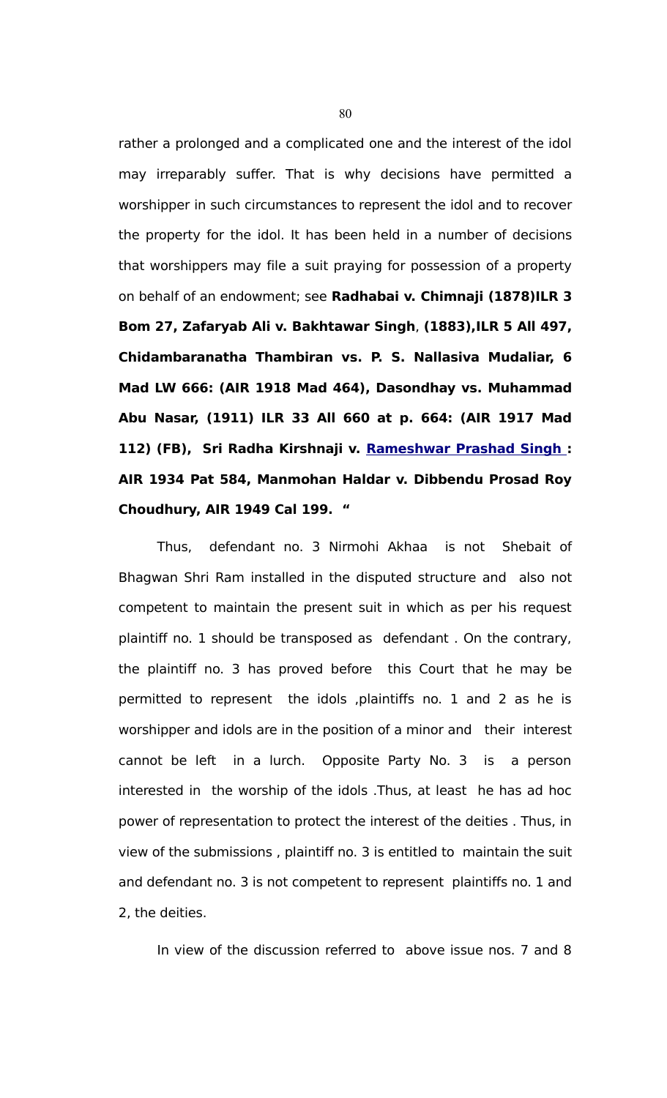rather a prolonged and a complicated one and the interest of the idol may irreparably suffer. That is why decisions have permitted a worshipper in such circumstances to represent the idol and to recover the property for the idol. It has been held in a number of decisions that worshippers may file a suit praying for possession of a property on behalf of an endowment; see **Radhabai v. Chimnaji (1878)ILR 3 Bom 27, Zafaryab Ali v. Bakhtawar Singh**, **(1883),ILR 5 All 497, Chidambaranatha Thambiran vs. P. S. Nallasiva Mudaliar, 6 Mad LW 666: (AIR 1918 Mad 464), Dasondhay vs. Muhammad Abu Nasar, (1911) ILR 33 All 660 at p. 664: (AIR 1917 Mad 112) (FB), Sri Radha Kirshnaji v. [Rameshwar Prashad Singh :](javascript:fnOpenGlobalPopUp() AIR 1934 Pat 584, Manmohan Haldar v. Dibbendu Prosad Roy Choudhury, AIR 1949 Cal 199. "**

Thus, defendant no. 3 Nirmohi Akhaa is not Shebait of Bhagwan Shri Ram installed in the disputed structure and also not competent to maintain the present suit in which as per his request plaintiff no. 1 should be transposed as defendant . On the contrary, the plaintiff no. 3 has proved before this Court that he may be permitted to represent the idols ,plaintiffs no. 1 and 2 as he is worshipper and idols are in the position of a minor and their interest cannot be left in a lurch. Opposite Party No. 3 is a person interested in the worship of the idols .Thus, at least he has ad hoc power of representation to protect the interest of the deities . Thus, in view of the submissions , plaintiff no. 3 is entitled to maintain the suit and defendant no. 3 is not competent to represent plaintiffs no. 1 and 2, the deities.

In view of the discussion referred to above issue nos. 7 and 8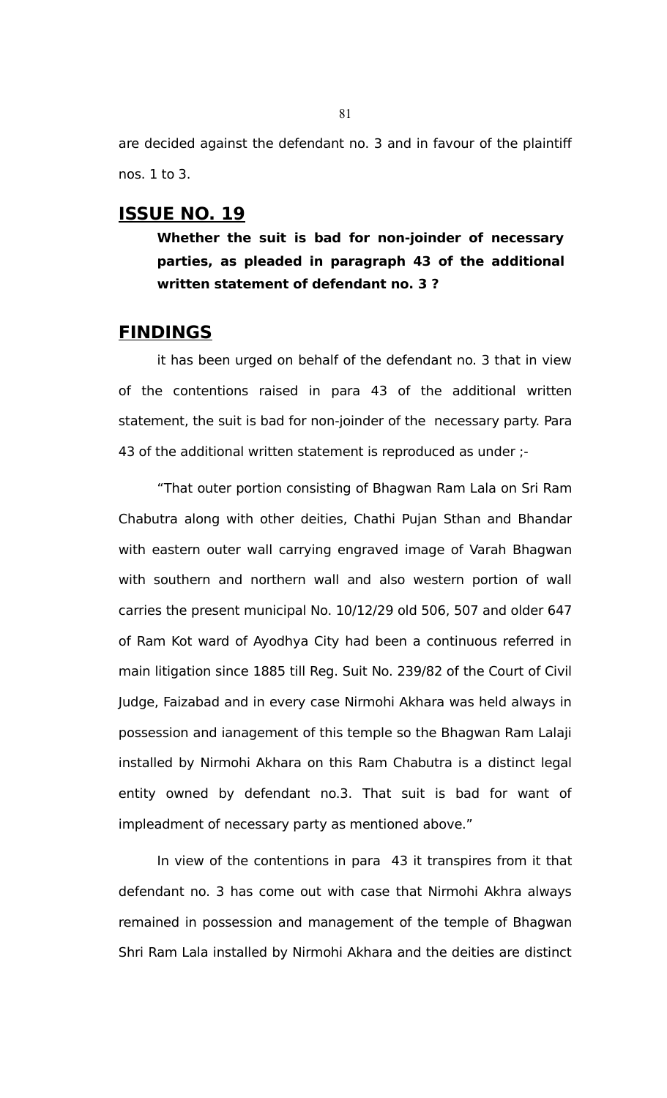are decided against the defendant no. 3 and in favour of the plaintiff nos. 1 to 3.

# **ISSUE NO. 19**

**Whether the suit is bad for non-joinder of necessary parties, as pleaded in paragraph 43 of the additional written statement of defendant no. 3 ?** 

# **FINDINGS**

it has been urged on behalf of the defendant no. 3 that in view of the contentions raised in para 43 of the additional written statement, the suit is bad for non-joinder of the necessary party. Para 43 of the additional written statement is reproduced as under ;-

"That outer portion consisting of Bhagwan Ram Lala on Sri Ram Chabutra along with other deities, Chathi Pujan Sthan and Bhandar with eastern outer wall carrying engraved image of Varah Bhagwan with southern and northern wall and also western portion of wall carries the present municipal No. 10/12/29 old 506, 507 and older 647 of Ram Kot ward of Ayodhya City had been a continuous referred in main litigation since 1885 till Reg. Suit No. 239/82 of the Court of Civil Judge, Faizabad and in every case Nirmohi Akhara was held always in possession and ianagement of this temple so the Bhagwan Ram Lalaji installed by Nirmohi Akhara on this Ram Chabutra is a distinct legal entity owned by defendant no.3. That suit is bad for want of impleadment of necessary party as mentioned above."

In view of the contentions in para 43 it transpires from it that defendant no. 3 has come out with case that Nirmohi Akhra always remained in possession and management of the temple of Bhagwan Shri Ram Lala installed by Nirmohi Akhara and the deities are distinct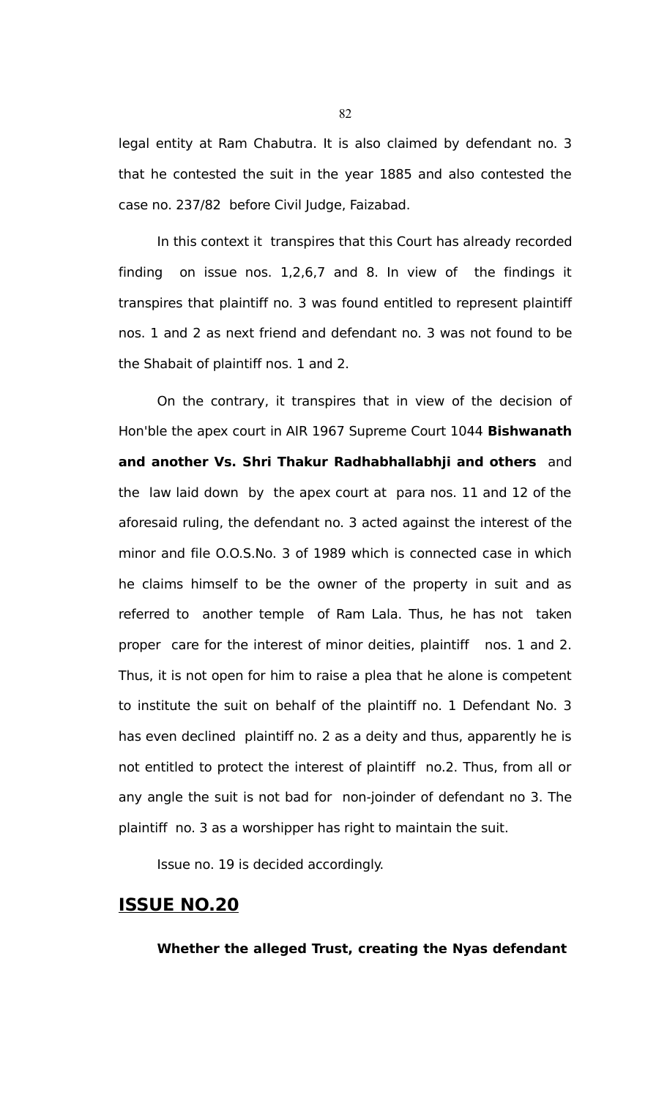legal entity at Ram Chabutra. It is also claimed by defendant no. 3 that he contested the suit in the year 1885 and also contested the case no. 237/82 before Civil Judge, Faizabad.

In this context it transpires that this Court has already recorded finding on issue nos. 1,2,6,7 and 8. In view of the findings it transpires that plaintiff no. 3 was found entitled to represent plaintiff nos. 1 and 2 as next friend and defendant no. 3 was not found to be the Shabait of plaintiff nos. 1 and 2.

On the contrary, it transpires that in view of the decision of Hon'ble the apex court in AIR 1967 Supreme Court 1044 **Bishwanath and another Vs. Shri Thakur Radhabhallabhji and others** and the law laid down by the apex court at para nos. 11 and 12 of the aforesaid ruling, the defendant no. 3 acted against the interest of the minor and file O.O.S.No. 3 of 1989 which is connected case in which he claims himself to be the owner of the property in suit and as referred to another temple of Ram Lala. Thus, he has not taken proper care for the interest of minor deities, plaintiff nos. 1 and 2. Thus, it is not open for him to raise a plea that he alone is competent to institute the suit on behalf of the plaintiff no. 1 Defendant No. 3 has even declined plaintiff no. 2 as a deity and thus, apparently he is not entitled to protect the interest of plaintiff no.2. Thus, from all or any angle the suit is not bad for non-joinder of defendant no 3. The plaintiff no. 3 as a worshipper has right to maintain the suit.

Issue no. 19 is decided accordingly.

# **ISSUE NO.20**

**Whether the alleged Trust, creating the Nyas defendant**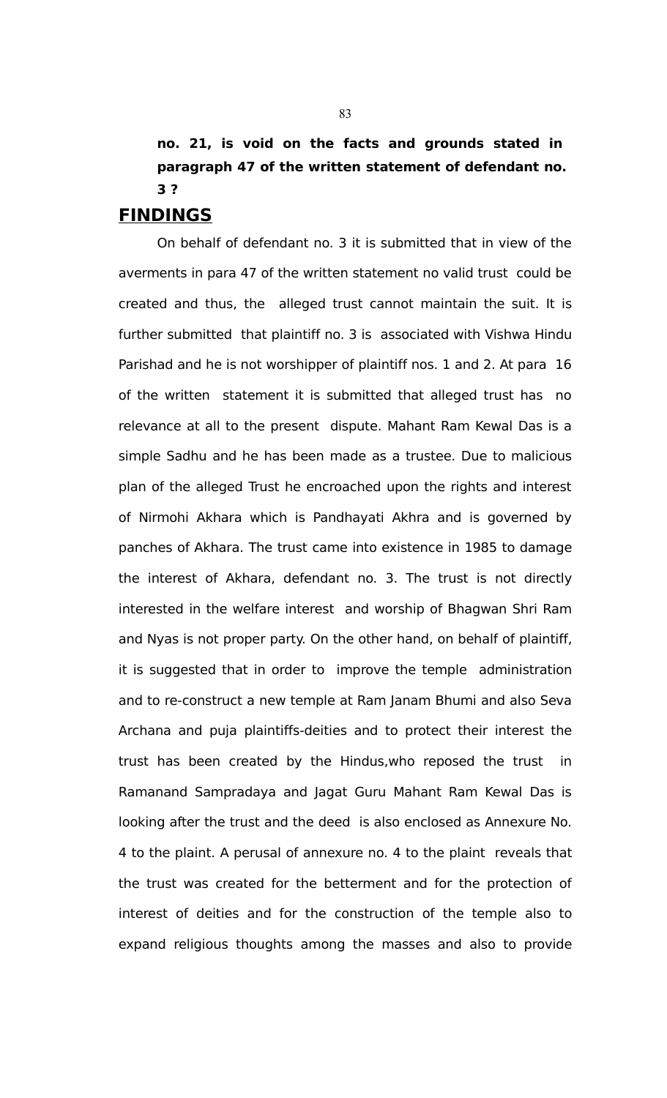# **no. 21, is void on the facts and grounds stated in paragraph 47 of the written statement of defendant no. 3 ?**

# **FINDINGS**

On behalf of defendant no. 3 it is submitted that in view of the averments in para 47 of the written statement no valid trust could be created and thus, the alleged trust cannot maintain the suit. It is further submitted that plaintiff no. 3 is associated with Vishwa Hindu Parishad and he is not worshipper of plaintiff nos. 1 and 2. At para 16 of the written statement it is submitted that alleged trust has no relevance at all to the present dispute. Mahant Ram Kewal Das is a simple Sadhu and he has been made as a trustee. Due to malicious plan of the alleged Trust he encroached upon the rights and interest of Nirmohi Akhara which is Pandhayati Akhra and is governed by panches of Akhara. The trust came into existence in 1985 to damage the interest of Akhara, defendant no. 3. The trust is not directly interested in the welfare interest and worship of Bhagwan Shri Ram and Nyas is not proper party. On the other hand, on behalf of plaintiff, it is suggested that in order to improve the temple administration and to re-construct a new temple at Ram Janam Bhumi and also Seva Archana and puja plaintiffs-deities and to protect their interest the trust has been created by the Hindus,who reposed the trust in Ramanand Sampradaya and Jagat Guru Mahant Ram Kewal Das is looking after the trust and the deed is also enclosed as Annexure No. 4 to the plaint. A perusal of annexure no. 4 to the plaint reveals that the trust was created for the betterment and for the protection of interest of deities and for the construction of the temple also to expand religious thoughts among the masses and also to provide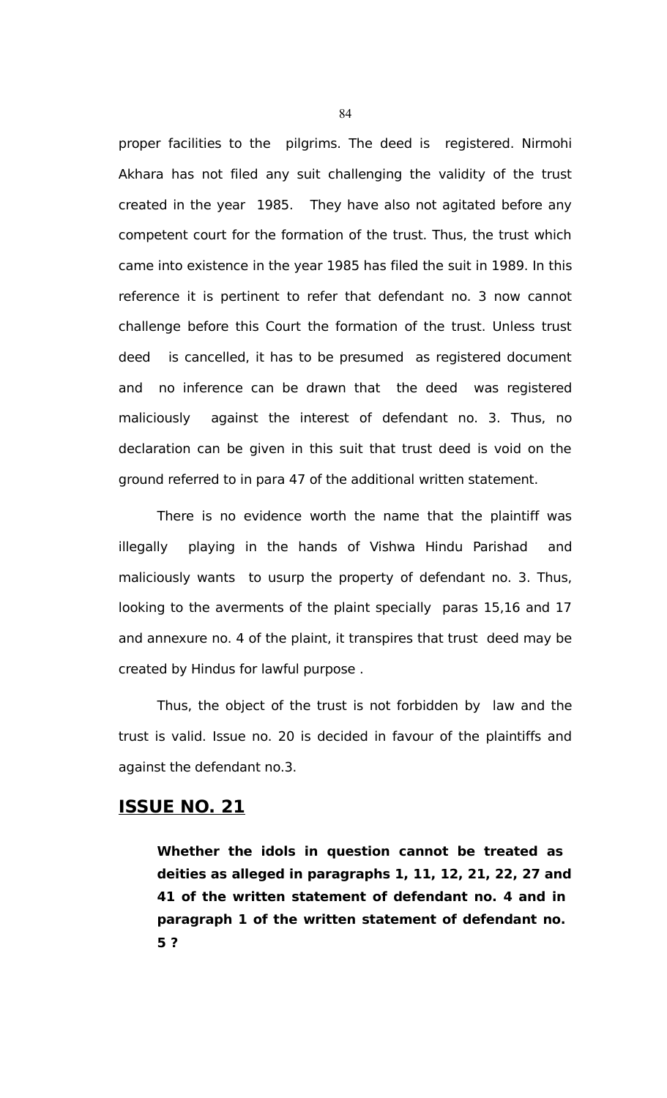proper facilities to the pilgrims. The deed is registered. Nirmohi Akhara has not filed any suit challenging the validity of the trust created in the year 1985. They have also not agitated before any competent court for the formation of the trust. Thus, the trust which came into existence in the year 1985 has filed the suit in 1989. In this reference it is pertinent to refer that defendant no. 3 now cannot challenge before this Court the formation of the trust. Unless trust deed is cancelled, it has to be presumed as registered document and no inference can be drawn that the deed was registered maliciously against the interest of defendant no. 3. Thus, no declaration can be given in this suit that trust deed is void on the ground referred to in para 47 of the additional written statement.

There is no evidence worth the name that the plaintiff was illegally playing in the hands of Vishwa Hindu Parishad and maliciously wants to usurp the property of defendant no. 3. Thus, looking to the averments of the plaint specially paras 15,16 and 17 and annexure no. 4 of the plaint, it transpires that trust deed may be created by Hindus for lawful purpose .

Thus, the object of the trust is not forbidden by law and the trust is valid. Issue no. 20 is decided in favour of the plaintiffs and against the defendant no.3.

# **ISSUE NO. 21**

**Whether the idols in question cannot be treated as deities as alleged in paragraphs 1, 11, 12, 21, 22, 27 and 41 of the written statement of defendant no. 4 and in paragraph 1 of the written statement of defendant no. 5 ?**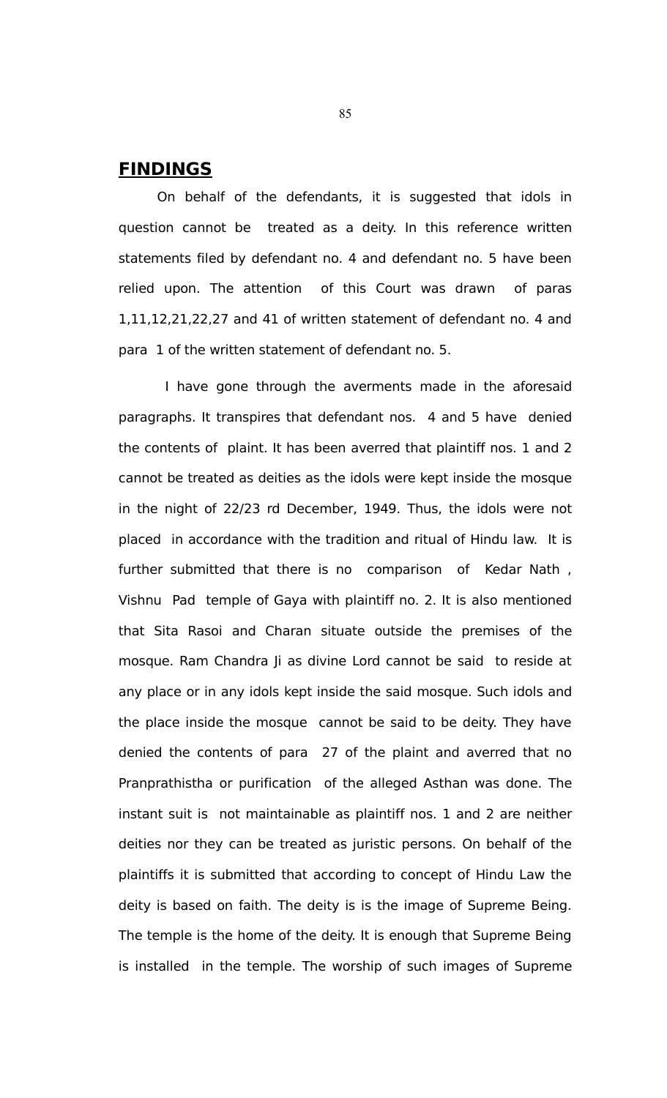# **FINDINGS**

On behalf of the defendants, it is suggested that idols in question cannot be treated as a deity. In this reference written statements filed by defendant no. 4 and defendant no. 5 have been relied upon. The attention of this Court was drawn of paras 1,11,12,21,22,27 and 41 of written statement of defendant no. 4 and para 1 of the written statement of defendant no. 5.

 I have gone through the averments made in the aforesaid paragraphs. It transpires that defendant nos. 4 and 5 have denied the contents of plaint. It has been averred that plaintiff nos. 1 and 2 cannot be treated as deities as the idols were kept inside the mosque in the night of 22/23 rd December, 1949. Thus, the idols were not placed in accordance with the tradition and ritual of Hindu law. It is further submitted that there is no comparison of Kedar Nath , Vishnu Pad temple of Gaya with plaintiff no. 2. It is also mentioned that Sita Rasoi and Charan situate outside the premises of the mosque. Ram Chandra Ji as divine Lord cannot be said to reside at any place or in any idols kept inside the said mosque. Such idols and the place inside the mosque cannot be said to be deity. They have denied the contents of para 27 of the plaint and averred that no Pranprathistha or purification of the alleged Asthan was done. The instant suit is not maintainable as plaintiff nos. 1 and 2 are neither deities nor they can be treated as juristic persons. On behalf of the plaintiffs it is submitted that according to concept of Hindu Law the deity is based on faith. The deity is is the image of Supreme Being. The temple is the home of the deity. It is enough that Supreme Being is installed in the temple. The worship of such images of Supreme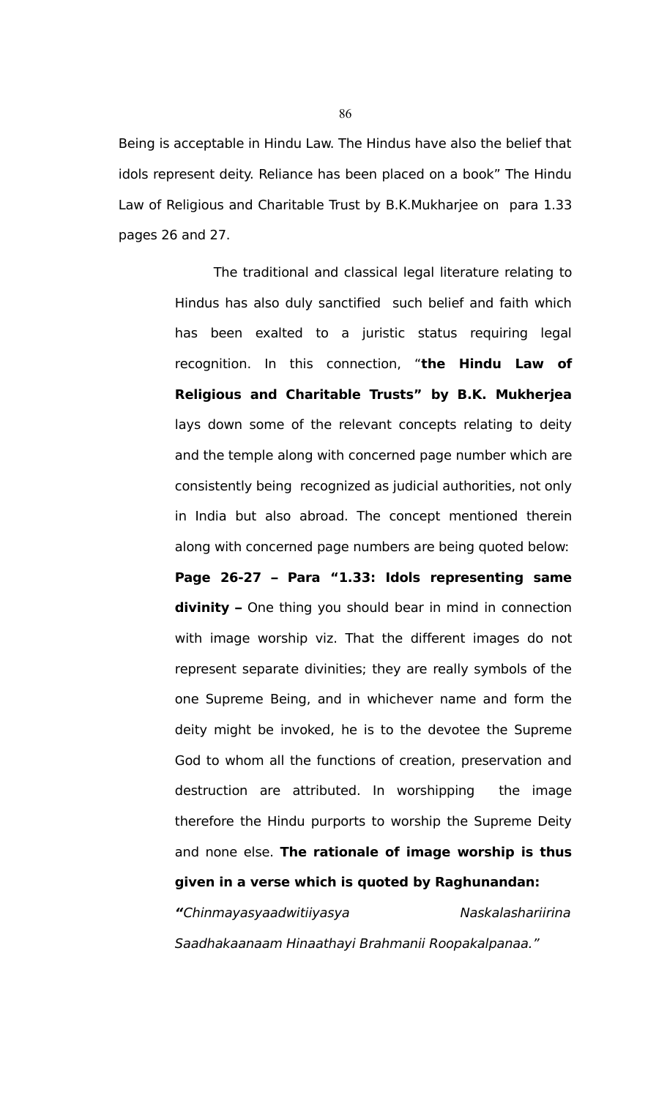Being is acceptable in Hindu Law. The Hindus have also the belief that idols represent deity. Reliance has been placed on a book" The Hindu Law of Religious and Charitable Trust by B.K.Mukharjee on para 1.33 pages 26 and 27.

> The traditional and classical legal literature relating to Hindus has also duly sanctified such belief and faith which has been exalted to a juristic status requiring legal recognition. In this connection, "**the Hindu Law of Religious and Charitable Trusts" by B.K. Mukherjea** lays down some of the relevant concepts relating to deity and the temple along with concerned page number which are consistently being recognized as judicial authorities, not only in India but also abroad. The concept mentioned therein along with concerned page numbers are being quoted below: **Page 26-27 – Para "1.33: Idols representing same divinity –** One thing you should bear in mind in connection with image worship viz. That the different images do not represent separate divinities; they are really symbols of the one Supreme Being, and in whichever name and form the deity might be invoked, he is to the devotee the Supreme God to whom all the functions of creation, preservation and destruction are attributed. In worshipping the image therefore the Hindu purports to worship the Supreme Deity and none else. **The rationale of image worship is thus given in a verse which is quoted by Raghunandan:**

> **"**Chinmayasyaadwitiiyasya Naskalashariirina Saadhakaanaam Hinaathayi Brahmanii Roopakalpanaa."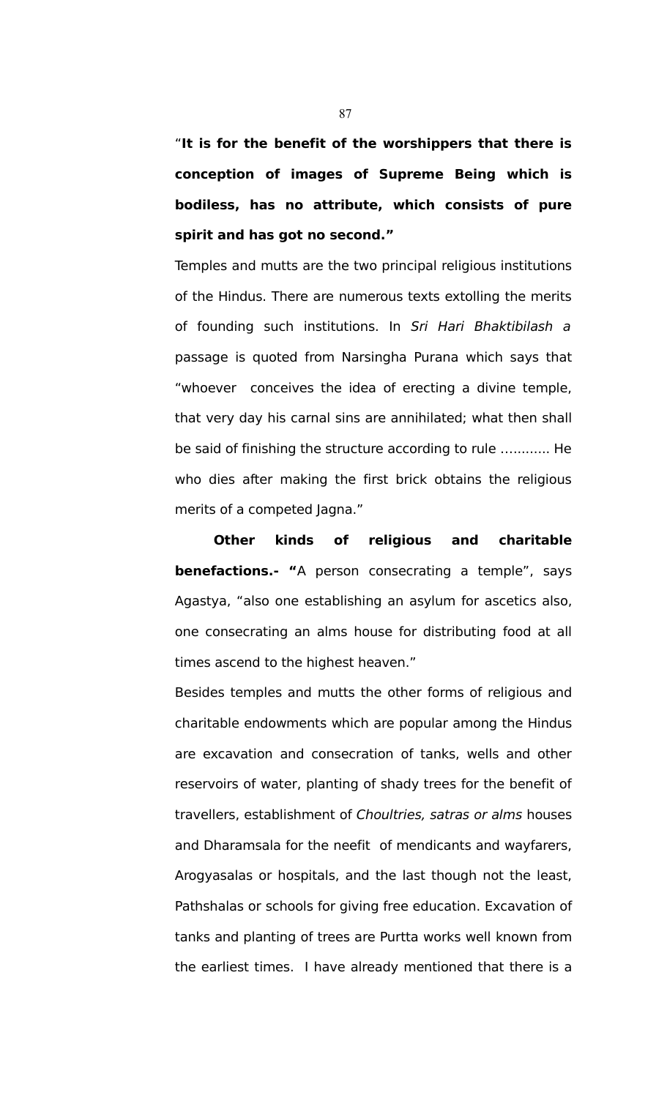"**It is for the benefit of the worshippers that there is conception of images of Supreme Being which is bodiless, has no attribute, which consists of pure spirit and has got no second."**

Temples and mutts are the two principal religious institutions of the Hindus. There are numerous texts extolling the merits of founding such institutions. In Sri Hari Bhaktibilash a passage is quoted from Narsingha Purana which says that "whoever conceives the idea of erecting a divine temple, that very day his carnal sins are annihilated; what then shall be said of finishing the structure according to rule …......... He who dies after making the first brick obtains the religious merits of a competed Jagna."

**Other kinds of religious and charitable benefactions.- "**A person consecrating a temple", says Agastya, "also one establishing an asylum for ascetics also, one consecrating an alms house for distributing food at all times ascend to the highest heaven."

Besides temples and mutts the other forms of religious and charitable endowments which are popular among the Hindus are excavation and consecration of tanks, wells and other reservoirs of water, planting of shady trees for the benefit of travellers, establishment of Choultries, satras or alms houses and Dharamsala for the neefit of mendicants and wayfarers, Arogyasalas or hospitals, and the last though not the least, Pathshalas or schools for giving free education. Excavation of tanks and planting of trees are Purtta works well known from the earliest times. I have already mentioned that there is a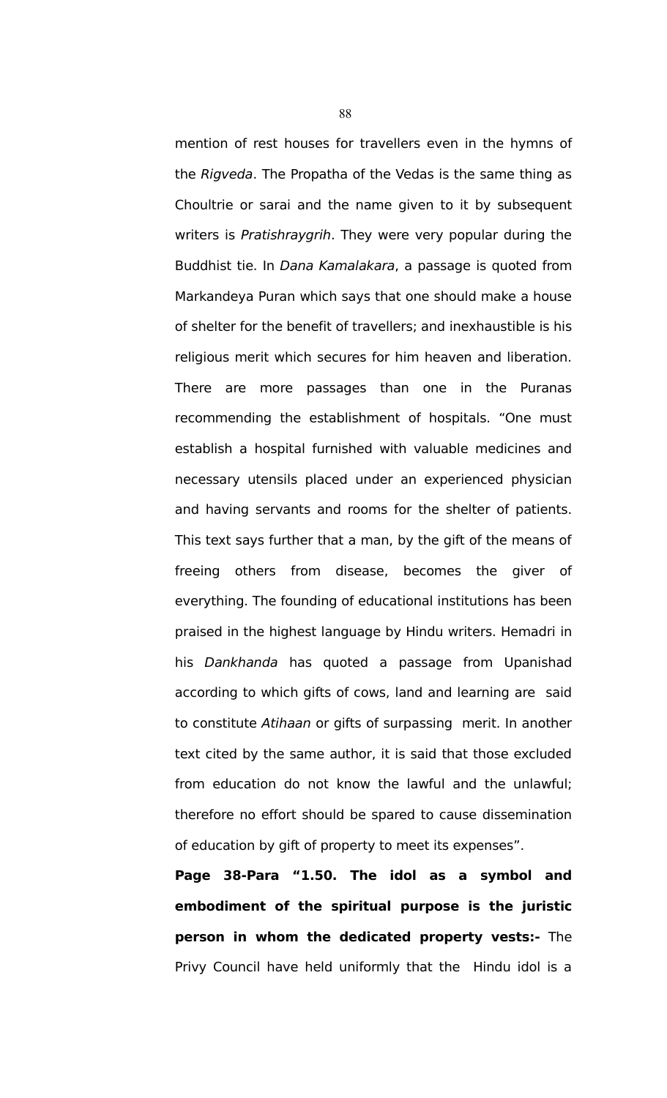mention of rest houses for travellers even in the hymns of the Rigveda. The Propatha of the Vedas is the same thing as Choultrie or sarai and the name given to it by subsequent writers is Pratishraygrih. They were very popular during the Buddhist tie. In Dana Kamalakara, a passage is quoted from Markandeya Puran which says that one should make a house of shelter for the benefit of travellers; and inexhaustible is his religious merit which secures for him heaven and liberation. There are more passages than one in the Puranas recommending the establishment of hospitals. "One must establish a hospital furnished with valuable medicines and necessary utensils placed under an experienced physician and having servants and rooms for the shelter of patients. This text says further that a man, by the gift of the means of freeing others from disease, becomes the giver of everything. The founding of educational institutions has been praised in the highest language by Hindu writers. Hemadri in his Dankhanda has quoted a passage from Upanishad according to which gifts of cows, land and learning are said to constitute Atihaan or gifts of surpassing merit. In another text cited by the same author, it is said that those excluded from education do not know the lawful and the unlawful; therefore no effort should be spared to cause dissemination of education by gift of property to meet its expenses".

**Page 38-Para "1.50. The idol as a symbol and embodiment of the spiritual purpose is the juristic person in whom the dedicated property vests:-** The Privy Council have held uniformly that the Hindu idol is a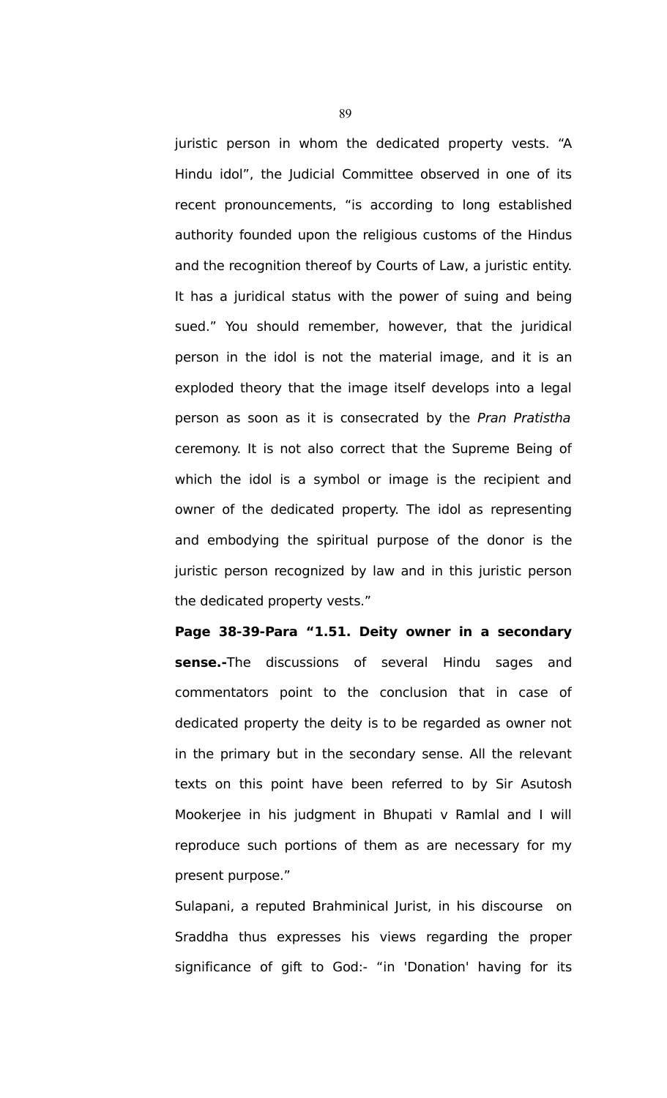juristic person in whom the dedicated property vests. "A Hindu idol", the Judicial Committee observed in one of its recent pronouncements, "is according to long established authority founded upon the religious customs of the Hindus and the recognition thereof by Courts of Law, a juristic entity. It has a juridical status with the power of suing and being sued." You should remember, however, that the juridical person in the idol is not the material image, and it is an exploded theory that the image itself develops into a legal person as soon as it is consecrated by the Pran Pratistha ceremony. It is not also correct that the Supreme Being of which the idol is a symbol or image is the recipient and owner of the dedicated property. The idol as representing and embodying the spiritual purpose of the donor is the juristic person recognized by law and in this juristic person the dedicated property vests."

**Page 38-39-Para "1.51. Deity owner in a secondary sense.-**The discussions of several Hindu sages and commentators point to the conclusion that in case of dedicated property the deity is to be regarded as owner not in the primary but in the secondary sense. All the relevant texts on this point have been referred to by Sir Asutosh Mookerjee in his judgment in Bhupati v Ramlal and I will reproduce such portions of them as are necessary for my present purpose."

Sulapani, a reputed Brahminical Jurist, in his discourse on Sraddha thus expresses his views regarding the proper significance of gift to God:- "in 'Donation' having for its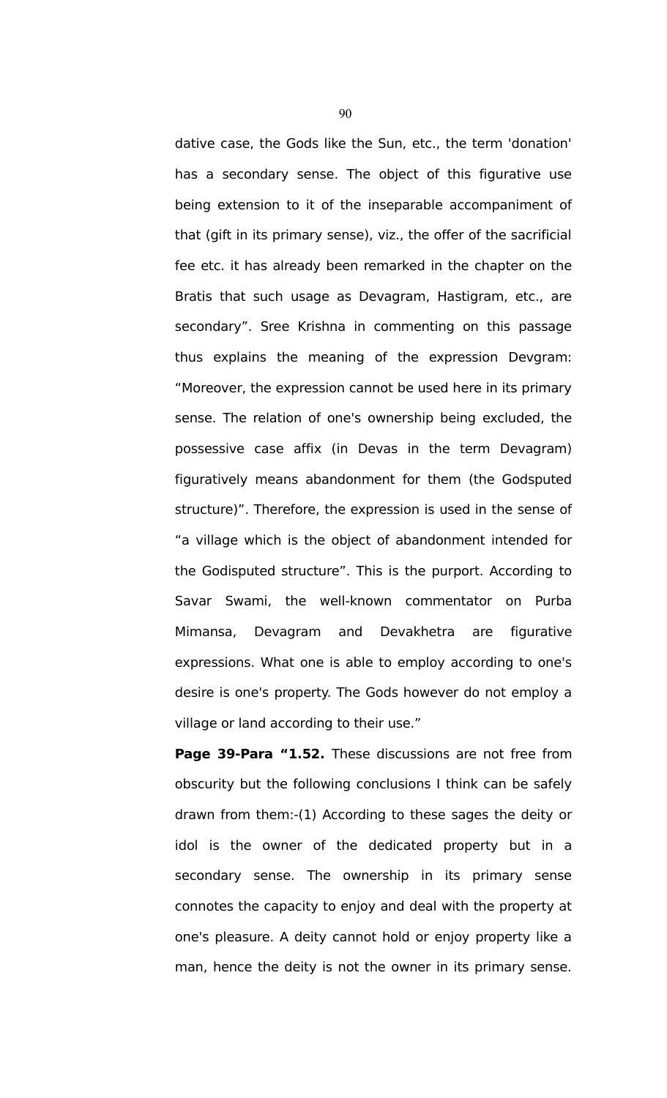dative case, the Gods like the Sun, etc., the term 'donation' has a secondary sense. The object of this figurative use being extension to it of the inseparable accompaniment of that (gift in its primary sense), viz., the offer of the sacrificial fee etc. it has already been remarked in the chapter on the Bratis that such usage as Devagram, Hastigram, etc., are secondary". Sree Krishna in commenting on this passage thus explains the meaning of the expression Devgram: "Moreover, the expression cannot be used here in its primary sense. The relation of one's ownership being excluded, the possessive case affix (in Devas in the term Devagram) figuratively means abandonment for them (the Godsputed structure)". Therefore, the expression is used in the sense of "a village which is the object of abandonment intended for the Godisputed structure". This is the purport. According to Savar Swami, the well-known commentator on Purba Mimansa, Devagram and Devakhetra are figurative expressions. What one is able to employ according to one's desire is one's property. The Gods however do not employ a village or land according to their use."

**Page 39-Para "1.52.** These discussions are not free from obscurity but the following conclusions I think can be safely drawn from them:-(1) According to these sages the deity or idol is the owner of the dedicated property but in a secondary sense. The ownership in its primary sense connotes the capacity to enjoy and deal with the property at one's pleasure. A deity cannot hold or enjoy property like a man, hence the deity is not the owner in its primary sense.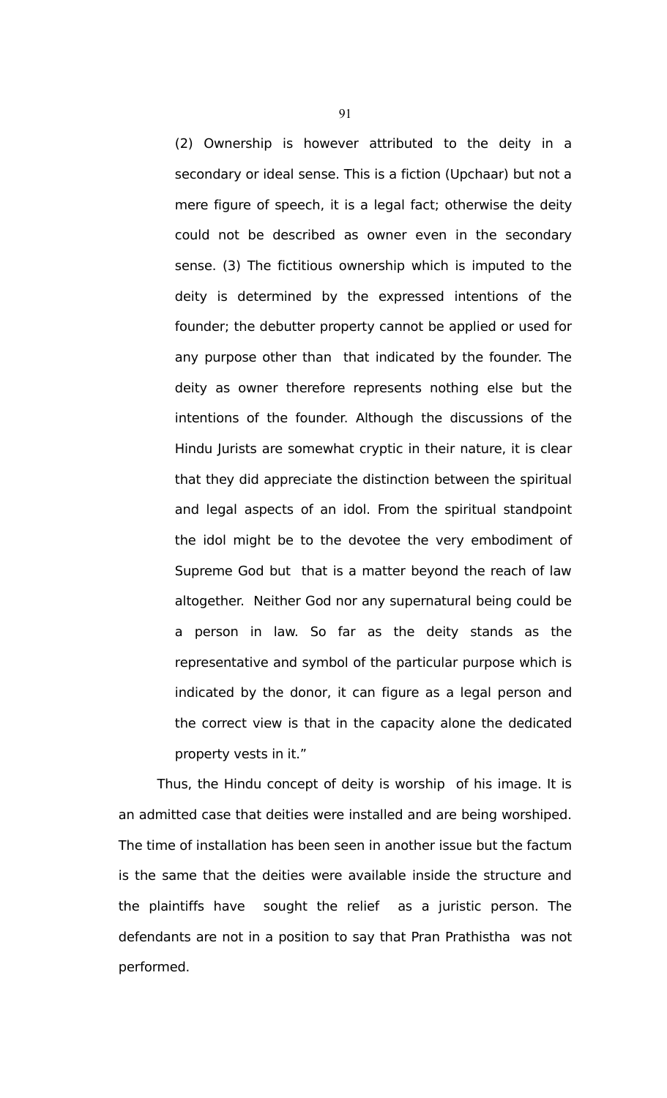(2) Ownership is however attributed to the deity in a secondary or ideal sense. This is a fiction (Upchaar) but not a mere figure of speech, it is a legal fact; otherwise the deity could not be described as owner even in the secondary sense. (3) The fictitious ownership which is imputed to the deity is determined by the expressed intentions of the founder; the debutter property cannot be applied or used for any purpose other than that indicated by the founder. The deity as owner therefore represents nothing else but the intentions of the founder. Although the discussions of the Hindu Jurists are somewhat cryptic in their nature, it is clear that they did appreciate the distinction between the spiritual and legal aspects of an idol. From the spiritual standpoint the idol might be to the devotee the very embodiment of Supreme God but that is a matter beyond the reach of law altogether. Neither God nor any supernatural being could be a person in law. So far as the deity stands as the representative and symbol of the particular purpose which is indicated by the donor, it can figure as a legal person and the correct view is that in the capacity alone the dedicated property vests in it."

Thus, the Hindu concept of deity is worship of his image. It is an admitted case that deities were installed and are being worshiped. The time of installation has been seen in another issue but the factum is the same that the deities were available inside the structure and the plaintiffs have sought the relief as a juristic person. The defendants are not in a position to say that Pran Prathistha was not performed.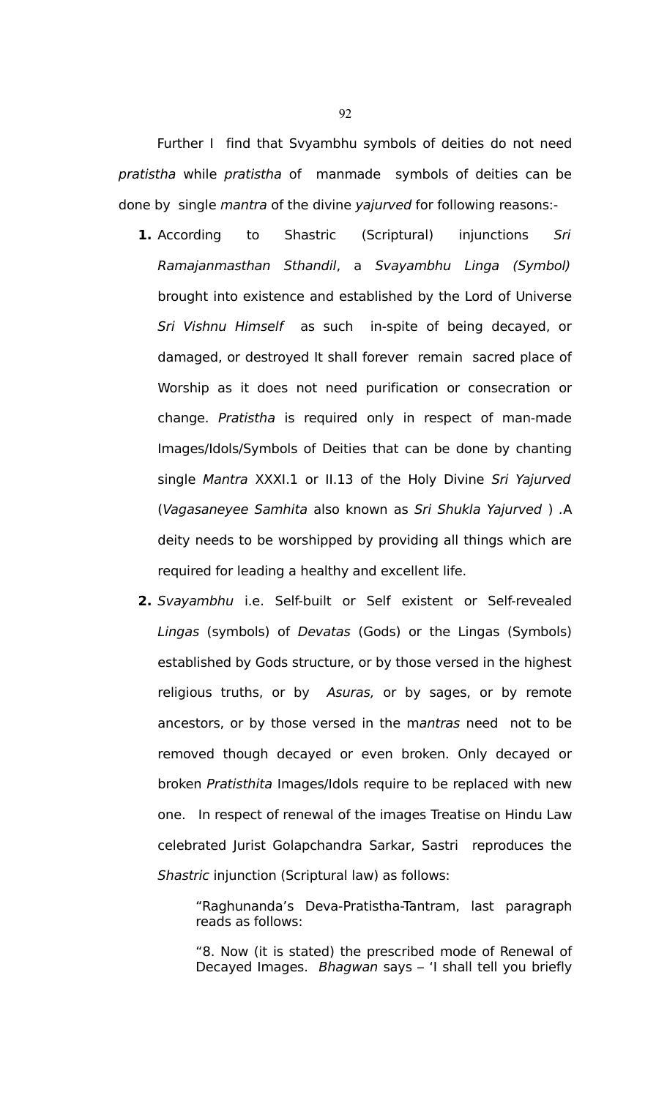Further I find that Svyambhu symbols of deities do not need pratistha while pratistha of manmade symbols of deities can be done by single mantra of the divine yajurved for following reasons:-

- **1.** According to Shastric (Scriptural) injunctions Sri Ramajanmasthan Sthandil, a Svayambhu Linga (Symbol) brought into existence and established by the Lord of Universe Sri Vishnu Himself as such in-spite of being decayed, or damaged, or destroyed It shall forever remain sacred place of Worship as it does not need purification or consecration or change. Pratistha is required only in respect of man-made Images/Idols/Symbols of Deities that can be done by chanting single Mantra XXXI.1 or II.13 of the Holy Divine Sri Yajurved (Vagasaneyee Samhita also known as Sri Shukla Yajurved ) .A deity needs to be worshipped by providing all things which are required for leading a healthy and excellent life.
- **2.** Svayambhu i.e. Self-built or Self existent or Self-revealed Lingas (symbols) of Devatas (Gods) or the Lingas (Symbols) established by Gods structure, or by those versed in the highest religious truths, or by Asuras, or by sages, or by remote ancestors, or by those versed in the mantras need not to be removed though decayed or even broken. Only decayed or broken Pratisthita Images/Idols require to be replaced with new one. In respect of renewal of the images Treatise on Hindu Law celebrated Jurist Golapchandra Sarkar, Sastri reproduces the Shastric injunction (Scriptural law) as follows:

"Raghunanda's Deva-Pratistha-Tantram, last paragraph reads as follows:

"8. Now (it is stated) the prescribed mode of Renewal of Decayed Images. Bhagwan says – 'I shall tell you briefly

92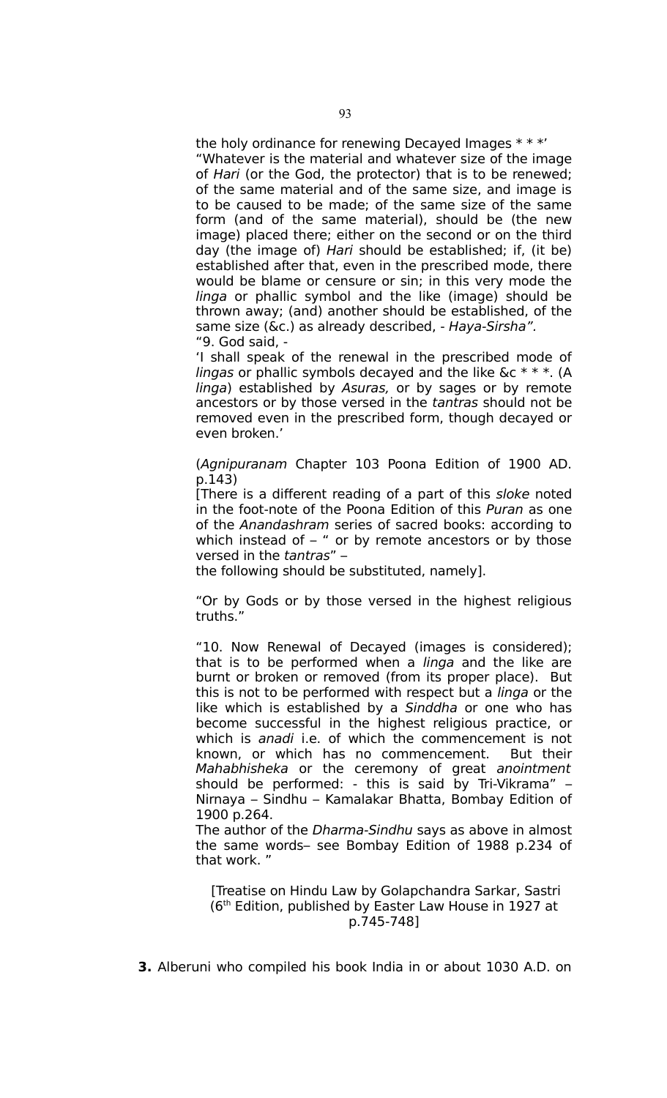the holy ordinance for renewing Decayed Images \* \* \*' "Whatever is the material and whatever size of the image of Hari (or the God, the protector) that is to be renewed; of the same material and of the same size, and image is to be caused to be made; of the same size of the same form (and of the same material), should be (the new image) placed there; either on the second or on the third day (the image of) Hari should be established; if, (it be) established after that, even in the prescribed mode, there would be blame or censure or sin; in this very mode the linga or phallic symbol and the like (image) should be thrown away; (and) another should be established, of the same size (&c.) as already described, - Haya-Sirsha". "9. God said, -

'I shall speak of the renewal in the prescribed mode of lingas or phallic symbols decayed and the like  $\&c^*$  \*  $\&$  (A linga) established by Asuras, or by sages or by remote ancestors or by those versed in the tantras should not be removed even in the prescribed form, though decayed or even broken.'

(Agnipuranam Chapter 103 Poona Edition of 1900 AD. p.143)

[There is a different reading of a part of this sloke noted in the foot-note of the Poona Edition of this Puran as one of the Anandashram series of sacred books: according to which instead of  $-$  " or by remote ancestors or by those versed in the tantras" –

the following should be substituted, namely].

"Or by Gods or by those versed in the highest religious truths."

"10. Now Renewal of Decayed (images is considered); that is to be performed when a linga and the like are burnt or broken or removed (from its proper place). But this is not to be performed with respect but a *linga* or the like which is established by a Sinddha or one who has become successful in the highest religious practice, or which is *anadi* i.e. of which the commencement is not known, or which has no commencement. But their Mahabhisheka or the ceremony of great anointment should be performed: - this is said by Tri-Vikrama" – Nirnaya – Sindhu – Kamalakar Bhatta, Bombay Edition of 1900 p.264.

The author of the *Dharma-Sindhu* says as above in almost the same words– see Bombay Edition of 1988 p.234 of that work. "

 [Treatise on Hindu Law by Golapchandra Sarkar, Sastri (6<sup>th</sup> Edition, published by Easter Law House in 1927 at p.745-748]

**3.** Alberuni who compiled his book India in or about 1030 A.D. on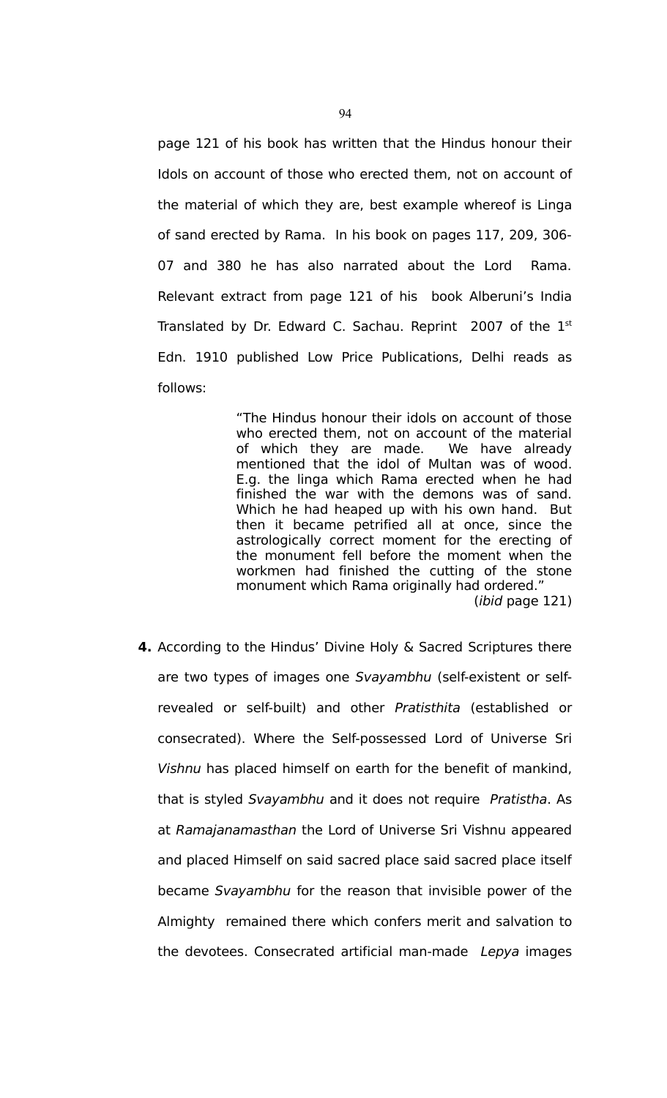page 121 of his book has written that the Hindus honour their Idols on account of those who erected them, not on account of the material of which they are, best example whereof is Linga of sand erected by Rama. In his book on pages 117, 209, 306- 07 and 380 he has also narrated about the Lord Rama. Relevant extract from page 121 of his book Alberuni's India Translated by Dr. Edward C. Sachau. Reprint 2007 of the 1<sup>st</sup> Edn. 1910 published Low Price Publications, Delhi reads as follows:

> "The Hindus honour their idols on account of those who erected them, not on account of the material of which they are made. We have already mentioned that the idol of Multan was of wood. E.g. the linga which Rama erected when he had finished the war with the demons was of sand. Which he had heaped up with his own hand. But then it became petrified all at once, since the astrologically correct moment for the erecting of the monument fell before the moment when the workmen had finished the cutting of the stone monument which Rama originally had ordered." (ibid page 121)

**4.** According to the Hindus' Divine Holy & Sacred Scriptures there are two types of images one Svayambhu (self-existent or selfrevealed or self-built) and other Pratisthita (established or consecrated). Where the Self-possessed Lord of Universe Sri Vishnu has placed himself on earth for the benefit of mankind, that is styled Svayambhu and it does not require Pratistha. As at Ramajanamasthan the Lord of Universe Sri Vishnu appeared and placed Himself on said sacred place said sacred place itself became Svayambhu for the reason that invisible power of the Almighty remained there which confers merit and salvation to the devotees. Consecrated artificial man-made Lepya images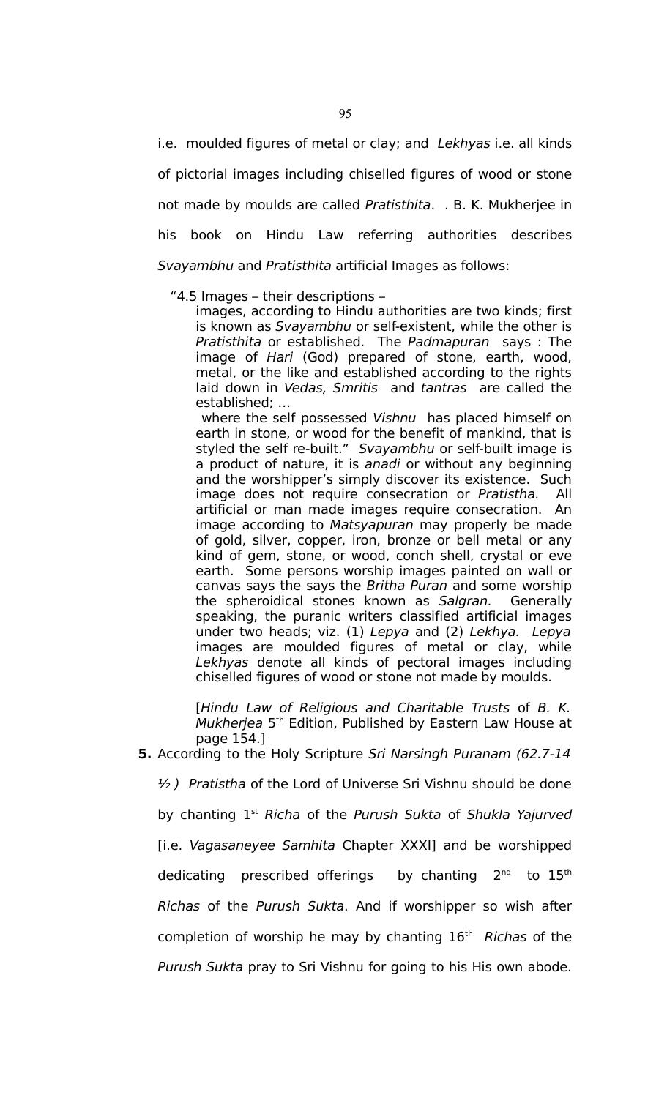i.e. moulded figures of metal or clay; and Lekhyas i.e. all kinds of pictorial images including chiselled figures of wood or stone not made by moulds are called Pratisthita. . B. K. Mukherjee in his book on Hindu Law referring authorities describes Svayambhu and Pratisthita artificial Images as follows:

"4.5 Images – their descriptions –

images, according to Hindu authorities are two kinds; first is known as Svayambhu or self-existent, while the other is Pratisthita or established. The Padmapuran says : The image of Hari (God) prepared of stone, earth, wood, metal, or the like and established according to the rights laid down in Vedas, Smritis and tantras are called the established; …

where the self possessed Vishnu has placed himself on earth in stone, or wood for the benefit of mankind, that is styled the self re-built." Svayambhu or self-built image is a product of nature, it is anadi or without any beginning and the worshipper's simply discover its existence. Such image does not require consecration or Pratistha. All artificial or man made images require consecration. An image according to Matsyapuran may properly be made of gold, silver, copper, iron, bronze or bell metal or any kind of gem, stone, or wood, conch shell, crystal or eve earth. Some persons worship images painted on wall or canvas says the says the Britha Puran and some worship the spheroidical stones known as Salgran. Generally speaking, the puranic writers classified artificial images under two heads; viz. (1) Lepya and (2) Lekhya. Lepya images are moulded figures of metal or clay, while Lekhyas denote all kinds of pectoral images including chiselled figures of wood or stone not made by moulds.

[Hindu Law of Religious and Charitable Trusts of B. K. Mukherjea 5<sup>th</sup> Edition, Published by Eastern Law House at page 154.]

### **5.** According to the Holy Scripture Sri Narsingh Puranam (62.7-14

 $\frac{1}{2}$ ) Pratistha of the Lord of Universe Sri Vishnu should be done by chanting  $1<sup>st</sup>$  Richa of the Purush Sukta of Shukla Yajurved [i.e. Vagasaneyee Samhita Chapter XXXI] and be worshipped dedicating prescribed offerings by chanting  $2^{nd}$  to  $15^{th}$ Richas of the Purush Sukta. And if worshipper so wish after completion of worship he may by chanting  $16<sup>th</sup>$  Richas of the Purush Sukta pray to Sri Vishnu for going to his His own abode.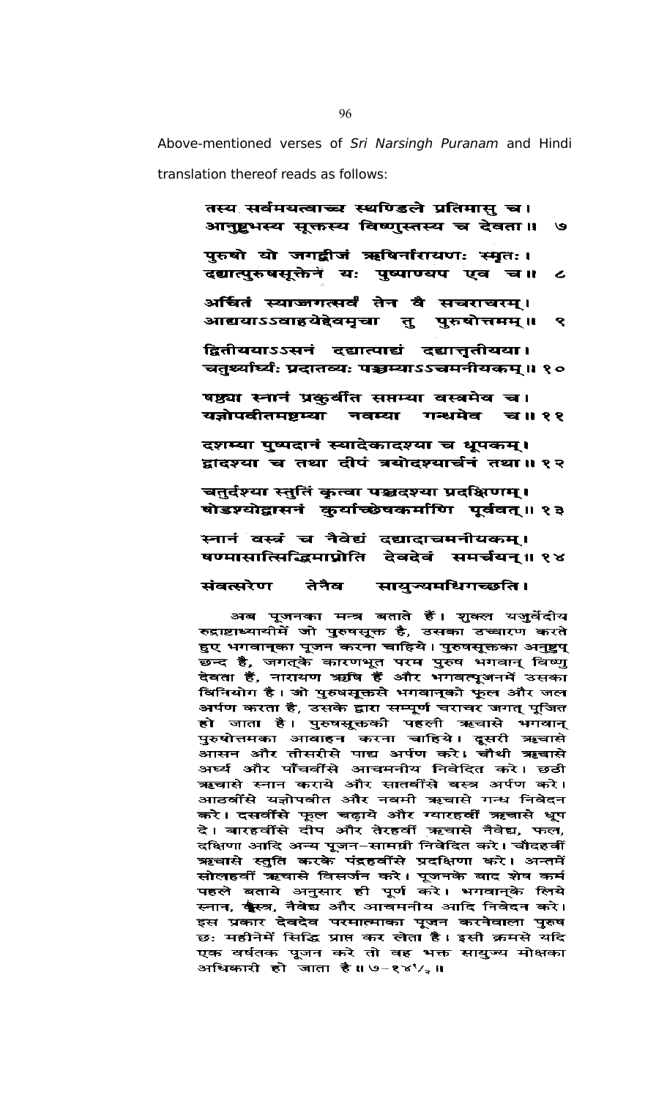Above-mentioned verses of Sri Narsingh Puranam and Hindi translation thereof reads as follows:

तस्य सर्वमयत्वाच्च स्थण्डिले प्रतिमासु च।

आनुष्ट्वभस्य सूक्तस्य विष्णुस्तस्य च देवता॥ ও पुरुषो यो जगद्वीजं ऋषिर्नारायणः स्मृतः। दद्यात्पुरुषसूक्तेनं यः पुष्पाण्यप एव च॥  $\epsilon$ अर्चितं स्याज्जगत्सर्वं तेन वै सचराचरम्। आद्ययाऽऽवाहयेद्देवमृचा तु पुरुषोत्तमम्॥ ९ द्वितीययाऽऽसनं दद्यात्पाद्यं दद्यात्तृतीयया। चतुर्थ्यार्थ्यः प्रदातव्यः पञ्चम्याऽऽचमनीयकम्॥ १० षष्ठ्या स्नानं प्रकुर्वीत सप्तम्या वस्त्रमेव च। यज्ञोपवीतमष्टम्या नवम्या गन्धमेव च॥११ दशम्या पुष्पदानं स्यादेकादश्या च धूपकम्। द्वादश्या च तथा दीपं त्रयोदश्यार्चनं तथा॥१२ चतुर्दश्या स्तुतिं कृत्वा पञ्चदश्या प्रदक्षिणम्। षोडश्योद्वासनं कुर्याच्छेषकर्माणि पूर्ववत्॥१३ स्नानं वस्त्रं च नैवेद्यं दद्यादाचमनीयकम्। षण्मासात्सिद्धिमाप्नोति देवदेवं समर्चयन्॥१४ तेनैव संवत्सरेण सायुन्यमधिगच्छति। अब पूजनका मन्त्र बताते हैं। शुक्ल यजुर्वेदीय रुद्राष्टाध्यायीमें जो पुरुषसूक्त है, उसका उच्चारण करते हुए भगवान्का पूजन करना चाहिये। पुरुषसूक्तका अनुष्टुप् छन्द है, जगत्के कारणभूत परम पुरुष भगवान् विष्णु देवता हैं, नारायण ऋषि हैं और भगवत्पूजनमें उसका विनियोग है। जो पुरुषसूक्तसे भगवान्को फूल और जल अर्पण करता है, उसके द्वारा सम्पूर्ण चराचर जगत् पूजित हो जाता है। पुरुषसूक्तकी पहली ऋचासे भगवान् पुरुषोत्तमका आवाहन करना चाहिये। दूसरी ऋचासे आसन और तीसरीसे पाद्य अर्पण करे। चौथी ऋचासे<br>अर्घ्य और पाँचवींसे आचमनीय निवेदित करे। छठी ऋचासे स्नान कराये और सातवींसे वस्त्र अर्पण करे। आठवींसे यज्ञोपवीत और नवमी ऋचासे गन्ध निवेदन करे। दसवींसे फूल चढ़ाये और ग्यारहवीं ऋचासे धूप दे। बारहवींसे दोप और तेरहवीं ऋचासे नैवेद्य, फल, दक्षिणा आदि अन्य पूजन-सामग्री निवेदित करे। चौदहवीं ऋचासे स्तुति करके पंद्रहवींसे प्रदक्षिणा करे। अन्तमें सोलहवीं ऋचासे विसर्जन करे। पूजनके बाद शेष कर्म पहले बताये अनुसार ही पूर्ण करे। भगवान्के लिये स्नान, क्कै्स्त्र, नैवेद्य और आचमनीय आदि निवेदन करे। इस प्रकार देवदेव परमात्माका पूजन करनेवाला पुरुष छ: महीनेमें सिद्धि प्राप्त कर लेता है। इसी क्रमसे यदि एक वर्षतक पूजन करे तो वह भक्त सायुज्य मोक्षका अधिकारी हो जाता है।। ७∽१४९, ॥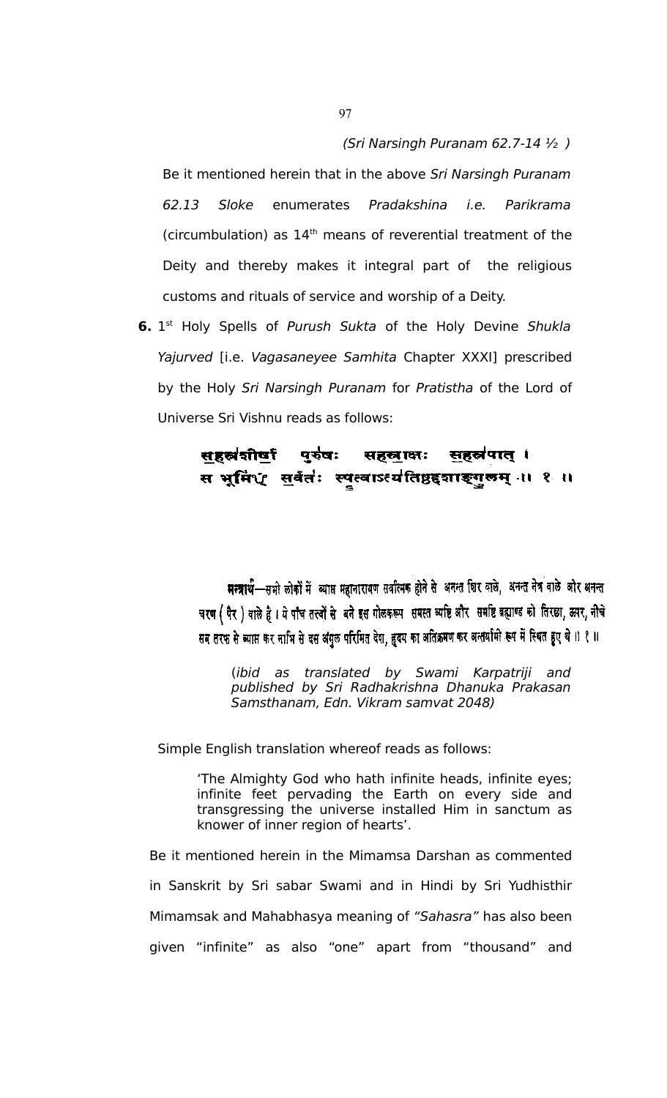#### (Sri Narsingh Puranam 62.7-14 ½ )

Be it mentioned herein that in the above Sri Narsingh Puranam 62.13 Sloke enumerates Pradakshina i.e. Parikrama (circumbulation) as  $14<sup>th</sup>$  means of reverential treatment of the Deity and thereby makes it integral part of the religious customs and rituals of service and worship of a Deity.

**6.** 1<sup>st</sup> Holy Spells of Purush Sukta of the Holy Devine Shukla Yajurved [i.e. Vagasaneyee Samhita Chapter XXXI] prescribed by the Holy Sri Narsingh Puranam for Pratistha of the Lord of Universe Sri Vishnu reads as follows:

#### सहस्रकीर्षा पुरुषः सहस्राक्षः सहस्रपात् । स भूमि $\mathbf{\hat{q}}$  सर्वतंः स्पृत्वाऽत्यतिष्ठद्दशाङ्गुरुम् ।। १ ॥

मन्त्रार्थ-सभी लोकों में व्याप्त महानारायण सर्वात्मक होने से अनन्त शिर बाले, अनन्त नेत्र वाले और अनन्त चरण (पैर) वाले हैं। ये पाँच तत्त्वों से बने इस गोलकरूप समस्त व्यष्टि और समष्टि ब्रह्माण्ड को तिरछा, ऊपर, नीचे सब तरफ से ब्याप्त कर नाभि से दस अंगुल परिमित देश, हृदय का अतिक्रमण कर अन्तर्यामी रूप में स्थित हुए थे ।। १ ॥

(ibid as translated by Swami Karpatriji and published by Sri Radhakrishna Dhanuka Prakasan Samsthanam, Edn. Vikram samvat 2048)

Simple English translation whereof reads as follows:

'The Almighty God who hath infinite heads, infinite eyes; infinite feet pervading the Earth on every side and transgressing the universe installed Him in sanctum as knower of inner region of hearts'.

Be it mentioned herein in the Mimamsa Darshan as commented in Sanskrit by Sri sabar Swami and in Hindi by Sri Yudhisthir Mimamsak and Mahabhasya meaning of "Sahasra" has also been given "infinite" as also "one" apart from "thousand" and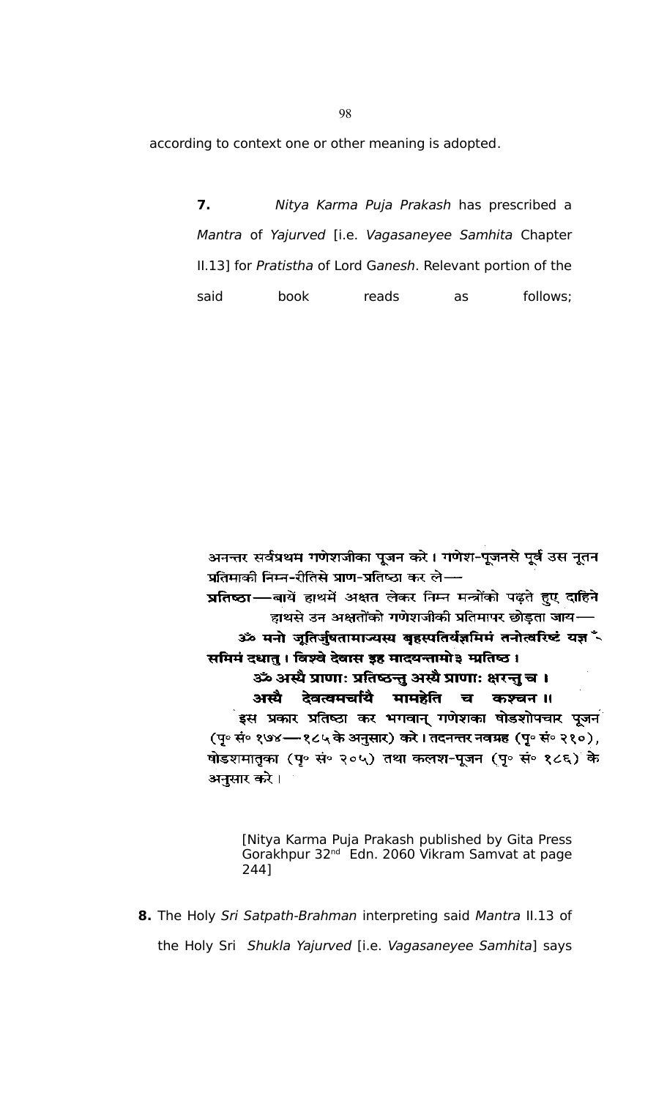according to context one or other meaning is adopted.

**7.** Nitya Karma Puja Prakash has prescribed a Mantra of Yajurved [i.e. Vagasaneyee Samhita Chapter II.13] for Pratistha of Lord Ganesh. Relevant portion of the said book reads as follows;

अनन्तर सर्वप्रथम गणेशजीका पूजन करे। गणेश-पूजनसे पूर्व उस नूतन प्रतिमाकी निम्न-रीतिसे प्राण-प्रतिष्ठा कर ले-

प्रतिष्ठा-बायें हाथमें अक्षत लेकर निम्न मन्त्रोंको पढ़ते हुए दाहिने हाथसे उन अक्षतोंको गणेशजीकी प्रतिमापर छोड़ता जाय-

ॐ मनो जूतिर्जुषतामाज्यस्य बृहस्पतिर्यज्ञमिमं तनोत्वरिष्टं यज्ञ \* समिमं दधातु । विश्वे देवास इह मादयन्तामो३ म्प्रतिष्ठ ।

ॐ अस्यै प्राणाः प्रतिष्ठन्तु अस्यै प्राणाः क्षरन्तु च । अस्यै देवत्वमचयिं मामहेति च कश्चन॥

इस प्रकार प्रतिष्ठा कर भगवान् गणेशका षोडशोपचार पूजन $\overline{a}$ (पु॰ सं॰ १७४—१८५ के अनुसार) करे। तदनन्तर नवम्रह (पु॰ सं॰ २१०), षोडशमातृका (पृ॰ सं॰ २०५) तथा कलश-पूजन (पृ॰ सं॰ १८६) के अनुसार करे।

[Nitya Karma Puja Prakash published by Gita Press Gorakhpur 32nd Edn. 2060 Vikram Samvat at page 244]

**8.** The Holy Sri Satpath-Brahman interpreting said Mantra II.13 of the Holy Sri Shukla Yajurved [i.e. Vagasaneyee Samhita] says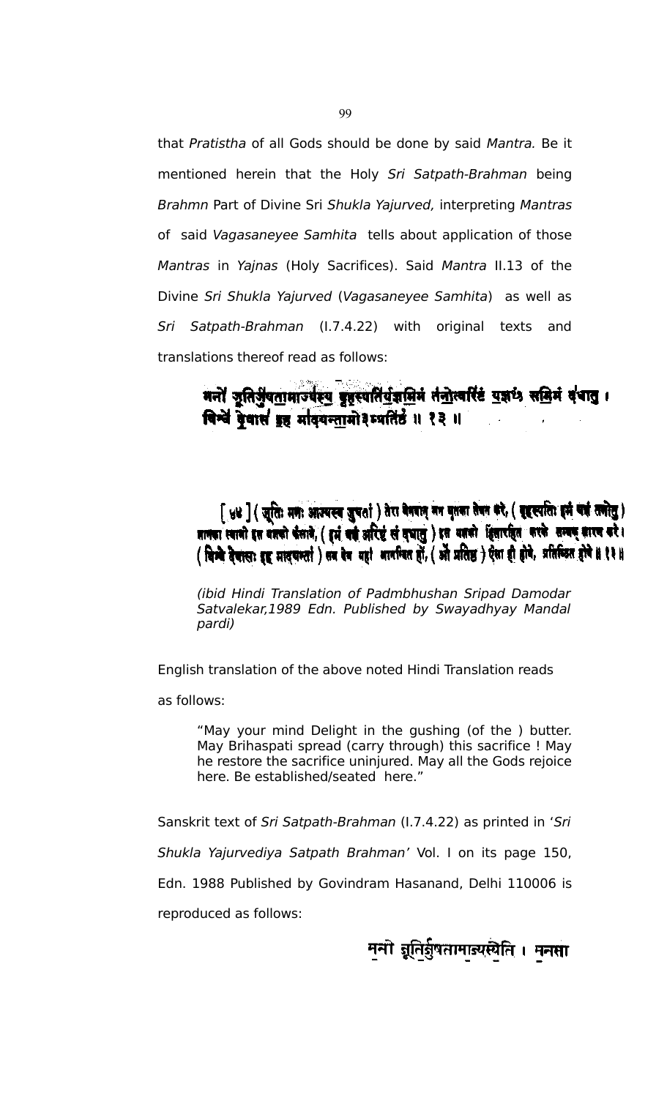that Pratistha of all Gods should be done by said Mantra. Be it mentioned herein that the Holy Sri Satpath-Brahman being Brahmn Part of Divine Sri Shukla Yajurved, interpreting Mantras of said Vagasaneyee Samhita tells about application of those Mantras in Yajnas (Holy Sacrifices). Said Mantra II.13 of the Divine Sri Shukla Yajurved (Vagasaneyee Samhita) as well as Sri Satpath-Brahman (I.7.4.22) with original texts and translations thereof read as follows:

> मनों जूतिर्जुबतामाज्यस्य बृहस्यतिर्गुज्ञप्रिमं तंनोत्वरिं युज्ञार्थ समिनं दंचातु । विन्वे देवासं इह मादयन्तामो३म्पतिर्हं ॥ १३ ॥

[ ४४ ] ( जूतिः मणः आज्यस्य जुपर्ता) तेरा वेबवान् नन वृतका तेवन करे, ( बृहस्पतिः इमं यहं तनोतु ) ज्ञानका स्वानी इस बज्ञको कैलाने, ( हुर्म बर्क अरिष्टं सं बुधातु ) इस बज्ञको हिसारहित करके सम्बन् कारच करे। (विम्बे देवासाः इड् मादवन्तां) सब देव बहां आत्मिकत हों, (ओ प्रतिष्ठ) ऐसा ही होवे, प्रतिब्दित होवे ॥ १३ ॥

(ibid Hindi Translation of Padmbhushan Sripad Damodar Satvalekar,1989 Edn. Published by Swayadhyay Mandal pardi)

English translation of the above noted Hindi Translation reads

as follows:

"May your mind Delight in the gushing (of the ) butter. May Brihaspati spread (carry through) this sacrifice ! May he restore the sacrifice uninjured. May all the Gods rejoice here. Be established/seated here."

Sanskrit text of Sri Satpath-Brahman (I.7.4.22) as printed in 'Sri Shukla Yajurvediya Satpath Brahman' Vol. I on its page 150, Edn. 1988 Published by Govindram Hasanand, Delhi 110006 is reproduced as follows:

मनो जूतिर्बुषतामाज्यस्येति । मनसा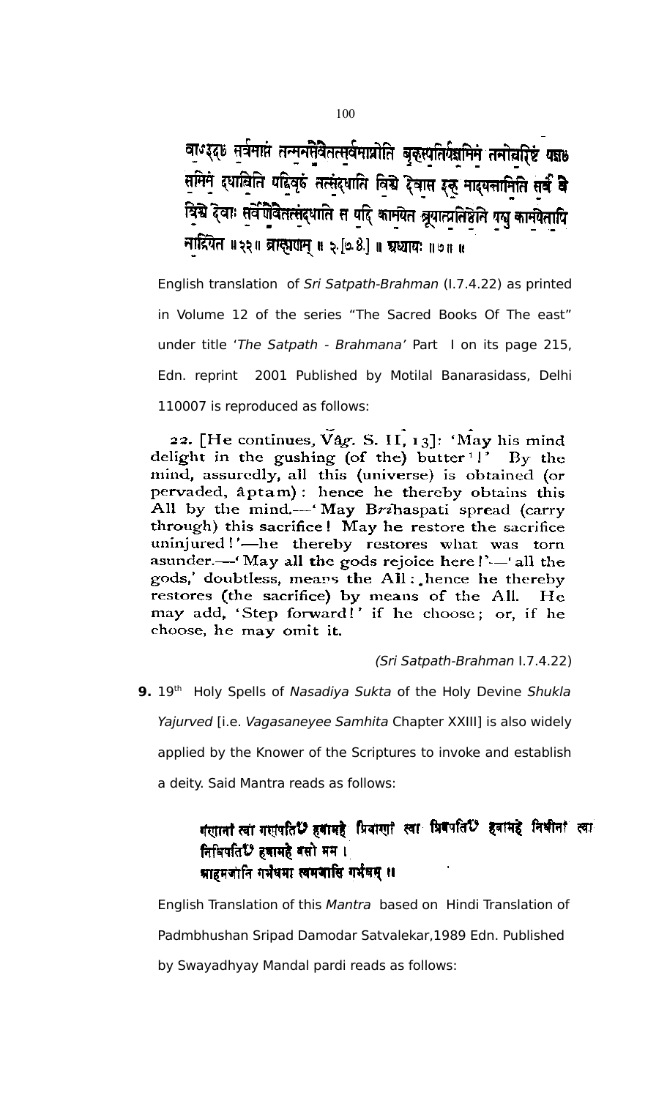वाण्ड्द्छ सूर्वमाप्तं तन्मनसेवैतत्सर्वमाप्रोति बृकुस्पतिर्यज्ञमिमं तनोत्नारिष्टं यज्ञ । समिन द्धालिति पहिलुरुं तत्सुंद्धाति विश्वे देवास इक् मादयत्तामिति सर्वं वे विद्ये देवाः सर्वेषोवेतत्संदधाति स यदि कामयेत ब्रूयात्प्रतिष्ठेति यसु कामयेतापि नादियेत ॥ २२॥ ब्रास्तवाम् ॥ २ [७ 8.] ॥ ग्रथ्यायः ॥ ७ ॥ ॥

English translation of Sri Satpath-Brahman (I.7.4.22) as printed in Volume 12 of the series "The Sacred Books Of The east" under title 'The Satpath - Brahmana' Part I on its page 215, Edn. reprint 2001 Published by Motilal Banarasidass, Delhi 110007 is reproduced as follows:

22. [He continues,  $Vag$ . S. II,  $13$ ]: 'May his mind delight in the gushing (of the) butter<sup>1</sup>!' By the mind, assuredly, all this (universe) is obtained (or pervaded, aptam): hence he thereby obtains this All by the mind.— 'May Brihaspati spread (carry through) this sacrifice! May he restore the sacrifice uninjured!'-he thereby restores what was torn asunder.—I May all the gods rejoice here!'—'all the gods,' doubtless, means the All: hence he thereby restores (the sacrifice) by means of the All. He may add, 'Step forward!' if he choose; or, if he choose, he may omit it.

(Sri Satpath-Brahman I.7.4.22)

**9.** 19<sup>th</sup> Holy Spells of Nasadiya Sukta of the Holy Devine Shukla Yajurved [i.e. Vagasaneyee Samhita Chapter XXIII] is also widely applied by the Knower of the Scriptures to invoke and establish a deity. Said Mantra reads as follows:

# गसानां त्वा गसपति ? हवामहे प्रियासा स्वा प्रिवपति ? हवामहे निभीनां त्वा निभिपति ? हजामहे बसो मम । म्राहमजानि गर्भेषमा स्वमञासि गर्भेषम् ॥

English Translation of this Mantra based on Hindi Translation of Padmbhushan Sripad Damodar Satvalekar,1989 Edn. Published by Swayadhyay Mandal pardi reads as follows: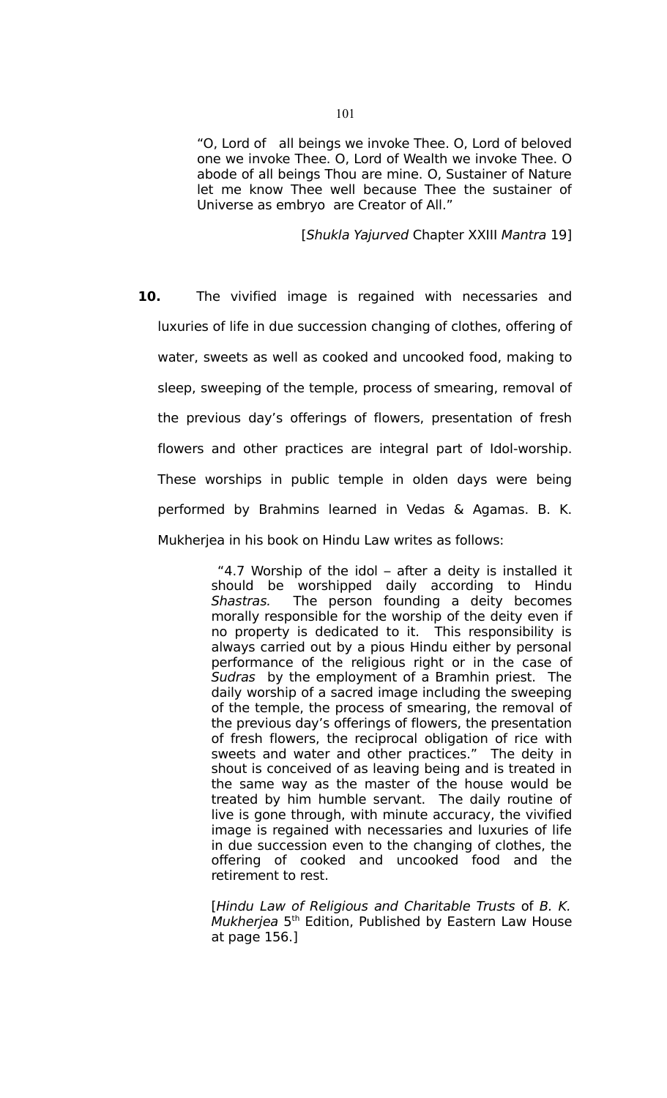"O, Lord of all beings we invoke Thee. O, Lord of beloved one we invoke Thee. O, Lord of Wealth we invoke Thee. O abode of all beings Thou are mine. O, Sustainer of Nature let me know Thee well because Thee the sustainer of Universe as embryo are Creator of All."

[Shukla Yajurved Chapter XXIII Mantra 19]

**10.** The vivified image is regained with necessaries and luxuries of life in due succession changing of clothes, offering of water, sweets as well as cooked and uncooked food, making to sleep, sweeping of the temple, process of smearing, removal of the previous day's offerings of flowers, presentation of fresh flowers and other practices are integral part of Idol-worship. These worships in public temple in olden days were being performed by Brahmins learned in Vedas & Agamas. B. K. Mukherjea in his book on Hindu Law writes as follows:

> "4.7 Worship of the idol – after a deity is installed it should be worshipped daily according to Hindu Shastras. The person founding a deity becomes morally responsible for the worship of the deity even if no property is dedicated to it. This responsibility is always carried out by a pious Hindu either by personal performance of the religious right or in the case of Sudras by the employment of a Bramhin priest. The daily worship of a sacred image including the sweeping of the temple, the process of smearing, the removal of the previous day's offerings of flowers, the presentation of fresh flowers, the reciprocal obligation of rice with sweets and water and other practices." The deity in shout is conceived of as leaving being and is treated in the same way as the master of the house would be treated by him humble servant. The daily routine of live is gone through, with minute accuracy, the vivified image is regained with necessaries and luxuries of life in due succession even to the changing of clothes, the offering of cooked and uncooked food and the retirement to rest.

> [Hindu Law of Religious and Charitable Trusts of B. K. Mukherjea  $5<sup>th</sup>$  Edition, Published by Eastern Law House at page 156.]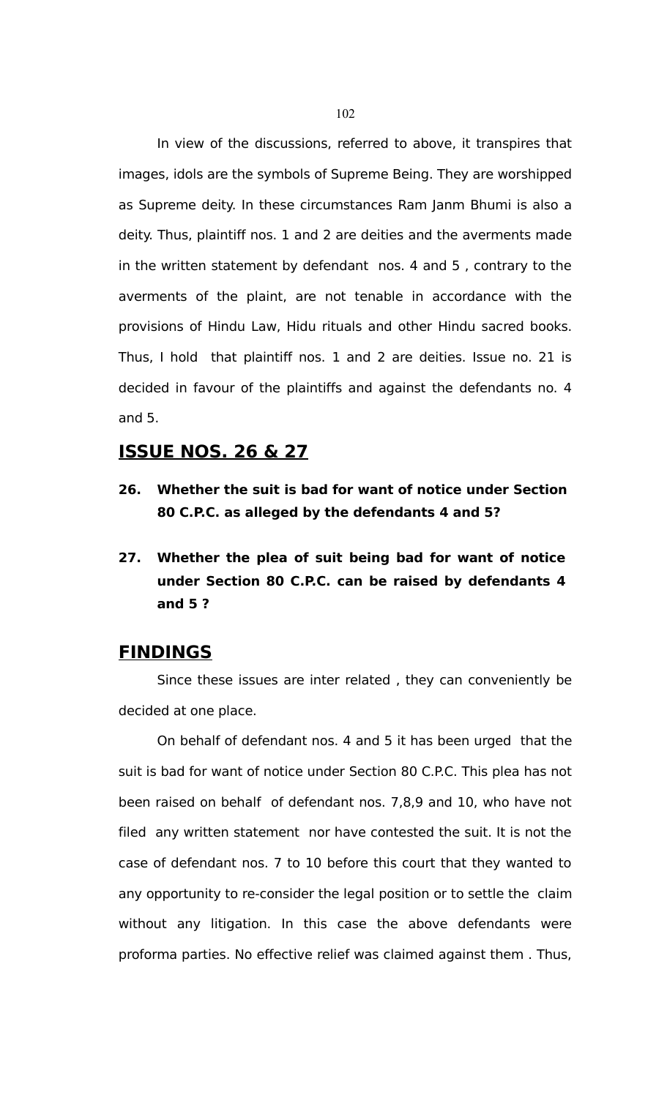In view of the discussions, referred to above, it transpires that images, idols are the symbols of Supreme Being. They are worshipped as Supreme deity. In these circumstances Ram Janm Bhumi is also a deity. Thus, plaintiff nos. 1 and 2 are deities and the averments made in the written statement by defendant nos. 4 and 5 , contrary to the averments of the plaint, are not tenable in accordance with the provisions of Hindu Law, Hidu rituals and other Hindu sacred books. Thus, I hold that plaintiff nos. 1 and 2 are deities. Issue no. 21 is decided in favour of the plaintiffs and against the defendants no. 4 and 5.

# **ISSUE NOS. 26 & 27**

- **26. Whether the suit is bad for want of notice under Section 80 C.P.C. as alleged by the defendants 4 and 5?**
- **27. Whether the plea of suit being bad for want of notice under Section 80 C.P.C. can be raised by defendants 4 and 5 ?**

# **FINDINGS**

Since these issues are inter related , they can conveniently be decided at one place.

On behalf of defendant nos. 4 and 5 it has been urged that the suit is bad for want of notice under Section 80 C.P.C. This plea has not been raised on behalf of defendant nos. 7,8,9 and 10, who have not filed any written statement nor have contested the suit. It is not the case of defendant nos. 7 to 10 before this court that they wanted to any opportunity to re-consider the legal position or to settle the claim without any litigation. In this case the above defendants were proforma parties. No effective relief was claimed against them . Thus,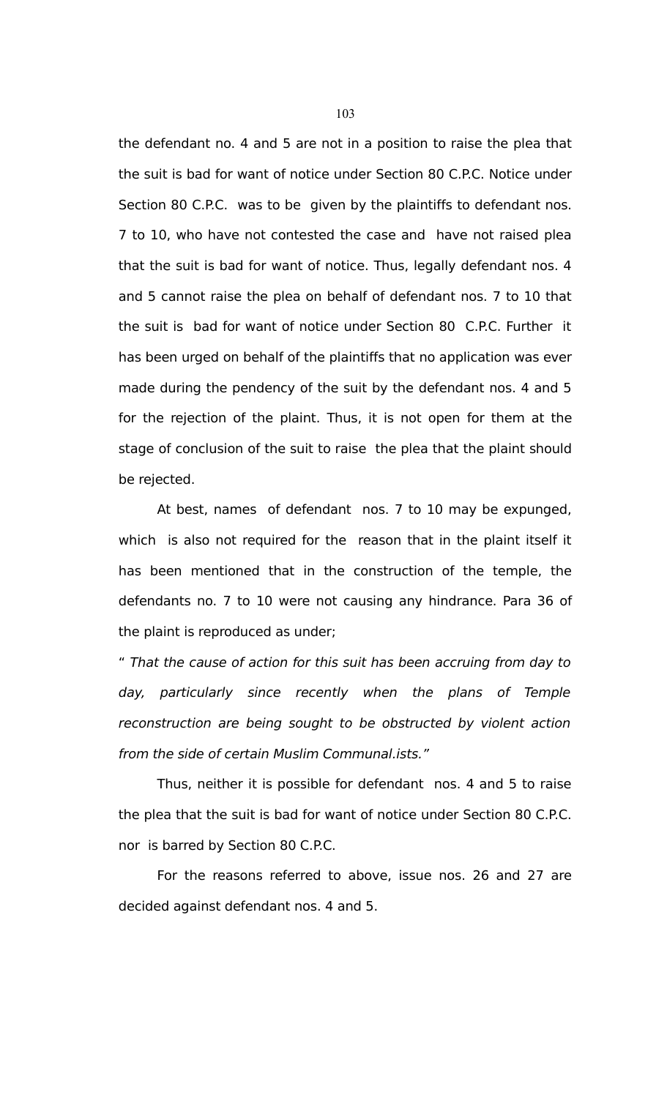the defendant no. 4 and 5 are not in a position to raise the plea that the suit is bad for want of notice under Section 80 C.P.C. Notice under Section 80 C.P.C. was to be given by the plaintiffs to defendant nos. 7 to 10, who have not contested the case and have not raised plea that the suit is bad for want of notice. Thus, legally defendant nos. 4 and 5 cannot raise the plea on behalf of defendant nos. 7 to 10 that the suit is bad for want of notice under Section 80 C.P.C. Further it has been urged on behalf of the plaintiffs that no application was ever made during the pendency of the suit by the defendant nos. 4 and 5 for the rejection of the plaint. Thus, it is not open for them at the stage of conclusion of the suit to raise the plea that the plaint should be rejected.

At best, names of defendant nos. 7 to 10 may be expunged, which is also not required for the reason that in the plaint itself it has been mentioned that in the construction of the temple, the defendants no. 7 to 10 were not causing any hindrance. Para 36 of the plaint is reproduced as under;

" That the cause of action for this suit has been accruing from day to day, particularly since recently when the plans of Temple reconstruction are being sought to be obstructed by violent action from the side of certain Muslim Communal.ists."

Thus, neither it is possible for defendant nos. 4 and 5 to raise the plea that the suit is bad for want of notice under Section 80 C.P.C. nor is barred by Section 80 C.P.C.

For the reasons referred to above, issue nos. 26 and 27 are decided against defendant nos. 4 and 5.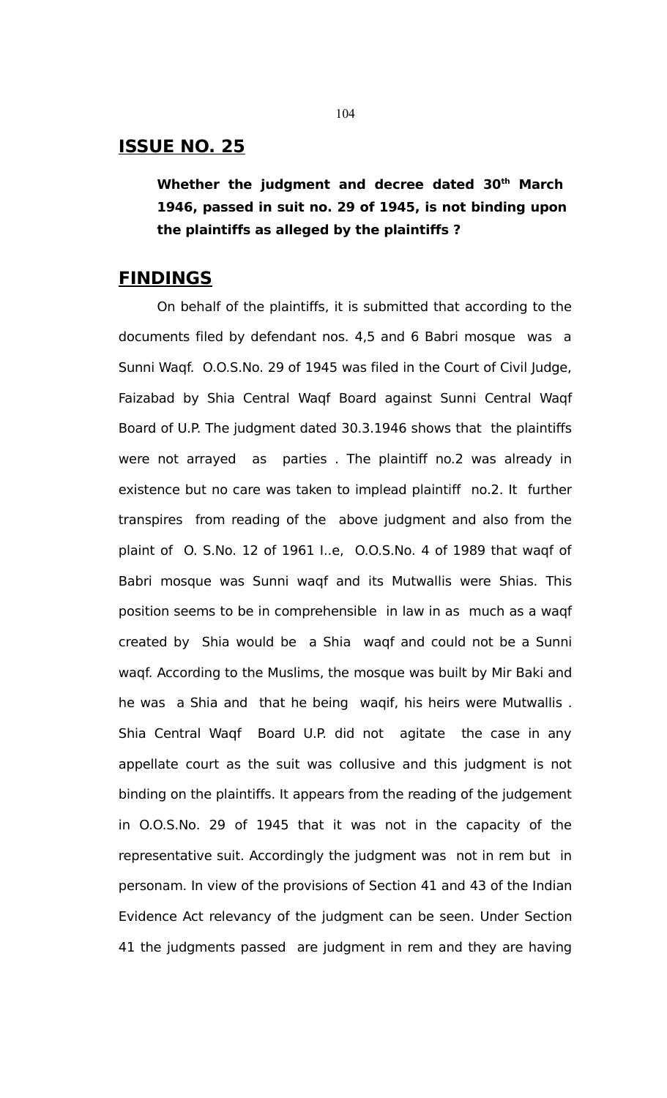# **ISSUE NO. 25**

**Whether the judgment and decree dated 30th March 1946, passed in suit no. 29 of 1945, is not binding upon the plaintiffs as alleged by the plaintiffs ?**

### **FINDINGS**

On behalf of the plaintiffs, it is submitted that according to the documents filed by defendant nos. 4,5 and 6 Babri mosque was a Sunni Waqf. O.O.S.No. 29 of 1945 was filed in the Court of Civil Judge, Faizabad by Shia Central Waqf Board against Sunni Central Waqf Board of U.P. The judgment dated 30.3.1946 shows that the plaintiffs were not arrayed as parties . The plaintiff no.2 was already in existence but no care was taken to implead plaintiff no.2. It further transpires from reading of the above judgment and also from the plaint of O. S.No. 12 of 1961 I..e, O.O.S.No. 4 of 1989 that waqf of Babri mosque was Sunni waqf and its Mutwallis were Shias. This position seems to be in comprehensible in law in as much as a waqf created by Shia would be a Shia waqf and could not be a Sunni waqf. According to the Muslims, the mosque was built by Mir Baki and he was a Shia and that he being waqif, his heirs were Mutwallis . Shia Central Waqf Board U.P. did not agitate the case in any appellate court as the suit was collusive and this judgment is not binding on the plaintiffs. It appears from the reading of the judgement in O.O.S.No. 29 of 1945 that it was not in the capacity of the representative suit. Accordingly the judgment was not in rem but in personam. In view of the provisions of Section 41 and 43 of the Indian Evidence Act relevancy of the judgment can be seen. Under Section 41 the judgments passed are judgment in rem and they are having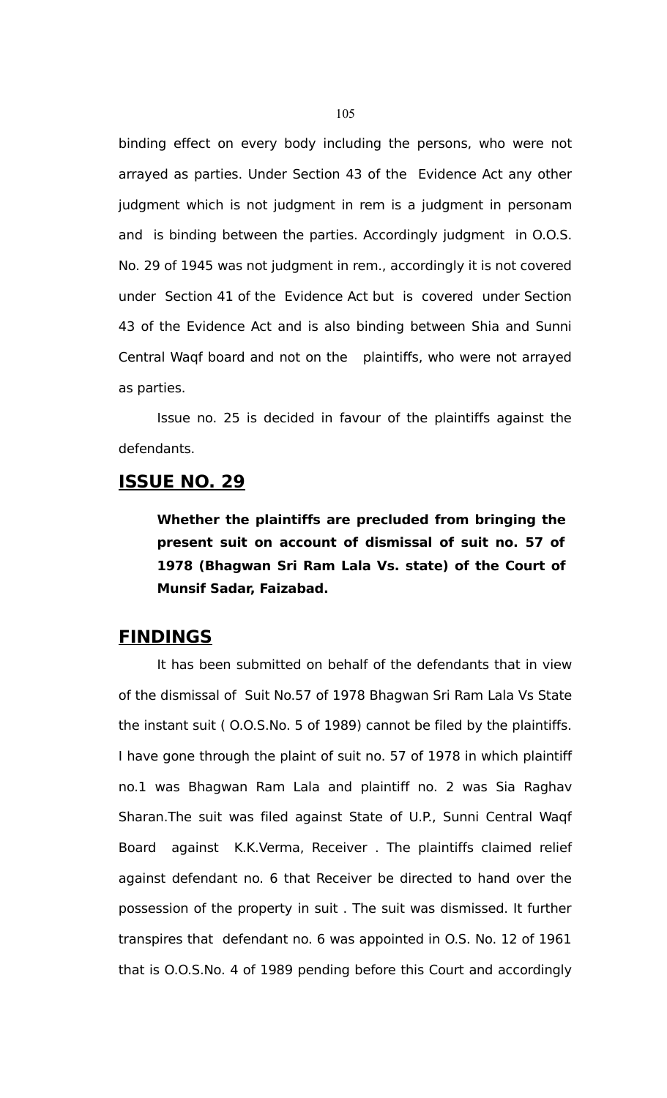binding effect on every body including the persons, who were not arrayed as parties. Under Section 43 of the Evidence Act any other judgment which is not judgment in rem is a judgment in personam and is binding between the parties. Accordingly judgment in O.O.S. No. 29 of 1945 was not judgment in rem., accordingly it is not covered under Section 41 of the Evidence Act but is covered under Section 43 of the Evidence Act and is also binding between Shia and Sunni Central Waqf board and not on the plaintiffs, who were not arrayed as parties.

Issue no. 25 is decided in favour of the plaintiffs against the defendants.

# **ISSUE NO. 29**

**Whether the plaintiffs are precluded from bringing the present suit on account of dismissal of suit no. 57 of 1978 (Bhagwan Sri Ram Lala Vs. state) of the Court of Munsif Sadar, Faizabad.** 

# **FINDINGS**

It has been submitted on behalf of the defendants that in view of the dismissal of Suit No.57 of 1978 Bhagwan Sri Ram Lala Vs State the instant suit ( O.O.S.No. 5 of 1989) cannot be filed by the plaintiffs. I have gone through the plaint of suit no. 57 of 1978 in which plaintiff no.1 was Bhagwan Ram Lala and plaintiff no. 2 was Sia Raghav Sharan.The suit was filed against State of U.P., Sunni Central Waqf Board against K.K.Verma, Receiver . The plaintiffs claimed relief against defendant no. 6 that Receiver be directed to hand over the possession of the property in suit . The suit was dismissed. It further transpires that defendant no. 6 was appointed in O.S. No. 12 of 1961 that is O.O.S.No. 4 of 1989 pending before this Court and accordingly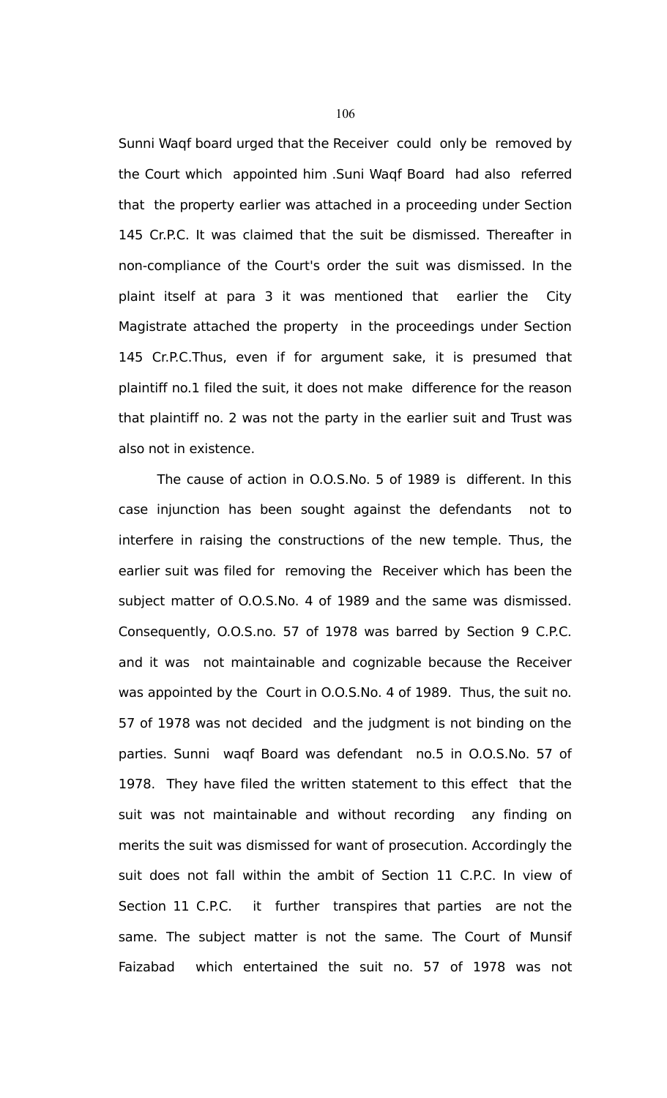Sunni Waqf board urged that the Receiver could only be removed by the Court which appointed him .Suni Waqf Board had also referred that the property earlier was attached in a proceeding under Section 145 Cr.P.C. It was claimed that the suit be dismissed. Thereafter in non-compliance of the Court's order the suit was dismissed. In the plaint itself at para 3 it was mentioned that earlier the City Magistrate attached the property in the proceedings under Section 145 Cr.P.C.Thus, even if for argument sake, it is presumed that plaintiff no.1 filed the suit, it does not make difference for the reason that plaintiff no. 2 was not the party in the earlier suit and Trust was also not in existence.

The cause of action in O.O.S.No. 5 of 1989 is different. In this case injunction has been sought against the defendants not to interfere in raising the constructions of the new temple. Thus, the earlier suit was filed for removing the Receiver which has been the subject matter of O.O.S.No. 4 of 1989 and the same was dismissed. Consequently, O.O.S.no. 57 of 1978 was barred by Section 9 C.P.C. and it was not maintainable and cognizable because the Receiver was appointed by the Court in O.O.S.No. 4 of 1989. Thus, the suit no. 57 of 1978 was not decided and the judgment is not binding on the parties. Sunni waqf Board was defendant no.5 in O.O.S.No. 57 of 1978. They have filed the written statement to this effect that the suit was not maintainable and without recording any finding on merits the suit was dismissed for want of prosecution. Accordingly the suit does not fall within the ambit of Section 11 C.P.C. In view of Section 11 C.P.C. it further transpires that parties are not the same. The subject matter is not the same. The Court of Munsif Faizabad which entertained the suit no. 57 of 1978 was not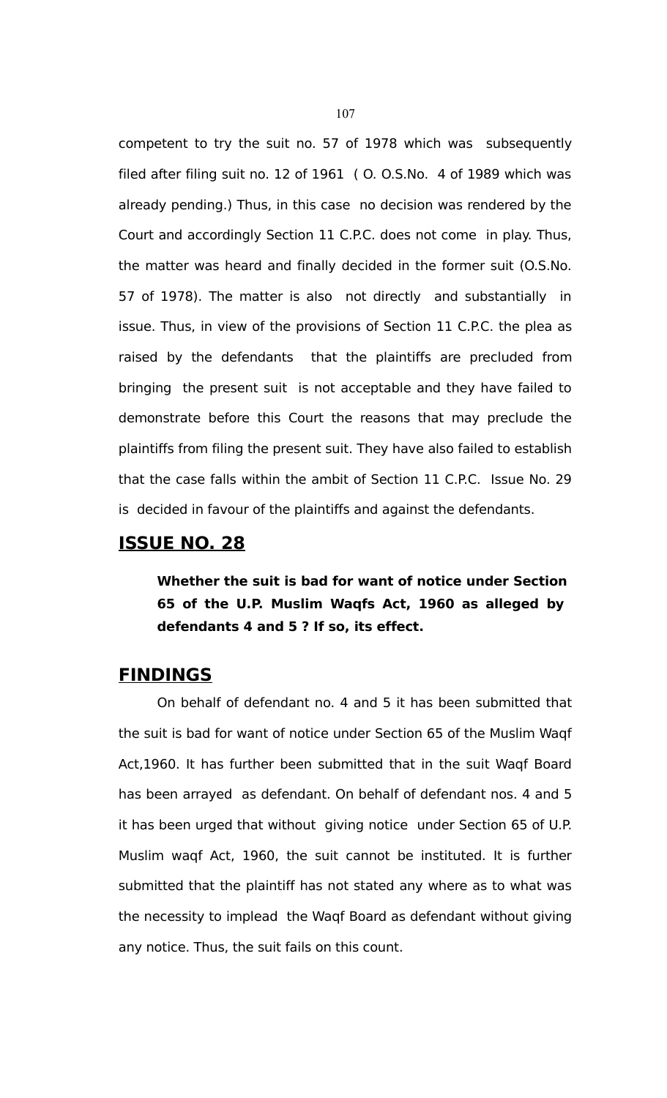competent to try the suit no. 57 of 1978 which was subsequently filed after filing suit no. 12 of 1961 ( O. O.S.No. 4 of 1989 which was already pending.) Thus, in this case no decision was rendered by the Court and accordingly Section 11 C.P.C. does not come in play. Thus, the matter was heard and finally decided in the former suit (O.S.No. 57 of 1978). The matter is also not directly and substantially in issue. Thus, in view of the provisions of Section 11 C.P.C. the plea as raised by the defendants that the plaintiffs are precluded from bringing the present suit is not acceptable and they have failed to demonstrate before this Court the reasons that may preclude the plaintiffs from filing the present suit. They have also failed to establish that the case falls within the ambit of Section 11 C.P.C. Issue No. 29 is decided in favour of the plaintiffs and against the defendants.

# **ISSUE NO. 28**

**Whether the suit is bad for want of notice under Section 65 of the U.P. Muslim Waqfs Act, 1960 as alleged by defendants 4 and 5 ? If so, its effect.** 

# **FINDINGS**

On behalf of defendant no. 4 and 5 it has been submitted that the suit is bad for want of notice under Section 65 of the Muslim Waqf Act,1960. It has further been submitted that in the suit Waqf Board has been arrayed as defendant. On behalf of defendant nos. 4 and 5 it has been urged that without giving notice under Section 65 of U.P. Muslim waqf Act, 1960, the suit cannot be instituted. It is further submitted that the plaintiff has not stated any where as to what was the necessity to implead the Waqf Board as defendant without giving any notice. Thus, the suit fails on this count.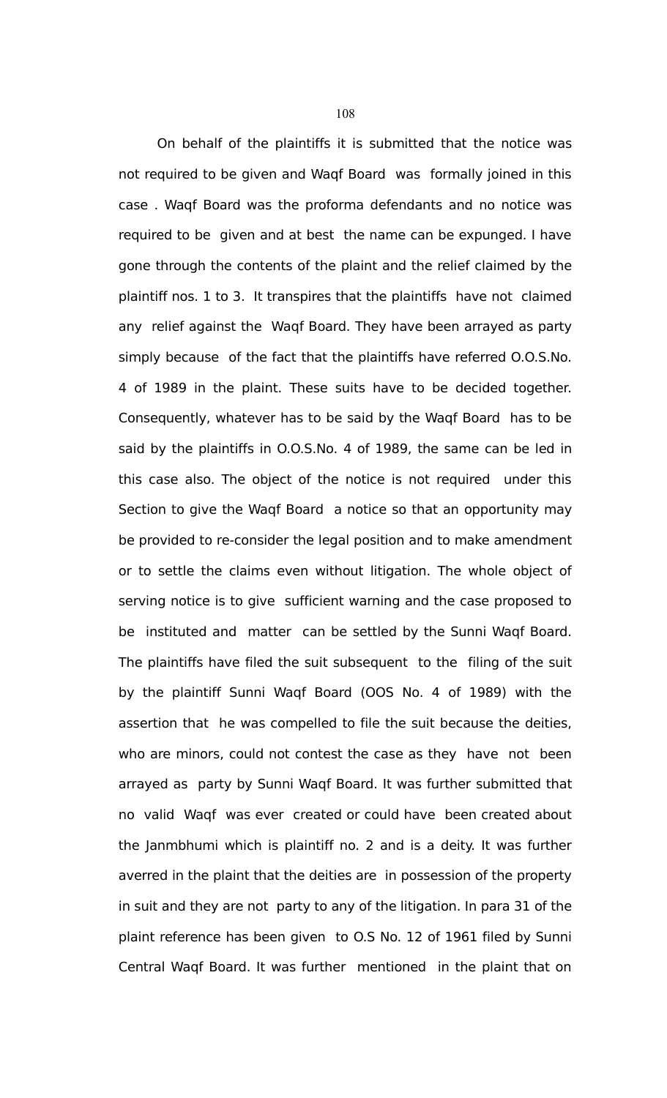On behalf of the plaintiffs it is submitted that the notice was not required to be given and Waqf Board was formally joined in this case . Waqf Board was the proforma defendants and no notice was required to be given and at best the name can be expunged. I have gone through the contents of the plaint and the relief claimed by the plaintiff nos. 1 to 3. It transpires that the plaintiffs have not claimed any relief against the Waqf Board. They have been arrayed as party simply because of the fact that the plaintiffs have referred O.O.S.No. 4 of 1989 in the plaint. These suits have to be decided together. Consequently, whatever has to be said by the Waqf Board has to be said by the plaintiffs in O.O.S.No. 4 of 1989, the same can be led in this case also. The object of the notice is not required under this Section to give the Waqf Board a notice so that an opportunity may be provided to re-consider the legal position and to make amendment or to settle the claims even without litigation. The whole object of serving notice is to give sufficient warning and the case proposed to be instituted and matter can be settled by the Sunni Waqf Board. The plaintiffs have filed the suit subsequent to the filing of the suit by the plaintiff Sunni Waqf Board (OOS No. 4 of 1989) with the assertion that he was compelled to file the suit because the deities, who are minors, could not contest the case as they have not been arrayed as party by Sunni Waqf Board. It was further submitted that no valid Waqf was ever created or could have been created about the Janmbhumi which is plaintiff no. 2 and is a deity. It was further averred in the plaint that the deities are in possession of the property in suit and they are not party to any of the litigation. In para 31 of the plaint reference has been given to O.S No. 12 of 1961 filed by Sunni Central Waqf Board. It was further mentioned in the plaint that on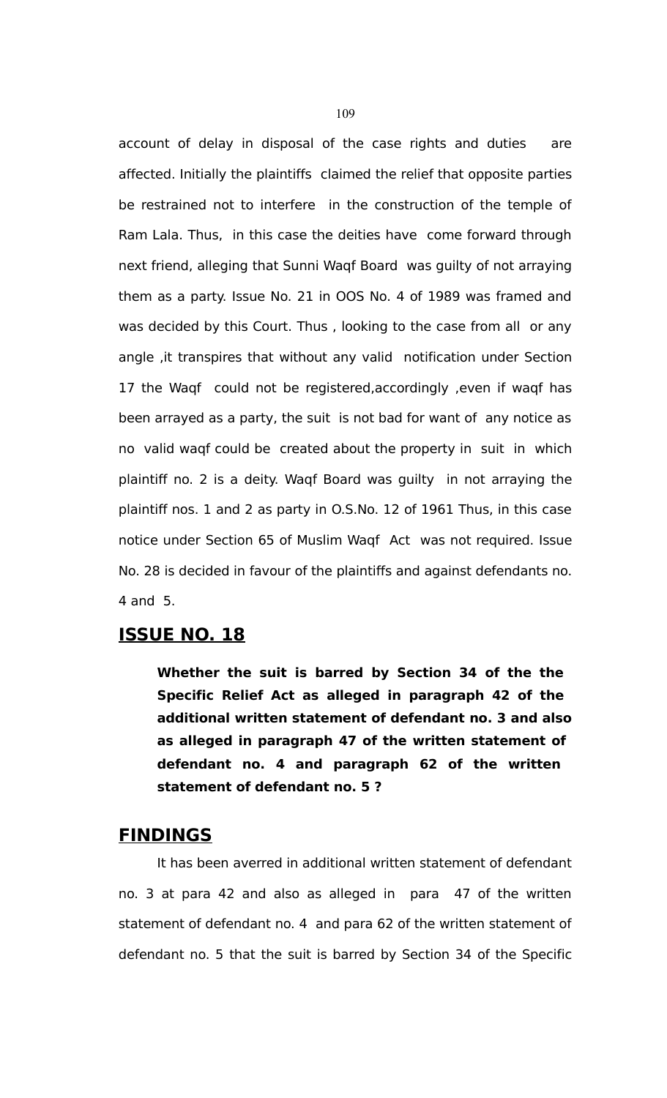account of delay in disposal of the case rights and duties are affected. Initially the plaintiffs claimed the relief that opposite parties be restrained not to interfere in the construction of the temple of Ram Lala. Thus, in this case the deities have come forward through next friend, alleging that Sunni Waqf Board was guilty of not arraying them as a party. Issue No. 21 in OOS No. 4 of 1989 was framed and was decided by this Court. Thus , looking to the case from all or any angle ,it transpires that without any valid notification under Section 17 the Waqf could not be registered,accordingly ,even if waqf has been arrayed as a party, the suit is not bad for want of any notice as no valid waqf could be created about the property in suit in which plaintiff no. 2 is a deity. Waqf Board was guilty in not arraying the plaintiff nos. 1 and 2 as party in O.S.No. 12 of 1961 Thus, in this case notice under Section 65 of Muslim Waqf Act was not required. Issue No. 28 is decided in favour of the plaintiffs and against defendants no. 4 and 5.

# **ISSUE NO. 18**

**Whether the suit is barred by Section 34 of the the Specific Relief Act as alleged in paragraph 42 of the additional written statement of defendant no. 3 and also as alleged in paragraph 47 of the written statement of defendant no. 4 and paragraph 62 of the written statement of defendant no. 5 ?**

## **FINDINGS**

It has been averred in additional written statement of defendant no. 3 at para 42 and also as alleged in para 47 of the written statement of defendant no. 4 and para 62 of the written statement of defendant no. 5 that the suit is barred by Section 34 of the Specific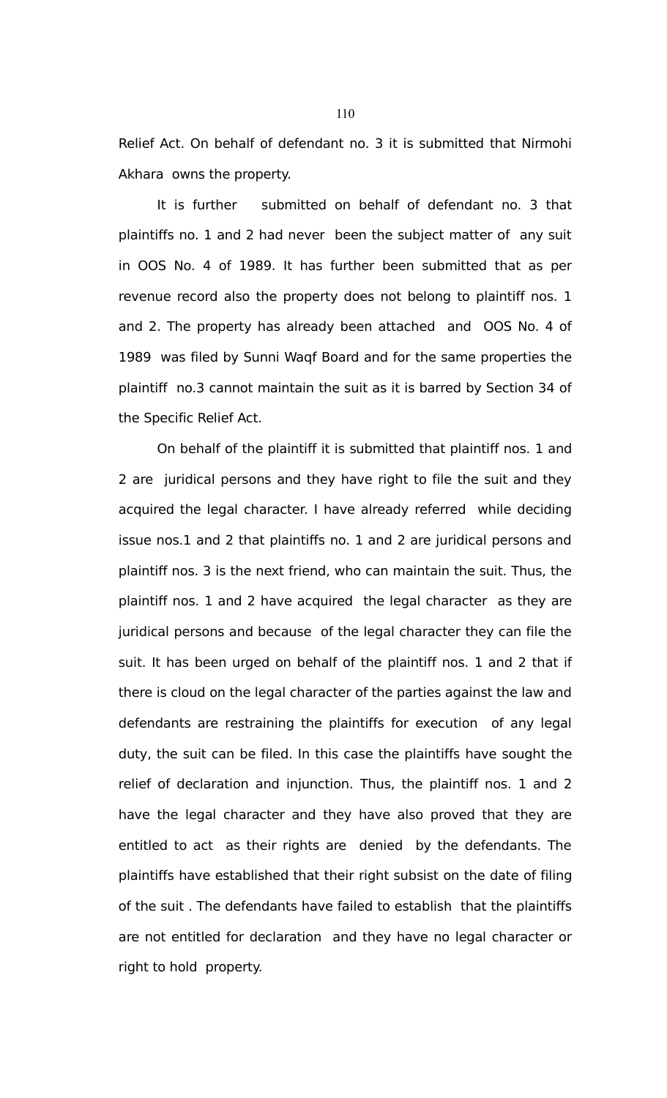Relief Act. On behalf of defendant no. 3 it is submitted that Nirmohi Akhara owns the property.

It is further submitted on behalf of defendant no. 3 that plaintiffs no. 1 and 2 had never been the subject matter of any suit in OOS No. 4 of 1989. It has further been submitted that as per revenue record also the property does not belong to plaintiff nos. 1 and 2. The property has already been attached and OOS No. 4 of 1989 was filed by Sunni Waqf Board and for the same properties the plaintiff no.3 cannot maintain the suit as it is barred by Section 34 of the Specific Relief Act.

On behalf of the plaintiff it is submitted that plaintiff nos. 1 and 2 are juridical persons and they have right to file the suit and they acquired the legal character. I have already referred while deciding issue nos.1 and 2 that plaintiffs no. 1 and 2 are juridical persons and plaintiff nos. 3 is the next friend, who can maintain the suit. Thus, the plaintiff nos. 1 and 2 have acquired the legal character as they are juridical persons and because of the legal character they can file the suit. It has been urged on behalf of the plaintiff nos. 1 and 2 that if there is cloud on the legal character of the parties against the law and defendants are restraining the plaintiffs for execution of any legal duty, the suit can be filed. In this case the plaintiffs have sought the relief of declaration and injunction. Thus, the plaintiff nos. 1 and 2 have the legal character and they have also proved that they are entitled to act as their rights are denied by the defendants. The plaintiffs have established that their right subsist on the date of filing of the suit . The defendants have failed to establish that the plaintiffs are not entitled for declaration and they have no legal character or right to hold property.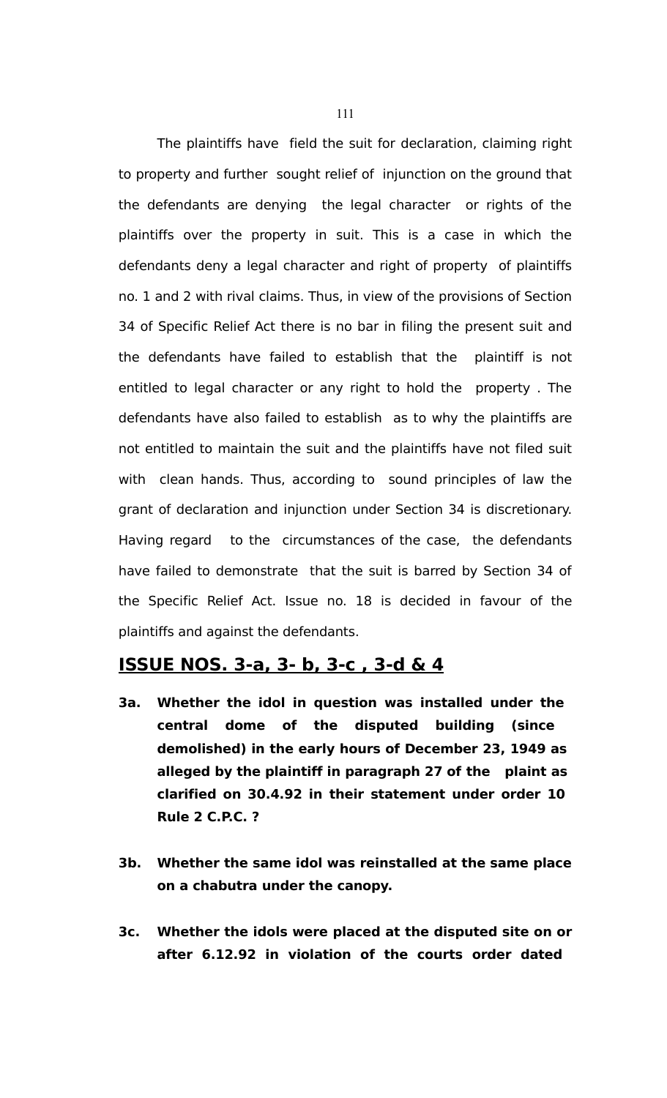The plaintiffs have field the suit for declaration, claiming right to property and further sought relief of injunction on the ground that the defendants are denying the legal character or rights of the plaintiffs over the property in suit. This is a case in which the defendants deny a legal character and right of property of plaintiffs no. 1 and 2 with rival claims. Thus, in view of the provisions of Section 34 of Specific Relief Act there is no bar in filing the present suit and the defendants have failed to establish that the plaintiff is not entitled to legal character or any right to hold the property . The defendants have also failed to establish as to why the plaintiffs are not entitled to maintain the suit and the plaintiffs have not filed suit with clean hands. Thus, according to sound principles of law the grant of declaration and injunction under Section 34 is discretionary. Having regard to the circumstances of the case, the defendants have failed to demonstrate that the suit is barred by Section 34 of the Specific Relief Act. Issue no. 18 is decided in favour of the plaintiffs and against the defendants.

#### **ISSUE NOS. 3-a, 3- b, 3-c , 3-d & 4**

- **3a. Whether the idol in question was installed under the central dome of the disputed building (since demolished) in the early hours of December 23, 1949 as alleged by the plaintiff in paragraph 27 of the plaint as clarified on 30.4.92 in their statement under order 10 Rule 2 C.P.C. ?**
- **3b. Whether the same idol was reinstalled at the same place on a chabutra under the canopy.**
- **3c. Whether the idols were placed at the disputed site on or after 6.12.92 in violation of the courts order dated**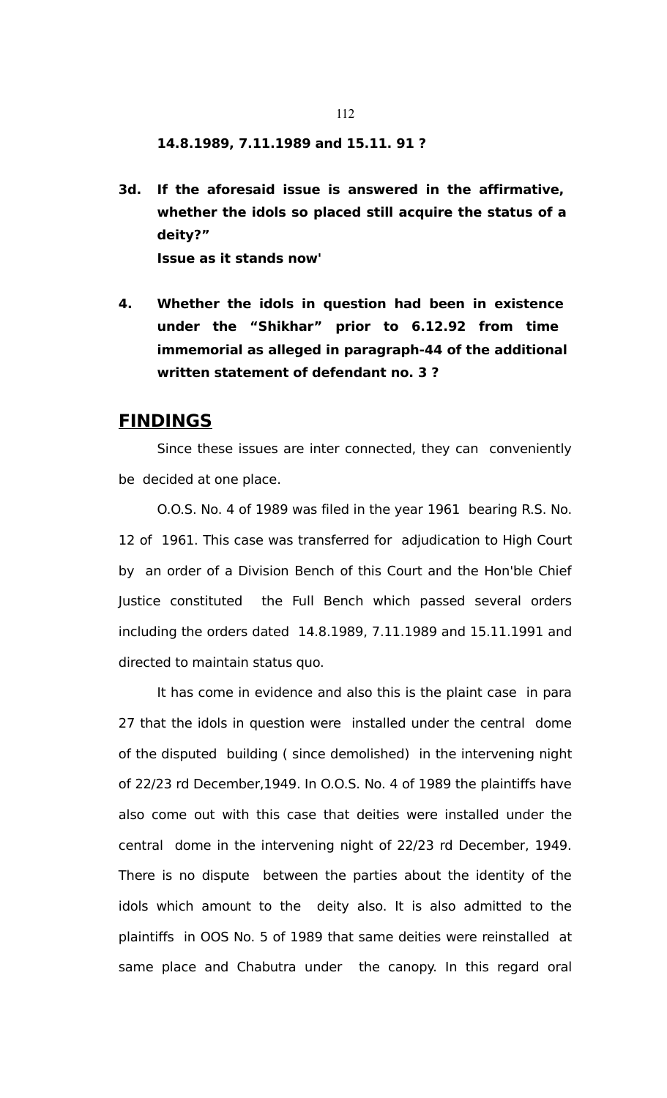**14.8.1989, 7.11.1989 and 15.11. 91 ?**

- **3d. If the aforesaid issue is answered in the affirmative, whether the idols so placed still acquire the status of a deity?" Issue as it stands now'**
- **4. Whether the idols in question had been in existence under the "Shikhar" prior to 6.12.92 from time immemorial as alleged in paragraph-44 of the additional written statement of defendant no. 3 ?**

## **FINDINGS**

Since these issues are inter connected, they can conveniently be decided at one place.

O.O.S. No. 4 of 1989 was filed in the year 1961 bearing R.S. No. 12 of 1961. This case was transferred for adjudication to High Court by an order of a Division Bench of this Court and the Hon'ble Chief Justice constituted the Full Bench which passed several orders including the orders dated 14.8.1989, 7.11.1989 and 15.11.1991 and directed to maintain status quo.

It has come in evidence and also this is the plaint case in para 27 that the idols in question were installed under the central dome of the disputed building ( since demolished) in the intervening night of 22/23 rd December,1949. In O.O.S. No. 4 of 1989 the plaintiffs have also come out with this case that deities were installed under the central dome in the intervening night of 22/23 rd December, 1949. There is no dispute between the parties about the identity of the idols which amount to the deity also. It is also admitted to the plaintiffs in OOS No. 5 of 1989 that same deities were reinstalled at same place and Chabutra under the canopy. In this regard oral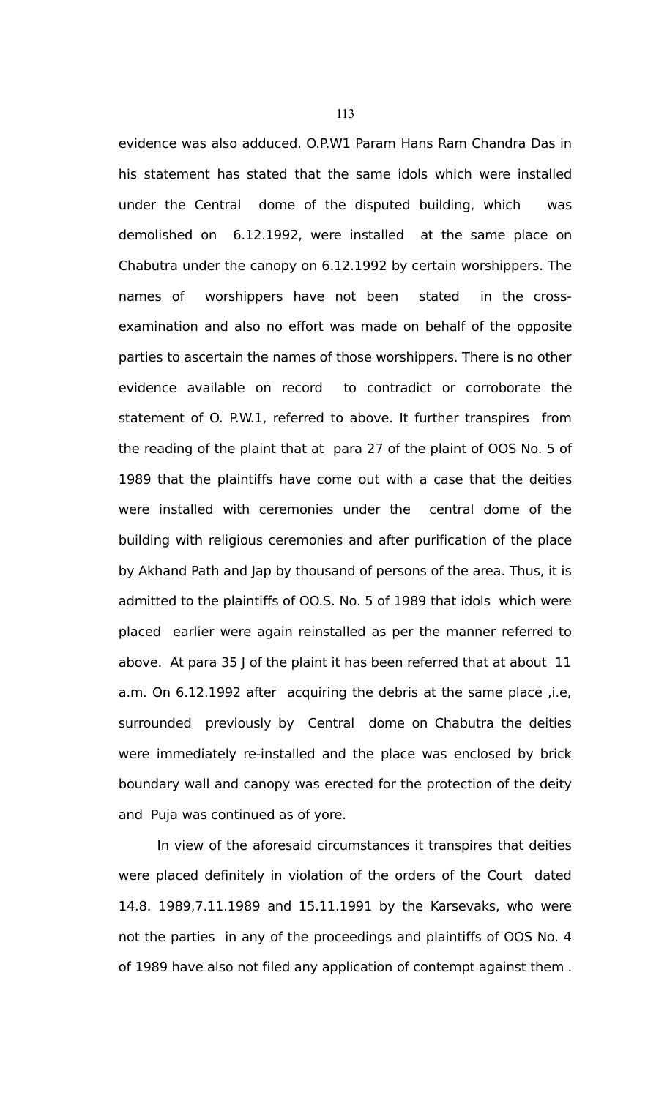evidence was also adduced. O.P.W1 Param Hans Ram Chandra Das in his statement has stated that the same idols which were installed under the Central dome of the disputed building, which was demolished on 6.12.1992, were installed at the same place on Chabutra under the canopy on 6.12.1992 by certain worshippers. The names of worshippers have not been stated in the crossexamination and also no effort was made on behalf of the opposite parties to ascertain the names of those worshippers. There is no other evidence available on record to contradict or corroborate the statement of O. P.W.1, referred to above. It further transpires from the reading of the plaint that at para 27 of the plaint of OOS No. 5 of 1989 that the plaintiffs have come out with a case that the deities were installed with ceremonies under the central dome of the building with religious ceremonies and after purification of the place by Akhand Path and Jap by thousand of persons of the area. Thus, it is admitted to the plaintiffs of OO.S. No. 5 of 1989 that idols which were placed earlier were again reinstalled as per the manner referred to above. At para 35 J of the plaint it has been referred that at about 11 a.m. On 6.12.1992 after acquiring the debris at the same place ,i.e, surrounded previously by Central dome on Chabutra the deities were immediately re-installed and the place was enclosed by brick boundary wall and canopy was erected for the protection of the deity and Puja was continued as of yore.

In view of the aforesaid circumstances it transpires that deities were placed definitely in violation of the orders of the Court dated 14.8. 1989,7.11.1989 and 15.11.1991 by the Karsevaks, who were not the parties in any of the proceedings and plaintiffs of OOS No. 4 of 1989 have also not filed any application of contempt against them .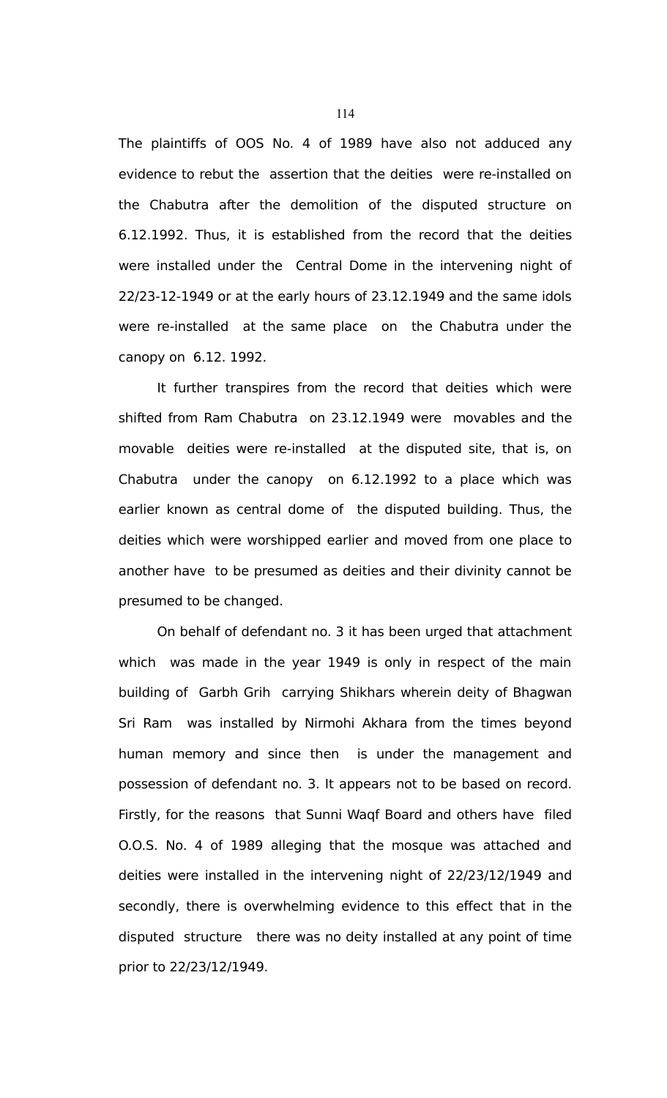The plaintiffs of OOS No. 4 of 1989 have also not adduced any evidence to rebut the assertion that the deities were re-installed on the Chabutra after the demolition of the disputed structure on 6.12.1992. Thus, it is established from the record that the deities were installed under the Central Dome in the intervening night of 22/23-12-1949 or at the early hours of 23.12.1949 and the same idols were re-installed at the same place on the Chabutra under the canopy on 6.12. 1992.

It further transpires from the record that deities which were shifted from Ram Chabutra on 23.12.1949 were movables and the movable deities were re-installed at the disputed site, that is, on Chabutra under the canopy on 6.12.1992 to a place which was earlier known as central dome of the disputed building. Thus, the deities which were worshipped earlier and moved from one place to another have to be presumed as deities and their divinity cannot be presumed to be changed.

On behalf of defendant no. 3 it has been urged that attachment which was made in the year 1949 is only in respect of the main building of Garbh Grih carrying Shikhars wherein deity of Bhagwan Sri Ram was installed by Nirmohi Akhara from the times beyond human memory and since then is under the management and possession of defendant no. 3. It appears not to be based on record. Firstly, for the reasons that Sunni Waqf Board and others have filed O.O.S. No. 4 of 1989 alleging that the mosque was attached and deities were installed in the intervening night of 22/23/12/1949 and secondly, there is overwhelming evidence to this effect that in the disputed structure there was no deity installed at any point of time prior to 22/23/12/1949.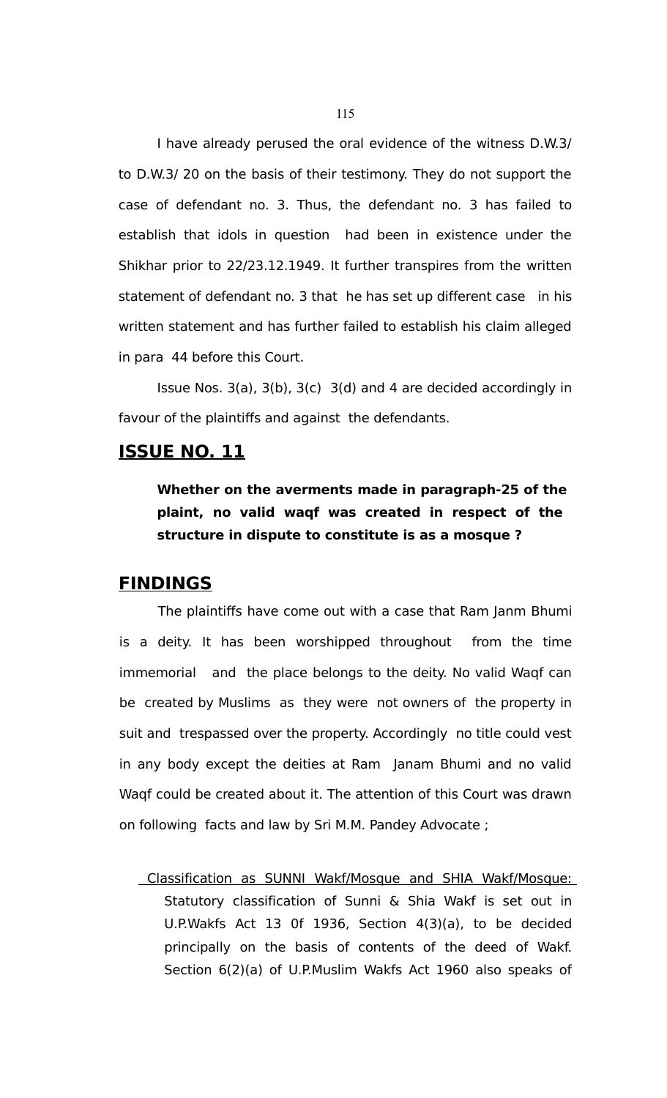I have already perused the oral evidence of the witness D.W.3/ to D.W.3/ 20 on the basis of their testimony. They do not support the case of defendant no. 3. Thus, the defendant no. 3 has failed to establish that idols in question had been in existence under the Shikhar prior to 22/23.12.1949. It further transpires from the written statement of defendant no. 3 that he has set up different case in his written statement and has further failed to establish his claim alleged in para 44 before this Court.

Issue Nos. 3(a), 3(b), 3(c) 3(d) and 4 are decided accordingly in favour of the plaintiffs and against the defendants.

## **ISSUE NO. 11**

**Whether on the averments made in paragraph-25 of the plaint, no valid waqf was created in respect of the structure in dispute to constitute is as a mosque ?**

## **FINDINGS**

The plaintiffs have come out with a case that Ram Janm Bhumi is a deity. It has been worshipped throughout from the time immemorial and the place belongs to the deity. No valid Waqf can be created by Muslims as they were not owners of the property in suit and trespassed over the property. Accordingly no title could vest in any body except the deities at Ram Janam Bhumi and no valid Waqf could be created about it. The attention of this Court was drawn on following facts and law by Sri M.M. Pandey Advocate ;

 Classification as SUNNI Wakf/Mosque and SHIA Wakf/Mosque: Statutory classification of Sunni & Shia Wakf is set out in U.P.Wakfs Act 13 0f 1936, Section 4(3)(a), to be decided principally on the basis of contents of the deed of Wakf. Section 6(2)(a) of U.P.Muslim Wakfs Act 1960 also speaks of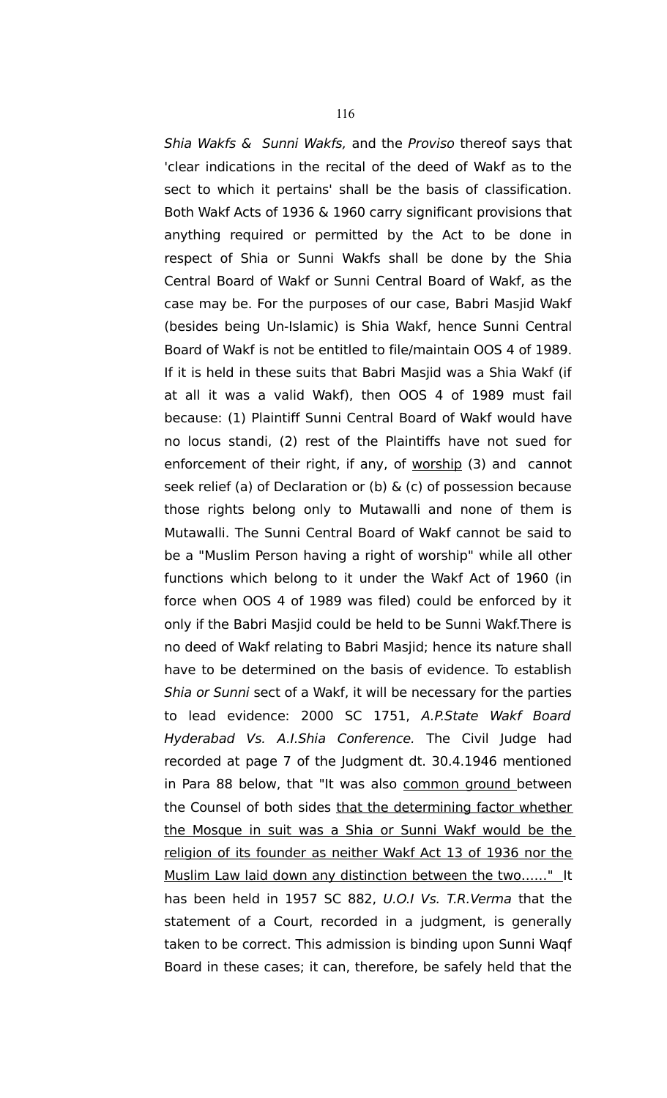Shia Wakfs & Sunni Wakfs, and the Proviso thereof says that 'clear indications in the recital of the deed of Wakf as to the sect to which it pertains' shall be the basis of classification. Both Wakf Acts of 1936 & 1960 carry significant provisions that anything required or permitted by the Act to be done in respect of Shia or Sunni Wakfs shall be done by the Shia Central Board of Wakf or Sunni Central Board of Wakf, as the case may be. For the purposes of our case, Babri Masjid Wakf (besides being Un-Islamic) is Shia Wakf, hence Sunni Central Board of Wakf is not be entitled to file/maintain OOS 4 of 1989. If it is held in these suits that Babri Masjid was a Shia Wakf (if at all it was a valid Wakf), then OOS 4 of 1989 must fail because: (1) Plaintiff Sunni Central Board of Wakf would have no locus standi, (2) rest of the Plaintiffs have not sued for enforcement of their right, if any, of worship (3) and cannot seek relief (a) of Declaration or (b) & (c) of possession because those rights belong only to Mutawalli and none of them is Mutawalli. The Sunni Central Board of Wakf cannot be said to be a "Muslim Person having a right of worship" while all other functions which belong to it under the Wakf Act of 1960 (in force when OOS 4 of 1989 was filed) could be enforced by it only if the Babri Masjid could be held to be Sunni Wakf.There is no deed of Wakf relating to Babri Masjid; hence its nature shall have to be determined on the basis of evidence. To establish Shia or Sunni sect of a Wakf, it will be necessary for the parties to lead evidence: 2000 SC 1751, A.P.State Wakf Board Hyderabad Vs. A.I.Shia Conference. The Civil Judge had recorded at page 7 of the Judgment dt. 30.4.1946 mentioned in Para 88 below, that "It was also common ground between the Counsel of both sides that the determining factor whether the Mosque in suit was a Shia or Sunni Wakf would be the religion of its founder as neither Wakf Act 13 of 1936 nor the Muslim Law laid down any distinction between the two……" It has been held in 1957 SC 882, U.O.I Vs. T.R.Verma that the statement of a Court, recorded in a judgment, is generally taken to be correct. This admission is binding upon Sunni Waqf Board in these cases; it can, therefore, be safely held that the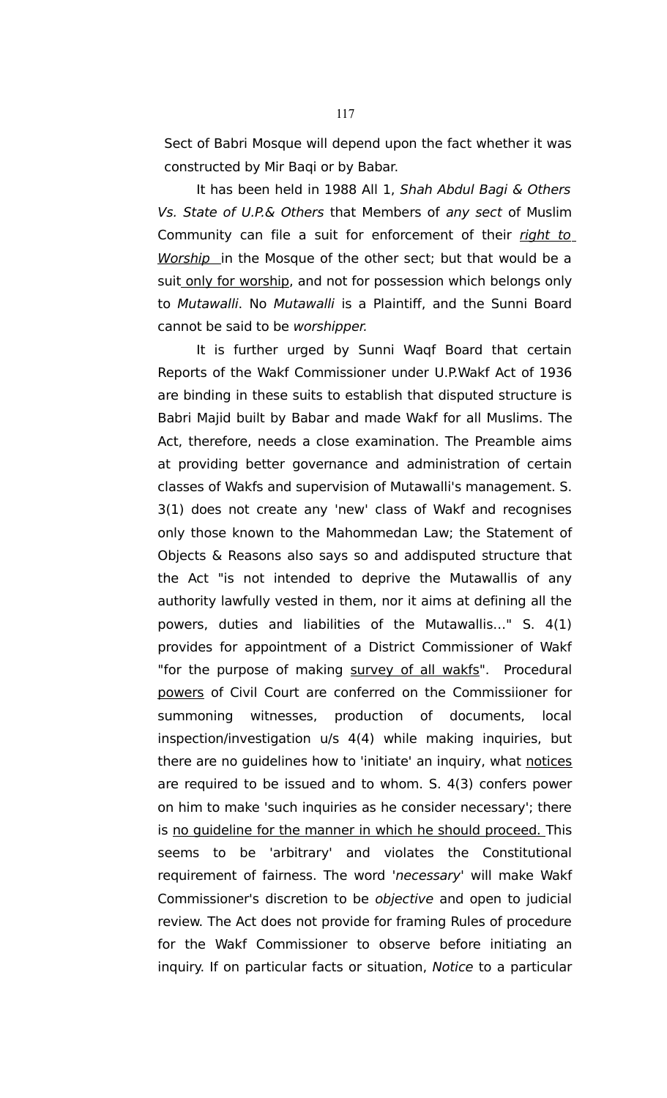Sect of Babri Mosque will depend upon the fact whether it was constructed by Mir Baqi or by Babar.

It has been held in 1988 All 1, Shah Abdul Bagi & Others Vs. State of U.P.& Others that Members of any sect of Muslim Community can file a suit for enforcement of their right to Worship in the Mosque of the other sect; but that would be a suit only for worship, and not for possession which belongs only to Mutawalli. No Mutawalli is a Plaintiff, and the Sunni Board cannot be said to be worshipper.

It is further urged by Sunni Waqf Board that certain Reports of the Wakf Commissioner under U.P.Wakf Act of 1936 are binding in these suits to establish that disputed structure is Babri Majid built by Babar and made Wakf for all Muslims. The Act, therefore, needs a close examination. The Preamble aims at providing better governance and administration of certain classes of Wakfs and supervision of Mutawalli's management. S. 3(1) does not create any 'new' class of Wakf and recognises only those known to the Mahommedan Law; the Statement of Objects & Reasons also says so and addisputed structure that the Act "is not intended to deprive the Mutawallis of any authority lawfully vested in them, nor it aims at defining all the powers, duties and liabilities of the Mutawallis…" S. 4(1) provides for appointment of a District Commissioner of Wakf "for the purpose of making survey of all wakfs". Procedural powers of Civil Court are conferred on the Commissiioner for summoning witnesses, production of documents, local inspection/investigation u/s 4(4) while making inquiries, but there are no guidelines how to 'initiate' an inquiry, what notices are required to be issued and to whom. S. 4(3) confers power on him to make 'such inquiries as he consider necessary'; there is no guideline for the manner in which he should proceed. This seems to be 'arbitrary' and violates the Constitutional requirement of fairness. The word 'necessary' will make Wakf Commissioner's discretion to be objective and open to judicial review. The Act does not provide for framing Rules of procedure for the Wakf Commissioner to observe before initiating an inquiry. If on particular facts or situation, Notice to a particular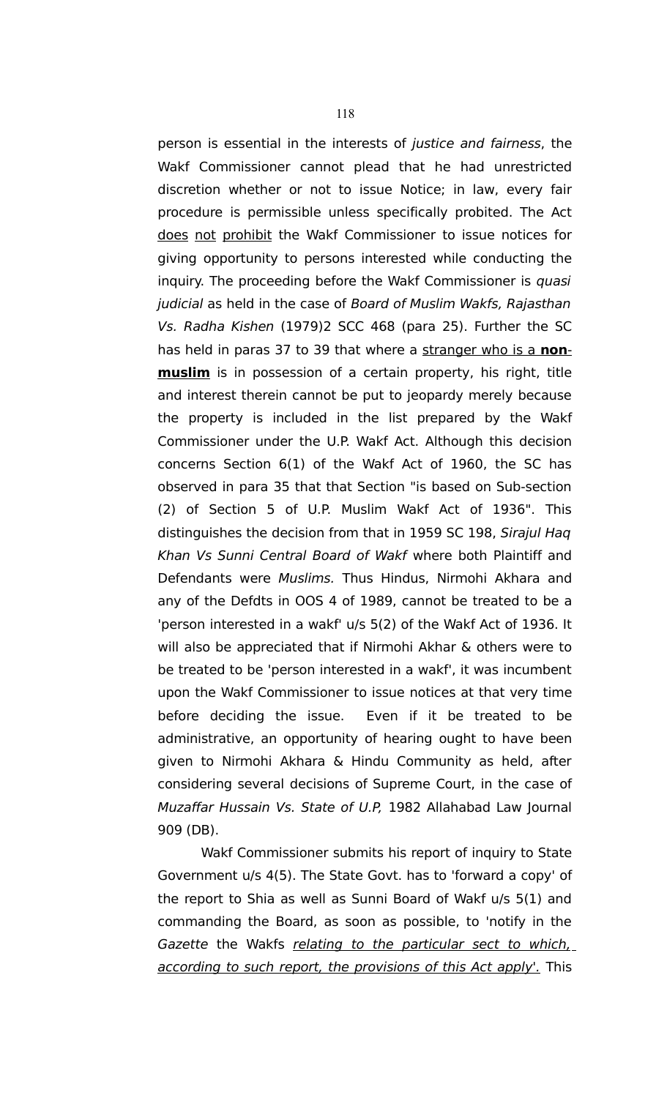person is essential in the interests of justice and fairness, the Wakf Commissioner cannot plead that he had unrestricted discretion whether or not to issue Notice; in law, every fair procedure is permissible unless specifically probited. The Act does not prohibit the Wakf Commissioner to issue notices for giving opportunity to persons interested while conducting the inquiry. The proceeding before the Wakf Commissioner is quasi judicial as held in the case of Board of Muslim Wakfs, Rajasthan Vs. Radha Kishen (1979)2 SCC 468 (para 25). Further the SC has held in paras 37 to 39 that where a stranger who is a **nonmuslim** is in possession of a certain property, his right, title and interest therein cannot be put to jeopardy merely because the property is included in the list prepared by the Wakf Commissioner under the U.P. Wakf Act. Although this decision concerns Section 6(1) of the Wakf Act of 1960, the SC has observed in para 35 that that Section "is based on Sub-section (2) of Section 5 of U.P. Muslim Wakf Act of 1936". This distinguishes the decision from that in 1959 SC 198, Sirajul Haq Khan Vs Sunni Central Board of Wakf where both Plaintiff and Defendants were Muslims. Thus Hindus, Nirmohi Akhara and any of the Defdts in OOS 4 of 1989, cannot be treated to be a 'person interested in a wakf' u/s 5(2) of the Wakf Act of 1936. It will also be appreciated that if Nirmohi Akhar & others were to be treated to be 'person interested in a wakf', it was incumbent upon the Wakf Commissioner to issue notices at that very time before deciding the issue. Even if it be treated to be administrative, an opportunity of hearing ought to have been given to Nirmohi Akhara & Hindu Community as held, after considering several decisions of Supreme Court, in the case of Muzaffar Hussain Vs. State of U.P, 1982 Allahabad Law Journal 909 (DB).

 Wakf Commissioner submits his report of inquiry to State Government u/s 4(5). The State Govt. has to 'forward a copy' of the report to Shia as well as Sunni Board of Wakf u/s 5(1) and commanding the Board, as soon as possible, to 'notify in the Gazette the Wakfs relating to the particular sect to which. according to such report, the provisions of this Act apply'. This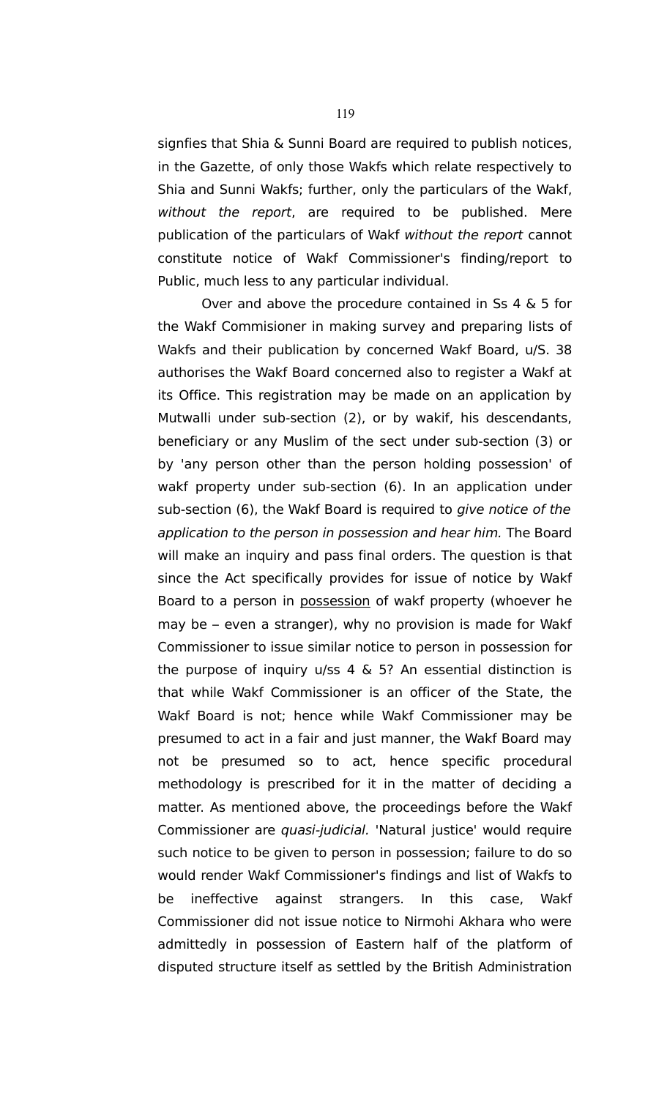signfies that Shia & Sunni Board are required to publish notices, in the Gazette, of only those Wakfs which relate respectively to Shia and Sunni Wakfs; further, only the particulars of the Wakf, without the report, are required to be published. Mere publication of the particulars of Wakf without the report cannot constitute notice of Wakf Commissioner's finding/report to Public, much less to any particular individual.

 Over and above the procedure contained in Ss 4 & 5 for the Wakf Commisioner in making survey and preparing lists of Wakfs and their publication by concerned Wakf Board, u/S. 38 authorises the Wakf Board concerned also to register a Wakf at its Office. This registration may be made on an application by Mutwalli under sub-section (2), or by wakif, his descendants, beneficiary or any Muslim of the sect under sub-section (3) or by 'any person other than the person holding possession' of wakf property under sub-section (6). In an application under sub-section (6), the Wakf Board is required to give notice of the application to the person in possession and hear him. The Board will make an inquiry and pass final orders. The question is that since the Act specifically provides for issue of notice by Wakf Board to a person in possession of wakf property (whoever he may be – even a stranger), why no provision is made for Wakf Commissioner to issue similar notice to person in possession for the purpose of inquiry  $u/ss$  4 & 5? An essential distinction is that while Wakf Commissioner is an officer of the State, the Wakf Board is not; hence while Wakf Commissioner may be presumed to act in a fair and just manner, the Wakf Board may not be presumed so to act, hence specific procedural methodology is prescribed for it in the matter of deciding a matter. As mentioned above, the proceedings before the Wakf Commissioner are quasi-judicial. 'Natural justice' would require such notice to be given to person in possession; failure to do so would render Wakf Commissioner's findings and list of Wakfs to be ineffective against strangers. In this case, Wakf Commissioner did not issue notice to Nirmohi Akhara who were admittedly in possession of Eastern half of the platform of disputed structure itself as settled by the British Administration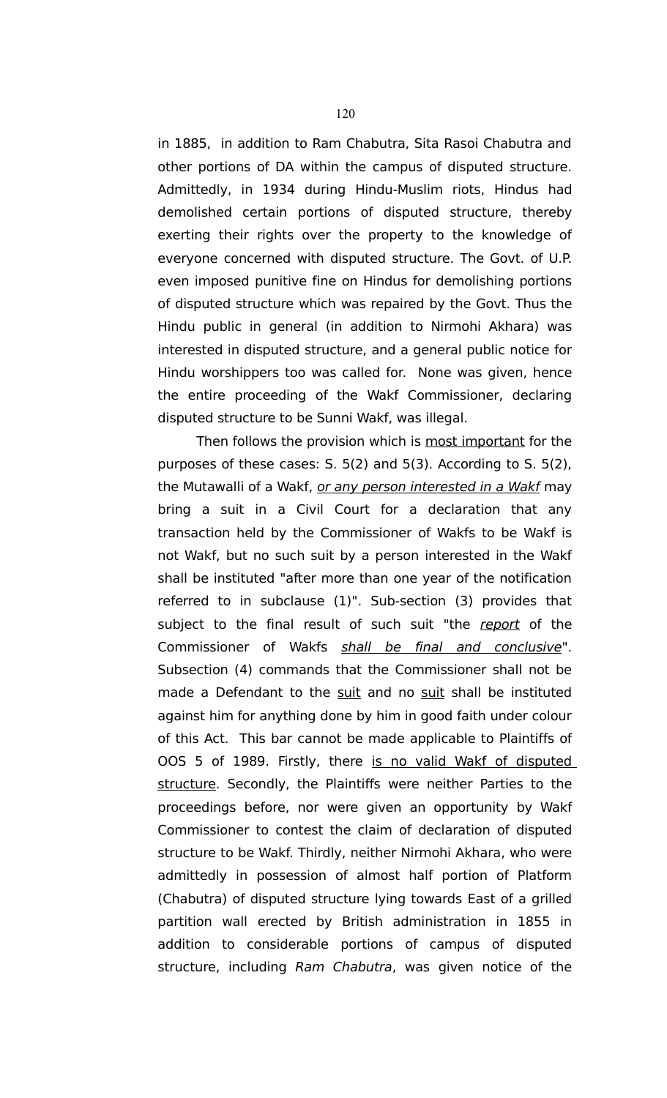in 1885, in addition to Ram Chabutra, Sita Rasoi Chabutra and other portions of DA within the campus of disputed structure. Admittedly, in 1934 during Hindu-Muslim riots, Hindus had demolished certain portions of disputed structure, thereby exerting their rights over the property to the knowledge of everyone concerned with disputed structure. The Govt. of U.P. even imposed punitive fine on Hindus for demolishing portions of disputed structure which was repaired by the Govt. Thus the Hindu public in general (in addition to Nirmohi Akhara) was interested in disputed structure, and a general public notice for Hindu worshippers too was called for. None was given, hence the entire proceeding of the Wakf Commissioner, declaring disputed structure to be Sunni Wakf, was illegal.

Then follows the provision which is most important for the purposes of these cases: S. 5(2) and 5(3). According to S. 5(2), the Mutawalli of a Wakf, or any person interested in a Wakf may bring a suit in a Civil Court for a declaration that any transaction held by the Commissioner of Wakfs to be Wakf is not Wakf, but no such suit by a person interested in the Wakf shall be instituted "after more than one year of the notification referred to in subclause (1)". Sub-section (3) provides that subject to the final result of such suit "the report of the Commissioner of Wakfs shall be final and conclusive". Subsection (4) commands that the Commissioner shall not be made a Defendant to the suit and no suit shall be instituted against him for anything done by him in good faith under colour of this Act. This bar cannot be made applicable to Plaintiffs of OOS 5 of 1989. Firstly, there is no valid Wakf of disputed structure. Secondly, the Plaintiffs were neither Parties to the proceedings before, nor were given an opportunity by Wakf Commissioner to contest the claim of declaration of disputed structure to be Wakf. Thirdly, neither Nirmohi Akhara, who were admittedly in possession of almost half portion of Platform (Chabutra) of disputed structure lying towards East of a grilled partition wall erected by British administration in 1855 in addition to considerable portions of campus of disputed structure, including Ram Chabutra, was given notice of the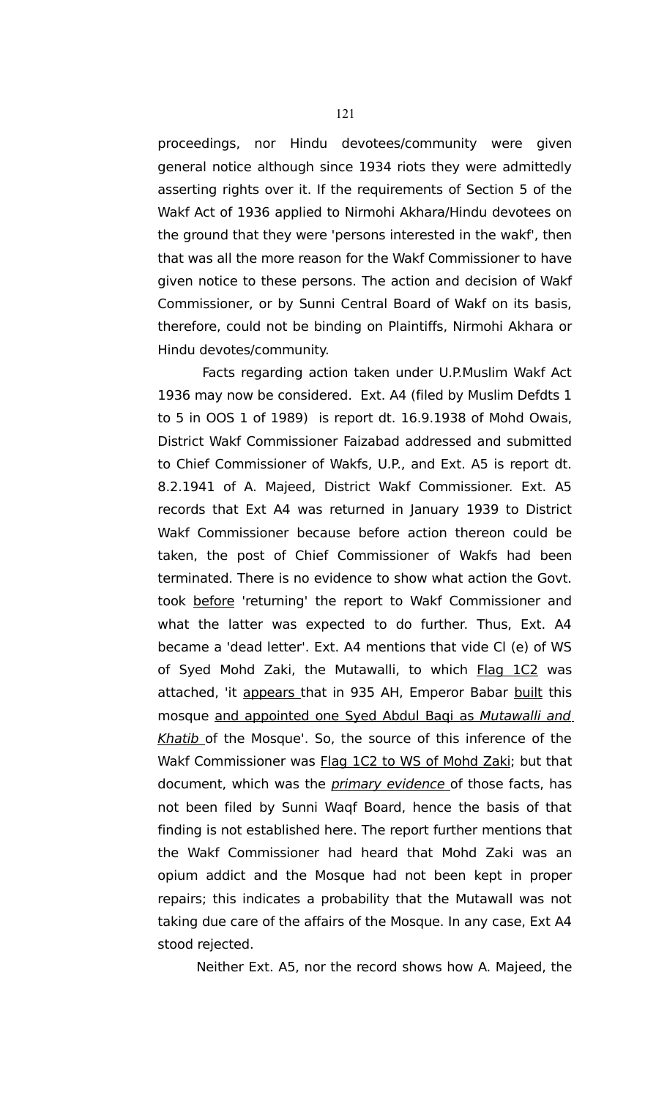proceedings, nor Hindu devotees/community were given general notice although since 1934 riots they were admittedly asserting rights over it. If the requirements of Section 5 of the Wakf Act of 1936 applied to Nirmohi Akhara/Hindu devotees on the ground that they were 'persons interested in the wakf', then that was all the more reason for the Wakf Commissioner to have given notice to these persons. The action and decision of Wakf Commissioner, or by Sunni Central Board of Wakf on its basis, therefore, could not be binding on Plaintiffs, Nirmohi Akhara or Hindu devotes/community.

 Facts regarding action taken under U.P.Muslim Wakf Act 1936 may now be considered. Ext. A4 (filed by Muslim Defdts 1 to 5 in OOS 1 of 1989) is report dt. 16.9.1938 of Mohd Owais, District Wakf Commissioner Faizabad addressed and submitted to Chief Commissioner of Wakfs, U.P., and Ext. A5 is report dt. 8.2.1941 of A. Majeed, District Wakf Commissioner. Ext. A5 records that Ext A4 was returned in January 1939 to District Wakf Commissioner because before action thereon could be taken, the post of Chief Commissioner of Wakfs had been terminated. There is no evidence to show what action the Govt. took before 'returning' the report to Wakf Commissioner and what the latter was expected to do further. Thus, Ext. A4 became a 'dead letter'. Ext. A4 mentions that vide Cl (e) of WS of Syed Mohd Zaki, the Mutawalli, to which Flag 1C2 was attached, 'it appears that in 935 AH, Emperor Babar built this mosque and appointed one Syed Abdul Baqi as Mutawalli and Khatib of the Mosque'. So, the source of this inference of the Wakf Commissioner was Flag 1C2 to WS of Mohd Zaki; but that document, which was the *primary evidence* of those facts, has not been filed by Sunni Waqf Board, hence the basis of that finding is not established here. The report further mentions that the Wakf Commissioner had heard that Mohd Zaki was an opium addict and the Mosque had not been kept in proper repairs; this indicates a probability that the Mutawall was not taking due care of the affairs of the Mosque. In any case, Ext A4 stood rejected.

Neither Ext. A5, nor the record shows how A. Majeed, the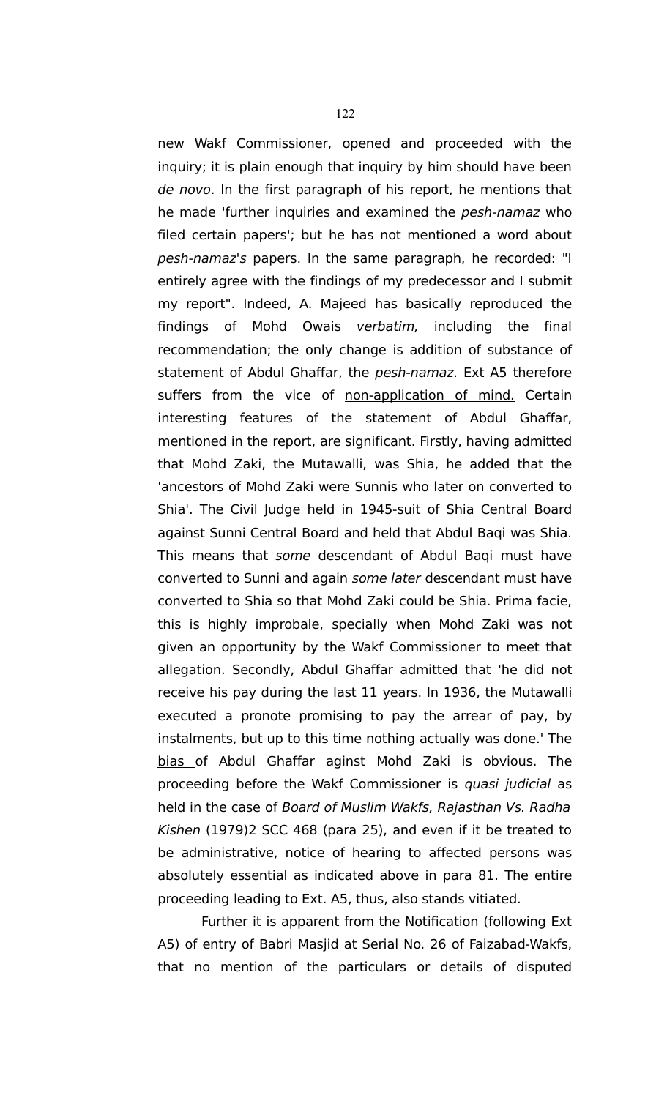new Wakf Commissioner, opened and proceeded with the inquiry; it is plain enough that inquiry by him should have been de novo. In the first paragraph of his report, he mentions that he made 'further inquiries and examined the pesh-namaz who filed certain papers'; but he has not mentioned a word about pesh-namaz's papers. In the same paragraph, he recorded: "I entirely agree with the findings of my predecessor and I submit my report". Indeed, A. Majeed has basically reproduced the findings of Mohd Owais verbatim, including the final recommendation; the only change is addition of substance of statement of Abdul Ghaffar, the pesh-namaz. Ext A5 therefore suffers from the vice of non-application of mind. Certain interesting features of the statement of Abdul Ghaffar, mentioned in the report, are significant. Firstly, having admitted that Mohd Zaki, the Mutawalli, was Shia, he added that the 'ancestors of Mohd Zaki were Sunnis who later on converted to Shia'. The Civil Judge held in 1945-suit of Shia Central Board against Sunni Central Board and held that Abdul Baqi was Shia. This means that some descendant of Abdul Baqi must have converted to Sunni and again some later descendant must have converted to Shia so that Mohd Zaki could be Shia. Prima facie, this is highly improbale, specially when Mohd Zaki was not given an opportunity by the Wakf Commissioner to meet that allegation. Secondly, Abdul Ghaffar admitted that 'he did not receive his pay during the last 11 years. In 1936, the Mutawalli executed a pronote promising to pay the arrear of pay, by instalments, but up to this time nothing actually was done.' The bias of Abdul Ghaffar aginst Mohd Zaki is obvious. The proceeding before the Wakf Commissioner is quasi judicial as held in the case of Board of Muslim Wakfs, Rajasthan Vs. Radha Kishen (1979)2 SCC 468 (para 25), and even if it be treated to be administrative, notice of hearing to affected persons was absolutely essential as indicated above in para 81. The entire proceeding leading to Ext. A5, thus, also stands vitiated.

 Further it is apparent from the Notification (following Ext A5) of entry of Babri Masjid at Serial No. 26 of Faizabad-Wakfs, that no mention of the particulars or details of disputed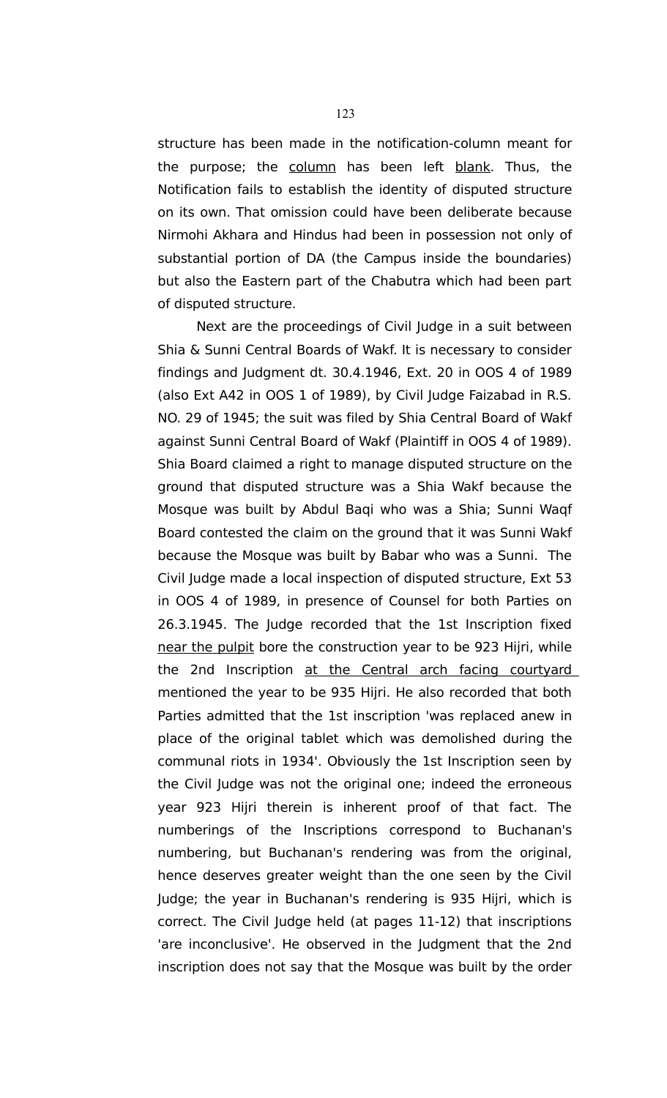structure has been made in the notification-column meant for the purpose; the column has been left blank. Thus, the Notification fails to establish the identity of disputed structure on its own. That omission could have been deliberate because Nirmohi Akhara and Hindus had been in possession not only of substantial portion of DA (the Campus inside the boundaries) but also the Eastern part of the Chabutra which had been part of disputed structure.

Next are the proceedings of Civil Judge in a suit between Shia & Sunni Central Boards of Wakf. It is necessary to consider findings and Judgment dt. 30.4.1946, Ext. 20 in OOS 4 of 1989 (also Ext A42 in OOS 1 of 1989), by Civil Judge Faizabad in R.S. NO. 29 of 1945; the suit was filed by Shia Central Board of Wakf against Sunni Central Board of Wakf (Plaintiff in OOS 4 of 1989). Shia Board claimed a right to manage disputed structure on the ground that disputed structure was a Shia Wakf because the Mosque was built by Abdul Baqi who was a Shia; Sunni Waqf Board contested the claim on the ground that it was Sunni Wakf because the Mosque was built by Babar who was a Sunni. The Civil Judge made a local inspection of disputed structure, Ext 53 in OOS 4 of 1989, in presence of Counsel for both Parties on 26.3.1945. The Judge recorded that the 1st Inscription fixed near the pulpit bore the construction year to be 923 Hijri, while the 2nd Inscription at the Central arch facing courtyard mentioned the year to be 935 Hijri. He also recorded that both Parties admitted that the 1st inscription 'was replaced anew in place of the original tablet which was demolished during the communal riots in 1934'. Obviously the 1st Inscription seen by the Civil Judge was not the original one; indeed the erroneous year 923 Hijri therein is inherent proof of that fact. The numberings of the Inscriptions correspond to Buchanan's numbering, but Buchanan's rendering was from the original, hence deserves greater weight than the one seen by the Civil Judge; the year in Buchanan's rendering is 935 Hijri, which is correct. The Civil Judge held (at pages 11-12) that inscriptions 'are inconclusive'. He observed in the Judgment that the 2nd inscription does not say that the Mosque was built by the order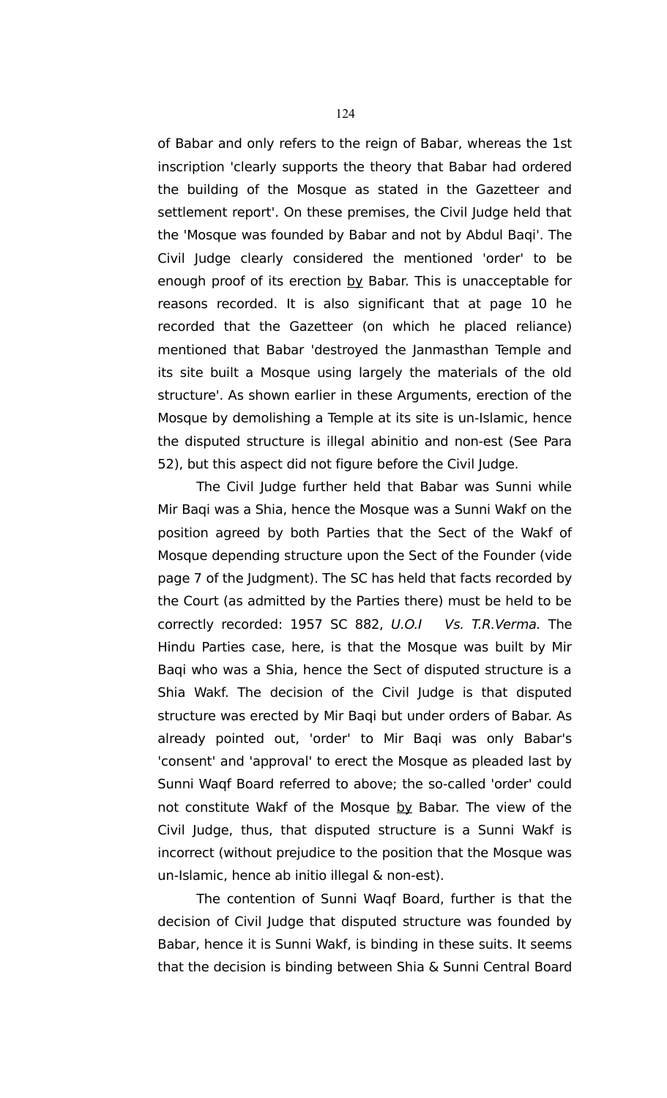of Babar and only refers to the reign of Babar, whereas the 1st inscription 'clearly supports the theory that Babar had ordered the building of the Mosque as stated in the Gazetteer and settlement report'. On these premises, the Civil Judge held that the 'Mosque was founded by Babar and not by Abdul Baqi'. The Civil Judge clearly considered the mentioned 'order' to be enough proof of its erection by Babar. This is unacceptable for reasons recorded. It is also significant that at page 10 he recorded that the Gazetteer (on which he placed reliance) mentioned that Babar 'destroyed the Janmasthan Temple and its site built a Mosque using largely the materials of the old structure'. As shown earlier in these Arguments, erection of the Mosque by demolishing a Temple at its site is un-Islamic, hence the disputed structure is illegal abinitio and non-est (See Para 52), but this aspect did not figure before the Civil Judge.

The Civil Judge further held that Babar was Sunni while Mir Baqi was a Shia, hence the Mosque was a Sunni Wakf on the position agreed by both Parties that the Sect of the Wakf of Mosque depending structure upon the Sect of the Founder (vide page 7 of the Judgment). The SC has held that facts recorded by the Court (as admitted by the Parties there) must be held to be correctly recorded: 1957 SC 882, U.O.I Vs. T.R.Verma. The Hindu Parties case, here, is that the Mosque was built by Mir Baqi who was a Shia, hence the Sect of disputed structure is a Shia Wakf. The decision of the Civil Judge is that disputed structure was erected by Mir Baqi but under orders of Babar. As already pointed out, 'order' to Mir Baqi was only Babar's 'consent' and 'approval' to erect the Mosque as pleaded last by Sunni Waqf Board referred to above; the so-called 'order' could not constitute Wakf of the Mosque by Babar. The view of the Civil Judge, thus, that disputed structure is a Sunni Wakf is incorrect (without prejudice to the position that the Mosque was un-Islamic, hence ab initio illegal & non-est).

The contention of Sunni Waqf Board, further is that the decision of Civil Judge that disputed structure was founded by Babar, hence it is Sunni Wakf, is binding in these suits. It seems that the decision is binding between Shia & Sunni Central Board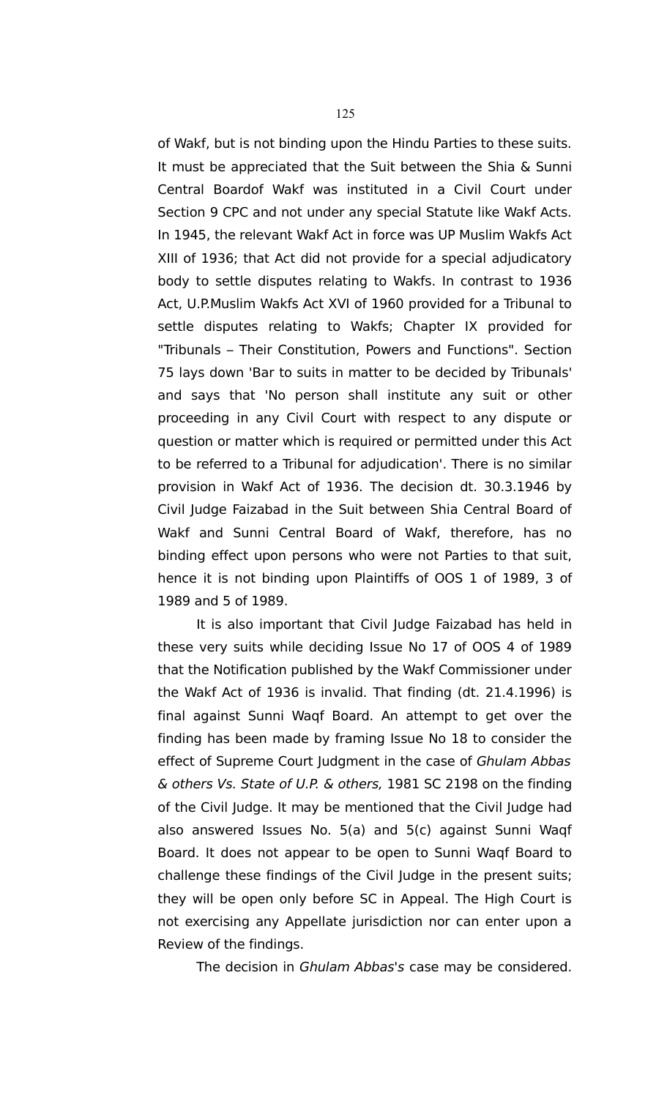of Wakf, but is not binding upon the Hindu Parties to these suits. It must be appreciated that the Suit between the Shia & Sunni Central Boardof Wakf was instituted in a Civil Court under Section 9 CPC and not under any special Statute like Wakf Acts. In 1945, the relevant Wakf Act in force was UP Muslim Wakfs Act XIII of 1936; that Act did not provide for a special adjudicatory body to settle disputes relating to Wakfs. In contrast to 1936 Act, U.P.Muslim Wakfs Act XVI of 1960 provided for a Tribunal to settle disputes relating to Wakfs; Chapter IX provided for "Tribunals – Their Constitution, Powers and Functions". Section 75 lays down 'Bar to suits in matter to be decided by Tribunals' and says that 'No person shall institute any suit or other proceeding in any Civil Court with respect to any dispute or question or matter which is required or permitted under this Act to be referred to a Tribunal for adjudication'. There is no similar provision in Wakf Act of 1936. The decision dt. 30.3.1946 by Civil Judge Faizabad in the Suit between Shia Central Board of Wakf and Sunni Central Board of Wakf, therefore, has no binding effect upon persons who were not Parties to that suit, hence it is not binding upon Plaintiffs of OOS 1 of 1989, 3 of 1989 and 5 of 1989.

It is also important that Civil Judge Faizabad has held in these very suits while deciding Issue No 17 of OOS 4 of 1989 that the Notification published by the Wakf Commissioner under the Wakf Act of 1936 is invalid. That finding (dt. 21.4.1996) is final against Sunni Waqf Board. An attempt to get over the finding has been made by framing Issue No 18 to consider the effect of Supreme Court Judgment in the case of Ghulam Abbas & others Vs. State of U.P. & others, 1981 SC 2198 on the finding of the Civil Judge. It may be mentioned that the Civil Judge had also answered Issues No. 5(a) and 5(c) against Sunni Waqf Board. It does not appear to be open to Sunni Waqf Board to challenge these findings of the Civil Judge in the present suits; they will be open only before SC in Appeal. The High Court is not exercising any Appellate jurisdiction nor can enter upon a Review of the findings.

The decision in Ghulam Abbas's case may be considered.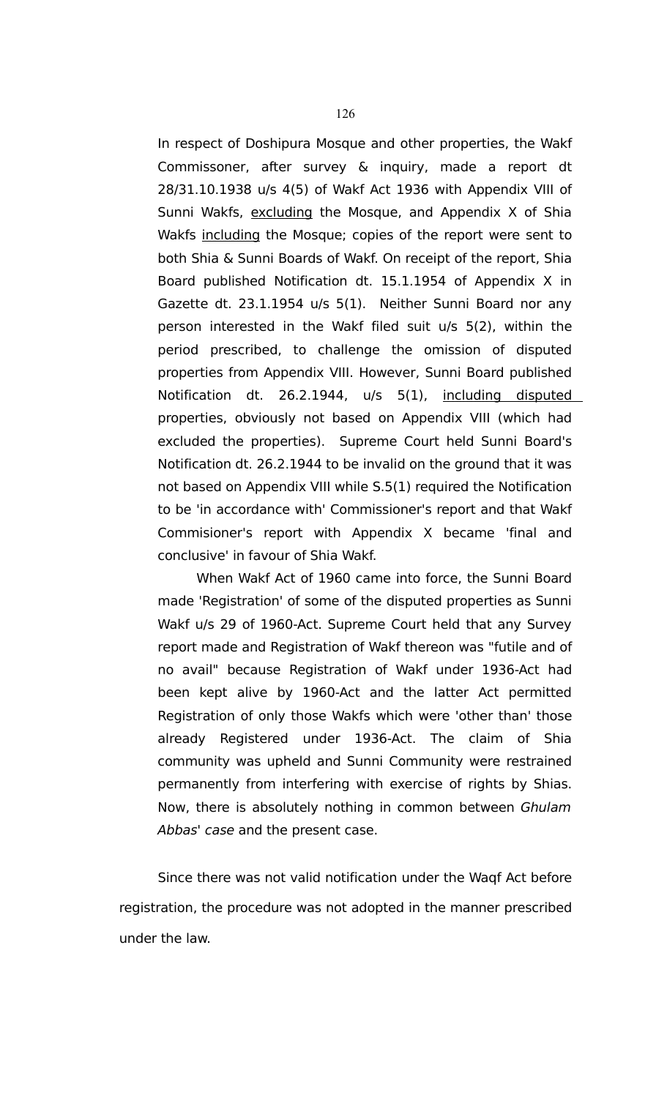In respect of Doshipura Mosque and other properties, the Wakf Commissoner, after survey & inquiry, made a report dt 28/31.10.1938 u/s 4(5) of Wakf Act 1936 with Appendix VIII of Sunni Wakfs, excluding the Mosque, and Appendix X of Shia Wakfs including the Mosque; copies of the report were sent to both Shia & Sunni Boards of Wakf. On receipt of the report, Shia Board published Notification dt. 15.1.1954 of Appendix X in Gazette dt. 23.1.1954 u/s 5(1). Neither Sunni Board nor any person interested in the Wakf filed suit u/s 5(2), within the period prescribed, to challenge the omission of disputed properties from Appendix VIII. However, Sunni Board published Notification dt. 26.2.1944, u/s 5(1), including disputed properties, obviously not based on Appendix VIII (which had excluded the properties). Supreme Court held Sunni Board's Notification dt. 26.2.1944 to be invalid on the ground that it was not based on Appendix VIII while S.5(1) required the Notification to be 'in accordance with' Commissioner's report and that Wakf Commisioner's report with Appendix X became 'final and conclusive' in favour of Shia Wakf.

When Wakf Act of 1960 came into force, the Sunni Board made 'Registration' of some of the disputed properties as Sunni Wakf u/s 29 of 1960-Act. Supreme Court held that any Survey report made and Registration of Wakf thereon was "futile and of no avail" because Registration of Wakf under 1936-Act had been kept alive by 1960-Act and the latter Act permitted Registration of only those Wakfs which were 'other than' those already Registered under 1936-Act. The claim of Shia community was upheld and Sunni Community were restrained permanently from interfering with exercise of rights by Shias. Now, there is absolutely nothing in common between Ghulam Abbas' case and the present case.

Since there was not valid notification under the Waqf Act before registration, the procedure was not adopted in the manner prescribed under the law.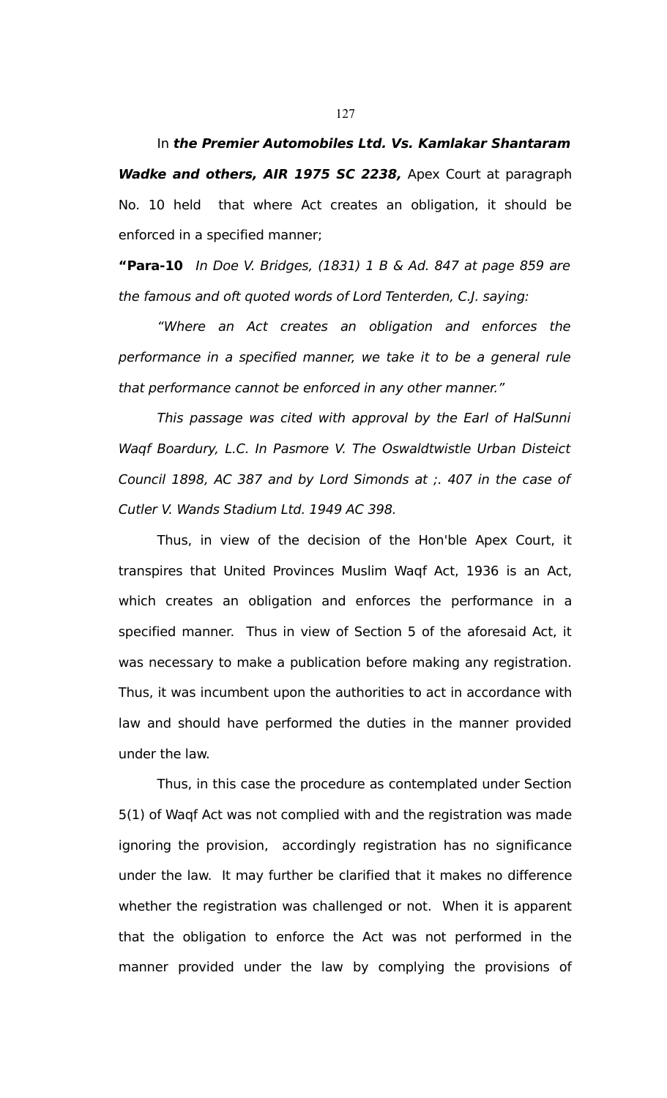In **the Premier Automobiles Ltd. Vs. Kamlakar Shantaram Wadke and others, AIR 1975 SC 2238,** Apex Court at paragraph No. 10 held that where Act creates an obligation, it should be enforced in a specified manner;

**"Para-10** In Doe V. Bridges, (1831) 1 B & Ad. 847 at page 859 are the famous and oft quoted words of Lord Tenterden, C.J. saying:

"Where an Act creates an obligation and enforces the performance in a specified manner, we take it to be a general rule that performance cannot be enforced in any other manner."

This passage was cited with approval by the Earl of HalSunni Waqf Boardury, L.C. In Pasmore V. The Oswaldtwistle Urban Disteict Council 1898, AC 387 and by Lord Simonds at ;. 407 in the case of Cutler V. Wands Stadium Ltd. 1949 AC 398.

Thus, in view of the decision of the Hon'ble Apex Court, it transpires that United Provinces Muslim Waqf Act, 1936 is an Act, which creates an obligation and enforces the performance in a specified manner. Thus in view of Section 5 of the aforesaid Act, it was necessary to make a publication before making any registration. Thus, it was incumbent upon the authorities to act in accordance with law and should have performed the duties in the manner provided under the law.

Thus, in this case the procedure as contemplated under Section 5(1) of Waqf Act was not complied with and the registration was made ignoring the provision, accordingly registration has no significance under the law. It may further be clarified that it makes no difference whether the registration was challenged or not. When it is apparent that the obligation to enforce the Act was not performed in the manner provided under the law by complying the provisions of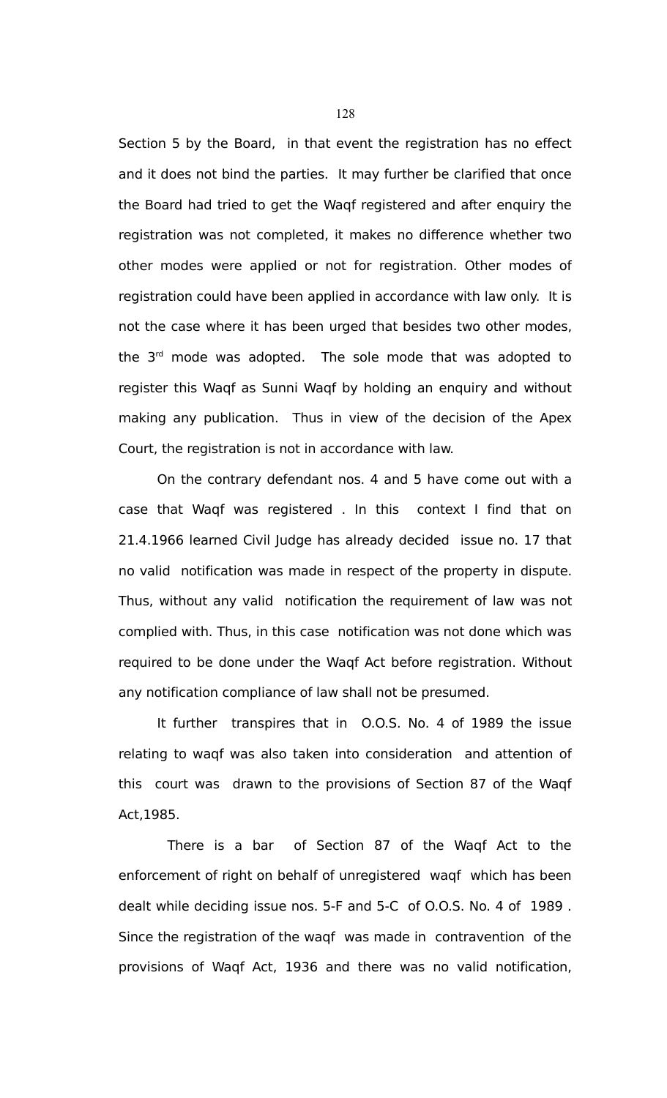Section 5 by the Board, in that event the registration has no effect and it does not bind the parties. It may further be clarified that once the Board had tried to get the Waqf registered and after enquiry the registration was not completed, it makes no difference whether two other modes were applied or not for registration. Other modes of registration could have been applied in accordance with law only. It is not the case where it has been urged that besides two other modes, the  $3<sup>rd</sup>$  mode was adopted. The sole mode that was adopted to register this Waqf as Sunni Waqf by holding an enquiry and without making any publication. Thus in view of the decision of the Apex Court, the registration is not in accordance with law.

On the contrary defendant nos. 4 and 5 have come out with a case that Waqf was registered . In this context I find that on 21.4.1966 learned Civil Judge has already decided issue no. 17 that no valid notification was made in respect of the property in dispute. Thus, without any valid notification the requirement of law was not complied with. Thus, in this case notification was not done which was required to be done under the Waqf Act before registration. Without any notification compliance of law shall not be presumed.

It further transpires that in O.O.S. No. 4 of 1989 the issue relating to waqf was also taken into consideration and attention of this court was drawn to the provisions of Section 87 of the Waqf Act,1985.

 There is a bar of Section 87 of the Waqf Act to the enforcement of right on behalf of unregistered waqf which has been dealt while deciding issue nos. 5-F and 5-C of O.O.S. No. 4 of 1989 . Since the registration of the waqf was made in contravention of the provisions of Waqf Act, 1936 and there was no valid notification,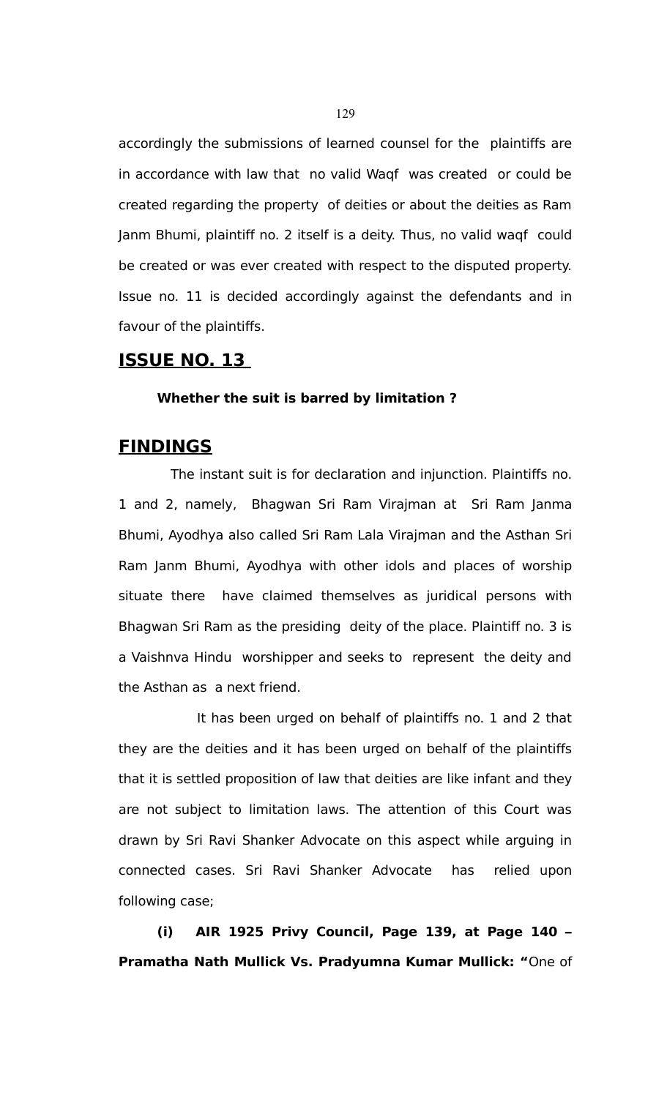accordingly the submissions of learned counsel for the plaintiffs are in accordance with law that no valid Waqf was created or could be created regarding the property of deities or about the deities as Ram Janm Bhumi, plaintiff no. 2 itself is a deity. Thus, no valid waqf could be created or was ever created with respect to the disputed property. Issue no. 11 is decided accordingly against the defendants and in favour of the plaintiffs.

## **ISSUE NO. 13**

#### **Whether the suit is barred by limitation ?**

## **FINDINGS**

The instant suit is for declaration and injunction. Plaintiffs no. 1 and 2, namely, Bhagwan Sri Ram Virajman at Sri Ram Janma Bhumi, Ayodhya also called Sri Ram Lala Virajman and the Asthan Sri Ram Janm Bhumi, Ayodhya with other idols and places of worship situate there have claimed themselves as juridical persons with Bhagwan Sri Ram as the presiding deity of the place. Plaintiff no. 3 is a Vaishnva Hindu worshipper and seeks to represent the deity and the Asthan as a next friend.

It has been urged on behalf of plaintiffs no. 1 and 2 that they are the deities and it has been urged on behalf of the plaintiffs that it is settled proposition of law that deities are like infant and they are not subject to limitation laws. The attention of this Court was drawn by Sri Ravi Shanker Advocate on this aspect while arguing in connected cases. Sri Ravi Shanker Advocate has relied upon following case;

**(i) AIR 1925 Privy Council, Page 139, at Page 140 – Pramatha Nath Mullick Vs. Pradyumna Kumar Mullick: "**One of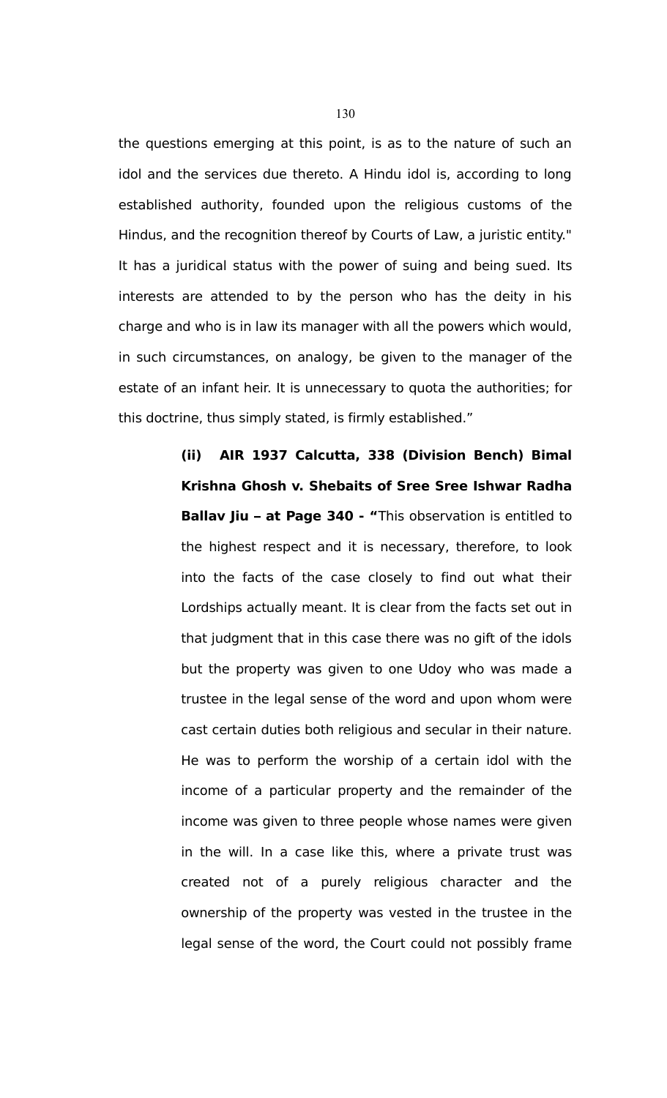the questions emerging at this point, is as to the nature of such an idol and the services due thereto. A Hindu idol is, according to long established authority, founded upon the religious customs of the Hindus, and the recognition thereof by Courts of Law, a juristic entity." It has a juridical status with the power of suing and being sued. Its interests are attended to by the person who has the deity in his charge and who is in law its manager with all the powers which would, in such circumstances, on analogy, be given to the manager of the estate of an infant heir. It is unnecessary to quota the authorities; for this doctrine, thus simply stated, is firmly established."

> **(ii) AIR 1937 Calcutta, 338 (Division Bench) Bimal Krishna Ghosh v. Shebaits of Sree Sree Ishwar Radha Ballav Jiu – at Page 340 - "**This observation is entitled to the highest respect and it is necessary, therefore, to look into the facts of the case closely to find out what their Lordships actually meant. It is clear from the facts set out in that judgment that in this case there was no gift of the idols but the property was given to one Udoy who was made a trustee in the legal sense of the word and upon whom were cast certain duties both religious and secular in their nature. He was to perform the worship of a certain idol with the income of a particular property and the remainder of the income was given to three people whose names were given in the will. In a case like this, where a private trust was created not of a purely religious character and the ownership of the property was vested in the trustee in the legal sense of the word, the Court could not possibly frame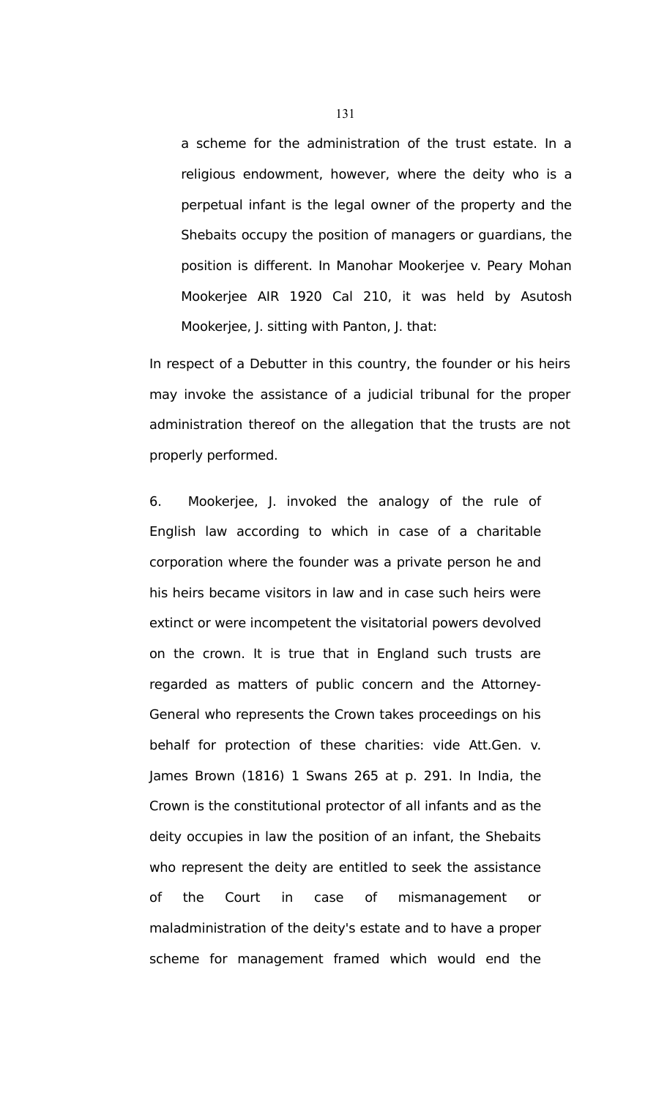a scheme for the administration of the trust estate. In a religious endowment, however, where the deity who is a perpetual infant is the legal owner of the property and the Shebaits occupy the position of managers or guardians, the position is different. In Manohar Mookerjee v. Peary Mohan Mookerjee AIR 1920 Cal 210, it was held by Asutosh Mookerjee, J. sitting with Panton, J. that:

In respect of a Debutter in this country, the founder or his heirs may invoke the assistance of a judicial tribunal for the proper administration thereof on the allegation that the trusts are not properly performed.

6. Mookerjee, J. invoked the analogy of the rule of English law according to which in case of a charitable corporation where the founder was a private person he and his heirs became visitors in law and in case such heirs were extinct or were incompetent the visitatorial powers devolved on the crown. It is true that in England such trusts are regarded as matters of public concern and the Attorney-General who represents the Crown takes proceedings on his behalf for protection of these charities: vide Att.Gen. v. James Brown (1816) 1 Swans 265 at p. 291. In India, the Crown is the constitutional protector of all infants and as the deity occupies in law the position of an infant, the Shebaits who represent the deity are entitled to seek the assistance of the Court in case of mismanagement or maladministration of the deity's estate and to have a proper scheme for management framed which would end the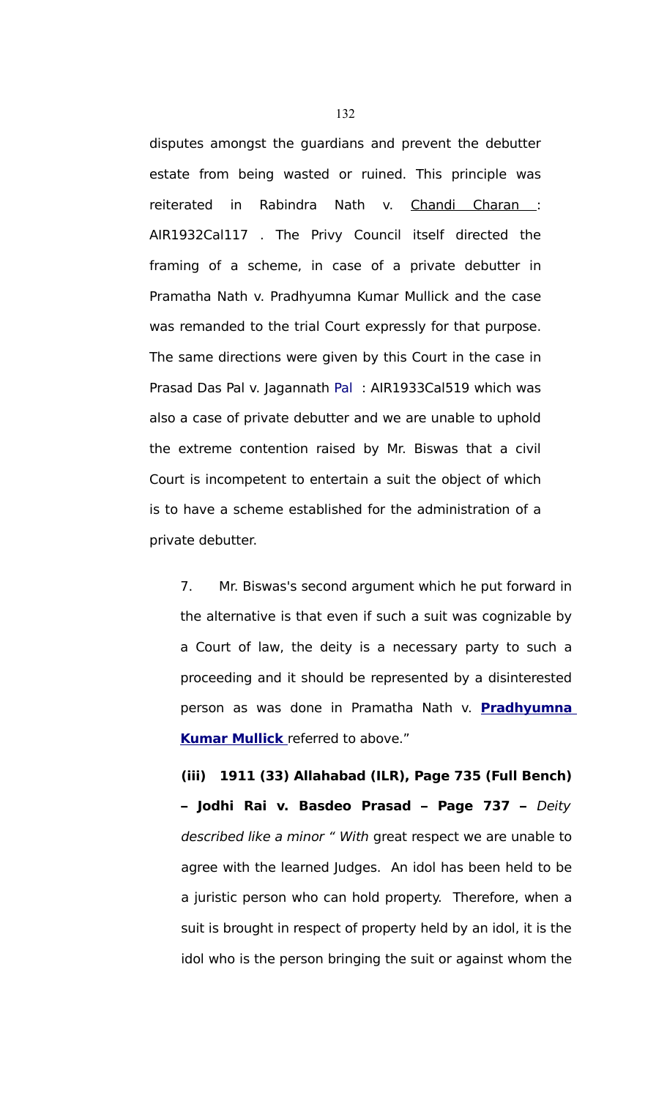disputes amongst the guardians and prevent the debutter estate from being wasted or ruined. This principle was reiterated in Rabindra Nath v. [Chandi Charan :](javascript:fnOpenGlobalPopUp() AIR1932Cal117 . The Privy Council itself directed the framing of a scheme, in case of a private debutter in Pramatha Nath v. [Pradhyumna Kumar Mullick](javascript:fnOpenGlobalPopUp() and the case was remanded to the trial Court expressly for that purpose. The same directions were given by this Court in the case in Prasad Das Pal v. [Jagannath Pal](javascript:fnOpenGlobalPopUp() : AIR1933Cal519 which was also a case of private debutter and we are unable to uphold the extreme contention raised by Mr. Biswas that a civil Court is incompetent to entertain a suit the object of which is to have a scheme established for the administration of a private debutter.

7. Mr. Biswas's second argument which he put forward in the alternative is that even if such a suit was cognizable by a Court of law, the deity is a necessary party to such a proceeding and it should be represented by a disinterested person as was done in Pramatha Nath v. **[Pradhyumna](javascript:fnOpenGlobalPopUp() Kumar Mullick** referred to above."

**(iii) 1911 (33) Allahabad (ILR), Page 735 (Full Bench) – Jodhi Rai v. Basdeo Prasad – Page 737 –** Deity described like a minor " With great respect we are unable to agree with the learned Judges. An idol has been held to be a juristic person who can hold property. Therefore, when a suit is brought in respect of property held by an idol, it is the idol who is the person bringing the suit or against whom the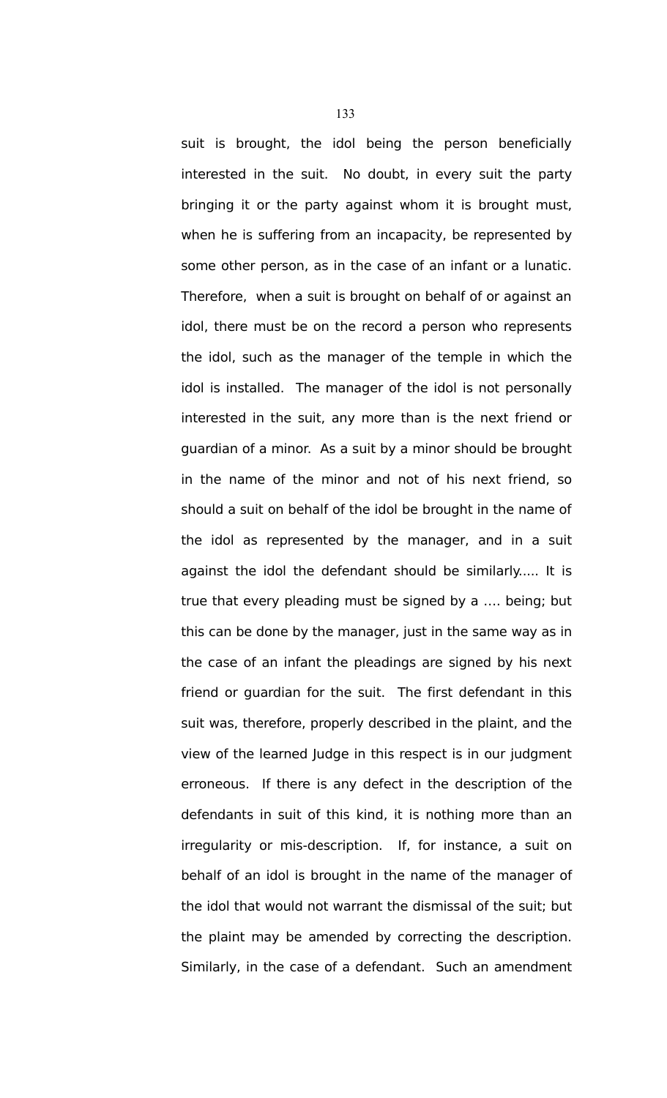suit is brought, the idol being the person beneficially interested in the suit. No doubt, in every suit the party bringing it or the party against whom it is brought must, when he is suffering from an incapacity, be represented by some other person, as in the case of an infant or a lunatic. Therefore, when a suit is brought on behalf of or against an idol, there must be on the record a person who represents the idol, such as the manager of the temple in which the idol is installed. The manager of the idol is not personally interested in the suit, any more than is the next friend or guardian of a minor. As a suit by a minor should be brought in the name of the minor and not of his next friend, so should a suit on behalf of the idol be brought in the name of the idol as represented by the manager, and in a suit against the idol the defendant should be similarly..... It is true that every pleading must be signed by a …. being; but this can be done by the manager, just in the same way as in the case of an infant the pleadings are signed by his next friend or guardian for the suit. The first defendant in this suit was, therefore, properly described in the plaint, and the view of the learned Judge in this respect is in our judgment erroneous. If there is any defect in the description of the defendants in suit of this kind, it is nothing more than an irregularity or mis-description. If, for instance, a suit on behalf of an idol is brought in the name of the manager of the idol that would not warrant the dismissal of the suit; but the plaint may be amended by correcting the description. Similarly, in the case of a defendant. Such an amendment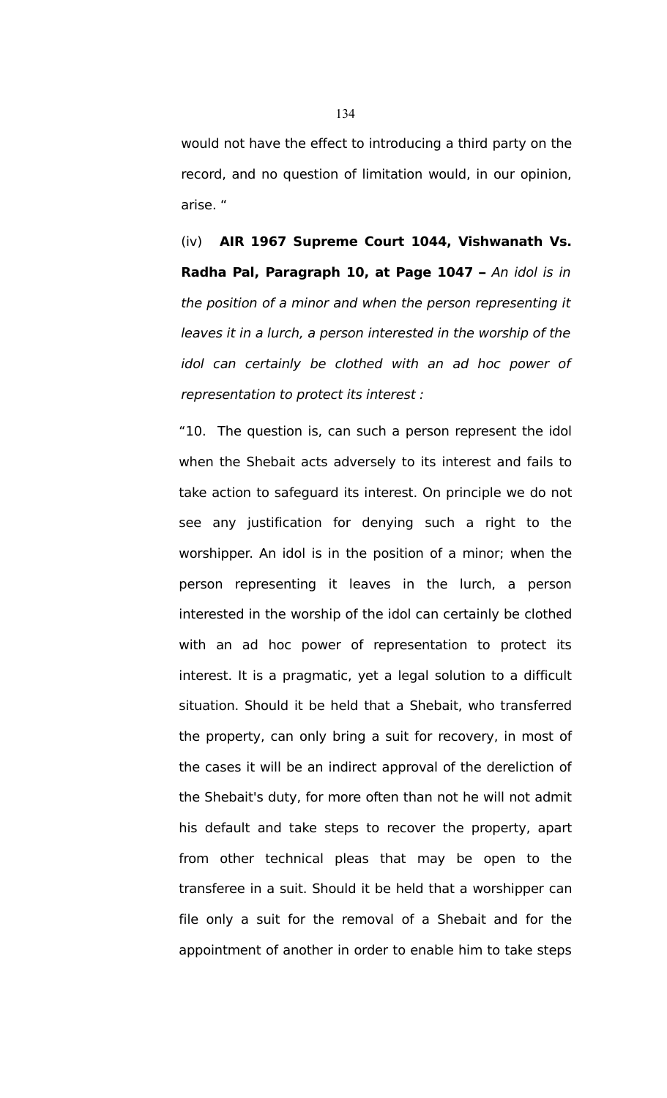would not have the effect to introducing a third party on the record, and no question of limitation would, in our opinion, arise. "

(iv) **AIR 1967 Supreme Court 1044, Vishwanath Vs. Radha Pal, Paragraph 10, at Page 1047 –** An idol is in the position of a minor and when the person representing it leaves it in a lurch, a person interested in the worship of the idol can certainly be clothed with an ad hoc power of representation to protect its interest :

"10. The question is, can such a person represent the idol when the Shebait acts adversely to its interest and fails to take action to safeguard its interest. On principle we do not see any justification for denying such a right to the worshipper. An idol is in the position of a minor; when the person representing it leaves in the lurch, a person interested in the worship of the idol can certainly be clothed with an ad hoc power of representation to protect its interest. It is a pragmatic, yet a legal solution to a difficult situation. Should it be held that a Shebait, who transferred the property, can only bring a suit for recovery, in most of the cases it will be an indirect approval of the dereliction of the Shebait's duty, for more often than not he will not admit his default and take steps to recover the property, apart from other technical pleas that may be open to the transferee in a suit. Should it be held that a worshipper can file only a suit for the removal of a Shebait and for the appointment of another in order to enable him to take steps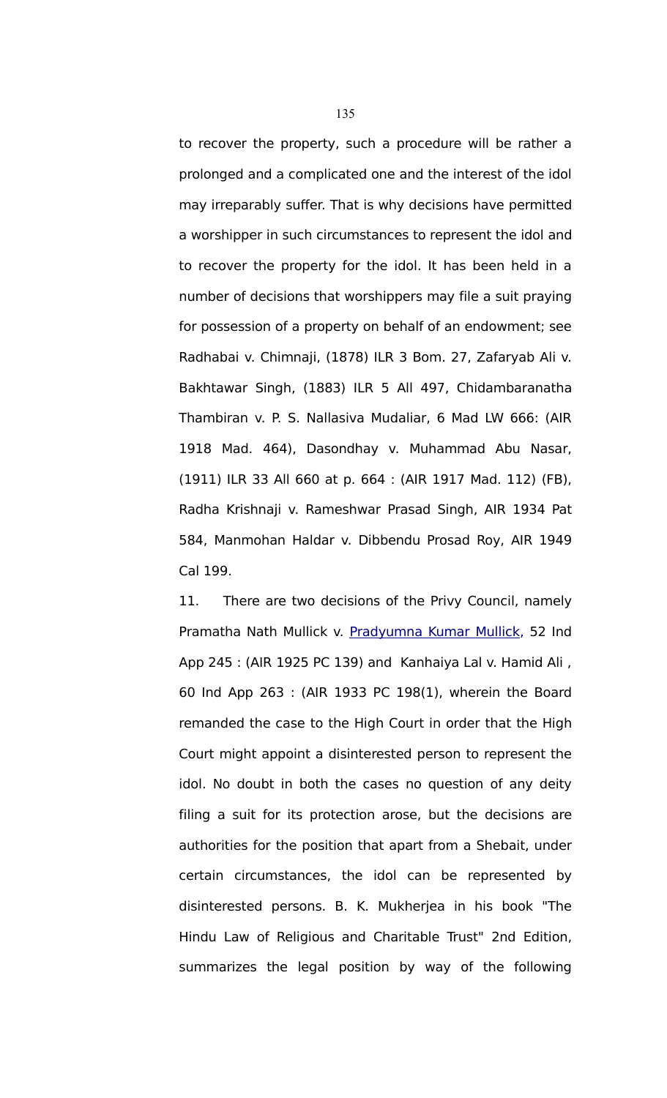to recover the property, such a procedure will be rather a prolonged and a complicated one and the interest of the idol may irreparably suffer. That is why decisions have permitted a worshipper in such circumstances to represent the idol and to recover the property for the idol. It has been held in a number of decisions that worshippers may file a suit praying for possession of a property on behalf of an endowment; see Radhabai v. Chimnaji, (1878) ILR 3 Bom. 27, Zafaryab Ali v. Bakhtawar Singh, (1883) ILR 5 All 497, Chidambaranatha Thambiran v. P. S. Nallasiva Mudaliar, 6 Mad LW 666: (AIR 1918 Mad. 464), Dasondhay v. Muhammad Abu Nasar, (1911) ILR 33 All 660 at p. 664 : (AIR 1917 Mad. 112) (FB), Radha Krishnaji v. Rameshwar Prasad Singh, AIR 1934 Pat 584, Manmohan Haldar v. Dibbendu Prosad Roy, AIR 1949 Cal 199.

11. There are two decisions of the Privy Council, namely Pramatha Nath Mullick v. [Pradyumna Kumar Mullick,](javascript:fnOpenGlobalPopUp() 52 Ind App 245 : (AIR 1925 PC 139) and Kanhaiya Lal v. Hamid Ali , 60 Ind App 263 : (AIR 1933 PC 198(1), wherein the Board remanded the case to the High Court in order that the High Court might appoint a disinterested person to represent the idol. No doubt in both the cases no question of any deity filing a suit for its protection arose, but the decisions are authorities for the position that apart from a Shebait, under certain circumstances, the idol can be represented by disinterested persons. B. K. Mukherjea in his book "The Hindu Law of Religious and Charitable Trust" 2nd Edition, summarizes the legal position by way of the following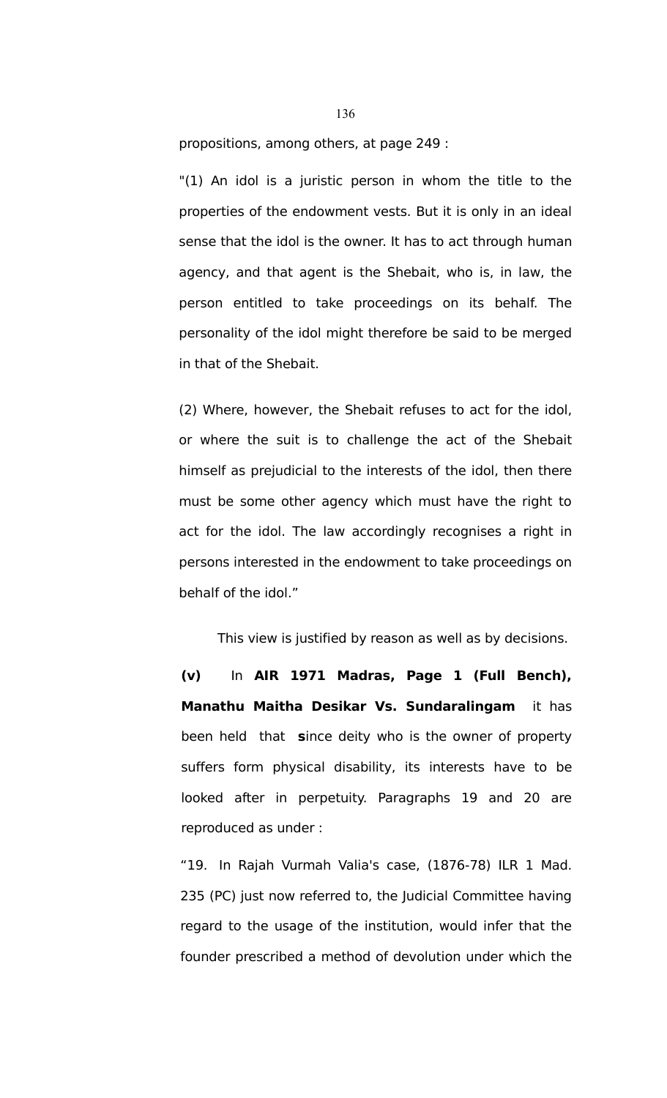propositions, among others, at page 249 :

"(1) An idol is a juristic person in whom the title to the properties of the endowment vests. But it is only in an ideal sense that the idol is the owner. It has to act through human agency, and that agent is the Shebait, who is, in law, the person entitled to take proceedings on its behalf. The personality of the idol might therefore be said to be merged in that of the Shebait.

(2) Where, however, the Shebait refuses to act for the idol, or where the suit is to challenge the act of the Shebait himself as prejudicial to the interests of the idol, then there must be some other agency which must have the right to act for the idol. The law accordingly recognises a right in persons interested in the endowment to take proceedings on behalf of the idol."

This view is justified by reason as well as by decisions.

**(v)** In **AIR 1971 Madras, Page 1 (Full Bench), Manathu Maitha Desikar Vs. Sundaralingam** it has been held that **s**ince deity who is the owner of property suffers form physical disability, its interests have to be looked after in perpetuity. Paragraphs 19 and 20 are reproduced as under :

"19. In Rajah Vurmah Valia's case, (1876-78) ILR 1 Mad. 235 (PC) just now referred to, the Judicial Committee having regard to the usage of the institution, would infer that the founder prescribed a method of devolution under which the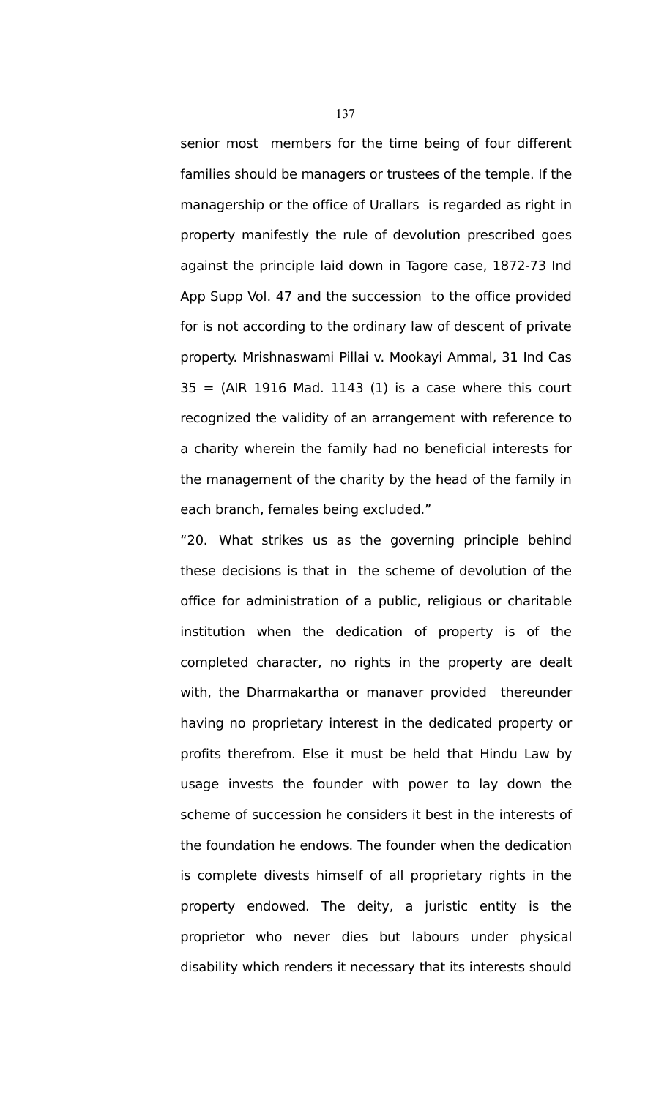senior most members for the time being of four different families should be managers or trustees of the temple. If the managership or the office of Urallars is regarded as right in property manifestly the rule of devolution prescribed goes against the principle laid down in Tagore case, 1872-73 Ind App Supp Vol. 47 and the succession to the office provided for is not according to the ordinary law of descent of private property. Mrishnaswami Pillai v. Mookayi Ammal, 31 Ind Cas  $35 = (AlR 1916 Mad. 1143 (1)$  is a case where this court recognized the validity of an arrangement with reference to a charity wherein the family had no beneficial interests for the management of the charity by the head of the family in each branch, females being excluded."

"20. What strikes us as the governing principle behind these decisions is that in the scheme of devolution of the office for administration of a public, religious or charitable institution when the dedication of property is of the completed character, no rights in the property are dealt with, the Dharmakartha or manaver provided thereunder having no proprietary interest in the dedicated property or profits therefrom. Else it must be held that Hindu Law by usage invests the founder with power to lay down the scheme of succession he considers it best in the interests of the foundation he endows. The founder when the dedication is complete divests himself of all proprietary rights in the property endowed. The deity, a juristic entity is the proprietor who never dies but labours under physical disability which renders it necessary that its interests should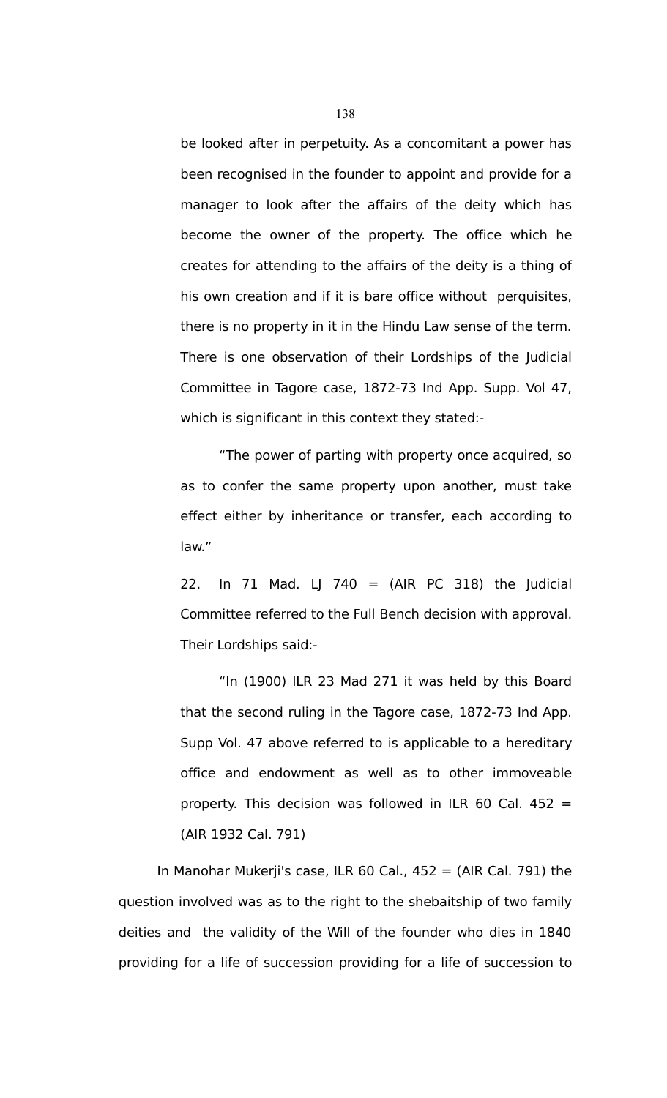be looked after in perpetuity. As a concomitant a power has been recognised in the founder to appoint and provide for a manager to look after the affairs of the deity which has become the owner of the property. The office which he creates for attending to the affairs of the deity is a thing of his own creation and if it is bare office without perquisites, there is no property in it in the Hindu Law sense of the term. There is one observation of their Lordships of the Judicial Committee in Tagore case, 1872-73 Ind App. Supp. Vol 47, which is significant in this context they stated:-

"The power of parting with property once acquired, so as to confer the same property upon another, must take effect either by inheritance or transfer, each according to law."

22. In 71 Mad. LJ 740 = (AIR PC 318) the Judicial Committee referred to the Full Bench decision with approval. Their Lordships said:-

"In (1900) ILR 23 Mad 271 it was held by this Board that the second ruling in the Tagore case, 1872-73 Ind App. Supp Vol. 47 above referred to is applicable to a hereditary office and endowment as well as to other immoveable property. This decision was followed in ILR 60 Cal. 452 = (AIR 1932 Cal. 791)

In Manohar Mukerji's case, ILR 60 Cal.,  $452 = (AIR Cal. 791)$  the question involved was as to the right to the shebaitship of two family deities and the validity of the Will of the founder who dies in 1840 providing for a life of succession providing for a life of succession to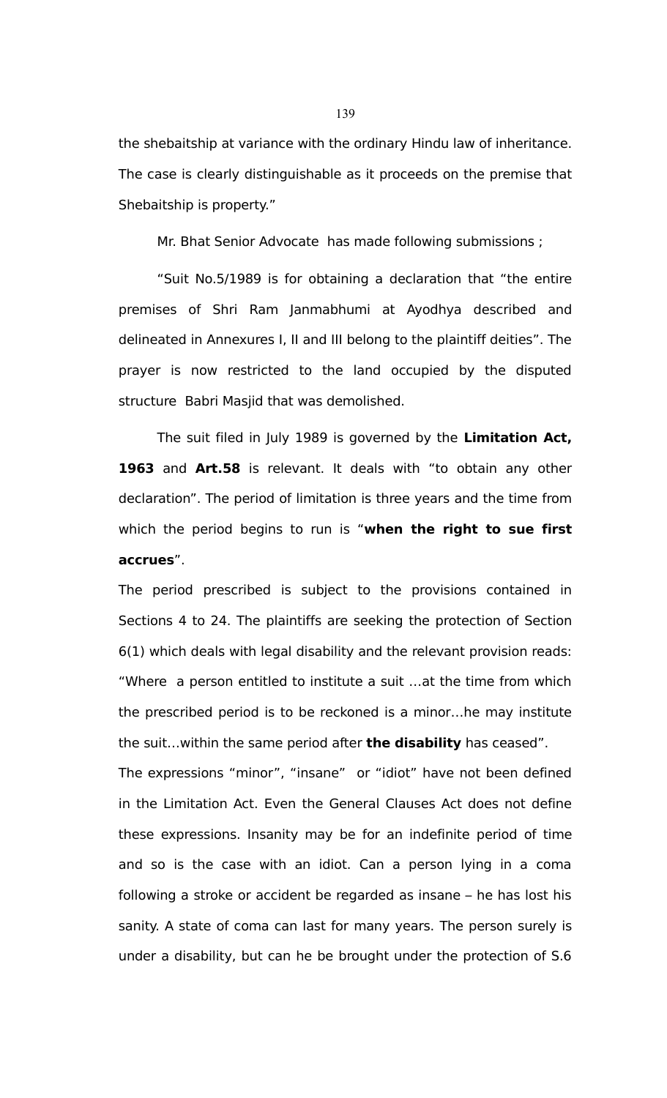the shebaitship at variance with the ordinary Hindu law of inheritance. The case is clearly distinguishable as it proceeds on the premise that Shebaitship is property."

Mr. Bhat Senior Advocate has made following submissions ;

"Suit No.5/1989 is for obtaining a declaration that "the entire premises of Shri Ram Janmabhumi at Ayodhya described and delineated in Annexures I, II and III belong to the plaintiff deities". The prayer is now restricted to the land occupied by the disputed structure Babri Masjid that was demolished.

The suit filed in July 1989 is governed by the **Limitation Act, 1963** and **Art.58** is relevant. It deals with "to obtain any other declaration". The period of limitation is three years and the time from which the period begins to run is "**when the right to sue first accrues**".

The period prescribed is subject to the provisions contained in Sections 4 to 24. The plaintiffs are seeking the protection of Section 6(1) which deals with legal disability and the relevant provision reads: "Where a person entitled to institute a suit …at the time from which the prescribed period is to be reckoned is a minor…he may institute the suit…within the same period after **the disability** has ceased".

The expressions "minor", "insane" or "idiot" have not been defined in the Limitation Act. Even the General Clauses Act does not define these expressions. Insanity may be for an indefinite period of time and so is the case with an idiot. Can a person lying in a coma following a stroke or accident be regarded as insane – he has lost his sanity. A state of coma can last for many years. The person surely is under a disability, but can he be brought under the protection of S.6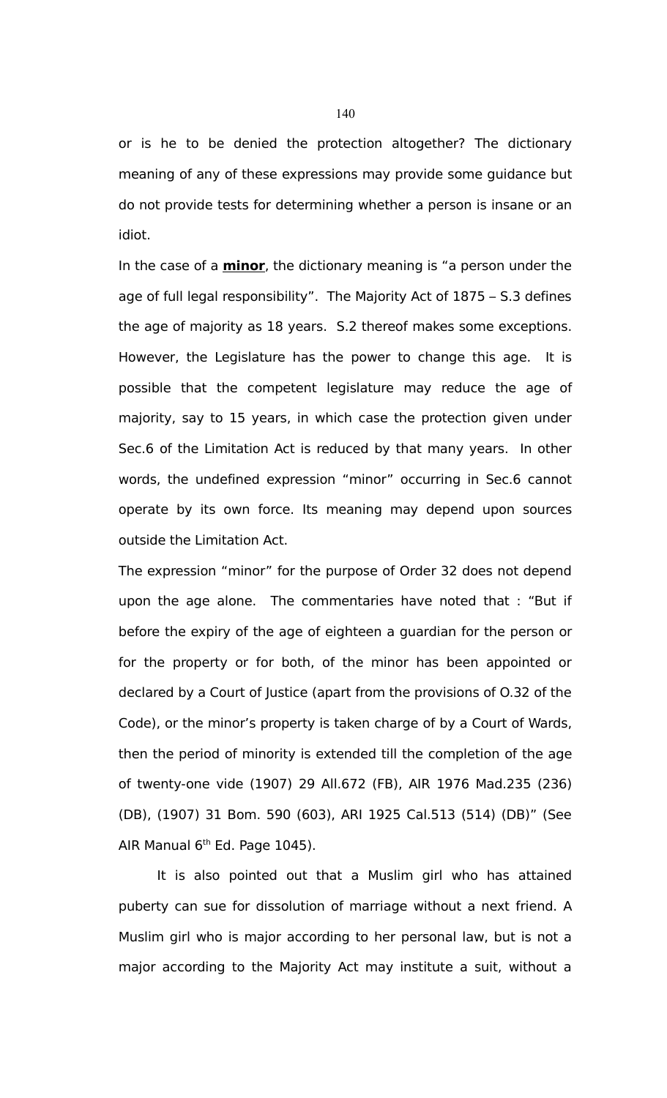or is he to be denied the protection altogether? The dictionary meaning of any of these expressions may provide some guidance but do not provide tests for determining whether a person is insane or an idiot.

In the case of a **minor**, the dictionary meaning is "a person under the age of full legal responsibility". The Majority Act of 1875 – S.3 defines the age of majority as 18 years. S.2 thereof makes some exceptions. However, the Legislature has the power to change this age. It is possible that the competent legislature may reduce the age of majority, say to 15 years, in which case the protection given under Sec.6 of the Limitation Act is reduced by that many years. In other words, the undefined expression "minor" occurring in Sec.6 cannot operate by its own force. Its meaning may depend upon sources outside the Limitation Act.

The expression "minor" for the purpose of Order 32 does not depend upon the age alone. The commentaries have noted that : "But if before the expiry of the age of eighteen a guardian for the person or for the property or for both, of the minor has been appointed or declared by a Court of Justice (apart from the provisions of O.32 of the Code), or the minor's property is taken charge of by a Court of Wards, then the period of minority is extended till the completion of the age of twenty-one vide (1907) 29 All.672 (FB), AIR 1976 Mad.235 (236) (DB), (1907) 31 Bom. 590 (603), ARI 1925 Cal.513 (514) (DB)" (See AIR Manual 6<sup>th</sup> Ed. Page 1045).

It is also pointed out that a Muslim girl who has attained puberty can sue for dissolution of marriage without a next friend. A Muslim girl who is major according to her personal law, but is not a major according to the Majority Act may institute a suit, without a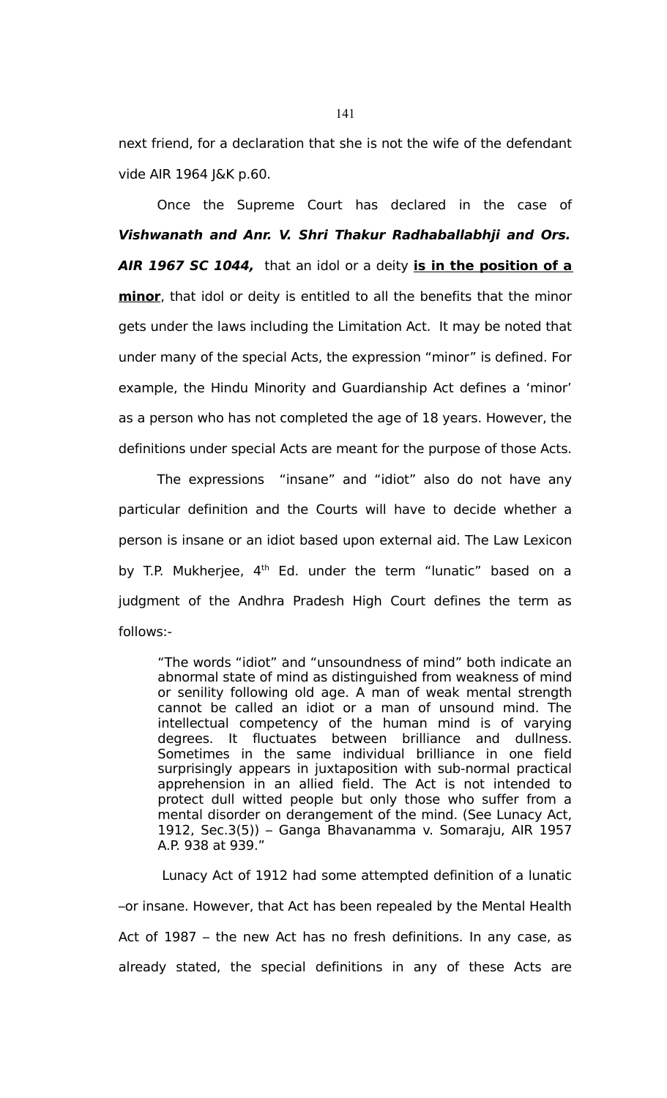next friend, for a declaration that she is not the wife of the defendant vide AIR 1964 J&K p.60.

Once the Supreme Court has declared in the case of **Vishwanath and Anr. V. Shri Thakur Radhaballabhji and Ors. AIR 1967 SC 1044,** that an idol or a deity **is in the position of a minor**, that idol or deity is entitled to all the benefits that the minor gets under the laws including the Limitation Act. It may be noted that under many of the special Acts, the expression "minor" is defined. For example, the Hindu Minority and Guardianship Act defines a 'minor' as a person who has not completed the age of 18 years. However, the definitions under special Acts are meant for the purpose of those Acts.

The expressions "insane" and "idiot" also do not have any particular definition and the Courts will have to decide whether a person is insane or an idiot based upon external aid. The Law Lexicon by T.P. Mukherjee,  $4<sup>th</sup>$  Ed. under the term "lunatic" based on a judgment of the Andhra Pradesh High Court defines the term as follows:-

"The words "idiot" and "unsoundness of mind" both indicate an abnormal state of mind as distinguished from weakness of mind or senility following old age. A man of weak mental strength cannot be called an idiot or a man of unsound mind. The intellectual competency of the human mind is of varying degrees. It fluctuates between brilliance and dullness. Sometimes in the same individual brilliance in one field surprisingly appears in juxtaposition with sub-normal practical apprehension in an allied field. The Act is not intended to protect dull witted people but only those who suffer from a mental disorder on derangement of the mind. (See Lunacy Act, 1912, Sec.3(5)) – Ganga Bhavanamma v. Somaraju, AIR 1957 A.P. 938 at 939."

 Lunacy Act of 1912 had some attempted definition of a lunatic –or insane. However, that Act has been repealed by the Mental Health Act of 1987 – the new Act has no fresh definitions. In any case, as already stated, the special definitions in any of these Acts are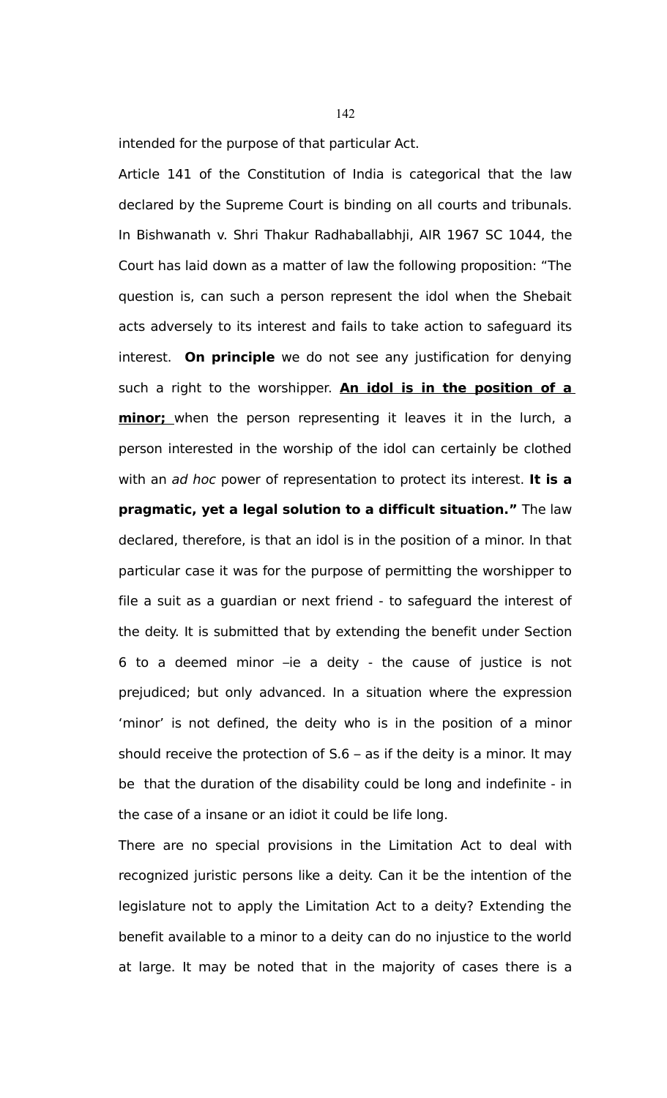intended for the purpose of that particular Act.

Article 141 of the Constitution of India is categorical that the law declared by the Supreme Court is binding on all courts and tribunals. In Bishwanath v. Shri Thakur Radhaballabhji, AIR 1967 SC 1044, the Court has laid down as a matter of law the following proposition: "The question is, can such a person represent the idol when the Shebait acts adversely to its interest and fails to take action to safeguard its interest. **On principle** we do not see any justification for denying such a right to the worshipper. **An idol is in the position of a minor;** when the person representing it leaves it in the lurch, a person interested in the worship of the idol can certainly be clothed with an ad hoc power of representation to protect its interest. **It is a pragmatic, yet a legal solution to a difficult situation."** The law declared, therefore, is that an idol is in the position of a minor. In that particular case it was for the purpose of permitting the worshipper to file a suit as a guardian or next friend - to safeguard the interest of the deity. It is submitted that by extending the benefit under Section 6 to a deemed minor –ie a deity - the cause of justice is not prejudiced; but only advanced. In a situation where the expression 'minor' is not defined, the deity who is in the position of a minor should receive the protection of S.6 – as if the deity is a minor. It may be that the duration of the disability could be long and indefinite - in the case of a insane or an idiot it could be life long.

There are no special provisions in the Limitation Act to deal with recognized juristic persons like a deity. Can it be the intention of the legislature not to apply the Limitation Act to a deity? Extending the benefit available to a minor to a deity can do no injustice to the world at large. It may be noted that in the majority of cases there is a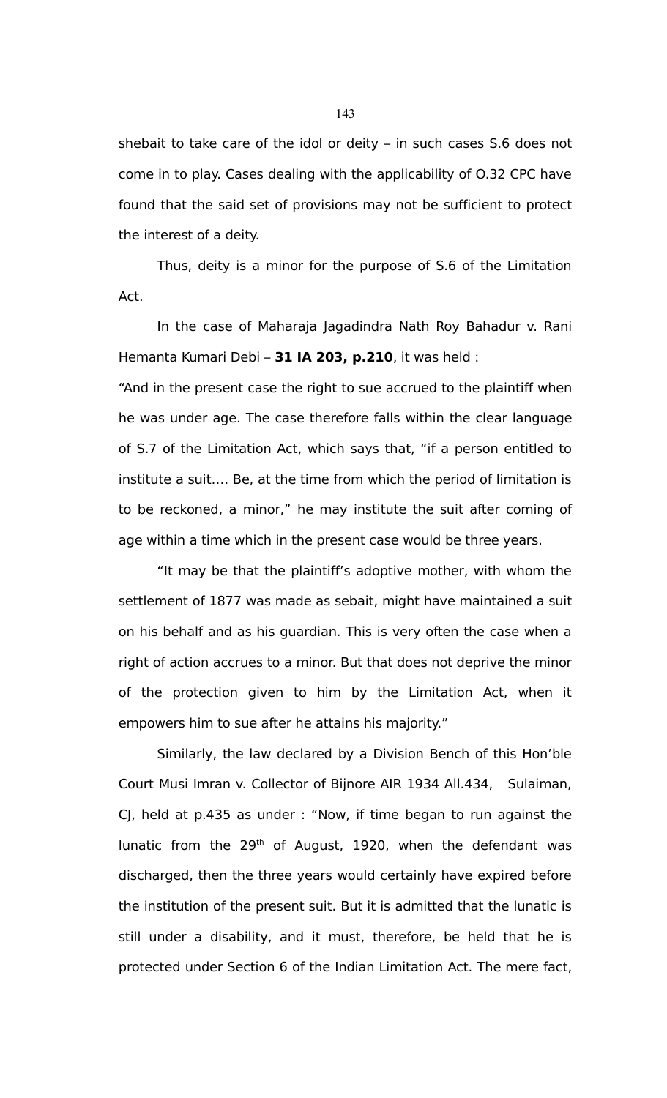shebait to take care of the idol or deity – in such cases S.6 does not come in to play. Cases dealing with the applicability of O.32 CPC have found that the said set of provisions may not be sufficient to protect the interest of a deity.

Thus, deity is a minor for the purpose of S.6 of the Limitation Act.

In the case of Maharaja Jagadindra Nath Roy Bahadur v. Rani Hemanta Kumari Debi – **31 IA 203, p.210**, it was held :

"And in the present case the right to sue accrued to the plaintiff when he was under age. The case therefore falls within the clear language of S.7 of the Limitation Act, which says that, "if a person entitled to institute a suit…. Be, at the time from which the period of limitation is to be reckoned, a minor," he may institute the suit after coming of age within a time which in the present case would be three years.

"It may be that the plaintiff's adoptive mother, with whom the settlement of 1877 was made as sebait, might have maintained a suit on his behalf and as his guardian. This is very often the case when a right of action accrues to a minor. But that does not deprive the minor of the protection given to him by the Limitation Act, when it empowers him to sue after he attains his majority."

Similarly, the law declared by a Division Bench of this Hon'ble Court Musi Imran v. Collector of Bijnore AIR 1934 All.434, Sulaiman, CJ, held at p.435 as under : "Now, if time began to run against the lunatic from the  $29<sup>th</sup>$  of August, 1920, when the defendant was discharged, then the three years would certainly have expired before the institution of the present suit. But it is admitted that the lunatic is still under a disability, and it must, therefore, be held that he is protected under Section 6 of the Indian Limitation Act. The mere fact,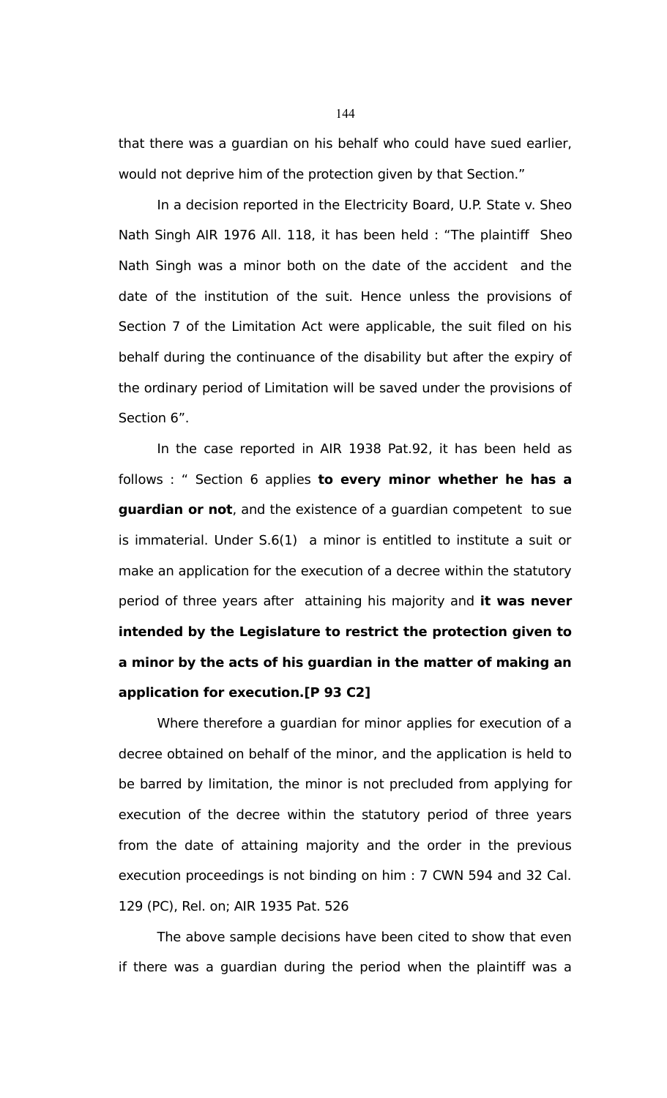that there was a guardian on his behalf who could have sued earlier, would not deprive him of the protection given by that Section."

In a decision reported in the Electricity Board, U.P. State v. Sheo Nath Singh AIR 1976 All. 118, it has been held : "The plaintiff Sheo Nath Singh was a minor both on the date of the accident and the date of the institution of the suit. Hence unless the provisions of Section 7 of the Limitation Act were applicable, the suit filed on his behalf during the continuance of the disability but after the expiry of the ordinary period of Limitation will be saved under the provisions of Section 6".

In the case reported in AIR 1938 Pat.92, it has been held as follows : " Section 6 applies **to every minor whether he has a guardian or not**, and the existence of a guardian competent to sue is immaterial. Under S.6(1) a minor is entitled to institute a suit or make an application for the execution of a decree within the statutory period of three years after attaining his majority and **it was never intended by the Legislature to restrict the protection given to a minor by the acts of his guardian in the matter of making an application for execution.[P 93 C2]**

Where therefore a guardian for minor applies for execution of a decree obtained on behalf of the minor, and the application is held to be barred by limitation, the minor is not precluded from applying for execution of the decree within the statutory period of three years from the date of attaining majority and the order in the previous execution proceedings is not binding on him : 7 CWN 594 and 32 Cal. 129 (PC), Rel. on; AIR 1935 Pat. 526

The above sample decisions have been cited to show that even if there was a guardian during the period when the plaintiff was a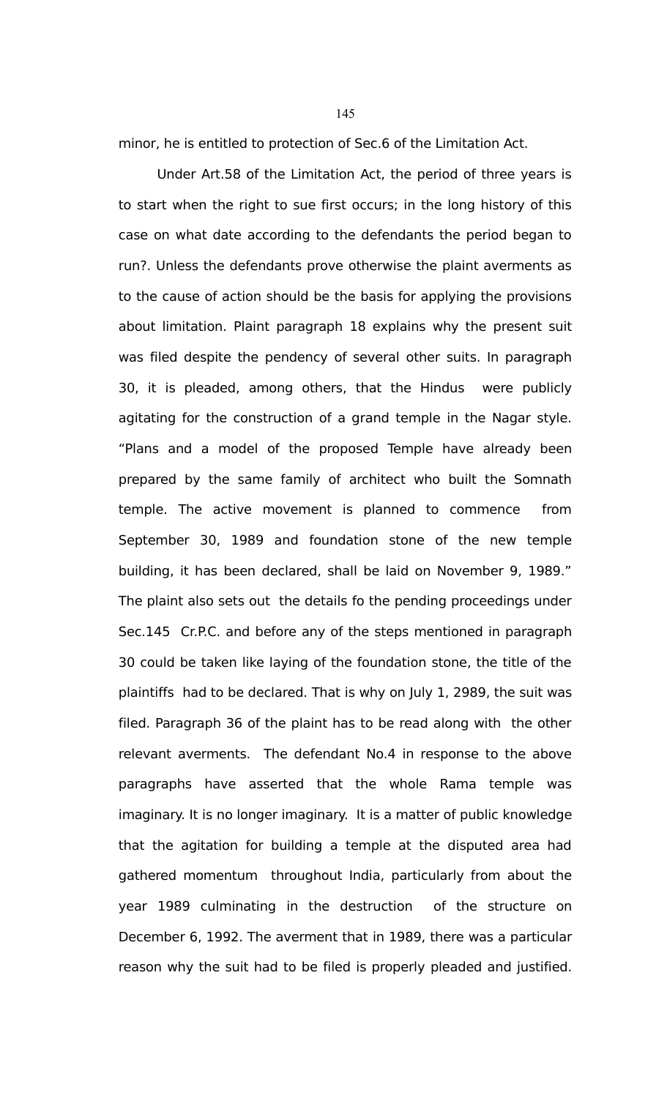minor, he is entitled to protection of Sec.6 of the Limitation Act.

Under Art.58 of the Limitation Act, the period of three years is to start when the right to sue first occurs; in the long history of this case on what date according to the defendants the period began to run?. Unless the defendants prove otherwise the plaint averments as to the cause of action should be the basis for applying the provisions about limitation. Plaint paragraph 18 explains why the present suit was filed despite the pendency of several other suits. In paragraph 30, it is pleaded, among others, that the Hindus were publicly agitating for the construction of a grand temple in the Nagar style. "Plans and a model of the proposed Temple have already been prepared by the same family of architect who built the Somnath temple. The active movement is planned to commence from September 30, 1989 and foundation stone of the new temple building, it has been declared, shall be laid on November 9, 1989." The plaint also sets out the details fo the pending proceedings under Sec.145 Cr.P.C. and before any of the steps mentioned in paragraph 30 could be taken like laying of the foundation stone, the title of the plaintiffs had to be declared. That is why on July 1, 2989, the suit was filed. Paragraph 36 of the plaint has to be read along with the other relevant averments. The defendant No.4 in response to the above paragraphs have asserted that the whole Rama temple was imaginary. It is no longer imaginary. It is a matter of public knowledge that the agitation for building a temple at the disputed area had gathered momentum throughout India, particularly from about the year 1989 culminating in the destruction of the structure on December 6, 1992. The averment that in 1989, there was a particular reason why the suit had to be filed is properly pleaded and justified.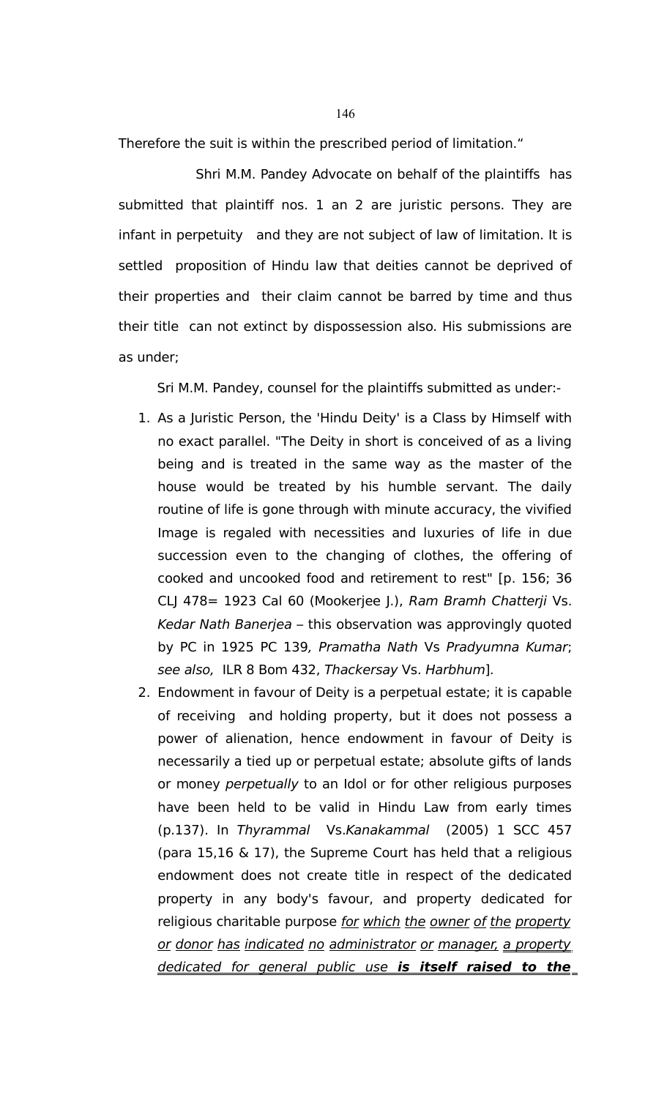Therefore the suit is within the prescribed period of limitation."

Shri M.M. Pandey Advocate on behalf of the plaintiffs has submitted that plaintiff nos. 1 an 2 are juristic persons. They are infant in perpetuity and they are not subject of law of limitation. It is settled proposition of Hindu law that deities cannot be deprived of their properties and their claim cannot be barred by time and thus their title can not extinct by dispossession also. His submissions are as under;

Sri M.M. Pandey, counsel for the plaintiffs submitted as under:-

- 1. As a Juristic Person, the 'Hindu Deity' is a Class by Himself with no exact parallel. "The Deity in short is conceived of as a living being and is treated in the same way as the master of the house would be treated by his humble servant. The daily routine of life is gone through with minute accuracy, the vivified Image is regaled with necessities and luxuries of life in due succession even to the changing of clothes, the offering of cooked and uncooked food and retirement to rest" [p. 156; 36 CLJ 478= 1923 Cal 60 (Mookerjee J.), Ram Bramh Chatterji Vs. Kedar Nath Banerjea – this observation was approvingly quoted by PC in 1925 PC 139, Pramatha Nath Vs Pradyumna Kumar; see also, ILR 8 Bom 432, Thackersay Vs. Harbhum].
- 2. Endowment in favour of Deity is a perpetual estate; it is capable of receiving and holding property, but it does not possess a power of alienation, hence endowment in favour of Deity is necessarily a tied up or perpetual estate; absolute gifts of lands or money *perpetually* to an Idol or for other religious purposes have been held to be valid in Hindu Law from early times (p.137). In Thyrammal Vs.Kanakammal (2005) 1 SCC 457 (para 15,16 & 17), the Supreme Court has held that a religious endowment does not create title in respect of the dedicated property in any body's favour, and property dedicated for religious charitable purpose for which the owner of the property or donor has indicated no administrator or manager, a property dedicated for general public use **is itself raised to the**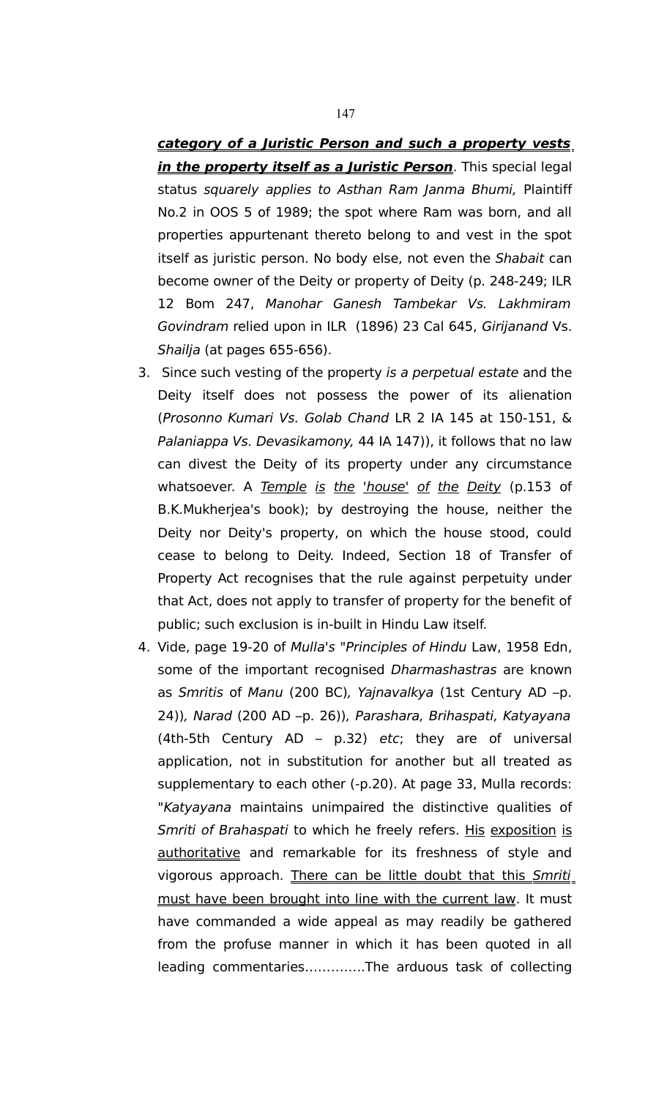**category of a Juristic Person and such a property vests in the property itself as a Juristic Person**. This special legal status squarely applies to Asthan Ram Janma Bhumi, Plaintiff No.2 in OOS 5 of 1989; the spot where Ram was born, and all properties appurtenant thereto belong to and vest in the spot itself as juristic person. No body else, not even the Shabait can become owner of the Deity or property of Deity (p. 248-249; ILR 12 Bom 247, Manohar Ganesh Tambekar Vs. Lakhmiram Govindram relied upon in ILR (1896) 23 Cal 645, Girijanand Vs. Shailja (at pages 655-656).

- 3. Since such vesting of the property is a perpetual estate and the Deity itself does not possess the power of its alienation (Prosonno Kumari Vs. Golab Chand LR 2 IA 145 at 150-151, & Palaniappa Vs. Devasikamony, 44 IA 147)), it follows that no law can divest the Deity of its property under any circumstance whatsoever. A Temple is the 'house' of the Deity (p.153 of B.K.Mukherjea's book); by destroying the house, neither the Deity nor Deity's property, on which the house stood, could cease to belong to Deity. Indeed, Section 18 of Transfer of Property Act recognises that the rule against perpetuity under that Act, does not apply to transfer of property for the benefit of public; such exclusion is in-built in Hindu Law itself.
- 4. Vide, page 19-20 of Mulla's "Principles of Hindu Law, 1958 Edn, some of the important recognised Dharmashastras are known as Smritis of Manu (200 BC), Yajnavalkya (1st Century AD –p. 24)), Narad (200 AD –p. 26)), Parashara, Brihaspati, Katyayana (4th-5th Century AD – p.32) etc; they are of universal application, not in substitution for another but all treated as supplementary to each other (-p.20). At page 33, Mulla records: "Katyayana maintains unimpaired the distinctive qualities of Smriti of Brahaspati to which he freely refers. His exposition is authoritative and remarkable for its freshness of style and vigorous approach. There can be little doubt that this Smriti must have been brought into line with the current law. It must have commanded a wide appeal as may readily be gathered from the profuse manner in which it has been quoted in all leading commentaries…………..The arduous task of collecting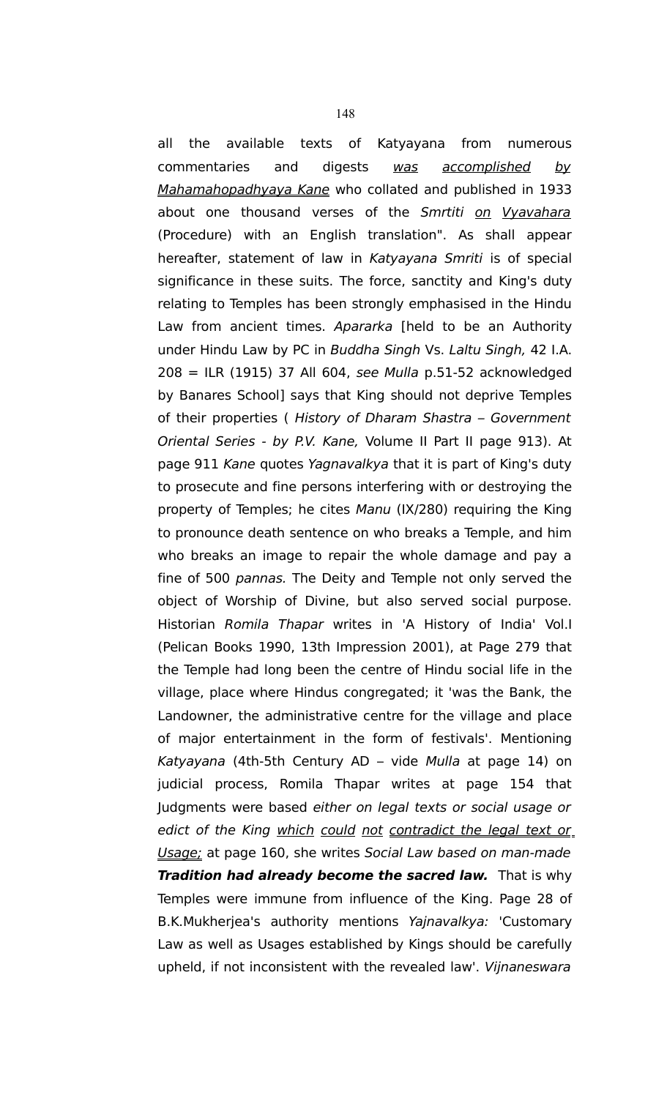all the available texts of Katyayana from numerous commentaries and digests was accomplished by Mahamahopadhyaya Kane who collated and published in 1933 about one thousand verses of the Smrtiti on Vyavahara (Procedure) with an English translation". As shall appear hereafter, statement of law in Katyayana Smriti is of special significance in these suits. The force, sanctity and King's duty relating to Temples has been strongly emphasised in the Hindu Law from ancient times. Apararka [held to be an Authority under Hindu Law by PC in Buddha Singh Vs. Laltu Singh, 42 I.A. 208 = ILR (1915) 37 All 604, see Mulla p.51-52 acknowledged by Banares School] says that King should not deprive Temples of their properties ( History of Dharam Shastra – Government Oriental Series - by P.V. Kane, Volume II Part II page 913). At page 911 Kane quotes Yagnavalkya that it is part of King's duty to prosecute and fine persons interfering with or destroying the property of Temples; he cites Manu (IX/280) requiring the King to pronounce death sentence on who breaks a Temple, and him who breaks an image to repair the whole damage and pay a fine of 500 pannas. The Deity and Temple not only served the object of Worship of Divine, but also served social purpose. Historian Romila Thapar writes in 'A History of India' Vol.I (Pelican Books 1990, 13th Impression 2001), at Page 279 that the Temple had long been the centre of Hindu social life in the village, place where Hindus congregated; it 'was the Bank, the Landowner, the administrative centre for the village and place of major entertainment in the form of festivals'. Mentioning Katyayana (4th-5th Century AD – vide Mulla at page 14) on judicial process, Romila Thapar writes at page 154 that Judgments were based either on legal texts or social usage or edict of the King which could not contradict the legal text or Usage; at page 160, she writes Social Law based on man-made **Tradition had already become the sacred law.** That is why Temples were immune from influence of the King. Page 28 of B.K.Mukherjea's authority mentions Yajnavalkya: 'Customary Law as well as Usages established by Kings should be carefully upheld, if not inconsistent with the revealed law'. Vijnaneswara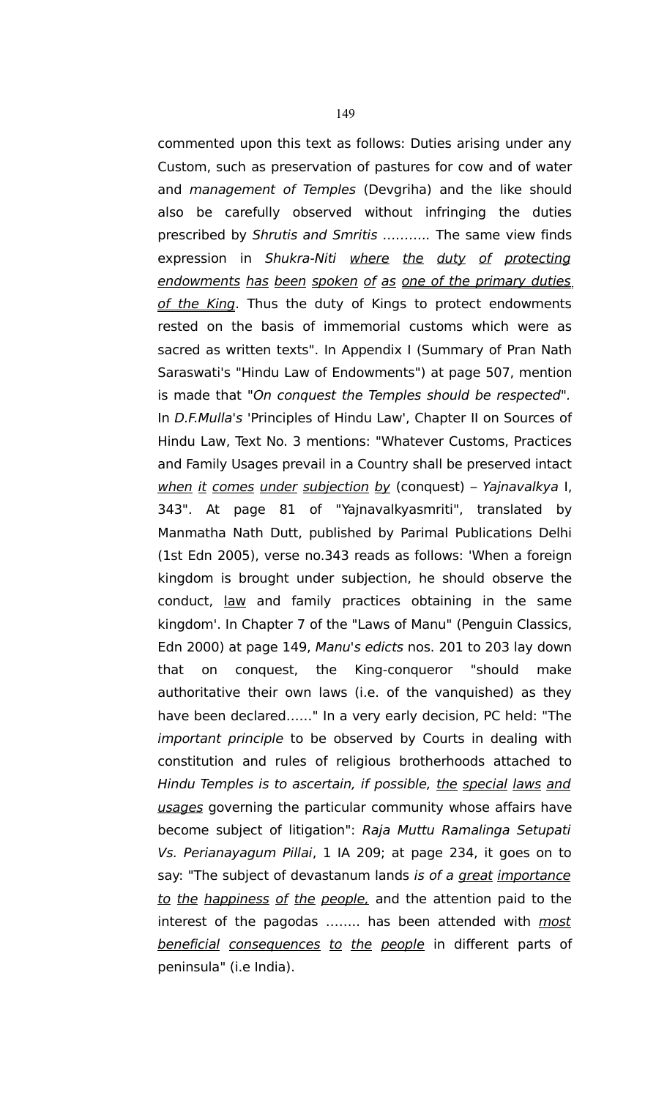commented upon this text as follows: Duties arising under any Custom, such as preservation of pastures for cow and of water and management of Temples (Devgriha) and the like should also be carefully observed without infringing the duties prescribed by Shrutis and Smritis ……….. The same view finds expression in Shukra-Niti where the duty of protecting endowments has been spoken of as one of the primary duties of the King. Thus the duty of Kings to protect endowments rested on the basis of immemorial customs which were as sacred as written texts". In Appendix I (Summary of Pran Nath Saraswati's "Hindu Law of Endowments") at page 507, mention is made that "On conquest the Temples should be respected". In D.F.Mulla's 'Principles of Hindu Law', Chapter II on Sources of Hindu Law, Text No. 3 mentions: "Whatever Customs, Practices and Family Usages prevail in a Country shall be preserved intact when it comes under subjection by (conquest) – Yajnavalkya I, 343". At page 81 of "Yajnavalkyasmriti", translated by Manmatha Nath Dutt, published by Parimal Publications Delhi (1st Edn 2005), verse no.343 reads as follows: 'When a foreign kingdom is brought under subjection, he should observe the conduct, law and family practices obtaining in the same kingdom'. In Chapter 7 of the "Laws of Manu" (Penguin Classics, Edn 2000) at page 149, Manu's edicts nos. 201 to 203 lay down that on conquest, the King-conqueror "should make authoritative their own laws (i.e. of the vanquished) as they have been declared……" In a very early decision, PC held: "The important principle to be observed by Courts in dealing with constitution and rules of religious brotherhoods attached to Hindu Temples is to ascertain, if possible, the special laws and usages governing the particular community whose affairs have become subject of litigation": Raja Muttu Ramalinga Setupati Vs. Perianayagum Pillai, 1 IA 209; at page 234, it goes on to say: "The subject of devastanum lands is of a great importance to the happiness of the people, and the attention paid to the interest of the pagodas ........ has been attended with *most* beneficial consequences to the people in different parts of peninsula" (i.e India).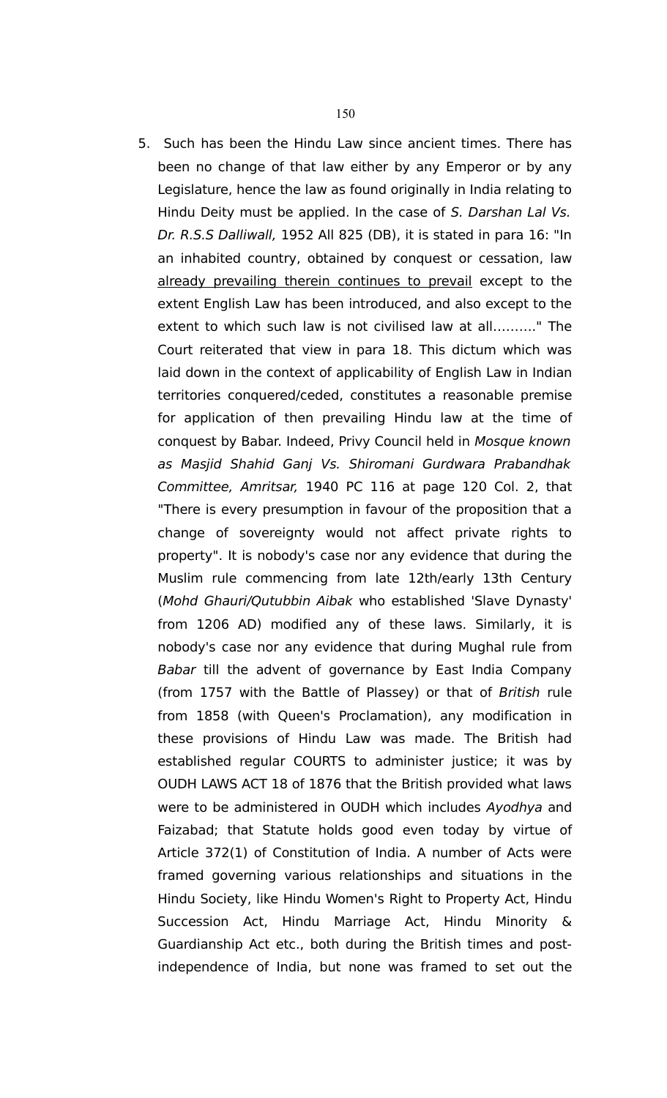5. Such has been the Hindu Law since ancient times. There has been no change of that law either by any Emperor or by any Legislature, hence the law as found originally in India relating to Hindu Deity must be applied. In the case of S. Darshan Lal Vs. Dr. R.S.S Dalliwall, 1952 All 825 (DB), it is stated in para 16: "In an inhabited country, obtained by conquest or cessation, law already prevailing therein continues to prevail except to the extent English Law has been introduced, and also except to the extent to which such law is not civilised law at all………." The Court reiterated that view in para 18. This dictum which was laid down in the context of applicability of English Law in Indian territories conquered/ceded, constitutes a reasonable premise for application of then prevailing Hindu law at the time of conquest by Babar. Indeed, Privy Council held in Mosque known as Masjid Shahid Ganj Vs. Shiromani Gurdwara Prabandhak Committee, Amritsar, 1940 PC 116 at page 120 Col. 2, that "There is every presumption in favour of the proposition that a change of sovereignty would not affect private rights to property". It is nobody's case nor any evidence that during the Muslim rule commencing from late 12th/early 13th Century (Mohd Ghauri/Qutubbin Aibak who established 'Slave Dynasty' from 1206 AD) modified any of these laws. Similarly, it is nobody's case nor any evidence that during Mughal rule from Babar till the advent of governance by East India Company (from 1757 with the Battle of Plassey) or that of British rule from 1858 (with Queen's Proclamation), any modification in these provisions of Hindu Law was made. The British had established regular COURTS to administer justice; it was by OUDH LAWS ACT 18 of 1876 that the British provided what laws were to be administered in OUDH which includes Ayodhya and Faizabad; that Statute holds good even today by virtue of Article 372(1) of Constitution of India. A number of Acts were framed governing various relationships and situations in the Hindu Society, like Hindu Women's Right to Property Act, Hindu Succession Act, Hindu Marriage Act, Hindu Minority & Guardianship Act etc., both during the British times and postindependence of India, but none was framed to set out the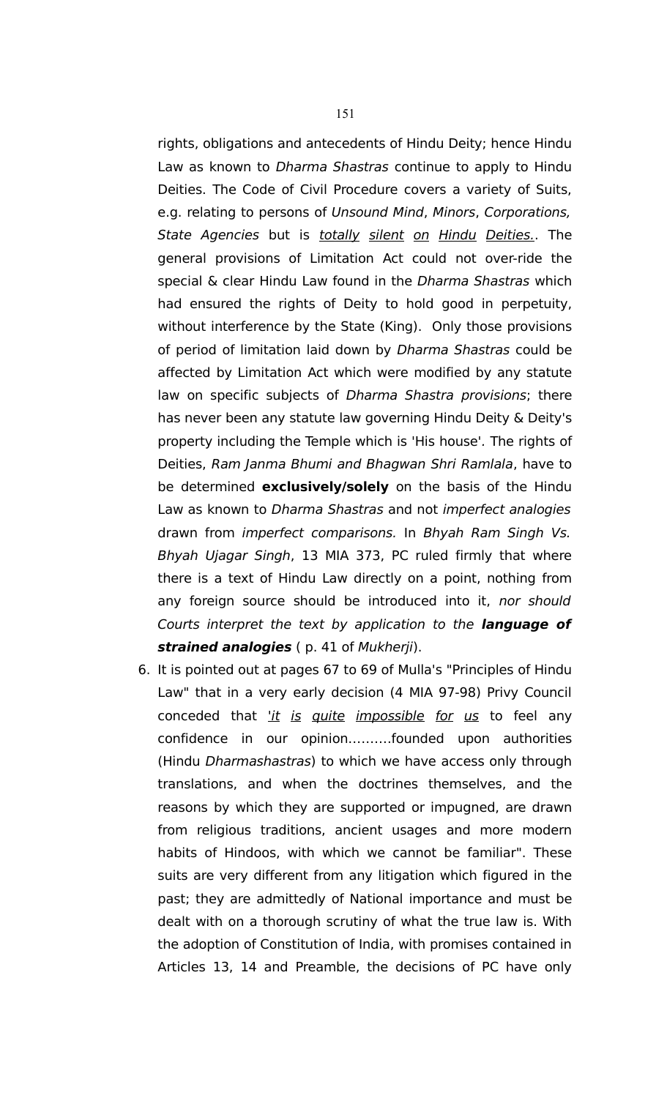rights, obligations and antecedents of Hindu Deity; hence Hindu Law as known to *Dharma Shastras* continue to apply to Hindu Deities. The Code of Civil Procedure covers a variety of Suits, e.g. relating to persons of Unsound Mind, Minors, Corporations, State Agencies but is totally silent on Hindu Deities. The general provisions of Limitation Act could not over-ride the special & clear Hindu Law found in the Dharma Shastras which had ensured the rights of Deity to hold good in perpetuity, without interference by the State (King). Only those provisions of period of limitation laid down by Dharma Shastras could be affected by Limitation Act which were modified by any statute law on specific subjects of Dharma Shastra provisions; there has never been any statute law governing Hindu Deity & Deity's property including the Temple which is 'His house'. The rights of Deities, Ram Janma Bhumi and Bhagwan Shri Ramlala, have to be determined **exclusively/solely** on the basis of the Hindu Law as known to Dharma Shastras and not imperfect analogies drawn from imperfect comparisons. In Bhyah Ram Singh Vs. Bhyah Ujagar Singh, 13 MIA 373, PC ruled firmly that where there is a text of Hindu Law directly on a point, nothing from any foreign source should be introduced into it, nor should Courts interpret the text by application to the **language of strained analogies** ( p. 41 of Mukherji).

6. It is pointed out at pages 67 to 69 of Mulla's "Principles of Hindu Law" that in a very early decision (4 MIA 97-98) Privy Council conceded that *'it is quite impossible for us* to feel any confidence in our opinion……….founded upon authorities (Hindu Dharmashastras) to which we have access only through translations, and when the doctrines themselves, and the reasons by which they are supported or impugned, are drawn from religious traditions, ancient usages and more modern habits of Hindoos, with which we cannot be familiar". These suits are very different from any litigation which figured in the past; they are admittedly of National importance and must be dealt with on a thorough scrutiny of what the true law is. With the adoption of Constitution of India, with promises contained in Articles 13, 14 and Preamble, the decisions of PC have only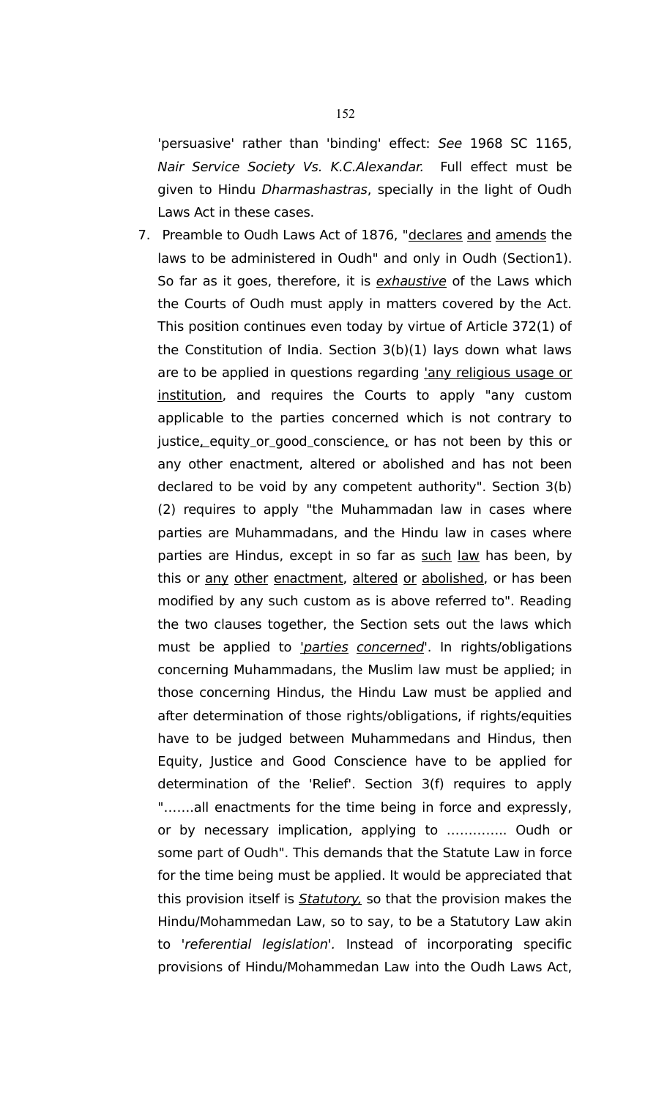'persuasive' rather than 'binding' effect: See 1968 SC 1165, Nair Service Society Vs. K.C.Alexandar. Full effect must be given to Hindu Dharmashastras, specially in the light of Oudh Laws Act in these cases.

7. Preamble to Oudh Laws Act of 1876, "declares and amends the laws to be administered in Oudh" and only in Oudh (Section1). So far as it goes, therefore, it is *exhaustive* of the Laws which the Courts of Oudh must apply in matters covered by the Act. This position continues even today by virtue of Article 372(1) of the Constitution of India. Section 3(b)(1) lays down what laws are to be applied in questions regarding 'any religious usage or institution, and requires the Courts to apply "any custom applicable to the parties concerned which is not contrary to justice, equity or good conscience, or has not been by this or any other enactment, altered or abolished and has not been declared to be void by any competent authority". Section 3(b) (2) requires to apply "the Muhammadan law in cases where parties are Muhammadans, and the Hindu law in cases where parties are Hindus, except in so far as such law has been, by this or any other enactment, altered or abolished, or has been modified by any such custom as is above referred to". Reading the two clauses together, the Section sets out the laws which must be applied to '*parties concerned*'. In rights/obligations concerning Muhammadans, the Muslim law must be applied; in those concerning Hindus, the Hindu Law must be applied and after determination of those rights/obligations, if rights/equities have to be judged between Muhammedans and Hindus, then Equity, Justice and Good Conscience have to be applied for determination of the 'Relief'. Section 3(f) requires to apply "…….all enactments for the time being in force and expressly, or by necessary implication, applying to ………….. Oudh or some part of Oudh". This demands that the Statute Law in force for the time being must be applied. It would be appreciated that this provision itself is **Statutory**, so that the provision makes the Hindu/Mohammedan Law, so to say, to be a Statutory Law akin to 'referential legislation'. Instead of incorporating specific provisions of Hindu/Mohammedan Law into the Oudh Laws Act,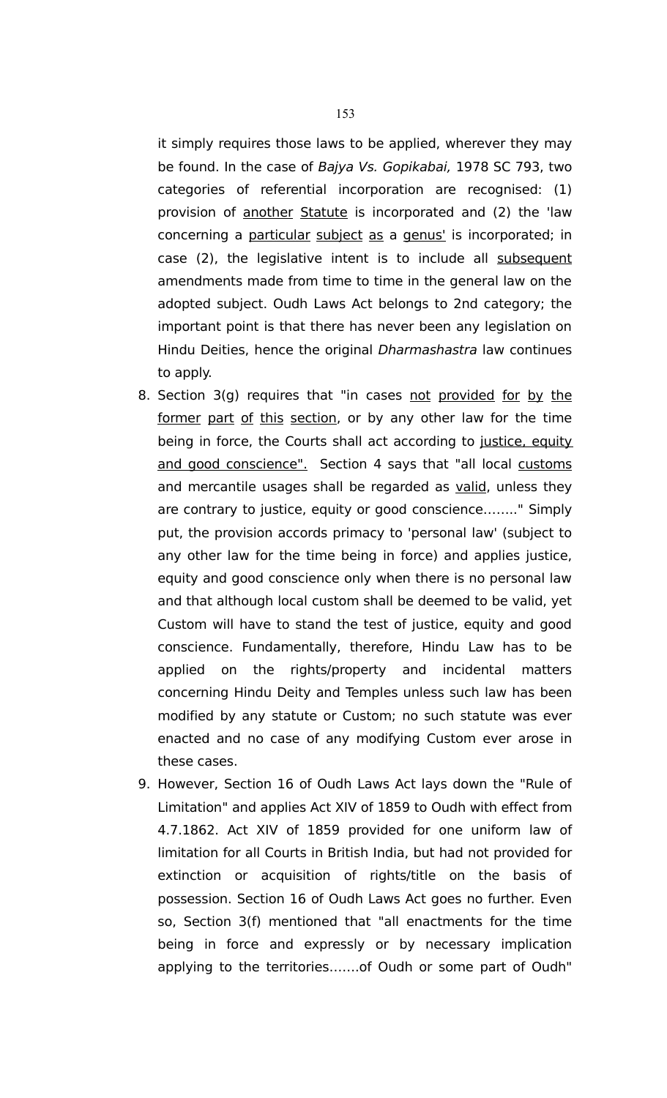it simply requires those laws to be applied, wherever they may be found. In the case of Bajya Vs. Gopikabai, 1978 SC 793, two categories of referential incorporation are recognised: (1) provision of another Statute is incorporated and (2) the 'law concerning a particular subject as a genus' is incorporated; in case (2), the legislative intent is to include all subsequent amendments made from time to time in the general law on the adopted subject. Oudh Laws Act belongs to 2nd category; the important point is that there has never been any legislation on Hindu Deities, hence the original Dharmashastra law continues to apply.

- 8. Section 3(g) requires that "in cases not provided for by the former part of this section, or by any other law for the time being in force, the Courts shall act according to justice, equity and good conscience". Section 4 says that "all local customs and mercantile usages shall be regarded as valid, unless they are contrary to justice, equity or good conscience…….." Simply put, the provision accords primacy to 'personal law' (subject to any other law for the time being in force) and applies justice, equity and good conscience only when there is no personal law and that although local custom shall be deemed to be valid, yet Custom will have to stand the test of justice, equity and good conscience. Fundamentally, therefore, Hindu Law has to be applied on the rights/property and incidental matters concerning Hindu Deity and Temples unless such law has been modified by any statute or Custom; no such statute was ever enacted and no case of any modifying Custom ever arose in these cases.
- 9. However, Section 16 of Oudh Laws Act lays down the "Rule of Limitation" and applies Act XIV of 1859 to Oudh with effect from 4.7.1862. Act XIV of 1859 provided for one uniform law of limitation for all Courts in British India, but had not provided for extinction or acquisition of rights/title on the basis of possession. Section 16 of Oudh Laws Act goes no further. Even so, Section 3(f) mentioned that "all enactments for the time being in force and expressly or by necessary implication applying to the territories…….of Oudh or some part of Oudh"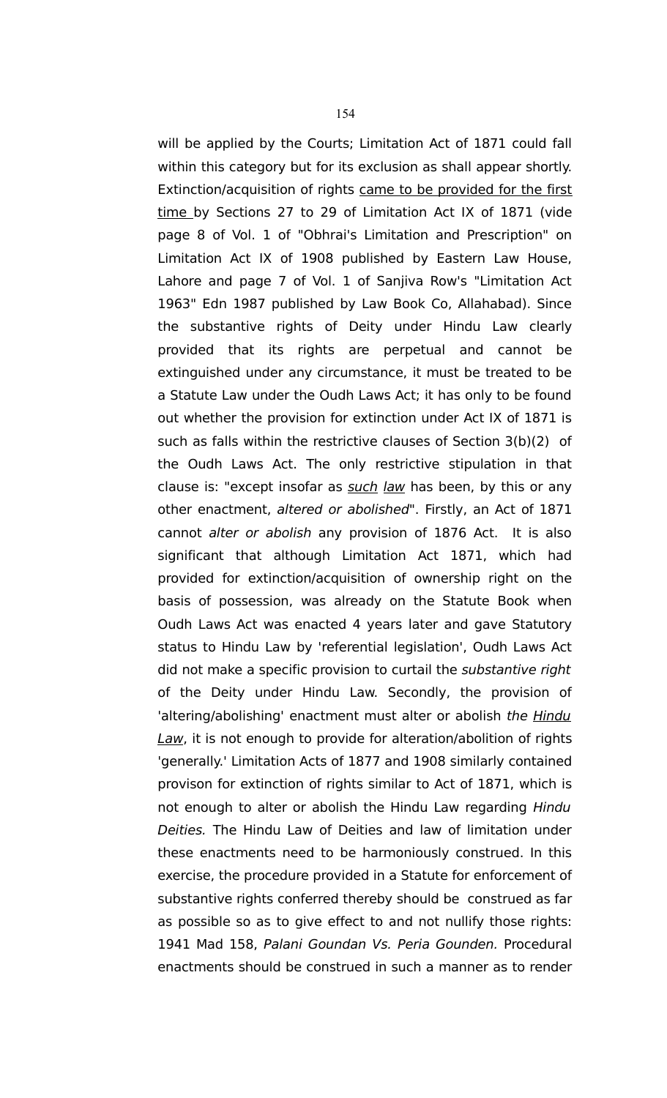will be applied by the Courts; Limitation Act of 1871 could fall within this category but for its exclusion as shall appear shortly. Extinction/acquisition of rights came to be provided for the first time by Sections 27 to 29 of Limitation Act IX of 1871 (vide page 8 of Vol. 1 of "Obhrai's Limitation and Prescription" on Limitation Act IX of 1908 published by Eastern Law House, Lahore and page 7 of Vol. 1 of Sanjiva Row's "Limitation Act 1963" Edn 1987 published by Law Book Co, Allahabad). Since the substantive rights of Deity under Hindu Law clearly provided that its rights are perpetual and cannot be extinguished under any circumstance, it must be treated to be a Statute Law under the Oudh Laws Act; it has only to be found out whether the provision for extinction under Act IX of 1871 is such as falls within the restrictive clauses of Section 3(b)(2) of the Oudh Laws Act. The only restrictive stipulation in that clause is: "except insofar as such law has been, by this or any other enactment, altered or abolished". Firstly, an Act of 1871 cannot alter or abolish any provision of 1876 Act. It is also significant that although Limitation Act 1871, which had provided for extinction/acquisition of ownership right on the basis of possession, was already on the Statute Book when Oudh Laws Act was enacted 4 years later and gave Statutory status to Hindu Law by 'referential legislation', Oudh Laws Act did not make a specific provision to curtail the *substantive right* of the Deity under Hindu Law. Secondly, the provision of 'altering/abolishing' enactment must alter or abolish the *Hindu* Law, it is not enough to provide for alteration/abolition of rights 'generally.' Limitation Acts of 1877 and 1908 similarly contained provison for extinction of rights similar to Act of 1871, which is not enough to alter or abolish the Hindu Law regarding Hindu Deities. The Hindu Law of Deities and law of limitation under these enactments need to be harmoniously construed. In this exercise, the procedure provided in a Statute for enforcement of substantive rights conferred thereby should be construed as far as possible so as to give effect to and not nullify those rights: 1941 Mad 158, Palani Goundan Vs. Peria Gounden. Procedural enactments should be construed in such a manner as to render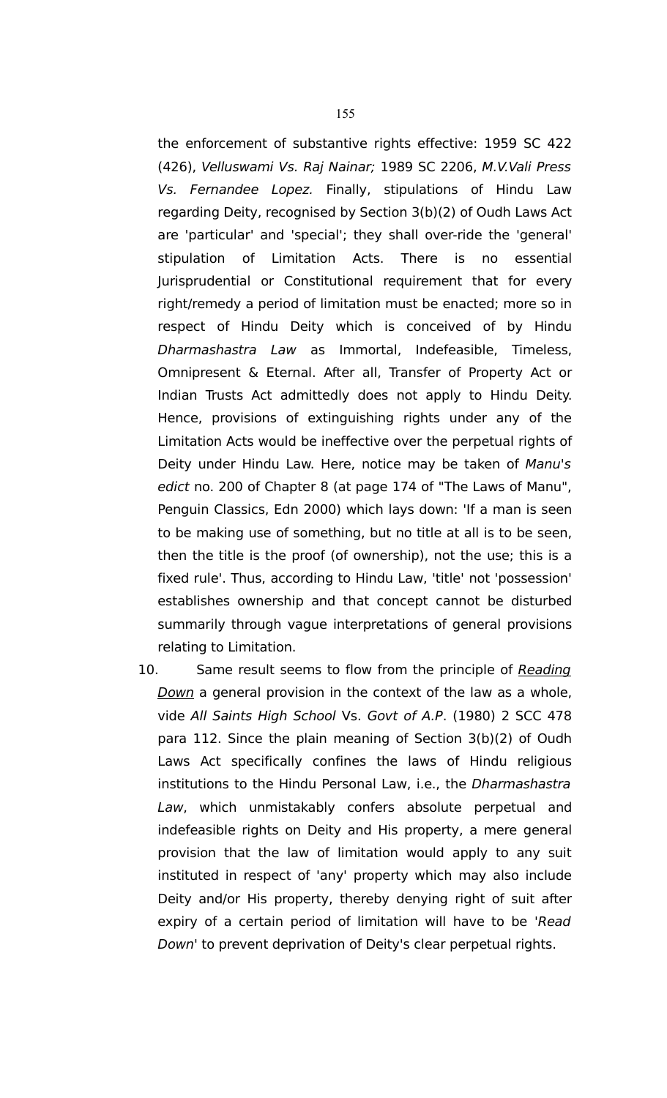the enforcement of substantive rights effective: 1959 SC 422 (426), Velluswami Vs. Raj Nainar; 1989 SC 2206, M.V.Vali Press Vs. Fernandee Lopez. Finally, stipulations of Hindu Law regarding Deity, recognised by Section 3(b)(2) of Oudh Laws Act are 'particular' and 'special'; they shall over-ride the 'general' stipulation of Limitation Acts. There is no essential Jurisprudential or Constitutional requirement that for every right/remedy a period of limitation must be enacted; more so in respect of Hindu Deity which is conceived of by Hindu Dharmashastra Law as Immortal, Indefeasible, Timeless, Omnipresent & Eternal. After all, Transfer of Property Act or Indian Trusts Act admittedly does not apply to Hindu Deity. Hence, provisions of extinguishing rights under any of the Limitation Acts would be ineffective over the perpetual rights of Deity under Hindu Law. Here, notice may be taken of Manu's edict no. 200 of Chapter 8 (at page 174 of "The Laws of Manu", Penguin Classics, Edn 2000) which lays down: 'If a man is seen to be making use of something, but no title at all is to be seen, then the title is the proof (of ownership), not the use; this is a fixed rule'. Thus, according to Hindu Law, 'title' not 'possession' establishes ownership and that concept cannot be disturbed summarily through vague interpretations of general provisions relating to Limitation.

10. Same result seems to flow from the principle of Reading Down a general provision in the context of the law as a whole, vide All Saints High School Vs. Govt of A.P. (1980) 2 SCC 478 para 112. Since the plain meaning of Section 3(b)(2) of Oudh Laws Act specifically confines the laws of Hindu religious institutions to the Hindu Personal Law, i.e., the Dharmashastra Law, which unmistakably confers absolute perpetual and indefeasible rights on Deity and His property, a mere general provision that the law of limitation would apply to any suit instituted in respect of 'any' property which may also include Deity and/or His property, thereby denying right of suit after expiry of a certain period of limitation will have to be 'Read Down' to prevent deprivation of Deity's clear perpetual rights.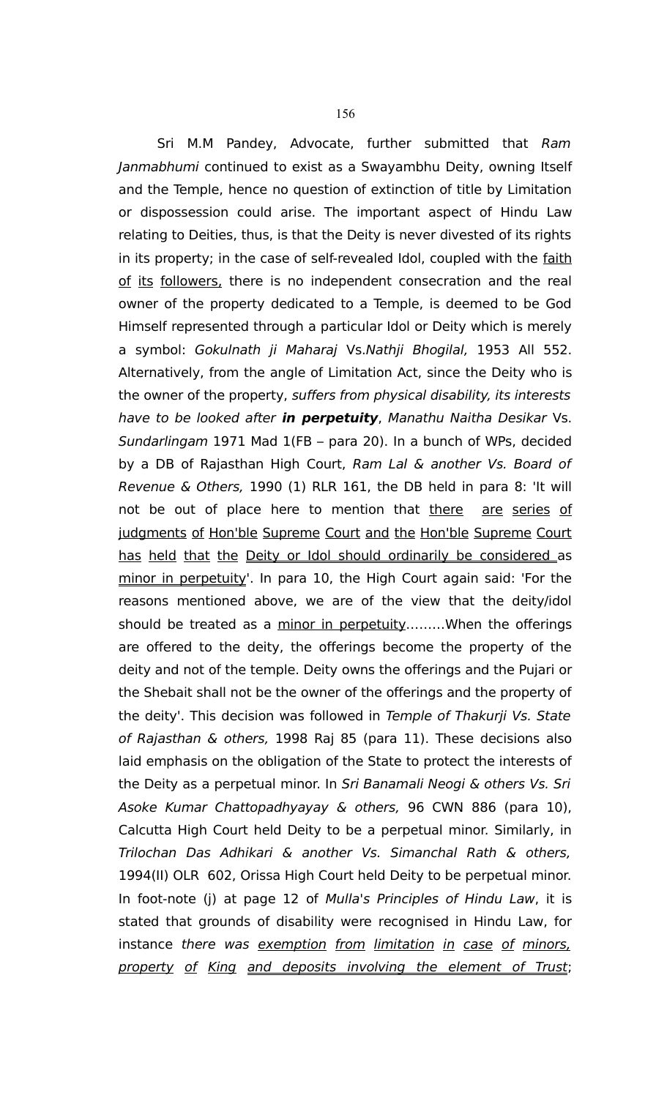156 Sri M.M Pandey, Advocate, further submitted that Ram

Janmabhumi continued to exist as a Swayambhu Deity, owning Itself and the Temple, hence no question of extinction of title by Limitation or dispossession could arise. The important aspect of Hindu Law relating to Deities, thus, is that the Deity is never divested of its rights in its property; in the case of self-revealed Idol, coupled with the faith of its followers, there is no independent consecration and the real owner of the property dedicated to a Temple, is deemed to be God Himself represented through a particular Idol or Deity which is merely a symbol: Gokulnath ji Maharaj Vs.Nathji Bhogilal, 1953 All 552. Alternatively, from the angle of Limitation Act, since the Deity who is the owner of the property, suffers from physical disability, its interests have to be looked after **in perpetuity**, Manathu Naitha Desikar Vs. Sundarlingam 1971 Mad 1(FB – para 20). In a bunch of WPs, decided by a DB of Rajasthan High Court, Ram Lal & another Vs. Board of Revenue & Others, 1990 (1) RLR 161, the DB held in para 8: 'It will not be out of place here to mention that there are series of judgments of Hon'ble Supreme Court and the Hon'ble Supreme Court has held that the Deity or Idol should ordinarily be considered as minor in perpetuity'. In para 10, the High Court again said: 'For the reasons mentioned above, we are of the view that the deity/idol should be treated as a minor in perpetuity........When the offerings are offered to the deity, the offerings become the property of the deity and not of the temple. Deity owns the offerings and the Pujari or the Shebait shall not be the owner of the offerings and the property of the deity'. This decision was followed in Temple of Thakurji Vs. State of Rajasthan & others, 1998 Raj 85 (para 11). These decisions also laid emphasis on the obligation of the State to protect the interests of the Deity as a perpetual minor. In Sri Banamali Neogi & others Vs. Sri Asoke Kumar Chattopadhyayay & others, 96 CWN 886 (para 10), Calcutta High Court held Deity to be a perpetual minor. Similarly, in Trilochan Das Adhikari & another Vs. Simanchal Rath & others, 1994(II) OLR 602, Orissa High Court held Deity to be perpetual minor. In foot-note (j) at page 12 of Mulla's Principles of Hindu Law, it is stated that grounds of disability were recognised in Hindu Law, for instance there was exemption from limitation in case of minors, property of King and deposits involving the element of Trust;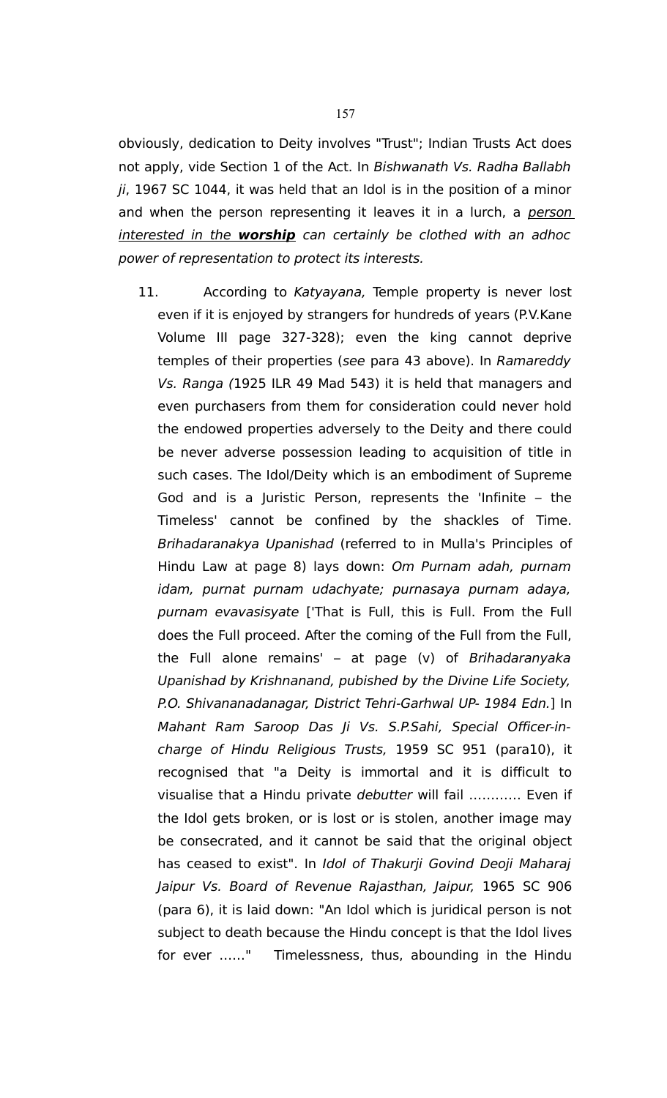obviously, dedication to Deity involves "Trust"; Indian Trusts Act does not apply, vide Section 1 of the Act. In Bishwanath Vs. Radha Ballabh  $ji$ , 1967 SC 1044, it was held that an Idol is in the position of a minor and when the person representing it leaves it in a lurch, a person interested in the **worship** can certainly be clothed with an adhoc power of representation to protect its interests.

11. According to Katyayana, Temple property is never lost even if it is enjoyed by strangers for hundreds of years (P.V.Kane Volume III page 327-328); even the king cannot deprive temples of their properties (see para 43 above). In Ramareddy Vs. Ranga (1925 ILR 49 Mad 543) it is held that managers and even purchasers from them for consideration could never hold the endowed properties adversely to the Deity and there could be never adverse possession leading to acquisition of title in such cases. The Idol/Deity which is an embodiment of Supreme God and is a Juristic Person, represents the 'Infinite – the Timeless' cannot be confined by the shackles of Time. Brihadaranakya Upanishad (referred to in Mulla's Principles of Hindu Law at page 8) lays down: Om Purnam adah, purnam idam, purnat purnam udachyate; purnasaya purnam adaya, purnam evavasisyate ['That is Full, this is Full. From the Full does the Full proceed. After the coming of the Full from the Full, the Full alone remains'  $-$  at page (v) of Brihadaranyaka Upanishad by Krishnanand, pubished by the Divine Life Society, P.O. Shivananadanagar, District Tehri-Garhwal UP- 1984 Edn.] In Mahant Ram Saroop Das Ji Vs. S.P.Sahi, Special Officer-incharge of Hindu Religious Trusts, 1959 SC 951 (para10), it recognised that "a Deity is immortal and it is difficult to visualise that a Hindu private debutter will fail ………… Even if the Idol gets broken, or is lost or is stolen, another image may be consecrated, and it cannot be said that the original object has ceased to exist". In Idol of Thakurji Govind Deoji Maharaj Jaipur Vs. Board of Revenue Rajasthan, Jaipur, 1965 SC 906 (para 6), it is laid down: "An Idol which is juridical person is not subject to death because the Hindu concept is that the Idol lives for ever ……" Timelessness, thus, abounding in the Hindu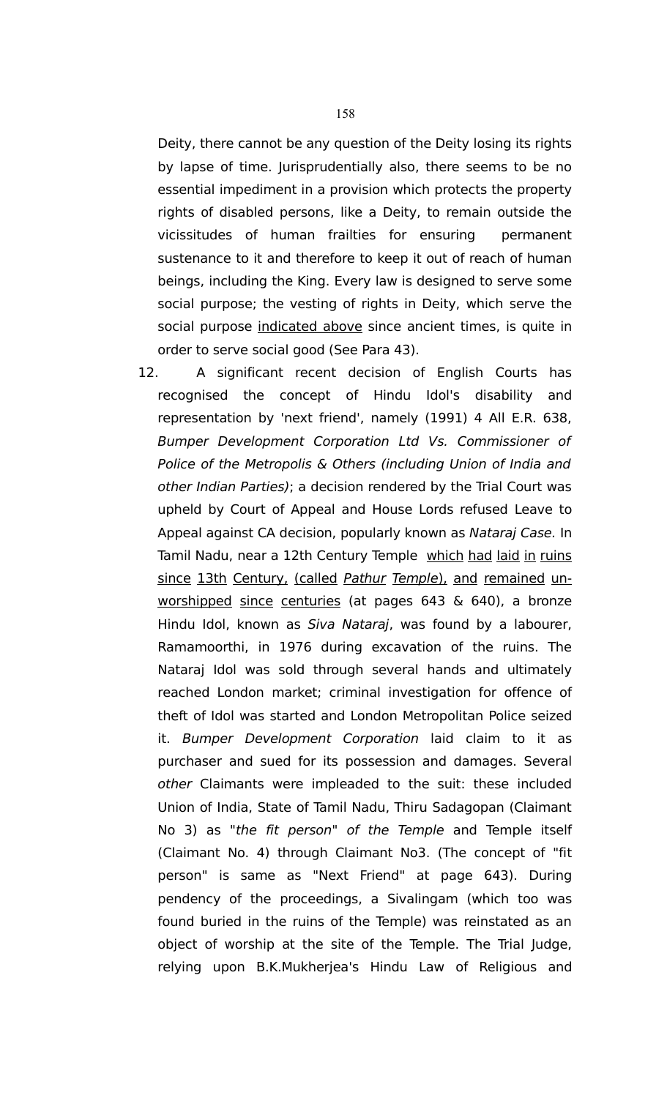Deity, there cannot be any question of the Deity losing its rights by lapse of time. Jurisprudentially also, there seems to be no essential impediment in a provision which protects the property rights of disabled persons, like a Deity, to remain outside the vicissitudes of human frailties for ensuring permanent sustenance to it and therefore to keep it out of reach of human beings, including the King. Every law is designed to serve some social purpose; the vesting of rights in Deity, which serve the social purpose indicated above since ancient times, is quite in order to serve social good (See Para 43).

12. A significant recent decision of English Courts has recognised the concept of Hindu Idol's disability and representation by 'next friend', namely (1991) 4 All E.R. 638, Bumper Development Corporation Ltd Vs. Commissioner of Police of the Metropolis & Others (including Union of India and other Indian Parties); a decision rendered by the Trial Court was upheld by Court of Appeal and House Lords refused Leave to Appeal against CA decision, popularly known as Nataraj Case. In Tamil Nadu, near a 12th Century Temple which had laid in ruins since 13th Century, (called Pathur Temple), and remained unworshipped since centuries (at pages 643 & 640), a bronze Hindu Idol, known as Siva Nataraj, was found by a labourer, Ramamoorthi, in 1976 during excavation of the ruins. The Nataraj Idol was sold through several hands and ultimately reached London market; criminal investigation for offence of theft of Idol was started and London Metropolitan Police seized it. Bumper Development Corporation laid claim to it as purchaser and sued for its possession and damages. Several other Claimants were impleaded to the suit: these included Union of India, State of Tamil Nadu, Thiru Sadagopan (Claimant No 3) as "the fit person" of the Temple and Temple itself (Claimant No. 4) through Claimant No3. (The concept of "fit person" is same as "Next Friend" at page 643). During pendency of the proceedings, a Sivalingam (which too was found buried in the ruins of the Temple) was reinstated as an object of worship at the site of the Temple. The Trial Judge, relying upon B.K.Mukherjea's Hindu Law of Religious and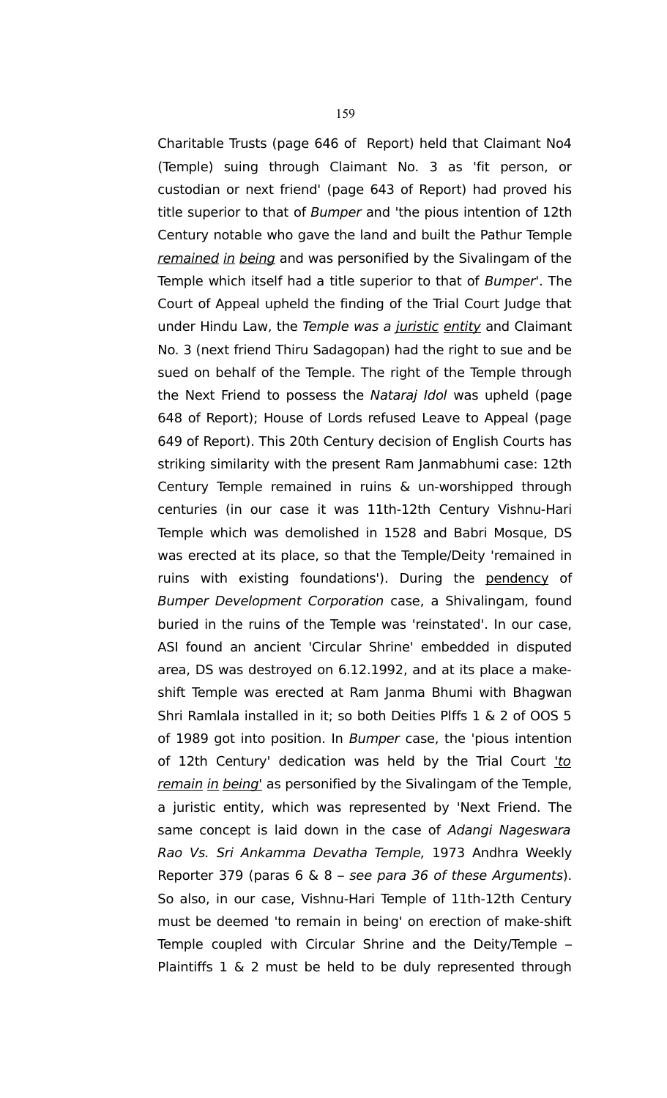Charitable Trusts (page 646 of Report) held that Claimant No4 (Temple) suing through Claimant No. 3 as 'fit person, or custodian or next friend' (page 643 of Report) had proved his title superior to that of Bumper and 'the pious intention of 12th Century notable who gave the land and built the Pathur Temple remained in being and was personified by the Sivalingam of the Temple which itself had a title superior to that of Bumper'. The Court of Appeal upheld the finding of the Trial Court Judge that under Hindu Law, the Temple was a juristic entity and Claimant No. 3 (next friend Thiru Sadagopan) had the right to sue and be sued on behalf of the Temple. The right of the Temple through the Next Friend to possess the Nataraj Idol was upheld (page 648 of Report); House of Lords refused Leave to Appeal (page 649 of Report). This 20th Century decision of English Courts has striking similarity with the present Ram Janmabhumi case: 12th Century Temple remained in ruins & un-worshipped through centuries (in our case it was 11th-12th Century Vishnu-Hari Temple which was demolished in 1528 and Babri Mosque, DS was erected at its place, so that the Temple/Deity 'remained in ruins with existing foundations'). During the pendency of Bumper Development Corporation case, a Shivalingam, found buried in the ruins of the Temple was 'reinstated'. In our case, ASI found an ancient 'Circular Shrine' embedded in disputed area, DS was destroyed on 6.12.1992, and at its place a makeshift Temple was erected at Ram Janma Bhumi with Bhagwan Shri Ramlala installed in it; so both Deities Plffs 1 & 2 of OOS 5 of 1989 got into position. In Bumper case, the 'pious intention of 12th Century' dedication was held by the Trial Court 'to remain in being' as personified by the Sivalingam of the Temple, a juristic entity, which was represented by 'Next Friend. The same concept is laid down in the case of Adangi Nageswara Rao Vs. Sri Ankamma Devatha Temple, 1973 Andhra Weekly Reporter 379 (paras  $6 \& 8$  – see para 36 of these Arguments). So also, in our case, Vishnu-Hari Temple of 11th-12th Century must be deemed 'to remain in being' on erection of make-shift Temple coupled with Circular Shrine and the Deity/Temple – Plaintiffs 1 & 2 must be held to be duly represented through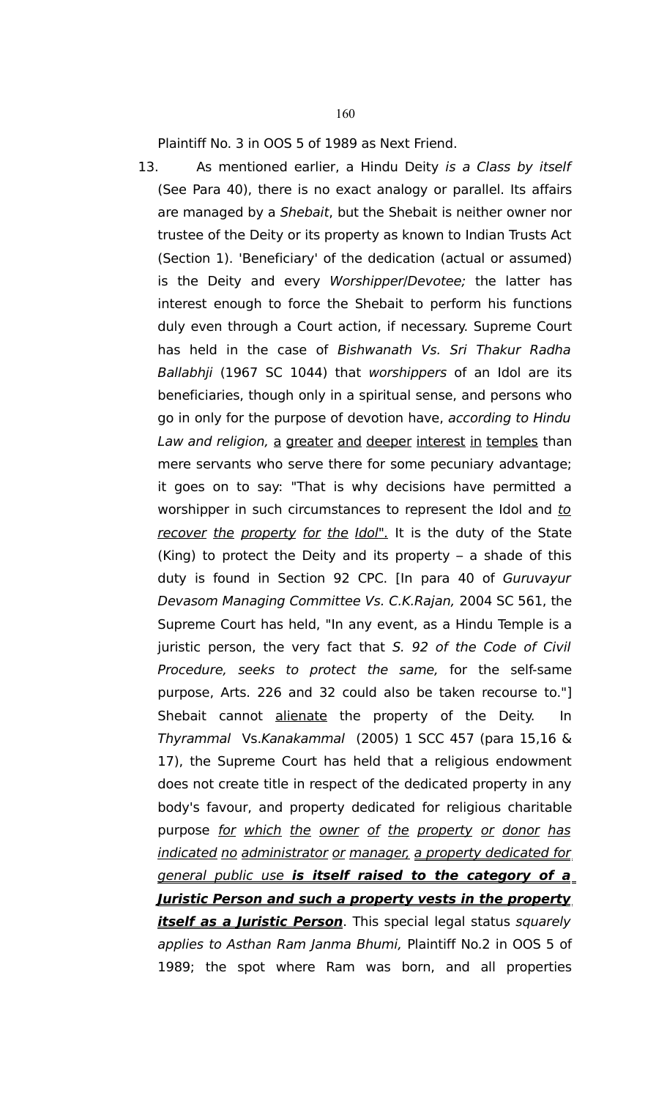Plaintiff No. 3 in OOS 5 of 1989 as Next Friend.

13. As mentioned earlier, a Hindu Deity is a Class by itself (See Para 40), there is no exact analogy or parallel. Its affairs are managed by a Shebait, but the Shebait is neither owner nor trustee of the Deity or its property as known to Indian Trusts Act (Section 1). 'Beneficiary' of the dedication (actual or assumed) is the Deity and every Worshipper/Devotee; the latter has interest enough to force the Shebait to perform his functions duly even through a Court action, if necessary. Supreme Court has held in the case of Bishwanath Vs. Sri Thakur Radha Ballabhji (1967 SC 1044) that worshippers of an Idol are its beneficiaries, though only in a spiritual sense, and persons who go in only for the purpose of devotion have, according to Hindu Law and religion, a greater and deeper interest in temples than mere servants who serve there for some pecuniary advantage; it goes on to say: "That is why decisions have permitted a worshipper in such circumstances to represent the Idol and to recover the property for the Idol". It is the duty of the State (King) to protect the Deity and its property – a shade of this duty is found in Section 92 CPC. [In para 40 of Guruvayur Devasom Managing Committee Vs. C.K.Rajan, 2004 SC 561, the Supreme Court has held, "In any event, as a Hindu Temple is a juristic person, the very fact that S. 92 of the Code of Civil Procedure, seeks to protect the same, for the self-same purpose, Arts. 226 and 32 could also be taken recourse to."] Shebait cannot alienate the property of the Deity. In Thyrammal Vs.Kanakammal (2005) 1 SCC 457 (para 15,16 & 17), the Supreme Court has held that a religious endowment does not create title in respect of the dedicated property in any body's favour, and property dedicated for religious charitable purpose for which the owner of the property or donor has indicated no administrator or manager, a property dedicated for general public use **is itself raised to the category of a Juristic Person and such a property vests in the property itself as a Juristic Person**. This special legal status squarely applies to Asthan Ram Janma Bhumi, Plaintiff No.2 in OOS 5 of 1989; the spot where Ram was born, and all properties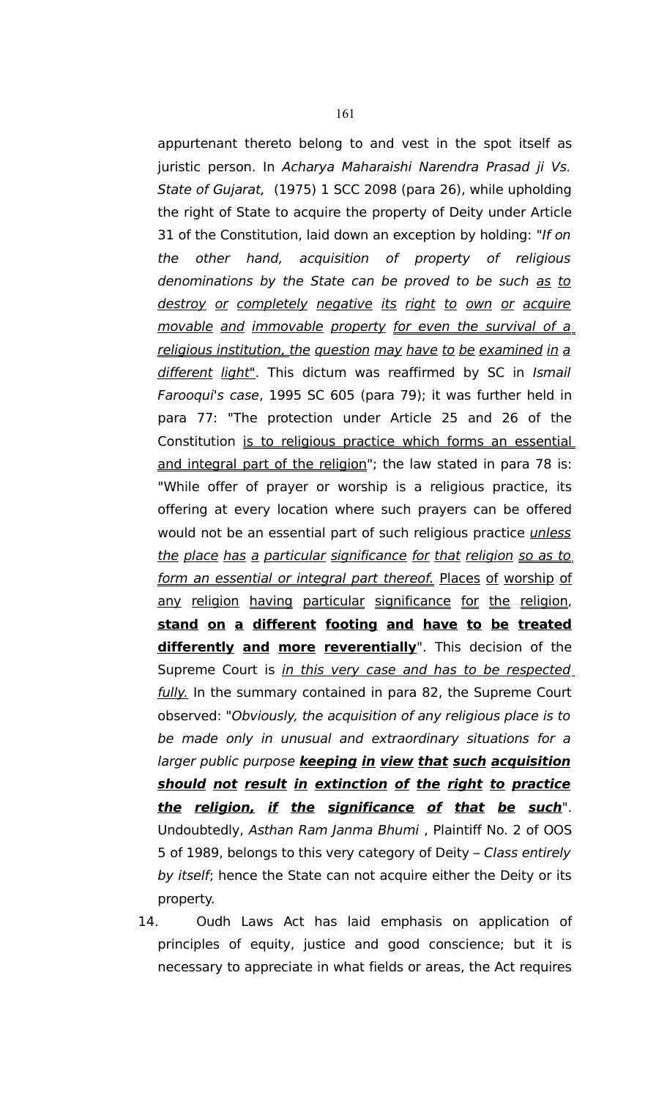appurtenant thereto belong to and vest in the spot itself as juristic person. In Acharya Maharaishi Narendra Prasad ji Vs. State of Gujarat, (1975) 1 SCC 2098 (para 26), while upholding the right of State to acquire the property of Deity under Article 31 of the Constitution, laid down an exception by holding: "If on the other hand, acquisition of property of religious denominations by the State can be proved to be such as to destroy or completely negative its right to own or acquire movable and immovable property for even the survival of a religious institution, the question may have to be examined in a different light". This dictum was reaffirmed by SC in Ismail Farooqui's case, 1995 SC 605 (para 79); it was further held in para 77: "The protection under Article 25 and 26 of the Constitution is to religious practice which forms an essential and integral part of the religion"; the law stated in para 78 is: "While offer of prayer or worship is a religious practice, its offering at every location where such prayers can be offered would not be an essential part of such religious practice *unless* the place has a particular significance for that religion so as to form an essential or integral part thereof. Places of worship of any religion having particular significance for the religion, **stand on a different footing and have to be treated differently and more reverentially**". This decision of the Supreme Court is in this very case and has to be respected fully. In the summary contained in para 82, the Supreme Court observed: "Obviously, the acquisition of any religious place is to be made only in unusual and extraordinary situations for a larger public purpose **keeping in view that such acquisition should not result in extinction of the right to practice the religion, if the significance of that be such**". Undoubtedly, Asthan Ram Janma Bhumi , Plaintiff No. 2 of OOS 5 of 1989, belongs to this very category of Deity – Class entirely by *itself*; hence the State can not acquire either the Deity or its property.

14. Oudh Laws Act has laid emphasis on application of principles of equity, justice and good conscience; but it is necessary to appreciate in what fields or areas, the Act requires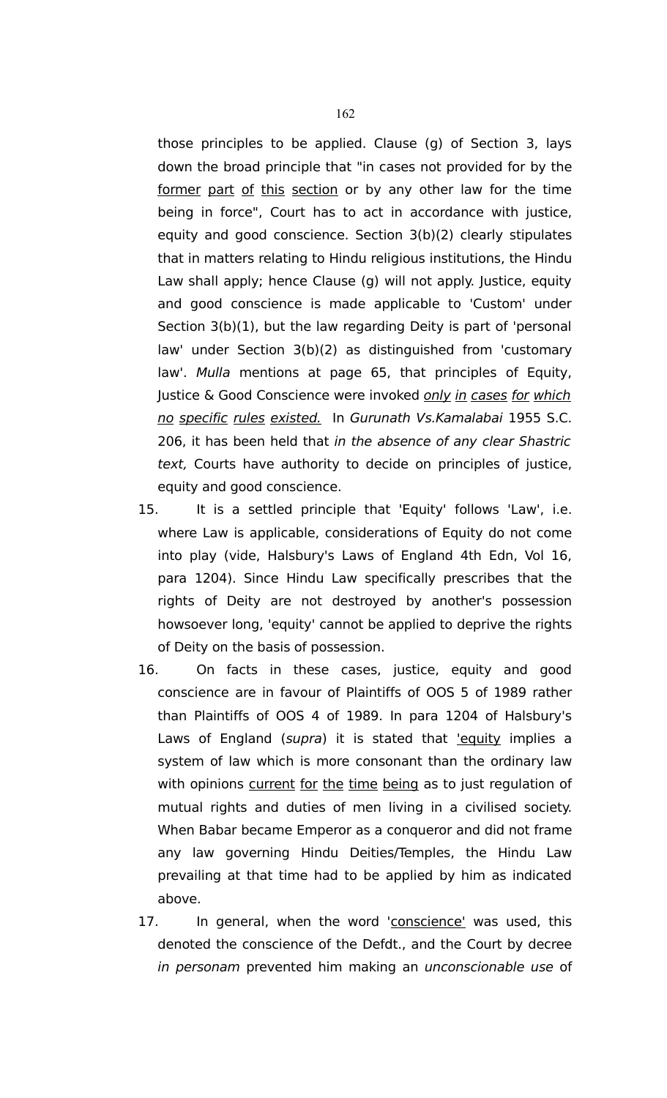those principles to be applied. Clause (g) of Section 3, lays down the broad principle that "in cases not provided for by the former part of this section or by any other law for the time being in force", Court has to act in accordance with justice, equity and good conscience. Section 3(b)(2) clearly stipulates that in matters relating to Hindu religious institutions, the Hindu Law shall apply; hence Clause (g) will not apply. Justice, equity and good conscience is made applicable to 'Custom' under Section 3(b)(1), but the law regarding Deity is part of 'personal law' under Section 3(b)(2) as distinguished from 'customary law'. Mulla mentions at page 65, that principles of Equity, Justice & Good Conscience were invoked only in cases for which no specific rules existed. In Gurunath Vs.Kamalabai 1955 S.C. 206, it has been held that in the absence of any clear Shastric text, Courts have authority to decide on principles of justice, equity and good conscience.

- 15. It is a settled principle that 'Equity' follows 'Law', i.e. where Law is applicable, considerations of Equity do not come into play (vide, Halsbury's Laws of England 4th Edn, Vol 16, para 1204). Since Hindu Law specifically prescribes that the rights of Deity are not destroyed by another's possession howsoever long, 'equity' cannot be applied to deprive the rights of Deity on the basis of possession.
- 16. On facts in these cases, justice, equity and good conscience are in favour of Plaintiffs of OOS 5 of 1989 rather than Plaintiffs of OOS 4 of 1989. In para 1204 of Halsbury's Laws of England (supra) it is stated that lequity implies a system of law which is more consonant than the ordinary law with opinions current for the time being as to just regulation of mutual rights and duties of men living in a civilised society. When Babar became Emperor as a conqueror and did not frame any law governing Hindu Deities/Temples, the Hindu Law prevailing at that time had to be applied by him as indicated above.
- 17. In general, when the word 'conscience' was used, this denoted the conscience of the Defdt., and the Court by decree in personam prevented him making an unconscionable use of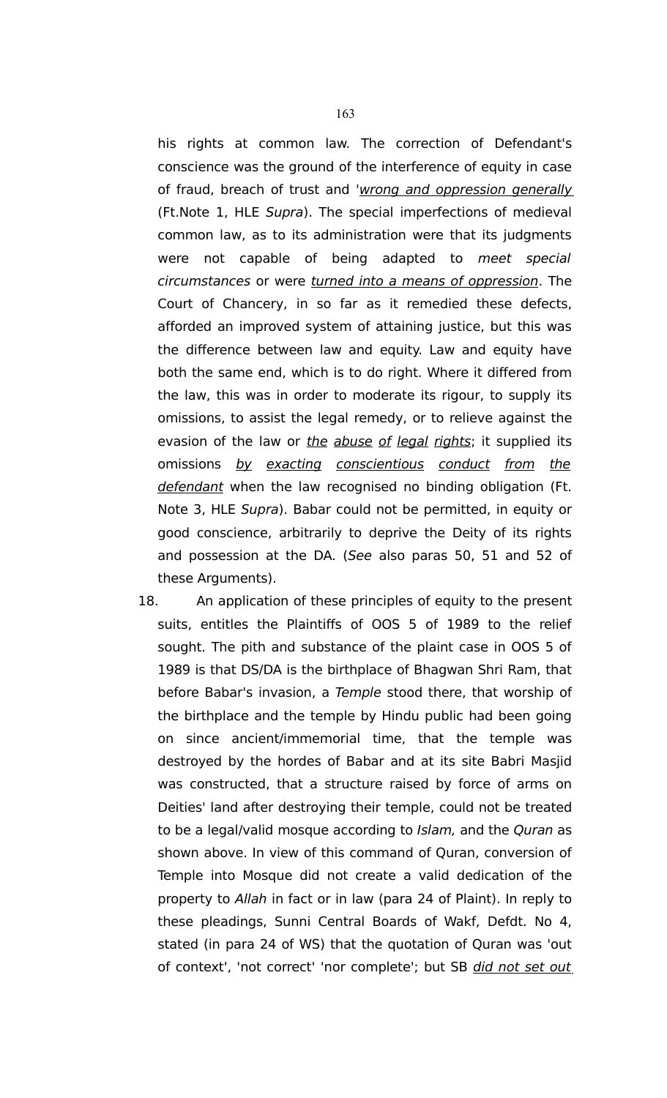his rights at common law. The correction of Defendant's conscience was the ground of the interference of equity in case of fraud, breach of trust and 'wrong and oppression generally (Ft.Note 1, HLE Supra). The special imperfections of medieval common law, as to its administration were that its judgments were not capable of being adapted to meet special circumstances or were turned into a means of oppression. The Court of Chancery, in so far as it remedied these defects, afforded an improved system of attaining justice, but this was the difference between law and equity. Law and equity have both the same end, which is to do right. Where it differed from the law, this was in order to moderate its rigour, to supply its omissions, to assist the legal remedy, or to relieve against the evasion of the law or the abuse of legal rights; it supplied its omissions by exacting conscientious conduct from the defendant when the law recognised no binding obligation (Ft. Note 3, HLE Supra). Babar could not be permitted, in equity or good conscience, arbitrarily to deprive the Deity of its rights and possession at the DA. (See also paras 50, 51 and 52 of these Arguments).

18. An application of these principles of equity to the present suits, entitles the Plaintiffs of OOS 5 of 1989 to the relief sought. The pith and substance of the plaint case in OOS 5 of 1989 is that DS/DA is the birthplace of Bhagwan Shri Ram, that before Babar's invasion, a Temple stood there, that worship of the birthplace and the temple by Hindu public had been going on since ancient/immemorial time, that the temple was destroyed by the hordes of Babar and at its site Babri Masjid was constructed, that a structure raised by force of arms on Deities' land after destroying their temple, could not be treated to be a legal/valid mosque according to Islam, and the Quran as shown above. In view of this command of Quran, conversion of Temple into Mosque did not create a valid dedication of the property to Allah in fact or in law (para 24 of Plaint). In reply to these pleadings, Sunni Central Boards of Wakf, Defdt. No 4, stated (in para 24 of WS) that the quotation of Quran was 'out of context', 'not correct' 'nor complete'; but SB did not set out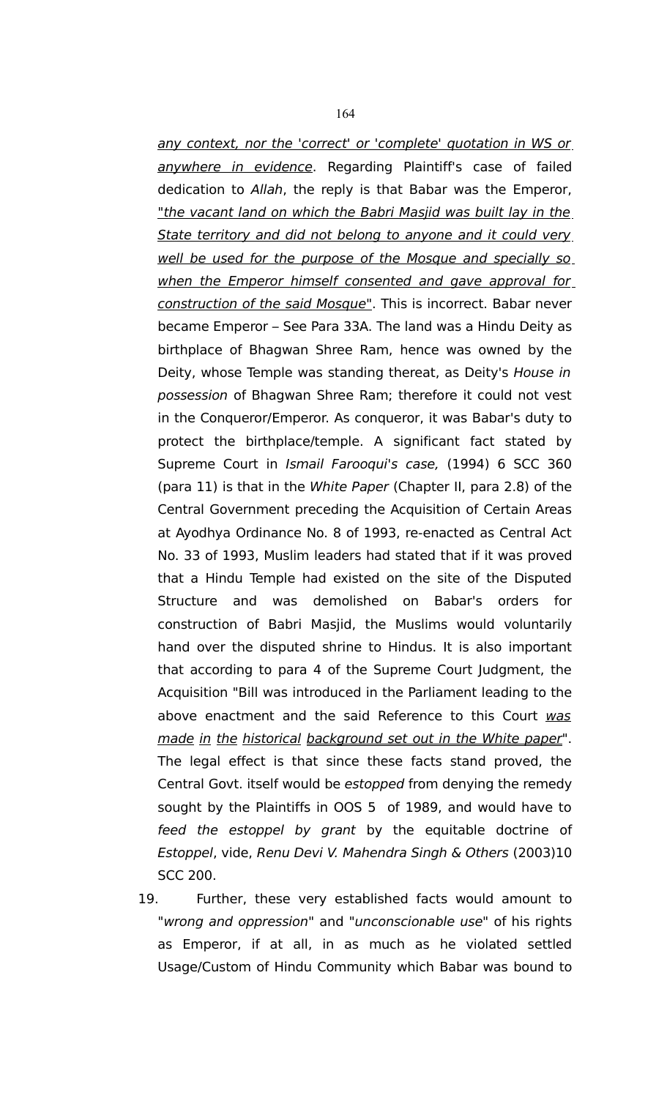any context, nor the 'correct' or 'complete' quotation in WS or anywhere in evidence. Regarding Plaintiff's case of failed dedication to Allah, the reply is that Babar was the Emperor, "the vacant land on which the Babri Masjid was built lay in the State territory and did not belong to anyone and it could very. well be used for the purpose of the Mosque and specially so when the Emperor himself consented and gave approval for construction of the said Mosque". This is incorrect. Babar never became Emperor – See Para 33A. The land was a Hindu Deity as birthplace of Bhagwan Shree Ram, hence was owned by the Deity, whose Temple was standing thereat, as Deity's House in possession of Bhagwan Shree Ram; therefore it could not vest in the Conqueror/Emperor. As conqueror, it was Babar's duty to protect the birthplace/temple. A significant fact stated by Supreme Court in *Ismail Farooqui's case*, (1994) 6 SCC 360 (para 11) is that in the White Paper (Chapter II, para 2.8) of the Central Government preceding the Acquisition of Certain Areas at Ayodhya Ordinance No. 8 of 1993, re-enacted as Central Act No. 33 of 1993, Muslim leaders had stated that if it was proved that a Hindu Temple had existed on the site of the Disputed Structure and was demolished on Babar's orders for construction of Babri Masjid, the Muslims would voluntarily hand over the disputed shrine to Hindus. It is also important that according to para 4 of the Supreme Court Judgment, the Acquisition "Bill was introduced in the Parliament leading to the above enactment and the said Reference to this Court was made in the historical background set out in the White paper". The legal effect is that since these facts stand proved, the Central Govt. itself would be estopped from denying the remedy sought by the Plaintiffs in OOS 5 of 1989, and would have to feed the estoppel by grant by the equitable doctrine of Estoppel, vide, Renu Devi V. Mahendra Singh & Others (2003)10 SCC 200.

19. Further, these very established facts would amount to "wrong and oppression" and "unconscionable use" of his rights as Emperor, if at all, in as much as he violated settled Usage/Custom of Hindu Community which Babar was bound to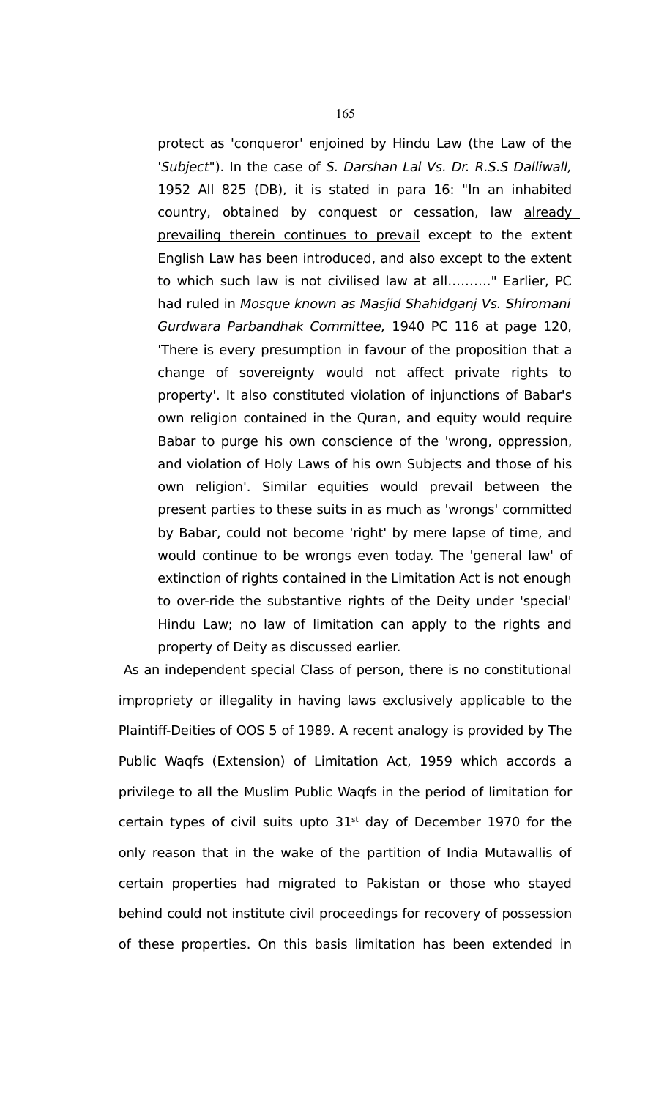protect as 'conqueror' enjoined by Hindu Law (the Law of the 'Subject"). In the case of S. Darshan Lal Vs. Dr. R.S.S Dalliwall, 1952 All 825 (DB), it is stated in para 16: "In an inhabited country, obtained by conquest or cessation, law already prevailing therein continues to prevail except to the extent English Law has been introduced, and also except to the extent to which such law is not civilised law at all………." Earlier, PC had ruled in Mosque known as Masjid Shahidganj Vs. Shiromani Gurdwara Parbandhak Committee, 1940 PC 116 at page 120, 'There is every presumption in favour of the proposition that a change of sovereignty would not affect private rights to property'. It also constituted violation of injunctions of Babar's own religion contained in the Quran, and equity would require Babar to purge his own conscience of the 'wrong, oppression, and violation of Holy Laws of his own Subjects and those of his own religion'. Similar equities would prevail between the present parties to these suits in as much as 'wrongs' committed by Babar, could not become 'right' by mere lapse of time, and would continue to be wrongs even today. The 'general law' of extinction of rights contained in the Limitation Act is not enough to over-ride the substantive rights of the Deity under 'special' Hindu Law; no law of limitation can apply to the rights and property of Deity as discussed earlier.

As an independent special Class of person, there is no constitutional impropriety or illegality in having laws exclusively applicable to the Plaintiff-Deities of OOS 5 of 1989. A recent analogy is provided by The Public Waqfs (Extension) of Limitation Act, 1959 which accords a privilege to all the Muslim Public Waqfs in the period of limitation for certain types of civil suits upto  $31<sup>st</sup>$  day of December 1970 for the only reason that in the wake of the partition of India Mutawallis of certain properties had migrated to Pakistan or those who stayed behind could not institute civil proceedings for recovery of possession of these properties. On this basis limitation has been extended in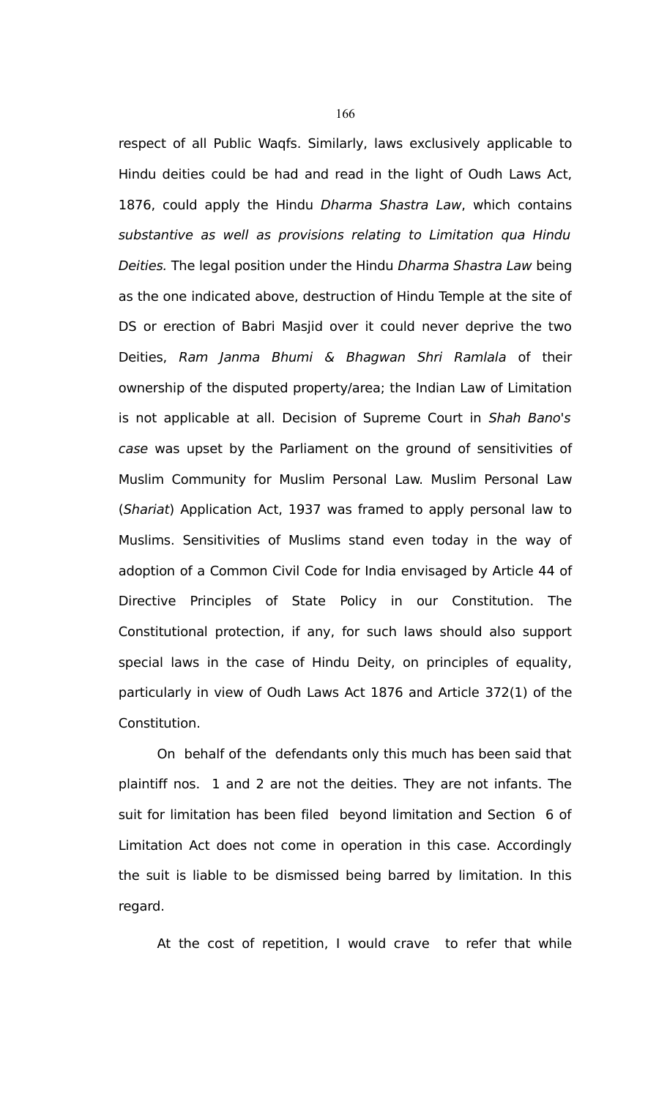respect of all Public Waqfs. Similarly, laws exclusively applicable to Hindu deities could be had and read in the light of Oudh Laws Act, 1876, could apply the Hindu Dharma Shastra Law, which contains substantive as well as provisions relating to Limitation qua Hindu Deities. The legal position under the Hindu Dharma Shastra Law being as the one indicated above, destruction of Hindu Temple at the site of DS or erection of Babri Masjid over it could never deprive the two Deities, Ram Janma Bhumi & Bhagwan Shri Ramlala of their ownership of the disputed property/area; the Indian Law of Limitation is not applicable at all. Decision of Supreme Court in Shah Bano's case was upset by the Parliament on the ground of sensitivities of Muslim Community for Muslim Personal Law. Muslim Personal Law (Shariat) Application Act, 1937 was framed to apply personal law to Muslims. Sensitivities of Muslims stand even today in the way of adoption of a Common Civil Code for India envisaged by Article 44 of Directive Principles of State Policy in our Constitution. The Constitutional protection, if any, for such laws should also support special laws in the case of Hindu Deity, on principles of equality, particularly in view of Oudh Laws Act 1876 and Article 372(1) of the Constitution.

On behalf of the defendants only this much has been said that plaintiff nos. 1 and 2 are not the deities. They are not infants. The suit for limitation has been filed beyond limitation and Section 6 of Limitation Act does not come in operation in this case. Accordingly the suit is liable to be dismissed being barred by limitation. In this regard.

At the cost of repetition, I would crave to refer that while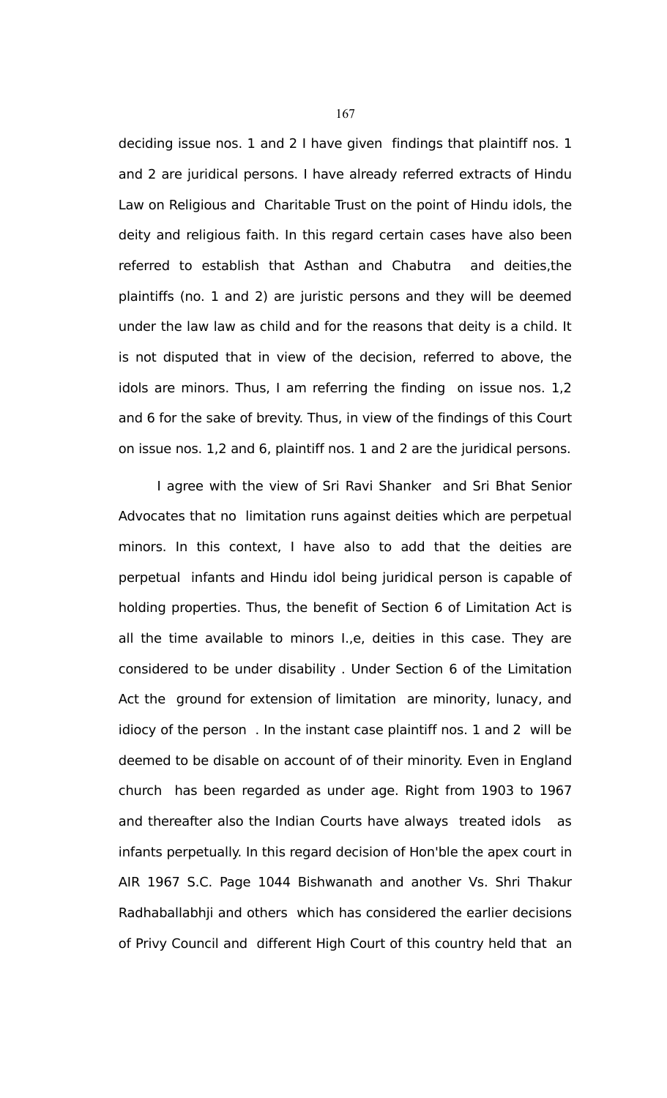deciding issue nos. 1 and 2 I have given findings that plaintiff nos. 1 and 2 are juridical persons. I have already referred extracts of Hindu Law on Religious and Charitable Trust on the point of Hindu idols, the deity and religious faith. In this regard certain cases have also been referred to establish that Asthan and Chabutra and deities,the plaintiffs (no. 1 and 2) are juristic persons and they will be deemed under the law law as child and for the reasons that deity is a child. It is not disputed that in view of the decision, referred to above, the idols are minors. Thus, I am referring the finding on issue nos. 1,2 and 6 for the sake of brevity. Thus, in view of the findings of this Court on issue nos. 1,2 and 6, plaintiff nos. 1 and 2 are the juridical persons.

I agree with the view of Sri Ravi Shanker and Sri Bhat Senior Advocates that no limitation runs against deities which are perpetual minors. In this context, I have also to add that the deities are perpetual infants and Hindu idol being juridical person is capable of holding properties. Thus, the benefit of Section 6 of Limitation Act is all the time available to minors I.,e, deities in this case. They are considered to be under disability . Under Section 6 of the Limitation Act the ground for extension of limitation are minority, lunacy, and idiocy of the person . In the instant case plaintiff nos. 1 and 2 will be deemed to be disable on account of of their minority. Even in England church has been regarded as under age. Right from 1903 to 1967 and thereafter also the Indian Courts have always treated idols as infants perpetually. In this regard decision of Hon'ble the apex court in AIR 1967 S.C. Page 1044 Bishwanath and another Vs. Shri Thakur Radhaballabhji and others which has considered the earlier decisions of Privy Council and different High Court of this country held that an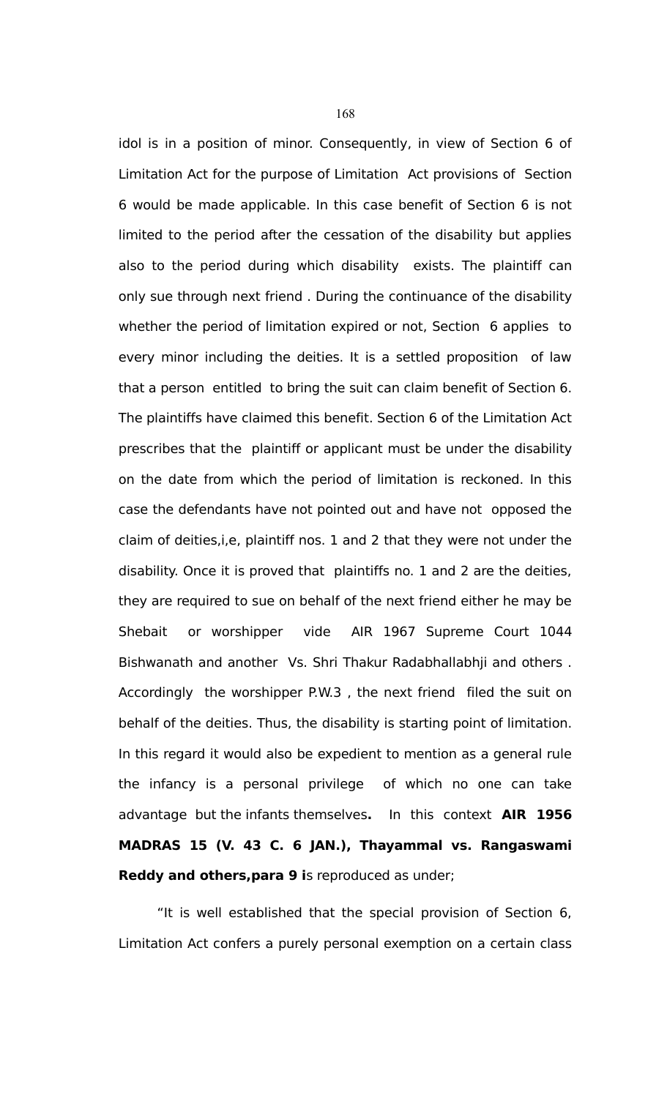idol is in a position of minor. Consequently, in view of Section 6 of Limitation Act for the purpose of Limitation Act provisions of Section 6 would be made applicable. In this case benefit of Section 6 is not limited to the period after the cessation of the disability but applies also to the period during which disability exists. The plaintiff can only sue through next friend . During the continuance of the disability whether the period of limitation expired or not, Section 6 applies to every minor including the deities. It is a settled proposition of law that a person entitled to bring the suit can claim benefit of Section 6. The plaintiffs have claimed this benefit. Section 6 of the Limitation Act prescribes that the plaintiff or applicant must be under the disability on the date from which the period of limitation is reckoned. In this case the defendants have not pointed out and have not opposed the claim of deities,i,e, plaintiff nos. 1 and 2 that they were not under the disability. Once it is proved that plaintiffs no. 1 and 2 are the deities, they are required to sue on behalf of the next friend either he may be Shebait or worshipper vide AIR 1967 Supreme Court 1044 Bishwanath and another Vs. Shri Thakur Radabhallabhji and others . Accordingly the worshipper P.W.3 , the next friend filed the suit on behalf of the deities. Thus, the disability is starting point of limitation. In this regard it would also be expedient to mention as a general rule the infancy is a personal privilege of which no one can take advantage but the infants themselves**.** In this context **AIR 1956 MADRAS 15 (V. 43 C. 6 JAN.), Thayammal vs. Rangaswami Reddy and others,para 9 i**s reproduced as under;

"It is well established that the special provision of Section 6, Limitation Act confers a purely personal exemption on a certain class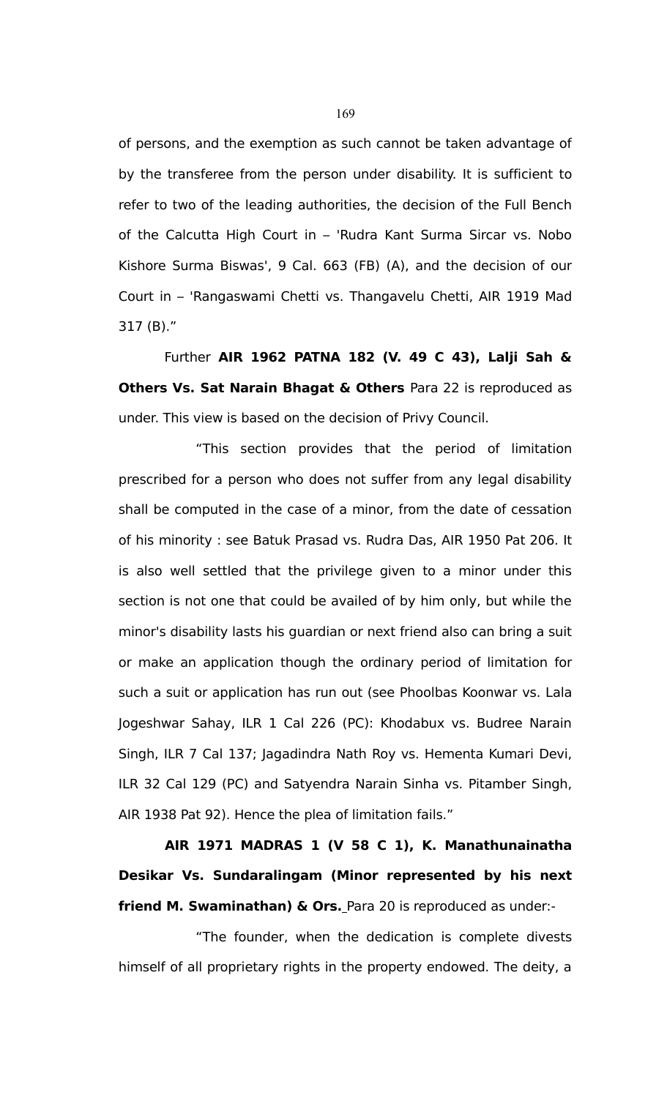of persons, and the exemption as such cannot be taken advantage of by the transferee from the person under disability. It is sufficient to refer to two of the leading authorities, the decision of the Full Bench of the Calcutta High Court in – 'Rudra Kant Surma Sircar vs. Nobo Kishore Surma Biswas', 9 Cal. 663 (FB) (A), and the decision of our Court in – 'Rangaswami Chetti vs. Thangavelu Chetti, AIR 1919 Mad 317 (B)."

 Further **AIR 1962 PATNA 182 (V. 49 C 43), Lalji Sah & Others Vs. Sat Narain Bhagat & Others** Para 22 is reproduced as under. This view is based on the decision of Privy Council.

"This section provides that the period of limitation prescribed for a person who does not suffer from any legal disability shall be computed in the case of a minor, from the date of cessation of his minority : see Batuk Prasad vs. Rudra Das, AIR 1950 Pat 206. It is also well settled that the privilege given to a minor under this section is not one that could be availed of by him only, but while the minor's disability lasts his guardian or next friend also can bring a suit or make an application though the ordinary period of limitation for such a suit or application has run out (see Phoolbas Koonwar vs. Lala Jogeshwar Sahay, ILR 1 Cal 226 (PC): Khodabux vs. Budree Narain Singh, ILR 7 Cal 137; Jagadindra Nath Roy vs. Hementa Kumari Devi, ILR 32 Cal 129 (PC) and Satyendra Narain Sinha vs. Pitamber Singh, AIR 1938 Pat 92). Hence the plea of limitation fails."

**AIR 1971 MADRAS 1 (V 58 C 1), K. Manathunainatha Desikar Vs. Sundaralingam (Minor represented by his next friend M. Swaminathan) & Ors.** Para 20 is reproduced as under:-

"The founder, when the dedication is complete divests himself of all proprietary rights in the property endowed. The deity, a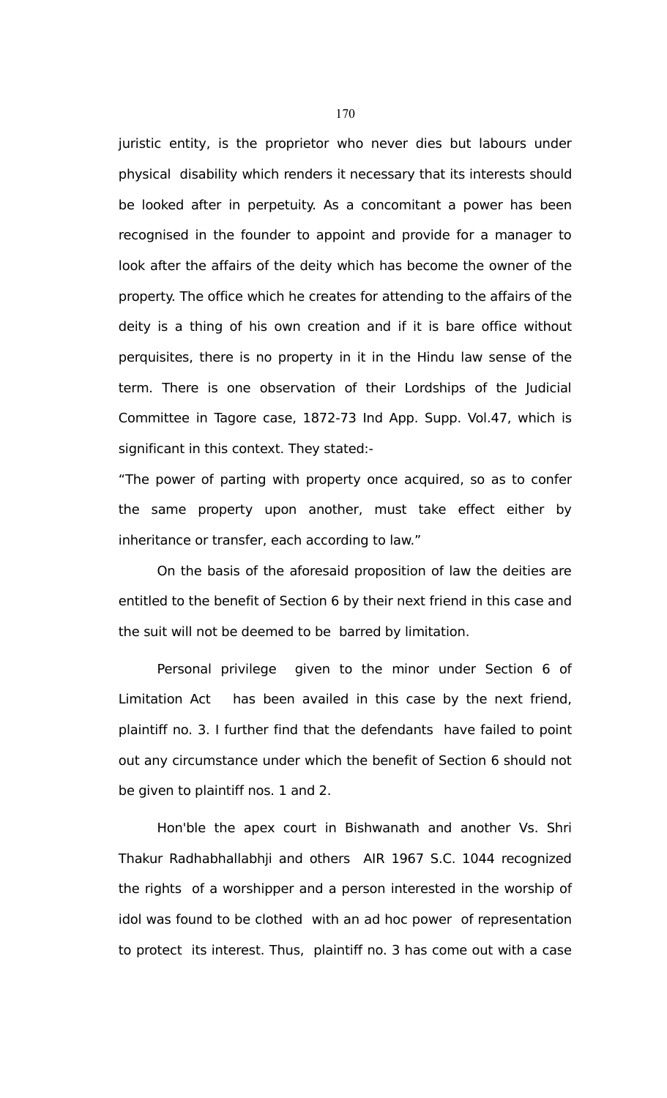juristic entity, is the proprietor who never dies but labours under physical disability which renders it necessary that its interests should be looked after in perpetuity. As a concomitant a power has been recognised in the founder to appoint and provide for a manager to look after the affairs of the deity which has become the owner of the property. The office which he creates for attending to the affairs of the deity is a thing of his own creation and if it is bare office without perquisites, there is no property in it in the Hindu law sense of the term. There is one observation of their Lordships of the Judicial Committee in Tagore case, 1872-73 Ind App. Supp. Vol.47, which is significant in this context. They stated:-

"The power of parting with property once acquired, so as to confer the same property upon another, must take effect either by inheritance or transfer, each according to law."

On the basis of the aforesaid proposition of law the deities are entitled to the benefit of Section 6 by their next friend in this case and the suit will not be deemed to be barred by limitation.

Personal privilege given to the minor under Section 6 of Limitation Act has been availed in this case by the next friend, plaintiff no. 3. I further find that the defendants have failed to point out any circumstance under which the benefit of Section 6 should not be given to plaintiff nos. 1 and 2.

Hon'ble the apex court in Bishwanath and another Vs. Shri Thakur Radhabhallabhji and others AIR 1967 S.C. 1044 recognized the rights of a worshipper and a person interested in the worship of idol was found to be clothed with an ad hoc power of representation to protect its interest. Thus, plaintiff no. 3 has come out with a case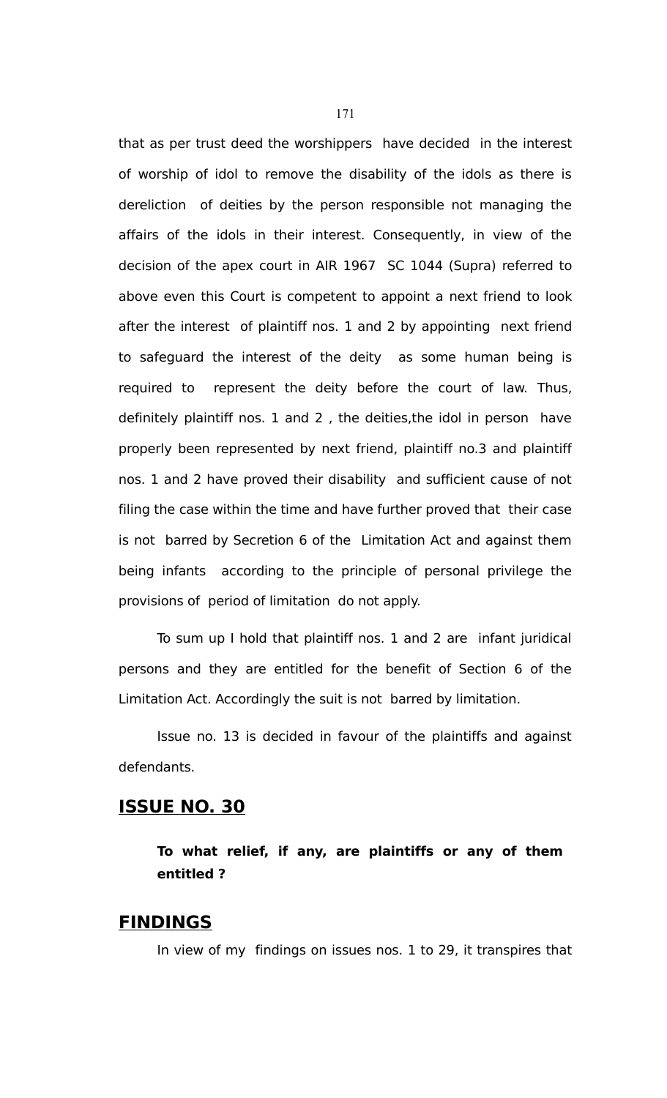that as per trust deed the worshippers have decided in the interest of worship of idol to remove the disability of the idols as there is dereliction of deities by the person responsible not managing the affairs of the idols in their interest. Consequently, in view of the decision of the apex court in AIR 1967 SC 1044 (Supra) referred to above even this Court is competent to appoint a next friend to look after the interest of plaintiff nos. 1 and 2 by appointing next friend to safeguard the interest of the deity as some human being is required to represent the deity before the court of law. Thus, definitely plaintiff nos. 1 and 2 , the deities,the idol in person have properly been represented by next friend, plaintiff no.3 and plaintiff nos. 1 and 2 have proved their disability and sufficient cause of not filing the case within the time and have further proved that their case is not barred by Secretion 6 of the Limitation Act and against them being infants according to the principle of personal privilege the provisions of period of limitation do not apply.

To sum up I hold that plaintiff nos. 1 and 2 are infant juridical persons and they are entitled for the benefit of Section 6 of the Limitation Act. Accordingly the suit is not barred by limitation.

Issue no. 13 is decided in favour of the plaintiffs and against defendants.

## **ISSUE NO. 30**

**To what relief, if any, are plaintiffs or any of them entitled ?**

## **FINDINGS**

In view of my findings on issues nos. 1 to 29, it transpires that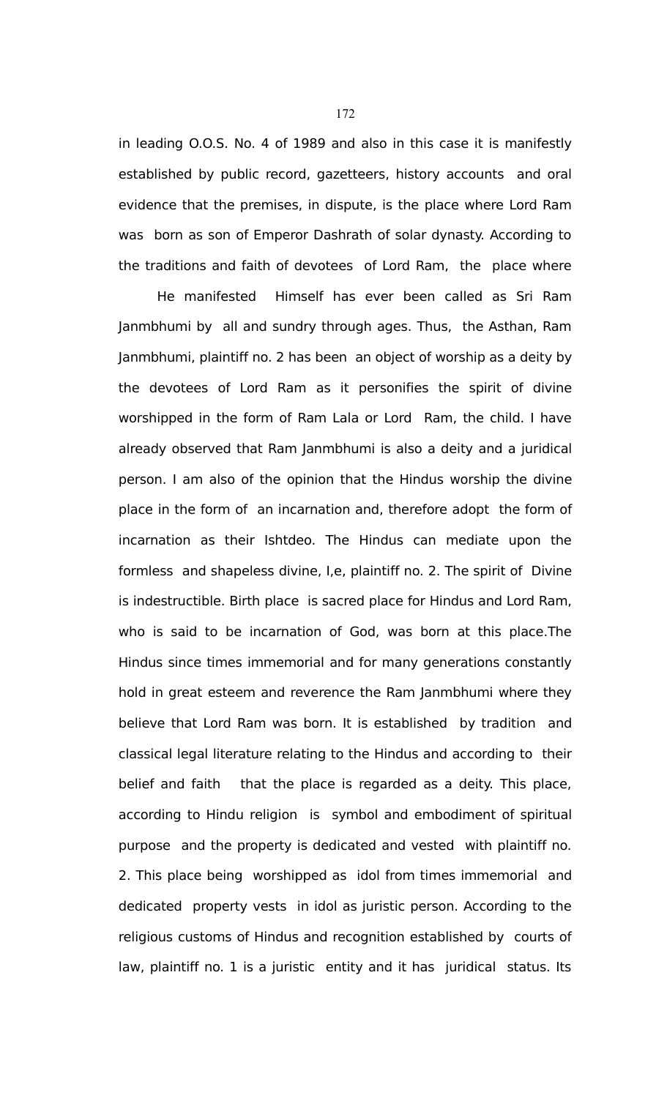in leading O.O.S. No. 4 of 1989 and also in this case it is manifestly established by public record, gazetteers, history accounts and oral evidence that the premises, in dispute, is the place where Lord Ram was born as son of Emperor Dashrath of solar dynasty. According to the traditions and faith of devotees of Lord Ram, the place where

He manifested Himself has ever been called as Sri Ram Janmbhumi by all and sundry through ages. Thus, the Asthan, Ram Janmbhumi, plaintiff no. 2 has been an object of worship as a deity by the devotees of Lord Ram as it personifies the spirit of divine worshipped in the form of Ram Lala or Lord Ram, the child. I have already observed that Ram Janmbhumi is also a deity and a juridical person. I am also of the opinion that the Hindus worship the divine place in the form of an incarnation and, therefore adopt the form of incarnation as their Ishtdeo. The Hindus can mediate upon the formless and shapeless divine, I,e, plaintiff no. 2. The spirit of Divine is indestructible. Birth place is sacred place for Hindus and Lord Ram, who is said to be incarnation of God, was born at this place.The Hindus since times immemorial and for many generations constantly hold in great esteem and reverence the Ram Janmbhumi where they believe that Lord Ram was born. It is established by tradition and classical legal literature relating to the Hindus and according to their belief and faith that the place is regarded as a deity. This place, according to Hindu religion is symbol and embodiment of spiritual purpose and the property is dedicated and vested with plaintiff no. 2. This place being worshipped as idol from times immemorial and dedicated property vests in idol as juristic person. According to the religious customs of Hindus and recognition established by courts of law, plaintiff no. 1 is a juristic entity and it has juridical status. Its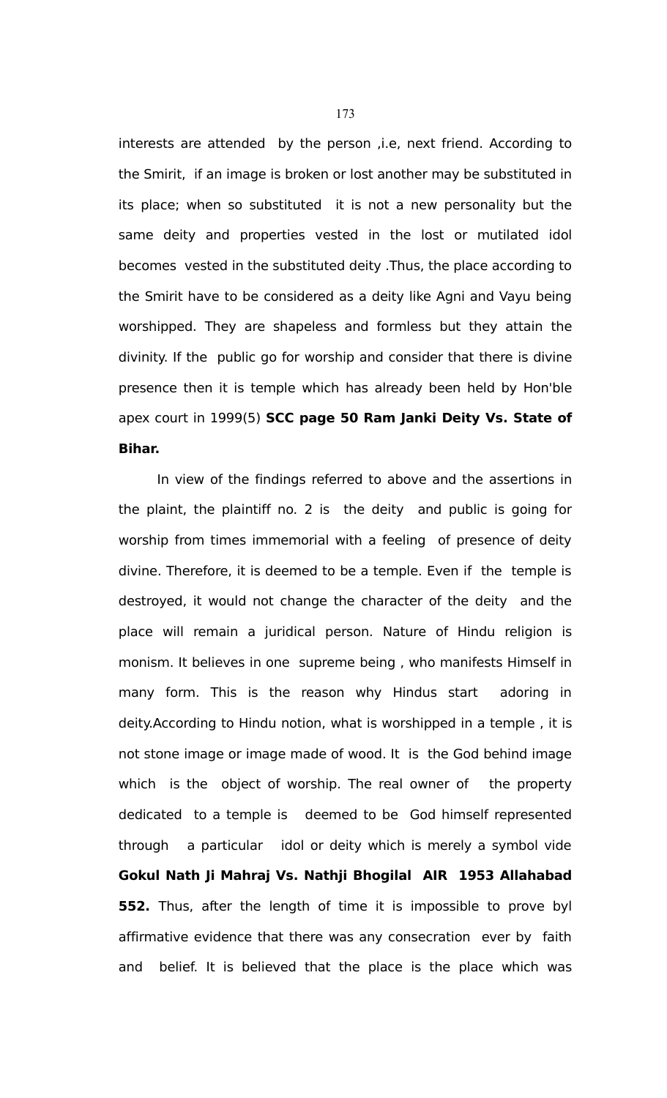interests are attended by the person ,i.e, next friend. According to the Smirit, if an image is broken or lost another may be substituted in its place; when so substituted it is not a new personality but the same deity and properties vested in the lost or mutilated idol becomes vested in the substituted deity .Thus, the place according to the Smirit have to be considered as a deity like Agni and Vayu being worshipped. They are shapeless and formless but they attain the divinity. If the public go for worship and consider that there is divine presence then it is temple which has already been held by Hon'ble apex court in 1999(5) **SCC page 50 Ram Janki Deity Vs. State of Bihar.**

In view of the findings referred to above and the assertions in the plaint, the plaintiff no. 2 is the deity and public is going for worship from times immemorial with a feeling of presence of deity divine. Therefore, it is deemed to be a temple. Even if the temple is destroyed, it would not change the character of the deity and the place will remain a juridical person. Nature of Hindu religion is monism. It believes in one supreme being , who manifests Himself in many form. This is the reason why Hindus start adoring in deity.According to Hindu notion, what is worshipped in a temple , it is not stone image or image made of wood. It is the God behind image which is the object of worship. The real owner of the property dedicated to a temple is deemed to be God himself represented through a particular idol or deity which is merely a symbol vide **Gokul Nath Ji Mahraj Vs. Nathji Bhogilal AIR 1953 Allahabad 552.** Thus, after the length of time it is impossible to prove byl affirmative evidence that there was any consecration ever by faith and belief. It is believed that the place is the place which was